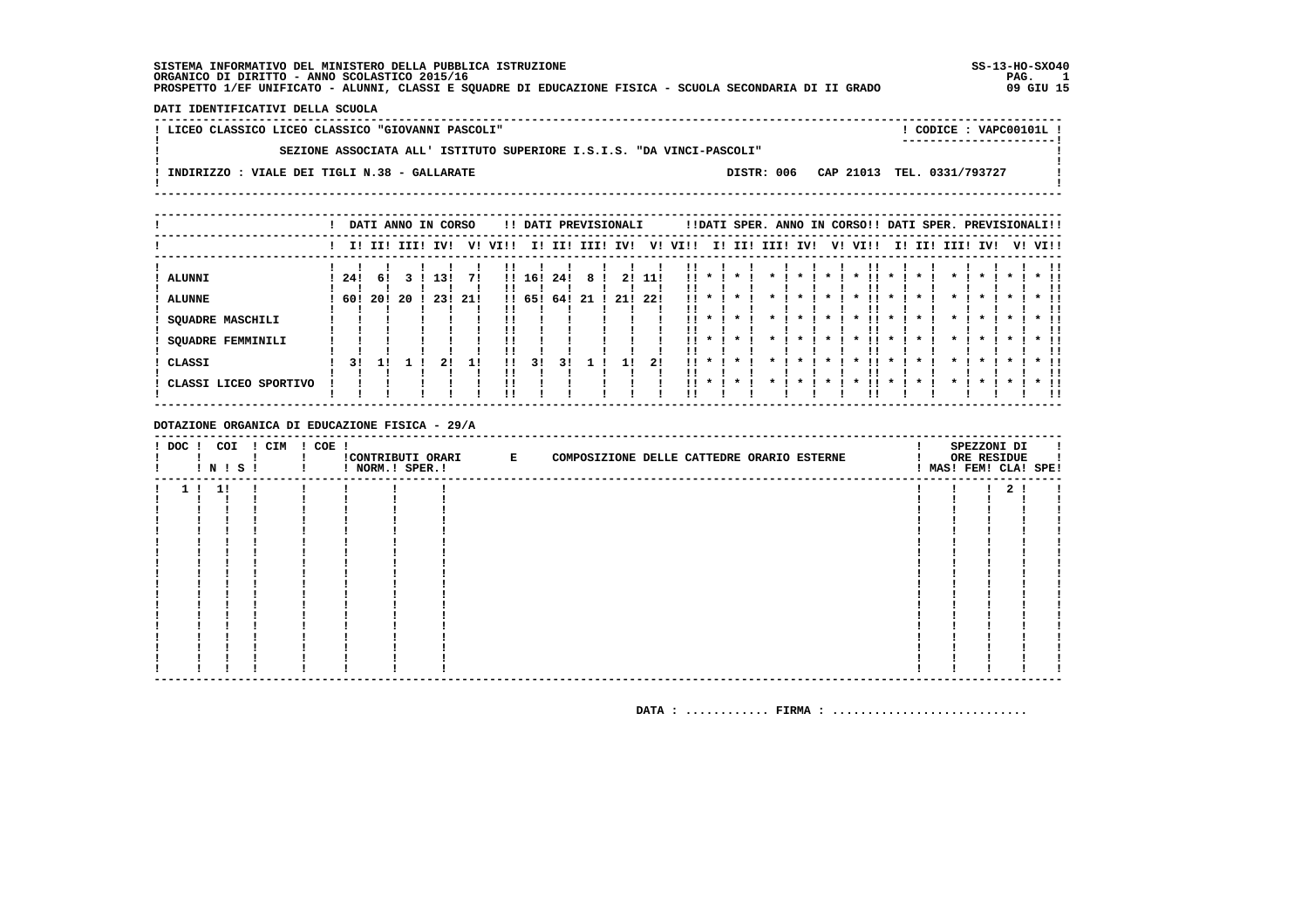### DATI IDENTIFICATIVI DELLA SCUOLA

! LICEO CLASSICO LICEO CLASSICO "GIOVANNI PASCOLI" ! CODICE: VAPC00101L ! \_\_\_\_\_\_\_\_\_\_\_\_\_\_\_\_\_\_\_\_\_\_\_\_\_\_  $\mathbf{I}$ SEZIONE ASSOCIATA ALL' ISTITUTO SUPERIORE I.S.I.S. "DA VINCI-PASCOLI"  $\overline{1}$  $\mathbf{L}$  $\blacksquare$  $\mathbf{I}$ ! INDIRIZZO : VIALE DEI TIGLI N.38 - GALLARATE DISTR: 006 CAP 21013 TEL. 0331/793727  $\mathbf{I}$  $\mathbf{I}$  $\mathbf{I}$ 

|                       |      |             |    | DATI ANNO IN CORSO |      |      |        |     | !! DATI PREVISIONALI |     |      |        |        |      |     |         | !!DATI SPER. ANNO IN CORSO!! DATI SPER. PREVISIONALI!! |              |     |                    |              |           |         |               |
|-----------------------|------|-------------|----|--------------------|------|------|--------|-----|----------------------|-----|------|--------|--------|------|-----|---------|--------------------------------------------------------|--------------|-----|--------------------|--------------|-----------|---------|---------------|
|                       |      | I! II! III! |    | IVI                | V!   | VI!! | I!     | II! | III! IV!             |     | V!   | VI!!   | I! II! | IIII | IV! | V!      | VI!!                                                   | II.          | II! | IIII               | IV!          |           | V! VI!! |               |
| <b>ALUNNI</b>         | -24! | 61          |    | 13!                | 71   | !!   | 16!    | 24! |                      |     | 11!  | 1 I    |        |      |     |         |                                                        |              |     |                    |              |           |         |               |
| <b>ALUNNE</b>         | -60! | 20!         | 20 | 23!                | -21! |      | !! 65! | 64! | -21                  | 21! | -22! | !!     |        |      |     |         |                                                        |              |     |                    |              |           |         |               |
| SQUADRE MASCHILI      |      |             |    |                    |      |      |        |     |                      |     |      | !!     |        |      |     |         |                                                        |              |     |                    |              |           |         |               |
| SQUADRE FEMMINILI     |      |             |    |                    |      |      |        |     |                      |     |      | !!     |        |      |     | $\star$ | $\cdot$                                                | $\star$      |     |                    | $\star$      | $\cdot$   |         |               |
| CLASSI                | 31   |             |    |                    | 11   | !!   | 31     |     |                      |     | 21   | $11 *$ |        |      |     |         | $\mathbf{x}$                                           | $\mathbf{x}$ |     | $\mathbf{r}$       | $\mathbf x$  | $\star$ 1 |         | $*$ 11<br>. . |
| CLASSI LICEO SPORTIVO |      |             |    |                    |      |      |        |     |                      |     |      | $11 *$ |        |      |     |         |                                                        |              |     | $\boldsymbol{\pi}$ | $\mathbf{r}$ | $\cdot$   |         | $*$ !!<br>-11 |

#### DOTAZIONE ORGANICA DI EDUCAZIONE FISICA - 29/A

|  |     | ! N ! S ! | ! DOC ! COI ! CIM ! COE ! | ! NORM.! SPER.! | !CONTRIBUTI ORARI E | COMPOSIZIONE DELLE CATTEDRE ORARIO ESTERNE |  |  |  | SPEZZONI DI<br>ORE RESIDUE<br>MAS! FEM! CLA! SPE! |  |
|--|-----|-----------|---------------------------|-----------------|---------------------|--------------------------------------------|--|--|--|---------------------------------------------------|--|
|  | -11 |           |                           |                 |                     |                                            |  |  |  | $\mathbf{2}$                                      |  |
|  |     |           |                           |                 |                     |                                            |  |  |  |                                                   |  |
|  |     |           |                           |                 |                     |                                            |  |  |  |                                                   |  |
|  |     |           |                           |                 |                     |                                            |  |  |  |                                                   |  |
|  |     |           |                           |                 |                     |                                            |  |  |  |                                                   |  |
|  |     |           |                           |                 |                     |                                            |  |  |  |                                                   |  |
|  |     |           |                           |                 |                     |                                            |  |  |  |                                                   |  |
|  |     |           |                           |                 |                     |                                            |  |  |  |                                                   |  |
|  |     |           |                           |                 |                     |                                            |  |  |  |                                                   |  |
|  |     |           |                           |                 |                     |                                            |  |  |  |                                                   |  |
|  |     |           |                           |                 |                     |                                            |  |  |  |                                                   |  |
|  |     |           |                           |                 |                     |                                            |  |  |  |                                                   |  |
|  |     |           |                           |                 |                     |                                            |  |  |  |                                                   |  |
|  |     |           |                           |                 |                     |                                            |  |  |  |                                                   |  |
|  |     |           |                           |                 |                     |                                            |  |  |  |                                                   |  |
|  |     |           |                           |                 |                     |                                            |  |  |  |                                                   |  |
|  |     |           |                           |                 |                     |                                            |  |  |  |                                                   |  |
|  |     |           |                           |                 |                     |                                            |  |  |  |                                                   |  |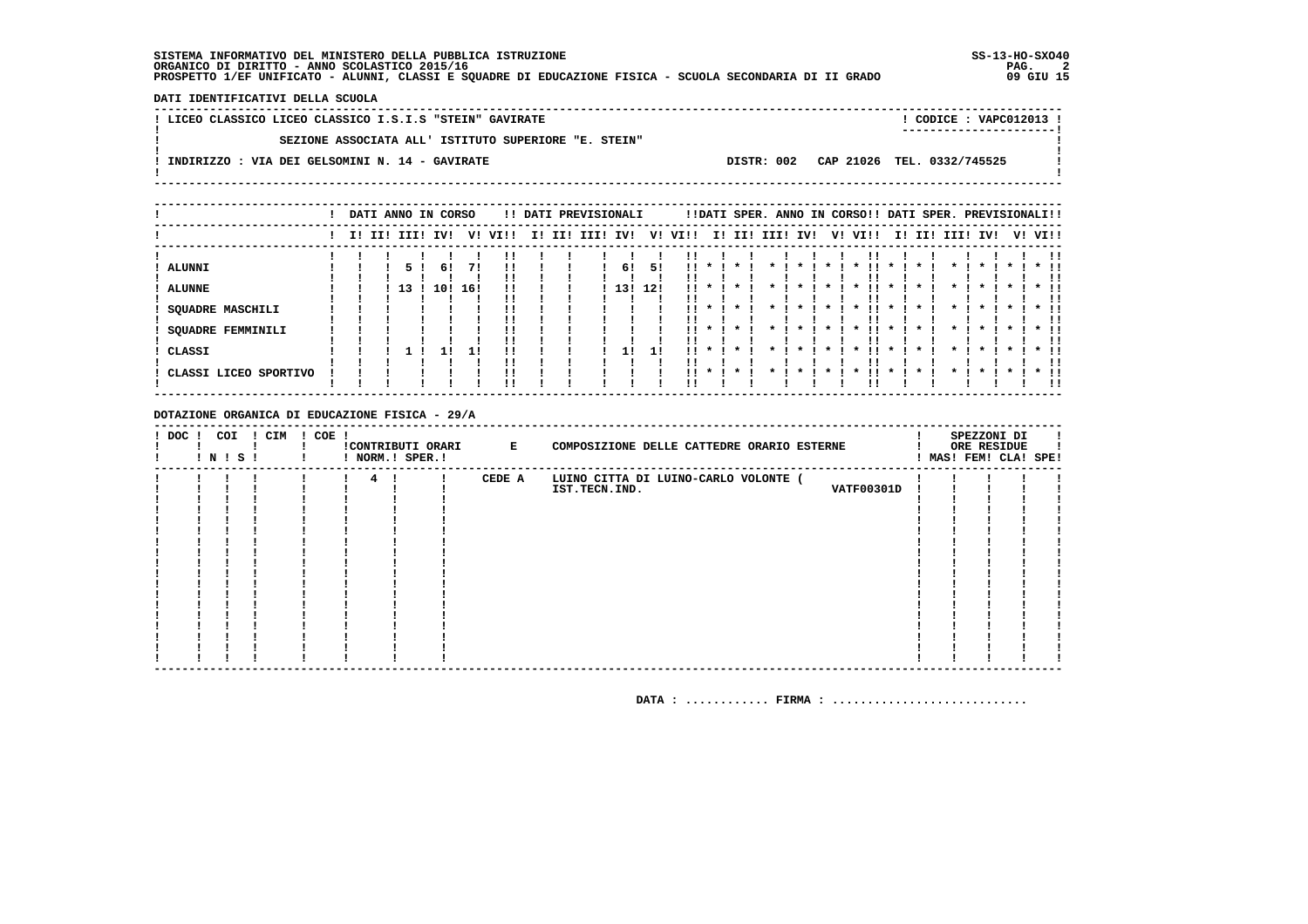DATI IDENTIFICATIVI DELLA SCUOLA

| ! LICEO CLASSICO LICEO CLASSICO I.S.I.S "STEIN" GAVIRATE |            | CODICE: VAPC012013 !<br>---------------------- |  |
|----------------------------------------------------------|------------|------------------------------------------------|--|
| SEZIONE ASSOCIATA ALL' ISTITUTO SUPERIORE "E. STEIN"     |            |                                                |  |
| . INDIRIZZO : VIA DEI GELSOMINI N. 14 - GAVIRATE         | DISTR: 002 | CAP 21026 TEL. 0332/745525                     |  |
|                                                          |            |                                                |  |

|                                                                                                 |             |    |           | DATI ANNO IN CORSO |                            |     |     | !! DATI PREVISIONALI |           |           |           |                    |         |      |                    | !!DATI SPER. ANNO IN CORSO!! DATI SPER. PREVISIONALI!! |                    |     |                    |              |                    |         |                   |
|-------------------------------------------------------------------------------------------------|-------------|----|-----------|--------------------|----------------------------|-----|-----|----------------------|-----------|-----------|-----------|--------------------|---------|------|--------------------|--------------------------------------------------------|--------------------|-----|--------------------|--------------|--------------------|---------|-------------------|
|                                                                                                 | I! II! III! |    | IV!       | V!                 | VI!!                       | II. | II! | III!                 | IV!       | V!        | VI!!      | I!                 | II!     | III! | IV!                | V! VI!!                                                | I!                 | II! | III!               | IV!          |                    | V! VI!! |                   |
| <b>ALUNNI</b><br><b>ALUNNE</b><br><b>SQUADRE MASCHILI</b><br><b>SQUADRE FEMMINILI</b><br>CLASSI |             | 13 | 6!<br>10! | 71<br>16!<br>1!    | !!<br>!!<br>!!<br>!!<br>!! |     |     |                      | 6!<br>13! | 51<br>12! | . .<br>11 | $\boldsymbol{\pi}$ |         |      | $\boldsymbol{\pi}$ | $\boldsymbol{\ast}$<br>. .<br>$\boldsymbol{\ast}$      | $\boldsymbol{\pi}$ |     | $\boldsymbol{\pi}$ | $\mathbf{x}$ | $\boldsymbol{\pi}$ |         | $*$ !!<br>$*$ !!  |
| CLASSI LICEO SPORTIVO                                                                           |             |    |           |                    | !!<br>!!<br>''             |     |     |                      |           |           | . .       | $\cdot$            | $\cdot$ |      |                    |                                                        |                    |     |                    |              |                    |         | <br>$*$ 11<br>-11 |

DOTAZIONE ORGANICA DI EDUCAZIONE FISICA - 29/A

| $!$ DOC $!$ | COI<br>! N ! S ! | ! CIM | $! COE$ ! |                | ! NORM.! SPER.! | !CONTRIBUTI ORARI E | COMPOSIZIONE DELLE CATTEDRE ORARIO ESTERNE |  | SPEZZONI DI<br>ORE RESIDUE<br>! MAS! FEM! CLA! SPE! |  |
|-------------|------------------|-------|-----------|----------------|-----------------|---------------------|--------------------------------------------|--|-----------------------------------------------------|--|
|             |                  |       |           | $4\phantom{0}$ |                 | CEDE A              | LUINO CITTA DI LUINO-CARLO VOLONTE (       |  |                                                     |  |
|             |                  |       |           |                |                 |                     | <b>VATF00301D</b><br>IST.TECN.IND.         |  |                                                     |  |
|             |                  |       |           |                |                 |                     |                                            |  |                                                     |  |
|             |                  |       |           |                |                 |                     |                                            |  |                                                     |  |
|             |                  |       |           |                |                 |                     |                                            |  |                                                     |  |
|             |                  |       |           |                |                 |                     |                                            |  |                                                     |  |
|             |                  |       |           |                |                 |                     |                                            |  |                                                     |  |
|             |                  |       |           |                |                 |                     |                                            |  |                                                     |  |
|             |                  |       |           |                |                 |                     |                                            |  |                                                     |  |
|             |                  |       |           |                |                 |                     |                                            |  |                                                     |  |
|             |                  |       |           |                |                 |                     |                                            |  |                                                     |  |
|             |                  |       |           |                |                 |                     |                                            |  |                                                     |  |
|             |                  |       |           |                |                 |                     |                                            |  |                                                     |  |
|             |                  |       |           |                |                 |                     |                                            |  |                                                     |  |
|             |                  |       |           |                |                 |                     |                                            |  |                                                     |  |
|             |                  |       |           |                |                 |                     |                                            |  |                                                     |  |
|             |                  |       |           |                |                 |                     |                                            |  |                                                     |  |
|             |                  |       |           |                |                 |                     |                                            |  |                                                     |  |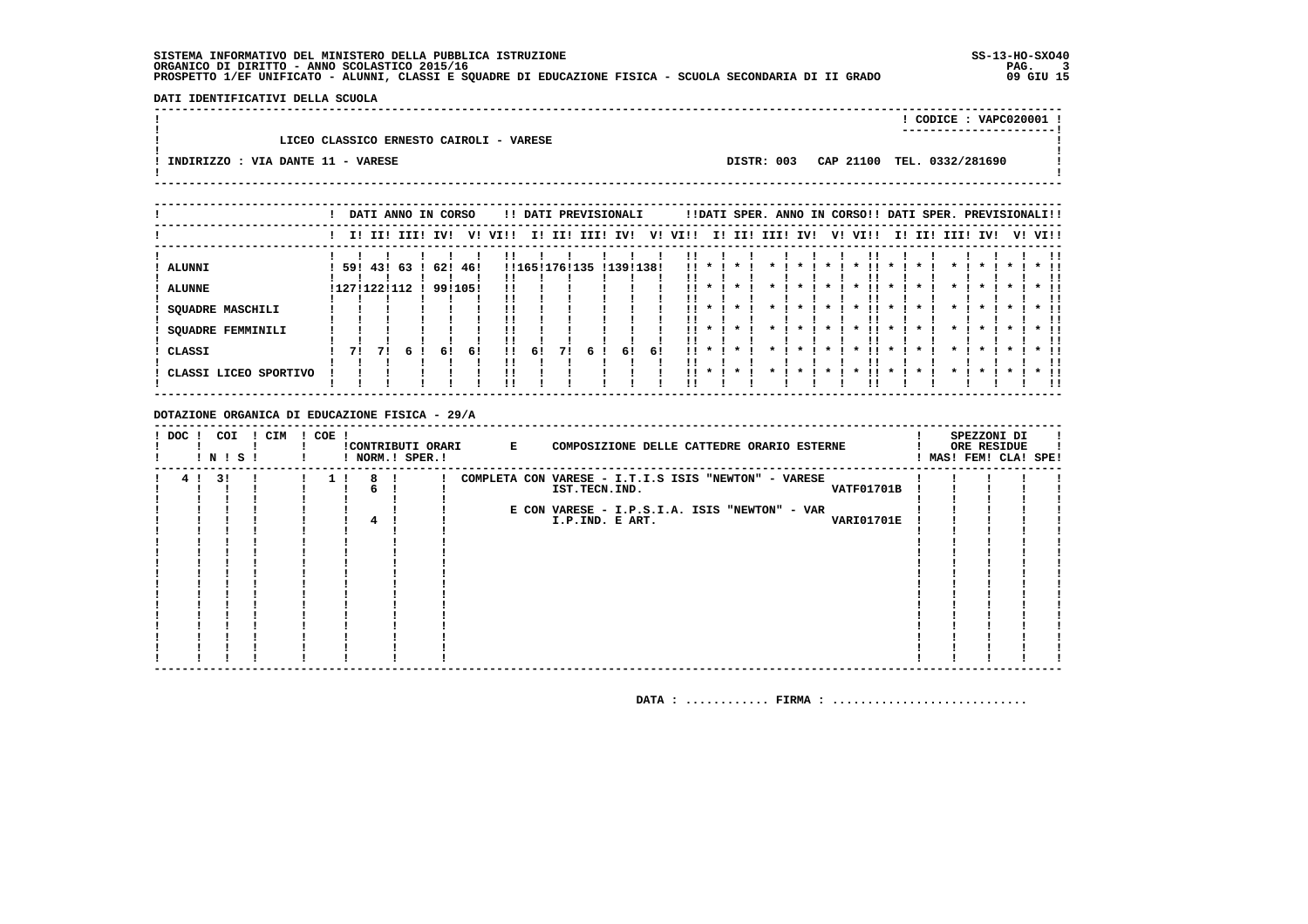DATI IDENTIFICATIVI DELLA SCUOLA

|                                         |            | CODICE: VAPC020001 !       |  |
|-----------------------------------------|------------|----------------------------|--|
| LICEO CLASSICO ERNESTO CAIROLI - VARESE |            |                            |  |
| INDIRIZZO : VIA DANTE 11 - VARESE       | DISTR: 003 | CAP 21100 TEL. 0332/281690 |  |

|                                                      |            |    | DATI ANNO IN CORSO |                |     |              |             |     |      | !! DATI PREVISIONALI |     |          |                               |     |      |     |    | !!DATI SPER. ANNO IN CORSO!! DATI SPER. PREVISIONALI!! |     |      |      |     |    |      |
|------------------------------------------------------|------------|----|--------------------|----------------|-----|--------------|-------------|-----|------|----------------------|-----|----------|-------------------------------|-----|------|-----|----|--------------------------------------------------------|-----|------|------|-----|----|------|
|                                                      |            |    | I! II! III!        | IV!            | v!  | VIII         | II.         | II! | III! | IV!                  | V!  | VI!!     | II.                           | II! | IIII | IVI | V! | VI!!                                                   | II. | III. | IIII | IV! | v! | VI!! |
| ALUNNI<br><b>ALUNNE</b><br><b>SQUADRE MASCHILI</b>   | 59! 43! 63 |    | !127!122!112       | 62!<br>9911051 | 46! |              | !!165!176!1 |     | L35  | !139!138!            |     | !!       |                               |     |      |     |    |                                                        |     |      |      |     |    |      |
| SQUADRE FEMMINILI<br>CLASSI<br>CLASSI LICEO SPORTIVO | 71         | 71 |                    | 61             | 61  | $\mathbf{H}$ | 6!          | 71  | 6    | 61                   | -61 | <br><br> | $\star$<br>$\cdot$<br>$\cdot$ |     |      |     |    |                                                        |     |      |      |     |    |      |

DOTAZIONE ORGANICA DI EDUCAZIONE FISICA - 29/A

| ! DOC ! | ! N ! S ! | COI | ! CIM | $! COE$ ! | ! NORM.! SPER.! |  | !CONTRIBUTI ORARI E | COMPOSIZIONE DELLE CATTEDRE ORARIO ESTERNE                                                 |  | SPEZZONI DI<br>ORE RESIDUE<br>MAS! FEM! CLA! SPE! |  |
|---------|-----------|-----|-------|-----------|-----------------|--|---------------------|--------------------------------------------------------------------------------------------|--|---------------------------------------------------|--|
| 4!      | 3 I       |     |       |           | 8               |  |                     | COMPLETA CON VARESE - I.T.I.S ISIS "NEWTON" - VARESE<br>IST.TECN.IND.<br><b>VATF01701B</b> |  |                                                   |  |
|         |           |     |       |           |                 |  |                     |                                                                                            |  |                                                   |  |
|         |           |     |       |           |                 |  |                     | E CON VARESE - I.P.S.I.A. ISIS "NEWTON" - VAR                                              |  |                                                   |  |
|         |           |     |       |           |                 |  |                     | I.P.IND. E ART.<br><b>VARI01701E</b>                                                       |  |                                                   |  |
|         |           |     |       |           |                 |  |                     |                                                                                            |  |                                                   |  |
|         |           |     |       |           |                 |  |                     |                                                                                            |  |                                                   |  |
|         |           |     |       |           |                 |  |                     |                                                                                            |  |                                                   |  |
|         |           |     |       |           |                 |  |                     |                                                                                            |  |                                                   |  |
|         |           |     |       |           |                 |  |                     |                                                                                            |  |                                                   |  |
|         |           |     |       |           |                 |  |                     |                                                                                            |  |                                                   |  |
|         |           |     |       |           |                 |  |                     |                                                                                            |  |                                                   |  |
|         |           |     |       |           |                 |  |                     |                                                                                            |  |                                                   |  |
|         |           |     |       |           |                 |  |                     |                                                                                            |  |                                                   |  |
|         |           |     |       |           |                 |  |                     |                                                                                            |  |                                                   |  |
|         |           |     |       |           |                 |  |                     |                                                                                            |  |                                                   |  |
|         |           |     |       |           |                 |  |                     |                                                                                            |  |                                                   |  |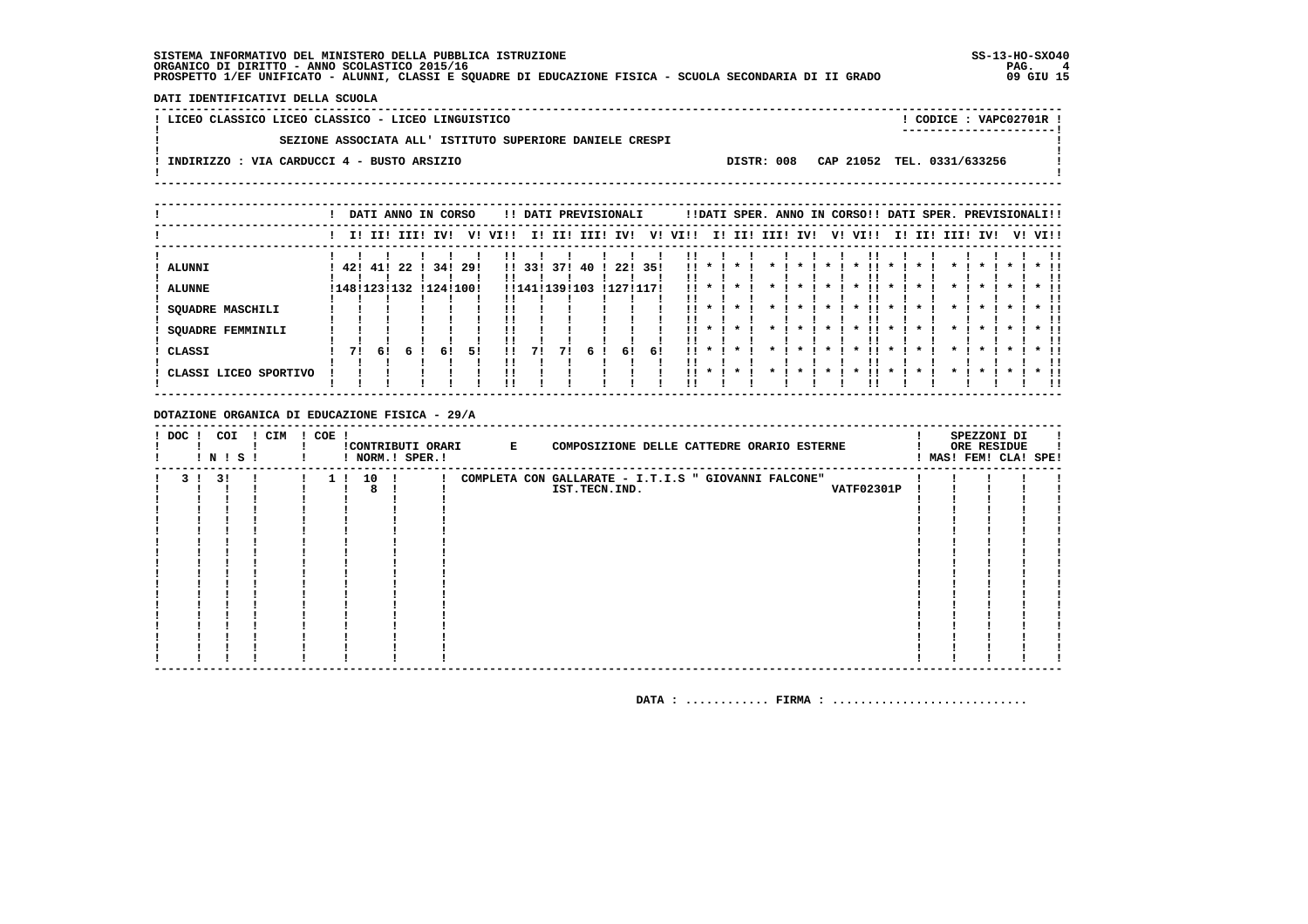DATI IDENTIFICATIVI DELLA SCUOLA

| ! LICEO CLASSICO LICEO CLASSICO - LICEO LINGUISTICO      |  | CODICE: VAPC02701R !                  |
|----------------------------------------------------------|--|---------------------------------------|
| SEZIONE ASSOCIATA ALL' ISTITUTO SUPERIORE DANIELE CRESPI |  |                                       |
| ! INDIRIZZO : VIA CARDUCCI 4 - BUSTO ARSIZIO             |  | DISTR: 008 CAP 21052 TEL. 0331/633256 |
|                                                          |  |                                       |

|                                    |     |     |                    | DATI ANNO IN CORSO |       |              |                   |     |           | !! DATI PREVISIONALI |      |               |              |                              |      |                    |         | !!DATI SPER. ANNO IN CORSO!! DATI SPER. PREVISIONALI!! |             |        |          |              |         |                              |
|------------------------------------|-----|-----|--------------------|--------------------|-------|--------------|-------------------|-----|-----------|----------------------|------|---------------|--------------|------------------------------|------|--------------------|---------|--------------------------------------------------------|-------------|--------|----------|--------------|---------|------------------------------|
|                                    |     |     | I! II! III!        | IVI                | V!    | VI!!         | I!                | II! | III!      | IV!                  | V!   | VI!!          | I!           | II!                          | III! | IV!                | V!      | VI!!                                                   |             | I! II! | III! IV! |              | V! VI!! |                              |
| <b>ALUNNI</b><br><b>ALUNNE</b>     | 42! | 41! | 22<br>!148!123!132 | 34!<br>!124!100!   | -29 ! | $\mathbf{H}$ | 33!<br>!!141!139! | 371 | 40<br>103 | 22!<br>!127!117!     | -35! | !!<br>!!      |              |                              |      |                    |         |                                                        |             |        |          |              |         |                              |
| <b>SQUADRE MASCHILI</b>            |     |     |                    |                    |       |              |                   |     |           |                      |      | !!            |              |                              |      |                    |         |                                                        |             |        |          |              |         |                              |
| <b>SQUADRE FEMMINILI</b><br>CLASSI | 71  | -61 |                    | 6!                 | 51    |              | 71                | 71  |           | 61                   | -61  | 11.<br>ΙI<br> | $\mathbf{r}$ | $\mathbf{x}$<br>$\mathbf{x}$ |      | $\boldsymbol{\pi}$ | $\cdot$ | . .<br>$\mathbf{x}$<br>$\boldsymbol{\ast}$             | $\mathbf x$ |        |          | $\mathbf{x}$ |         | $*$ !!<br>!!                 |
| CLASSI LICEO SPORTIVO              |     |     |                    |                    |       | !!           |                   |     | 6!        |                      |      | . .           | $\mathbf{x}$ | $\star$                      |      |                    |         | $\boldsymbol{\ast}$                                    |             |        |          |              |         | $*$ !!<br>!!<br>$*$ 11<br>!! |

#### DOTAZIONE ORGANICA DI EDUCAZIONE FISICA - 29/A

| ! DOC ! | COI<br>! N ! S ! | CIM | COE ! | ! NORM.! SPER.! |  | !CONTRIBUTI ORARI E | COMPOSIZIONE DELLE CATTEDRE ORARIO ESTERNE           |  | SPEZZONI DI<br>ORE RESIDUE<br>! MAS! FEM! CLA! SPE! |  |
|---------|------------------|-----|-------|-----------------|--|---------------------|------------------------------------------------------|--|-----------------------------------------------------|--|
|         | 31               |     |       | 10              |  |                     | COMPLETA CON GALLARATE - I.T.I.S " GIOVANNI FALCONE" |  |                                                     |  |
|         |                  |     |       | 8               |  |                     | <b>VATF02301P</b><br>IST.TECN.IND.                   |  |                                                     |  |
|         |                  |     |       |                 |  |                     |                                                      |  |                                                     |  |
|         |                  |     |       |                 |  |                     |                                                      |  |                                                     |  |
|         |                  |     |       |                 |  |                     |                                                      |  |                                                     |  |
|         |                  |     |       |                 |  |                     |                                                      |  |                                                     |  |
|         |                  |     |       |                 |  |                     |                                                      |  |                                                     |  |
|         |                  |     |       |                 |  |                     |                                                      |  |                                                     |  |
|         |                  |     |       |                 |  |                     |                                                      |  |                                                     |  |
|         |                  |     |       |                 |  |                     |                                                      |  |                                                     |  |
|         |                  |     |       |                 |  |                     |                                                      |  |                                                     |  |
|         |                  |     |       |                 |  |                     |                                                      |  |                                                     |  |
|         |                  |     |       |                 |  |                     |                                                      |  |                                                     |  |
|         |                  |     |       |                 |  |                     |                                                      |  |                                                     |  |
|         |                  |     |       |                 |  |                     |                                                      |  |                                                     |  |
|         |                  |     |       |                 |  |                     |                                                      |  |                                                     |  |
|         |                  |     |       |                 |  |                     |                                                      |  |                                                     |  |
|         |                  |     |       |                 |  |                     |                                                      |  |                                                     |  |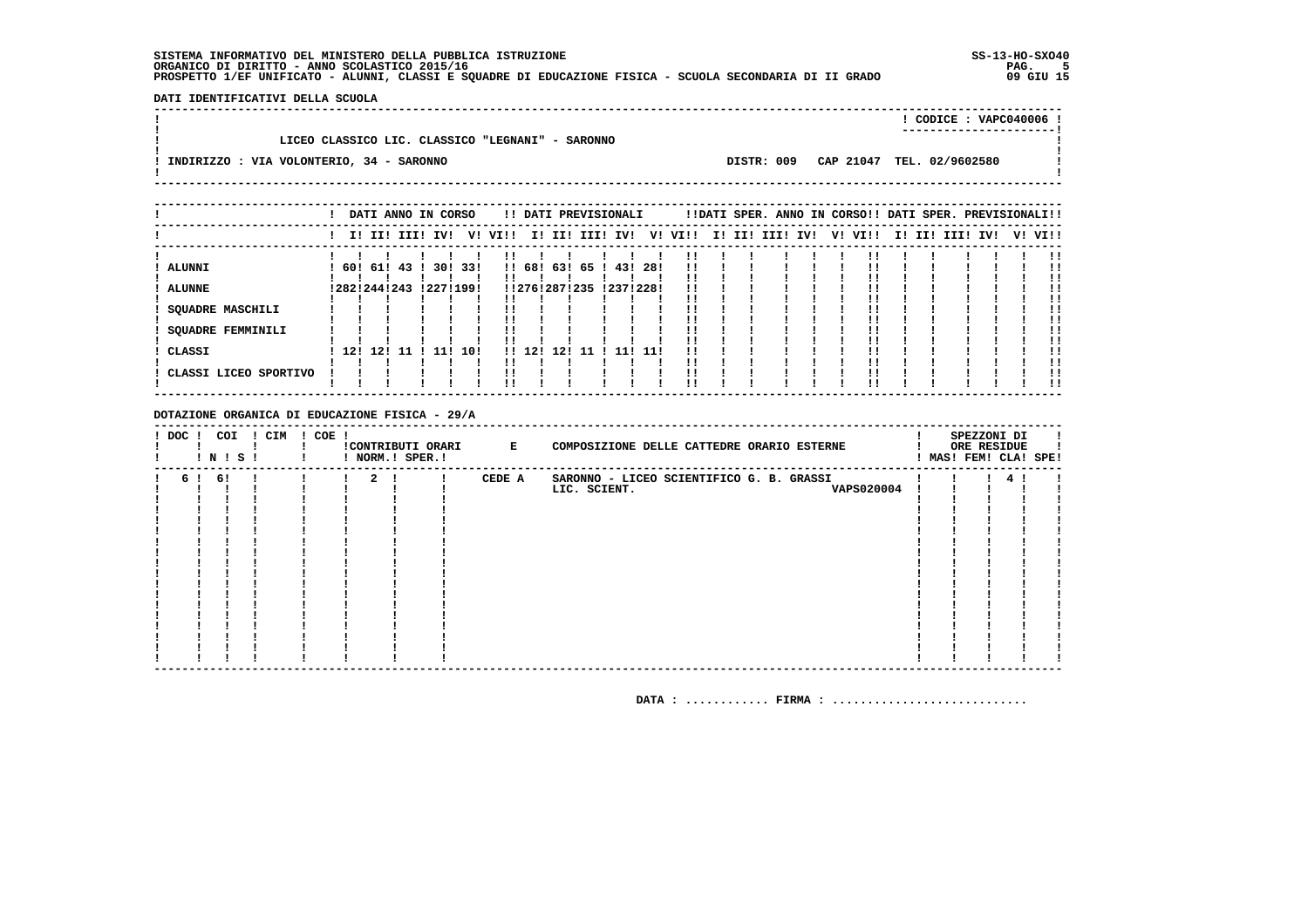DATI IDENTIFICATIVI DELLA SCUOLA 

|                                                  |            | $!$ CODICE : VAPC040006 ! |  |
|--------------------------------------------------|------------|---------------------------|--|
| LICEO CLASSICO LIC. CLASSICO "LEGNANI" - SARONNO |            |                           |  |
| INDIRIZZO : VIA VOLONTERIO, 34 - SARONNO         | DISTR: 009 | CAP 21047 TEL. 02/9602580 |  |
|                                                  |            |                           |  |

|                                                     |              |  | DATI ANNO IN CORSO |           |     |      |                |               |      | !! DATI PREVISIONALI |           |      |    |     | !!DATI SPER. ANNO IN CORSO!! DATI SPER. PREVISIONALI!! |     |         |     |     |      |     |         |
|-----------------------------------------------------|--------------|--|--------------------|-----------|-----|------|----------------|---------------|------|----------------------|-----------|------|----|-----|--------------------------------------------------------|-----|---------|-----|-----|------|-----|---------|
|                                                     |              |  | I! II! III! IV!    |           | V!  | VI!! | II.            | II!           | III! | IV!                  | V!        | VI!! | I! | II! | III!                                                   | IV! | V! VI!! | II. | II! | III! | IV! | V! VI!! |
| ALUNNI                                              |              |  | 60! 61! 43         | 30! 33!   |     |      | !! 68!         |               |      | 63! 65 ! 43!         | -28!      |      |    |     |                                                        |     |         |     |     |      |     |         |
| <b>ALUNNE</b>                                       | !282!244!243 |  |                    | !227!199! |     |      |                | !!276!287!235 |      |                      | !237!228! |      |    |     |                                                        |     |         |     |     |      |     |         |
| <b>SQUADRE MASCHILI</b><br><b>SQUADRE FEMMINILI</b> |              |  |                    |           |     |      |                |               |      |                      |           |      |    |     |                                                        |     |         |     |     |      |     |         |
| CLASSI                                              |              |  | 12! 12! 11 !       | 11 !      | 10! |      | $11 \quad 121$ | 12!           | -11  | -111                 | -11!      | !!   |    |     |                                                        |     |         |     |     |      |     |         |
| ! CLASSI LICEO SPORTIVO                             |              |  |                    |           |     |      |                |               |      |                      |           |      |    |     |                                                        |     |         |     |     |      |     | !!      |

#### DOTAZIONE ORGANICA DI EDUCAZIONE FISICA - 29/A

| ! DOC ! | ! N ! S ! | COI | ! CIM | $! COE$ ! |                | !CONTRIBUTI ORARI E<br>! NORM.! SPER.! |        | COMPOSIZIONE DELLE CATTEDRE ORARIO ESTERNE |  | SPEZZONI DI<br>ORE RESIDUE<br>! MAS! FEM! CLA! SPE! |  |
|---------|-----------|-----|-------|-----------|----------------|----------------------------------------|--------|--------------------------------------------|--|-----------------------------------------------------|--|
|         | 6! 6!     |     |       |           | $\overline{2}$ |                                        | CEDE A | SARONNO - LICEO SCIENTIFICO G. B. GRASSI   |  |                                                     |  |
|         |           |     |       |           |                |                                        |        | <b>VAPS020004</b><br>LIC. SCIENT.          |  |                                                     |  |
|         |           |     |       |           |                |                                        |        |                                            |  |                                                     |  |
|         |           |     |       |           |                |                                        |        |                                            |  |                                                     |  |
|         |           |     |       |           |                |                                        |        |                                            |  |                                                     |  |
|         |           |     |       |           |                |                                        |        |                                            |  |                                                     |  |
|         |           |     |       |           |                |                                        |        |                                            |  |                                                     |  |
|         |           |     |       |           |                |                                        |        |                                            |  |                                                     |  |
|         |           |     |       |           |                |                                        |        |                                            |  |                                                     |  |
|         |           |     |       |           |                |                                        |        |                                            |  |                                                     |  |
|         |           |     |       |           |                |                                        |        |                                            |  |                                                     |  |
|         |           |     |       |           |                |                                        |        |                                            |  |                                                     |  |
|         |           |     |       |           |                |                                        |        |                                            |  |                                                     |  |
|         |           |     |       |           |                |                                        |        |                                            |  |                                                     |  |
|         |           |     |       |           |                |                                        |        |                                            |  |                                                     |  |
|         |           |     |       |           |                |                                        |        |                                            |  |                                                     |  |
|         |           |     |       |           |                |                                        |        |                                            |  |                                                     |  |
|         |           |     |       |           |                |                                        |        |                                            |  |                                                     |  |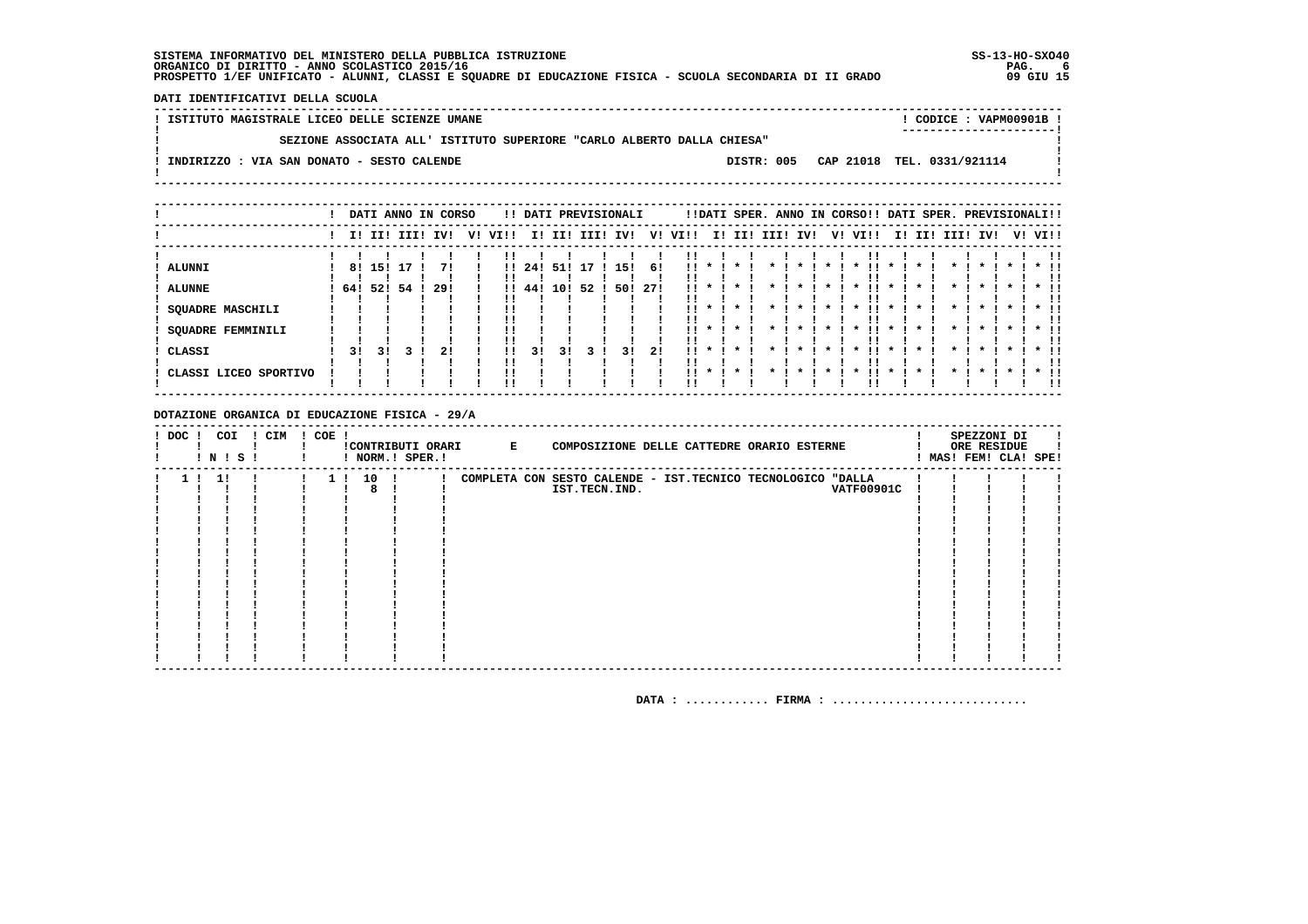DATI IDENTIFICATIVI DELLA SCUOLA

| SEZIONE ASSOCIATA ALL' ISTITUTO SUPERIORE "CARLO ALBERTO DALLA CHIESA"<br>DISTR: 005 CAP 21018 TEL. 0331/921114<br>: INDIRIZZO : VIA SAN DONATO - SESTO CALENDE | ! ISTITUTO MAGISTRALE LICEO DELLE SCIENZE UMANE | CODICE: VAPM00901B ! |
|-----------------------------------------------------------------------------------------------------------------------------------------------------------------|-------------------------------------------------|----------------------|
|                                                                                                                                                                 |                                                 | -------------------  |
|                                                                                                                                                                 |                                                 |                      |
|                                                                                                                                                                 |                                                 |                      |

|                                                                                       |                    |               |             | DATI ANNO IN CORSO |    |                                          |                   |                  |          | !! DATI PREVISIONALI |                   |                                      |              | !!DATI SPER. ANNO IN CORSO!! DATI SPER. PREVISIONALI!! |      |     |         |                                                                       |        |                                                                   |     |          |                    |  |                      |  |
|---------------------------------------------------------------------------------------|--------------------|---------------|-------------|--------------------|----|------------------------------------------|-------------------|------------------|----------|----------------------|-------------------|--------------------------------------|--------------|--------------------------------------------------------|------|-----|---------|-----------------------------------------------------------------------|--------|-------------------------------------------------------------------|-----|----------|--------------------|--|----------------------|--|
|                                                                                       |                    |               | I! II! III! | IV!                | v! | VI!!                                     | II.               | II!              | III!     | IV!                  | V!                | VI!!                                 | II.          | II!                                                    | IIII | IV! |         | V!                                                                    | VI!!   | II.                                                               | II! | III! IV! |                    |  | V! VI!!              |  |
| ! ALUNNI<br><b>ALUNNE</b><br>SQUADRE MASCHILI<br><b>SQUADRE FEMMINILI</b><br>! CLASSI | 64! 52! 54 !<br>31 | 8! 15!<br>3 I | 17          | 29!<br>21          |    | $\mathbf{H}$<br>$\mathbf{H}$<br>!!<br>!! | 24 !<br>441<br>31 | 51!<br>10!<br>31 | 17<br>52 | 15!<br>50!<br>31     | -61<br>-271<br>21 | 11<br>11.<br>11.<br>. .<br>!!<br>. . |              | $\boldsymbol{\pi}$<br>$\mathbf{x}$                     |      |     | $\star$ | *<br>$\boldsymbol{\pi}$<br>$\boldsymbol{\ast}$<br>$\boldsymbol{\ast}$ | - 11 - | $\boldsymbol{\ast}$<br>$\boldsymbol{\ast}$<br>$\boldsymbol{\ast}$ |     |          | $\boldsymbol{\pi}$ |  | $*$ !!<br>!!<br>* !! |  |
| ! CLASSI LICEO SPORTIVO                                                               |                    |               |             |                    |    | !!                                       |                   |                  |          |                      |                   | 11.                                  | $\mathbf{x}$ | $\star$                                                |      |     |         | $\mathbf x$                                                           |        |                                                                   |     |          |                    |  | !!<br>$*$ 11<br>!!   |  |

DOTAZIONE ORGANICA DI EDUCAZIONE FISICA - 29/A

| $!$ DOC $!$ |    | COI<br>! N ! S ! | ! CIM | $! COE$ ! |        | ! NORM.! SPER.! | !CONTRIBUTI ORARI E | COMPOSIZIONE DELLE CATTEDRE ORARIO ESTERNE                   |  |                   |  | SPEZZONI DI<br>ORE RESIDUE<br>! MAS! FEM! CLA! SPE! |  |
|-------------|----|------------------|-------|-----------|--------|-----------------|---------------------|--------------------------------------------------------------|--|-------------------|--|-----------------------------------------------------|--|
| 1 1         | 11 |                  |       |           | 1! 10! |                 |                     | COMPLETA CON SESTO CALENDE - IST. TECNICO TECNOLOGICO "DALLA |  |                   |  |                                                     |  |
|             |    |                  |       |           | 8      |                 |                     | IST.TECN.IND.                                                |  | <b>VATF00901C</b> |  |                                                     |  |
|             |    |                  |       |           |        |                 |                     |                                                              |  |                   |  |                                                     |  |
|             |    |                  |       |           |        |                 |                     |                                                              |  |                   |  |                                                     |  |
|             |    |                  |       |           |        |                 |                     |                                                              |  |                   |  |                                                     |  |
|             |    |                  |       |           |        |                 |                     |                                                              |  |                   |  |                                                     |  |
|             |    |                  |       |           |        |                 |                     |                                                              |  |                   |  |                                                     |  |
|             |    |                  |       |           |        |                 |                     |                                                              |  |                   |  |                                                     |  |
|             |    |                  |       |           |        |                 |                     |                                                              |  |                   |  |                                                     |  |
|             |    |                  |       |           |        |                 |                     |                                                              |  |                   |  |                                                     |  |
|             |    |                  |       |           |        |                 |                     |                                                              |  |                   |  |                                                     |  |
|             |    |                  |       |           |        |                 |                     |                                                              |  |                   |  |                                                     |  |
|             |    |                  |       |           |        |                 |                     |                                                              |  |                   |  |                                                     |  |
|             |    |                  |       |           |        |                 |                     |                                                              |  |                   |  |                                                     |  |
|             |    |                  |       |           |        |                 |                     |                                                              |  |                   |  |                                                     |  |
|             |    |                  |       |           |        |                 |                     |                                                              |  |                   |  |                                                     |  |
|             |    |                  |       |           |        |                 |                     |                                                              |  |                   |  |                                                     |  |
|             |    |                  |       |           |        |                 |                     |                                                              |  |                   |  |                                                     |  |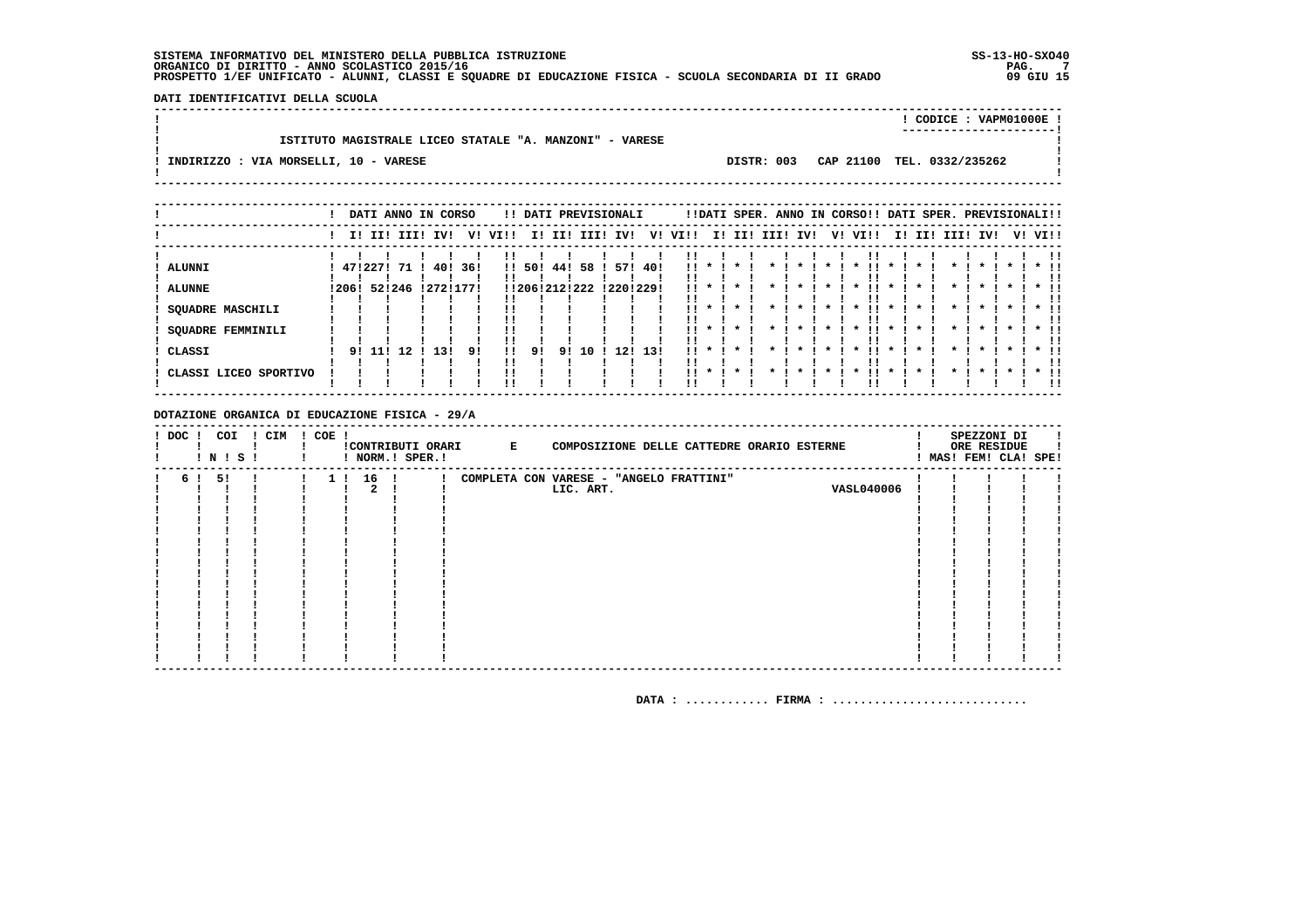DATI IDENTIFICATIVI DELLA SCUOLA 

|                                                         |            | CODICE: VAPM01000E!<br>----------------------- |
|---------------------------------------------------------|------------|------------------------------------------------|
| ISTITUTO MAGISTRALE LICEO STATALE "A. MANZONI" - VARESE |            |                                                |
| INDIRIZZO : VIA MORSELLI, 10 - VARESE                   | DISTR: 003 | CAP 21100 TEL. 0332/235262                     |
|                                                         |            |                                                |

|                                                                                   |       |         | DATI ANNO IN CORSO         |                           |           |                    |                         |           |                  | !! DATI PREVISIONALI    |             |                                  |                                |         | !!DATI SPER. ANNO IN CORSO!! DATI SPER. PREVISIONALI!! |              |                           |                         |                     |                                   |                            |                           |         |                      |
|-----------------------------------------------------------------------------------|-------|---------|----------------------------|---------------------------|-----------|--------------------|-------------------------|-----------|------------------|-------------------------|-------------|----------------------------------|--------------------------------|---------|--------------------------------------------------------|--------------|---------------------------|-------------------------|---------------------|-----------------------------------|----------------------------|---------------------------|---------|----------------------|
|                                                                                   |       |         | I! II! III!                | IVI                       | V!        | VI!!               | II.                     | III       |                  | III! IV!                | V!          | VI!!                             |                                |         | I! II! III! IV!                                        |              | V! VI!!                   |                         | I! II!              | III!                              | IV!                        |                           | V! VI!! |                      |
| ALUNNI<br><b>ALUNNE</b><br><b>SQUADRE MASCHILI</b><br>SQUADRE FEMMINILI<br>CLASSI | 12061 | 4712271 | -71<br>52!246<br>91 111 12 | 40!<br>! 272! 177!<br>13! | 36!<br>91 | $\mathbf{H}$<br>11 | 50!<br>!!206!212!<br>91 | 44!<br>91 | 58<br>222<br>1 O | 571<br>!220!229!<br>121 | 40!<br>-131 | . .<br>!!<br>. .<br>$\mathbf{1}$ | $\mathbf{x}$<br>$\mathbf{x}$ . | $\cdot$ | $\boldsymbol{\pi}$                                     | $\mathbf{x}$ | !!<br>$\boldsymbol{\ast}$ | $\cdot$<br>$\mathbf{x}$ | $\boldsymbol{\ast}$ | $\mathbf x$<br>$\boldsymbol{\pi}$ | $\mathbf x$<br>$\mathbf x$ | $\star$ 1<br>$\mathbf{x}$ |         | $*$ !!<br>$*$ !!     |
| CLASSI LICEO SPORTIVO                                                             |       |         |                            |                           |           |                    |                         |           |                  |                         |             | . .                              | $\cdot$                        |         |                                                        |              |                           |                         |                     |                                   |                            |                           |         | . .<br>$*$ 11<br>-11 |

DOTAZIONE ORGANICA DI EDUCAZIONE FISICA - 29/A

| $!$ DOC $!$ | COI<br>! N ! S ! | ! CIM | $! COE$ ! |                |      | ! NORM.! SPER.! | !CONTRIBUTI ORARI E | COMPOSIZIONE DELLE CATTEDRE ORARIO ESTERNE |                   |  | SPEZZONI DI<br>ORE RESIDUE | ! MAS! FEM! CLA! SPE! |
|-------------|------------------|-------|-----------|----------------|------|-----------------|---------------------|--------------------------------------------|-------------------|--|----------------------------|-----------------------|
|             | 5!               |       |           | 1 <sub>1</sub> | 16 ! |                 |                     | COMPLETA CON VARESE - "ANGELO FRATTINI"    |                   |  |                            |                       |
|             |                  |       |           |                |      |                 |                     | LIC. ART.                                  | <b>VASL040006</b> |  |                            |                       |
|             |                  |       |           |                |      |                 |                     |                                            |                   |  |                            |                       |
|             |                  |       |           |                |      |                 |                     |                                            |                   |  |                            |                       |
|             |                  |       |           |                |      |                 |                     |                                            |                   |  |                            |                       |
|             |                  |       |           |                |      |                 |                     |                                            |                   |  |                            |                       |
|             |                  |       |           |                |      |                 |                     |                                            |                   |  |                            |                       |
|             |                  |       |           |                |      |                 |                     |                                            |                   |  |                            |                       |
|             |                  |       |           |                |      |                 |                     |                                            |                   |  |                            |                       |
|             |                  |       |           |                |      |                 |                     |                                            |                   |  |                            |                       |
|             |                  |       |           |                |      |                 |                     |                                            |                   |  |                            |                       |
|             |                  |       |           |                |      |                 |                     |                                            |                   |  |                            |                       |
|             |                  |       |           |                |      |                 |                     |                                            |                   |  |                            |                       |
|             |                  |       |           |                |      |                 |                     |                                            |                   |  |                            |                       |
|             |                  |       |           |                |      |                 |                     |                                            |                   |  |                            |                       |
|             |                  |       |           |                |      |                 |                     |                                            |                   |  |                            |                       |
|             |                  |       |           |                |      |                 |                     |                                            |                   |  |                            |                       |
|             |                  |       |           |                |      |                 |                     |                                            |                   |  |                            |                       |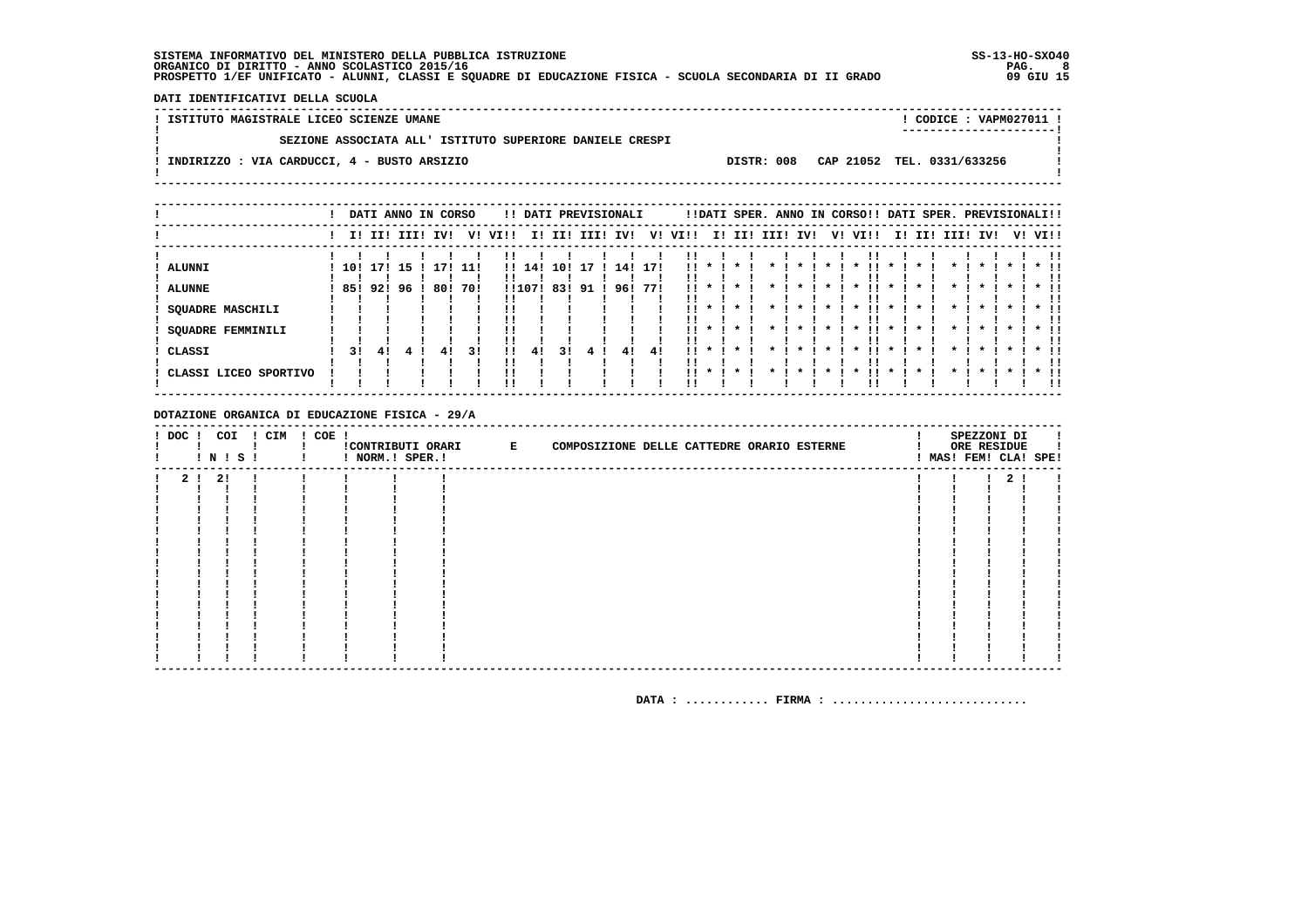DATI IDENTIFICATIVI DELLA SCUOLA

! ISTITUTO MAGISTRALE LICEO SCIENZE UMANE ! CODICE : VAPM027011 !  $\mathbf{I}$ SEZIONE ASSOCIATA ALL' ISTITUTO SUPERIORE DANIELE CRESPI  $\mathbf{I}$  $\blacksquare$  $\mathbf{I}$ -: INDIRIZZO : VIA CARDUCCI, 4 - BUSTO ARSIZIO DISTR: 008 CAP 21052 TEL. 0331/633256  $\sim$  1.  $\mathbf{I}$  $\mathbf{I}$ 

|                       |        |             |     | DATI ANNO IN CORSO |     |              |        |     | !! DATI PREVISIONALI |     |     |           |                    |         |      |     |                    | !!DATI SPER. ANNO IN CORSO!! DATI SPER. PREVISIONALI!! |    |                    |      |     |  |               |
|-----------------------|--------|-------------|-----|--------------------|-----|--------------|--------|-----|----------------------|-----|-----|-----------|--------------------|---------|------|-----|--------------------|--------------------------------------------------------|----|--------------------|------|-----|--|---------------|
|                       |        | I! II! III! |     | IV!                | v!  | VI!!         | II.    | II! | III!                 | IV! | V!  | VI!!      | II.                | II!     | IIII | IV! | V!                 | VI!!                                                   | ΙI | II!                | III! | IV! |  | V! VI!!       |
| <b>ALUNNI</b>         | 10!    | 171         | -15 | 171                | 11! | $\mathbf{H}$ | 14!    | 10! |                      | 14! | 17! | !!        |                    |         |      |     |                    |                                                        |    |                    |      |     |  |               |
| <b>ALUNNE</b>         | 85!92! |             | 96  | 80!                | 701 |              | !!107! | 83! | 91                   | 96! | 771 | 11.       |                    |         |      |     |                    |                                                        |    |                    |      |     |  |               |
| SQUADRE MASCHILI      |        |             |     |                    |     |              |        |     |                      |     |     | . .       |                    | $\cdot$ |      |     | *                  | ш<br>$\cdot$                                           |    |                    |      |     |  | . .           |
| SQUADRE FEMMINILI     |        |             |     |                    |     | !!<br>!!     |        |     |                      |     |     | 11.<br>!! | $\boldsymbol{\pi}$ | $\star$ |      |     | $\boldsymbol{\pi}$ | . .<br>$\boldsymbol{\ast}$                             |    | $\boldsymbol{\pi}$ |      |     |  | $*$ 11<br>. . |
| CLASSI                | 31     | 41          |     | 41                 | 31  | !!           | 41     | 31  |                      | 4!  | 41  | 11.       | $\boldsymbol{\pi}$ | $\star$ |      |     | $\boldsymbol{\pi}$ | $\boldsymbol{\ast}$                                    |    | $\boldsymbol{\pi}$ |      |     |  | . .           |
| CLASSI LICEO SPORTIVO |        |             |     |                    |     | !!           |        |     |                      |     |     | . .       | $\boldsymbol{\pi}$ | $\star$ |      |     |                    |                                                        |    | $\boldsymbol{\pi}$ |      |     |  | $*$ !!<br>!!  |

DOTAZIONE ORGANICA DI EDUCAZIONE FISICA - 29/A

| $!$ DOC $!$    | COI<br>! N ! S ! | ! CIM | $! COE$ ! | ! NORM.! SPER.! | CONTRIBUTI ORARI E<br>COMPOSIZIONE DELLE CATTEDRE ORARIO ESTERNE |  | SPEZZONI DI<br>ORE RESIDUE<br>! MAS! FEM! CLA! SPE! |  |
|----------------|------------------|-------|-----------|-----------------|------------------------------------------------------------------|--|-----------------------------------------------------|--|
| 2 <sub>1</sub> | -21              |       |           |                 |                                                                  |  |                                                     |  |
|                |                  |       |           |                 |                                                                  |  |                                                     |  |
|                |                  |       |           |                 |                                                                  |  |                                                     |  |
|                |                  |       |           |                 |                                                                  |  |                                                     |  |
|                |                  |       |           |                 |                                                                  |  |                                                     |  |
|                |                  |       |           |                 |                                                                  |  |                                                     |  |
|                |                  |       |           |                 |                                                                  |  |                                                     |  |
|                |                  |       |           |                 |                                                                  |  |                                                     |  |
|                |                  |       |           |                 |                                                                  |  |                                                     |  |
|                |                  |       |           |                 |                                                                  |  |                                                     |  |
|                |                  |       |           |                 |                                                                  |  |                                                     |  |
|                |                  |       |           |                 |                                                                  |  |                                                     |  |
|                |                  |       |           |                 |                                                                  |  |                                                     |  |
|                |                  |       |           |                 |                                                                  |  |                                                     |  |
|                |                  |       |           |                 |                                                                  |  |                                                     |  |
|                |                  |       |           |                 |                                                                  |  |                                                     |  |
|                |                  |       |           |                 |                                                                  |  |                                                     |  |
|                |                  |       |           |                 |                                                                  |  |                                                     |  |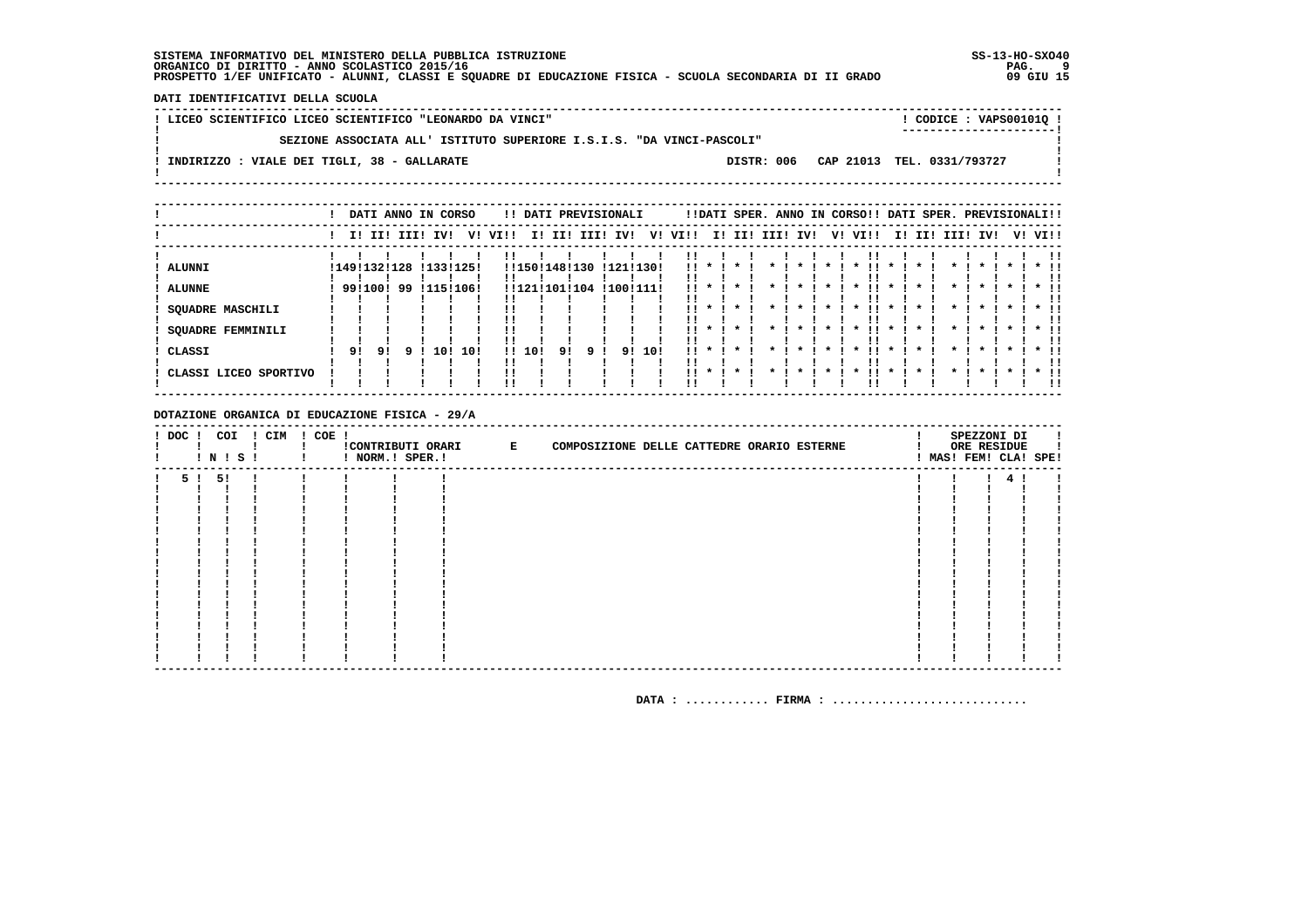DATI IDENTIFICATIVI DELLA SCUOLA

| ! LICEO SCIENTIFICO LICEO SCIENTIFICO "LEONARDO DA VINCI"             |  | ! CODICE : VAPS001010 !<br>----------------------- |  |
|-----------------------------------------------------------------------|--|----------------------------------------------------|--|
| SEZIONE ASSOCIATA ALL' ISTITUTO SUPERIORE I.S.I.S. "DA VINCI-PASCOLI" |  |                                                    |  |
| INDIRIZZO : VIALE DEI TIGLI, 38 - GALLARATE                           |  | DISTR: 006 CAP 21013 TEL. 0331/793727              |  |
|                                                                       |  |                                                    |  |

|                                    |                         |    | DATI ANNO IN CORSO |     |                          |                          |     |                                |      | !! DATI PREVISIONALI   |     |                              |    |                         |      |         |    | !!DATI SPER. ANNO IN CORSO!! DATI SPER. PREVISIONALI!! |                         |     |         |                                          |         |                        |
|------------------------------------|-------------------------|----|--------------------|-----|--------------------------|--------------------------|-----|--------------------------------|------|------------------------|-----|------------------------------|----|-------------------------|------|---------|----|--------------------------------------------------------|-------------------------|-----|---------|------------------------------------------|---------|------------------------|
|                                    |                         |    | I! II! III!        | IVI | v!                       | VI!!                     | II. | III                            | IIII | IV!                    | V!  | VI!!                         | I! | II!                     | III! | IV!     | V! | VI!!                                                   | II.                     | II! | III!    | IV!                                      | V! VI!! |                        |
| ALUNNI<br><b>ALUNNE</b>            | !149!132!128<br>9911001 |    | 99                 |     | ! 133! 125!<br>!115!106! |                          |     | !!150!148!130<br>!!121!101!104 |      | !121!130!<br>!100!111! |     | !!<br>                       |    |                         |      |         |    |                                                        |                         |     |         |                                          |         |                        |
| SQUADRE MASCHILI                   |                         |    |                    |     |                          |                          |     |                                |      |                        |     | . .                          |    | $\star$                 |      | $\star$ |    | $\star$<br>. .                                         | $\star$                 |     |         | $\cdot$                                  |         |                        |
| <b>SQUADRE FEMMINILI</b><br>CLASSI | 91                      | 91 |                    | 10! | 10!                      | !!<br>!!<br>$\mathbf{H}$ | 10! | 91                             | q.   | 91                     | 10! | . .<br>!!<br>$\mathbf{11}$ * |    | $\mathbf{x}$<br>$\cdot$ |      |         |    | $\star$<br>. .<br>$\star$                              | $\star$<br>$\mathbf{x}$ |     |         | $\boldsymbol{\pi}$<br>$\boldsymbol{\pi}$ |         | $*$ 11<br>!!<br>$*$ 11 |
| CLASSI LICEO SPORTIVO              |                         |    |                    |     |                          | !!                       |     |                                |      |                        |     | $\mathbf{1}$ $\mathbf{1}$    |    | $\cdot$                 |      |         |    | $\boldsymbol{\ast}$                                    | $\star$                 |     | $\star$ | $\cdot$                                  |         | ΙI<br>$*$ 11<br>!!     |

DOTAZIONE ORGANICA DI EDUCAZIONE FISICA - 29/A

| $!$ DOC $!$ |    | COI<br>I N I S I | ! CIM | $! COE$ ! | ! NORM.! SPER.! | !CONTRIBUTI ORARI E | COMPOSIZIONE DELLE CATTEDRE ORARIO ESTERNE |  |  |  | SPEZZONI DI<br>ORE RESIDUE<br>! MAS! FEM! CLA! SPE! |  |
|-------------|----|------------------|-------|-----------|-----------------|---------------------|--------------------------------------------|--|--|--|-----------------------------------------------------|--|
| 51          | 51 |                  |       |           |                 |                     |                                            |  |  |  | 4                                                   |  |
|             |    |                  |       |           |                 |                     |                                            |  |  |  |                                                     |  |
|             |    |                  |       |           |                 |                     |                                            |  |  |  |                                                     |  |
|             |    |                  |       |           |                 |                     |                                            |  |  |  |                                                     |  |
|             |    |                  |       |           |                 |                     |                                            |  |  |  |                                                     |  |
|             |    |                  |       |           |                 |                     |                                            |  |  |  |                                                     |  |
|             |    |                  |       |           |                 |                     |                                            |  |  |  |                                                     |  |
|             |    |                  |       |           |                 |                     |                                            |  |  |  |                                                     |  |
|             |    |                  |       |           |                 |                     |                                            |  |  |  |                                                     |  |
|             |    |                  |       |           |                 |                     |                                            |  |  |  |                                                     |  |
|             |    |                  |       |           |                 |                     |                                            |  |  |  |                                                     |  |
|             |    |                  |       |           |                 |                     |                                            |  |  |  |                                                     |  |
|             |    |                  |       |           |                 |                     |                                            |  |  |  |                                                     |  |
|             |    |                  |       |           |                 |                     |                                            |  |  |  |                                                     |  |
|             |    |                  |       |           |                 |                     |                                            |  |  |  |                                                     |  |
|             |    |                  |       |           |                 |                     |                                            |  |  |  |                                                     |  |
|             |    |                  |       |           |                 |                     |                                            |  |  |  |                                                     |  |
|             |    |                  |       |           |                 |                     |                                            |  |  |  |                                                     |  |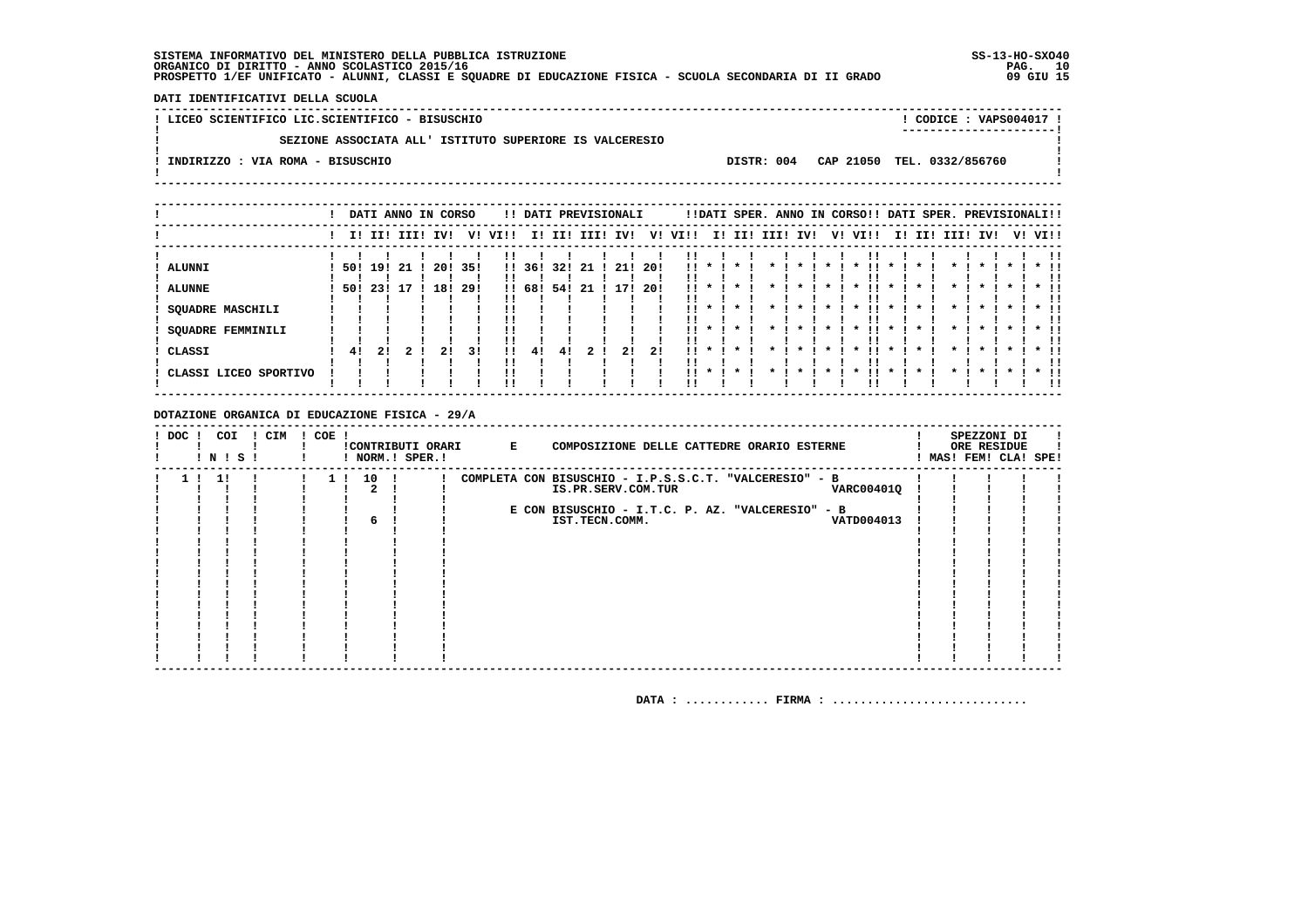**DATI IDENTIFICATIVI DELLA SCUOLA**

  **----------------------------------------------------------------------------------------------------------------------------------**! CODICE : VAPS004017 !  **! LICEO SCIENTIFICO LIC.SCIENTIFICO - BISUSCHIO ! CODICE : VAPS004017 ! ! ----------------------!** $\overline{\phantom{a}}$  **! SEZIONE ASSOCIATA ALL' ISTITUTO SUPERIORE IS VALCERESIO !** $\mathbf{I}$  **! !Contract ! INDIRIZZO : VIA ROMA - BISUSCHIO DISTR: 004 CAP 21050 TEL. 0332/856760 !** $\mathbf{I}$  **! ! ----------------------------------------------------------------------------------------------------------------------------------**

|                       |     |     |     | DATI ANNO IN CORSO |     |         |        |        |    | !! DATI PREVISIONALI |     |         |         |         |                 |  | !!DATI SPER. ANNO IN CORSO!! DATI SPER. PREVISIONALI!! |  |                 |         |         |         |
|-----------------------|-----|-----|-----|--------------------|-----|---------|--------|--------|----|----------------------|-----|---------|---------|---------|-----------------|--|--------------------------------------------------------|--|-----------------|---------|---------|---------|
|                       |     |     |     | !!!!!!!!!!!!!!!!   |     | V! VI!! |        | I! II! |    | III! IV!             |     | V! VI!! |         |         | I! II! III! IV! |  | V! VI!!                                                |  | I! II! III! IV! |         |         | V! VI!! |
| <b>ALUNNI</b>         | 501 | 191 | -21 | 20!                | 35! |         | !! 36! | 321    | 21 | 21 1                 | 20! | ''      | $\star$ | $\cdot$ |                 |  |                                                        |  |                 | $\star$ | $\cdot$ | $*$ 11  |
| <b>ALUNNE</b>         | 501 | 231 | 7   | 18!                | 29! |         | !! 68! | 54!    | 21 |                      | 20! | ''      |         |         |                 |  |                                                        |  |                 |         |         |         |
| SQUADRE MASCHILI      |     |     |     |                    |     |         |        |        |    |                      |     |         |         |         |                 |  |                                                        |  |                 |         |         |         |
| SQUADRE FEMMINILI     |     |     |     |                    |     |         |        |        |    |                      |     |         |         |         |                 |  |                                                        |  |                 |         |         |         |
| CLASSI                | -41 | 21  |     | 21                 | 31  |         | 41     | 41     |    | 21                   | 21  | !!      |         |         |                 |  |                                                        |  |                 |         |         |         |
| CLASSI LICEO SPORTIVO |     |     |     |                    |     |         |        |        |    |                      |     | !!      |         |         |                 |  |                                                        |  |                 |         |         | !!      |

#### **DOTAZIONE ORGANICA DI EDUCAZIONE FISICA - 29/A**

| ! DOC ! | COI<br>! N ! S ! | ! CIM | $! COE$ ! |      | !CONTRIBUTI ORARI<br>! NORM.! SPER.! | $\mathbf{E}$ | COMPOSIZIONE DELLE CATTEDRE ORARIO ESTERNE             |  | SPEZZONI DI<br>ORE RESIDUE<br>MAS! FEM! CLA! SPE! |  |
|---------|------------------|-------|-----------|------|--------------------------------------|--------------|--------------------------------------------------------|--|---------------------------------------------------|--|
|         | - 11             |       |           | 10 ! |                                      |              | COMPLETA CON BISUSCHIO - I.P.S.S.C.T. "VALCERESIO" - B |  |                                                   |  |
|         |                  |       |           |      |                                      |              | <b>VARC004010</b><br>IS.PR.SERV.COM.TUR                |  |                                                   |  |
|         |                  |       |           |      |                                      |              |                                                        |  |                                                   |  |
|         |                  |       |           |      |                                      |              | E CON BISUSCHIO - I.T.C. P. AZ. "VALCERESIO" - B       |  |                                                   |  |
|         |                  |       |           | 6    |                                      |              | VATD004013<br>IST.TECN.COMM.                           |  |                                                   |  |
|         |                  |       |           |      |                                      |              |                                                        |  |                                                   |  |
|         |                  |       |           |      |                                      |              |                                                        |  |                                                   |  |
|         |                  |       |           |      |                                      |              |                                                        |  |                                                   |  |
|         |                  |       |           |      |                                      |              |                                                        |  |                                                   |  |
|         |                  |       |           |      |                                      |              |                                                        |  |                                                   |  |
|         |                  |       |           |      |                                      |              |                                                        |  |                                                   |  |
|         |                  |       |           |      |                                      |              |                                                        |  |                                                   |  |
|         |                  |       |           |      |                                      |              |                                                        |  |                                                   |  |
|         |                  |       |           |      |                                      |              |                                                        |  |                                                   |  |
|         |                  |       |           |      |                                      |              |                                                        |  |                                                   |  |
|         |                  |       |           |      |                                      |              |                                                        |  |                                                   |  |
|         |                  |       |           |      |                                      |              |                                                        |  |                                                   |  |
|         |                  |       |           |      |                                      |              |                                                        |  |                                                   |  |
|         |                  |       |           |      |                                      |              |                                                        |  |                                                   |  |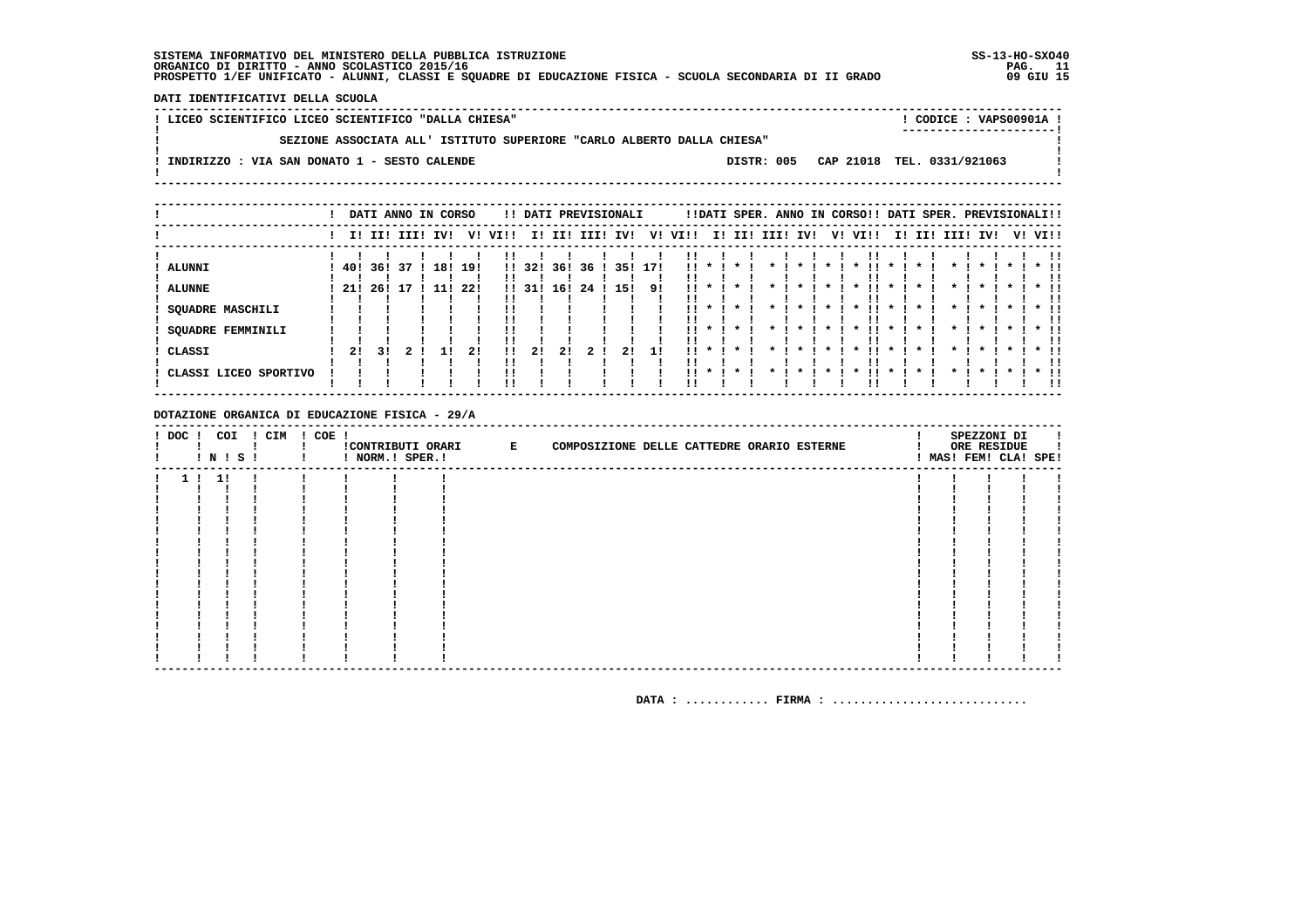DATI IDENTIFICATIVI DELLA SCUOLA

| ! LICEO SCIENTIFICO LICEO SCIENTIFICO "DALLA CHIESA"                   |            | CODICE: VAPS00901A !       |  |
|------------------------------------------------------------------------|------------|----------------------------|--|
|                                                                        |            | ----------------------     |  |
| SEZIONE ASSOCIATA ALL' ISTITUTO SUPERIORE "CARLO ALBERTO DALLA CHIESA" |            |                            |  |
|                                                                        |            |                            |  |
| ! INDIRIZZO : VIA SAN DONATO 1 - SESTO CALENDE                         | DISTR: 005 | CAP 21018 TEL. 0331/921063 |  |
|                                                                        |            |                            |  |
|                                                                        |            |                            |  |

|                                                             |            |             |          | DATI ANNO IN CORSO |            |                                  |            |            |          | !! DATI PREVISIONALI |           |                   |                               |         |      |                    | !!DATI SPER. ANNO IN CORSO!! DATI SPER. PREVISIONALI!! |             |     |                    |              |         |                                       |
|-------------------------------------------------------------|------------|-------------|----------|--------------------|------------|----------------------------------|------------|------------|----------|----------------------|-----------|-------------------|-------------------------------|---------|------|--------------------|--------------------------------------------------------|-------------|-----|--------------------|--------------|---------|---------------------------------------|
|                                                             |            | I! II! III! |          | IV!                | V!         | VI!!                             | II.        | II!        | III!     | IV!                  | V!        | VI!!              |                               | I! II!  | III! | IV!                | V! VI!!                                                | I!          | II! | III!               | IV!          | V! VI!! |                                       |
| <b>ALUNNI</b><br><b>ALUNNE</b><br><b>SQUADRE MASCHILI</b>   | 40!<br>21! | 36!<br>26!  | 37<br>17 | 18!                | 19!<br>22! | $\mathbf{1}$<br>$\mathbf{H}$     | 32!<br>31! | 36!<br>16! | 36<br>24 | 35!<br>15!           | 171<br>91 | !!                |                               |         |      |                    | $\cdot$                                                |             |     |                    |              |         |                                       |
| <b>SQUADRE FEMMINILI</b><br>CLASSI<br>CLASSI LICEO SPORTIVO | 21         | 31          |          |                    | 21         | !!<br>!!<br>11<br>!!<br>!!<br>'' | 21         | 21         | 2        | 2!                   | 11        | . .<br>. .<br>. . | $\boldsymbol{\pi}$<br>$\cdot$ | $\cdot$ |      | $\boldsymbol{\pi}$ | . .<br>$\boldsymbol{\ast}$                             | $\mathbf x$ |     | $\boldsymbol{\pi}$ | $\mathbf{x}$ |         | $*$ !!<br>$*$ !!<br><br>$*$ 11<br>-11 |

DOTAZIONE ORGANICA DI EDUCAZIONE FISICA - 29/A

| ! DOC ! COI | ! N ! S ! | ! CIM | ! COE ! | ! NORM.! SPER.! | !CONTRIBUTI ORARI E | COMPOSIZIONE DELLE CATTEDRE ORARIO ESTERNE |  |  |  | SPEZZONI DI<br>ORE RESIDUE<br>! MAS! FEM! CLA! SPE! |  |
|-------------|-----------|-------|---------|-----------------|---------------------|--------------------------------------------|--|--|--|-----------------------------------------------------|--|
|             | 1!1!      |       |         |                 |                     |                                            |  |  |  |                                                     |  |
|             |           |       |         |                 |                     |                                            |  |  |  |                                                     |  |
|             |           |       |         |                 |                     |                                            |  |  |  |                                                     |  |
|             |           |       |         |                 |                     |                                            |  |  |  |                                                     |  |
|             |           |       |         |                 |                     |                                            |  |  |  |                                                     |  |
|             |           |       |         |                 |                     |                                            |  |  |  |                                                     |  |
|             |           |       |         |                 |                     |                                            |  |  |  |                                                     |  |
|             |           |       |         |                 |                     |                                            |  |  |  |                                                     |  |
|             |           |       |         |                 |                     |                                            |  |  |  |                                                     |  |
|             |           |       |         |                 |                     |                                            |  |  |  |                                                     |  |
|             |           |       |         |                 |                     |                                            |  |  |  |                                                     |  |
|             |           |       |         |                 |                     |                                            |  |  |  |                                                     |  |
|             |           |       |         |                 |                     |                                            |  |  |  |                                                     |  |
|             |           |       |         |                 |                     |                                            |  |  |  |                                                     |  |
|             |           |       |         |                 |                     |                                            |  |  |  |                                                     |  |
|             |           |       |         |                 |                     |                                            |  |  |  |                                                     |  |
|             |           |       |         |                 |                     |                                            |  |  |  |                                                     |  |
|             |           |       |         |                 |                     |                                            |  |  |  |                                                     |  |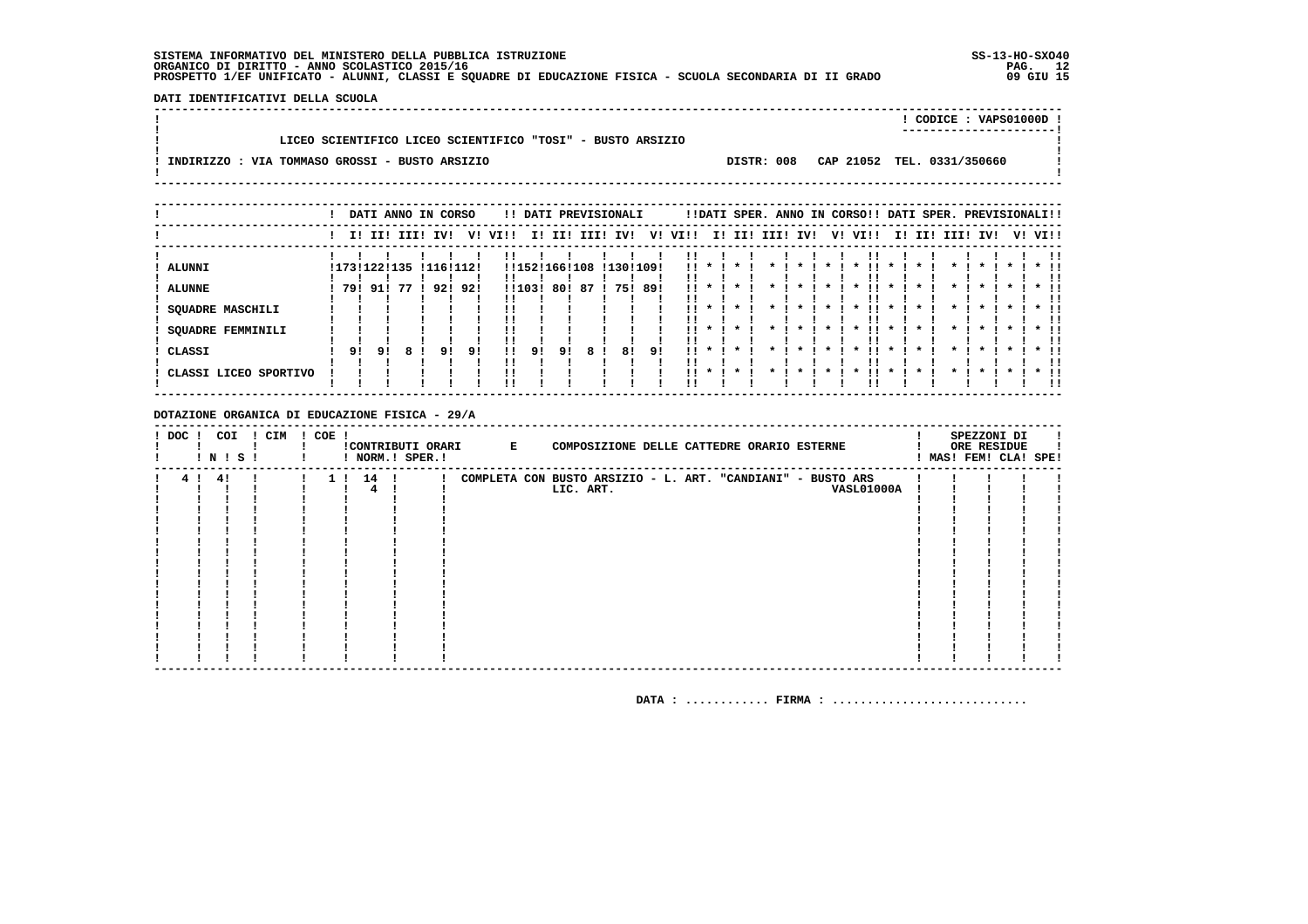DATI IDENTIFICATIVI DELLA SCUOLA 

|                                                            |            | CODICE: VAPS01000D !       |  |
|------------------------------------------------------------|------------|----------------------------|--|
|                                                            |            |                            |  |
| LICEO SCIENTIFICO LICEO SCIENTIFICO "TOSI" - BUSTO ARSIZIO |            |                            |  |
|                                                            |            |                            |  |
| INDIRIZZO : VIA TOMMASO GROSSI - BUSTO ARSIZIO             | DISTR: 008 | CAP 21052 TEL. 0331/350660 |  |
|                                                            |            |                            |  |

|                                                                                   |    | DATI ANNO IN CORSO                     |      |           |           |                |              |    |              | !! DATI PREVISIONALI          |               |                          |                 |                                                                   | !!DATI SPER. ANNO IN CORSO!! DATI SPER. PREVISIONALI!! |    |                                                                                                          |                              |                 |                                   |  |                            |
|-----------------------------------------------------------------------------------|----|----------------------------------------|------|-----------|-----------|----------------|--------------|----|--------------|-------------------------------|---------------|--------------------------|-----------------|-------------------------------------------------------------------|--------------------------------------------------------|----|----------------------------------------------------------------------------------------------------------|------------------------------|-----------------|-----------------------------------|--|----------------------------|
|                                                                                   |    | I! II! III!                            |      | IV!       | V!        | VI!!           |              |    |              | I! II! III! IV!               | V!            | VIII                     |                 |                                                                   | I! II! III! IV!                                        | V! | VI!!                                                                                                     |                              | I! II! III! IV! |                                   |  | V! VI!!                    |
| ALUNNI<br><b>ALUNNE</b><br><b>SQUADRE MASCHILI</b><br>SQUADRE FEMMINILI<br>CLASSI | 91 | !173!122!135 !116!112!<br>791911<br>91 | 77 ! | 921<br>91 | 92!<br>91 | !!<br>!!<br>!! | !!103!<br>91 | 91 | 801871<br>8. | !!152!166!108 !130!109!<br>81 | 75! 89!<br>91 | . .<br>. .<br>. .<br>. . | $\mathbf{11}$ * | $\mathbf x$<br>$\boldsymbol{\pi}$<br>$\mathbf{x}$<br>$\mathbf{x}$ |                                                        |    | $\boldsymbol{\ast}$<br>$\boldsymbol{\ast}$<br>$\boldsymbol{\ast}$<br>$\mathbf{x}$<br>$\boldsymbol{\ast}$ | $\mathbf{x}$<br>$\mathbf{x}$ |                 | $\boldsymbol{\pi}$<br>$\mathbf x$ |  | $*$ !!<br>$*$ !!<br>$*$ !! |
| CLASSI LICEO SPORTIVO                                                             |    |                                        |      |           |           |                |              |    |              |                               |               | . .                      |                 |                                                                   |                                                        |    |                                                                                                          |                              |                 |                                   |  | $*$ !!                     |

### DOTAZIONE ORGANICA DI EDUCAZIONE FISICA - 29/A

| ! DOC ! | ! N ! S ! | COI | ! CIM | ! COE ! |          | ! NORM.! SPER.! | !CONTRIBUTI ORARI E | COMPOSIZIONE DELLE CATTEDRE ORARIO ESTERNE                  |  |                   |  | SPEZZONI DI<br>ORE RESIDUE<br>! MAS! FEM! CLA! SPE! |  |
|---------|-----------|-----|-------|---------|----------|-----------------|---------------------|-------------------------------------------------------------|--|-------------------|--|-----------------------------------------------------|--|
|         | 4! 4!     |     |       |         | 1 ! 14 ! |                 |                     | COMPLETA CON BUSTO ARSIZIO - L. ART. "CANDIANI" - BUSTO ARS |  |                   |  |                                                     |  |
|         |           |     |       |         |          |                 |                     | LIC. ART.                                                   |  | <b>VASL01000A</b> |  |                                                     |  |
|         |           |     |       |         |          |                 |                     |                                                             |  |                   |  |                                                     |  |
|         |           |     |       |         |          |                 |                     |                                                             |  |                   |  |                                                     |  |
|         |           |     |       |         |          |                 |                     |                                                             |  |                   |  |                                                     |  |
|         |           |     |       |         |          |                 |                     |                                                             |  |                   |  |                                                     |  |
|         |           |     |       |         |          |                 |                     |                                                             |  |                   |  |                                                     |  |
|         |           |     |       |         |          |                 |                     |                                                             |  |                   |  |                                                     |  |
|         |           |     |       |         |          |                 |                     |                                                             |  |                   |  |                                                     |  |
|         |           |     |       |         |          |                 |                     |                                                             |  |                   |  |                                                     |  |
|         |           |     |       |         |          |                 |                     |                                                             |  |                   |  |                                                     |  |
|         |           |     |       |         |          |                 |                     |                                                             |  |                   |  |                                                     |  |
|         |           |     |       |         |          |                 |                     |                                                             |  |                   |  |                                                     |  |
|         |           |     |       |         |          |                 |                     |                                                             |  |                   |  |                                                     |  |
|         |           |     |       |         |          |                 |                     |                                                             |  |                   |  |                                                     |  |
|         |           |     |       |         |          |                 |                     |                                                             |  |                   |  |                                                     |  |
|         |           |     |       |         |          |                 |                     |                                                             |  |                   |  |                                                     |  |
|         |           |     |       |         |          |                 |                     |                                                             |  |                   |  |                                                     |  |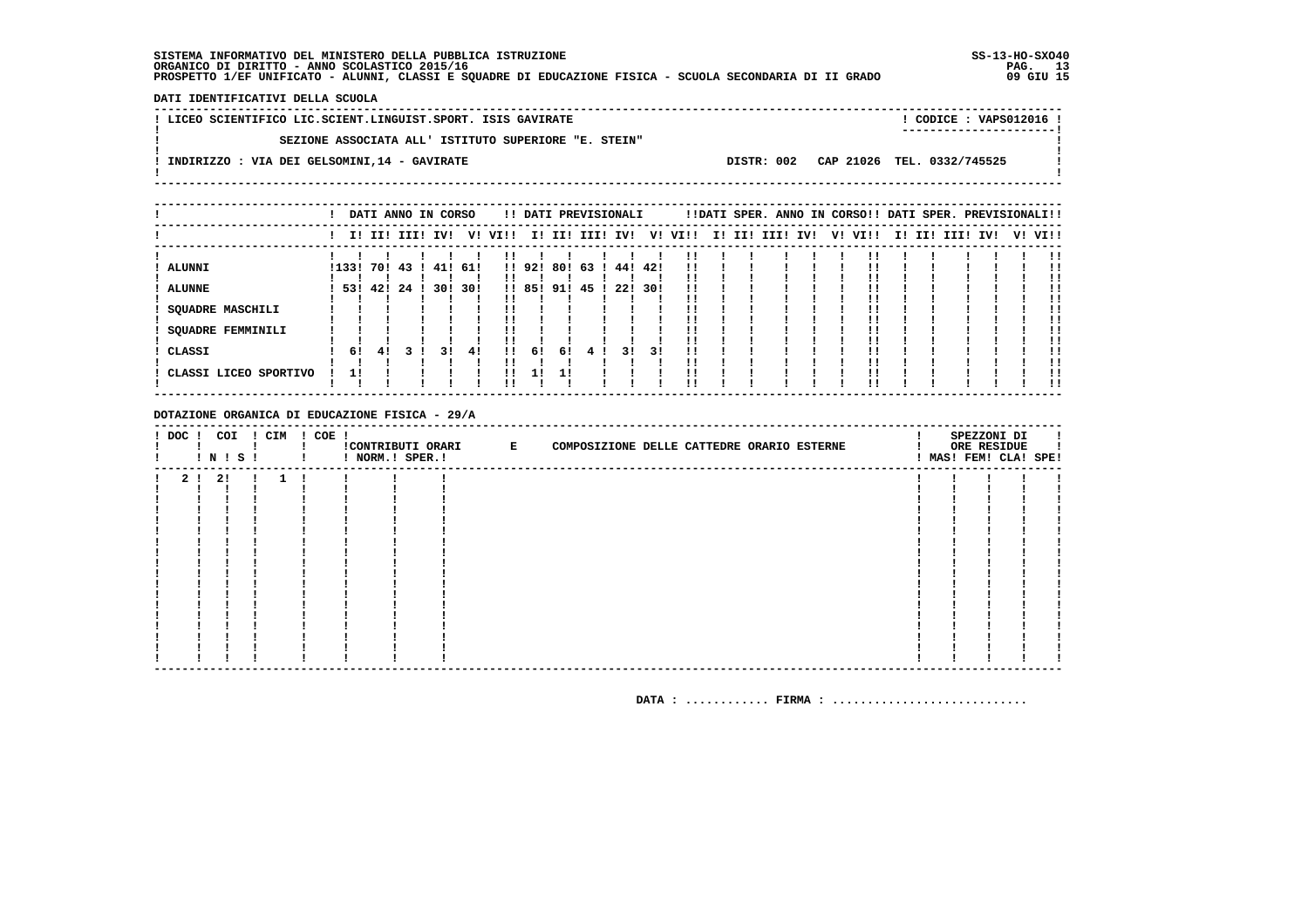DATI IDENTIFICATIVI DELLA SCUOLA

| ! LICEO SCIENTIFICO LIC.SCIENT.LINGUIST.SPORT. ISIS GAVIRATE |            | ! CODICE : VAPS012016 !    |  |
|--------------------------------------------------------------|------------|----------------------------|--|
|                                                              |            | -----------------------    |  |
| SEZIONE ASSOCIATA ALL' ISTITUTO SUPERIORE "E. STEIN"         |            |                            |  |
|                                                              |            |                            |  |
| INDIRIZZO : VIA DEI GELSOMINI, 14 - GAVIRATE                 | DISTR: 002 | CAP 21026 TEL. 0332/745525 |  |
|                                                              |            |                            |  |
|                                                              |            |                            |  |

|                             |       |     |        | DATI ANNO IN CORSO |     |      |        |     | !! DATI PREVISIONALI |         |     |         |  | !!DATI SPER. ANNO IN CORSO!! DATI SPER. PREVISIONALI!! |     |         |  |             |     |         |
|-----------------------------|-------|-----|--------|--------------------|-----|------|--------|-----|----------------------|---------|-----|---------|--|--------------------------------------------------------|-----|---------|--|-------------|-----|---------|
|                             |       |     |        | I! II! III! IV!    | V!  | VI!! |        |     | I! II! III! IV!      |         |     | V! VI!! |  | I! II! III!                                            | IV! | V! VI!! |  | I! II! III! | IV! | V! VI!! |
| ALUNNI                      | !133! |     | 70! 43 | 41!                | 61! |      | !! 92! | 80! | -63                  | 44! 42! |     | !!      |  |                                                        |     |         |  |             |     |         |
| <b>ALUNNE</b>               | 531   | 42! | -24    | 30!                | 30! |      | !! 85! | 91! | 45                   | 22!     | 30! |         |  |                                                        |     |         |  |             |     |         |
| SQUADRE MASCHILI            |       |     |        |                    |     |      |        |     |                      |         |     |         |  |                                                        |     |         |  |             |     |         |
| SQUADRE FEMMINILI<br>CLASSI | 61    | 41  |        | 31                 | 41  | . .  | 61     | 61  | -4                   | 31      | 31  |         |  |                                                        |     |         |  |             |     |         |
| CLASSI LICEO SPORTIVO       | 11    |     |        |                    |     |      |        |     |                      |         |     |         |  |                                                        |     |         |  |             |     | . .     |

DOTAZIONE ORGANICA DI EDUCAZIONE FISICA - 29/A

| ! DOC ! COI | ! N ! S ! | ! CIM        | ! COE ! |  | !CONTRIBUTI ORARI E | COMPOSIZIONE DELLE CATTEDRE ORARIO ESTERNE |  | SPEZZONI DI<br>ORE RESIDUE<br>! MAS! FEM! CLA! SPE! |  |
|-------------|-----------|--------------|---------|--|---------------------|--------------------------------------------|--|-----------------------------------------------------|--|
|             | 2 ! 2 !!  | $\mathbf{1}$ |         |  |                     |                                            |  |                                                     |  |
|             |           |              |         |  |                     |                                            |  |                                                     |  |
|             |           |              |         |  |                     |                                            |  |                                                     |  |
|             |           |              |         |  |                     |                                            |  |                                                     |  |
|             |           |              |         |  |                     |                                            |  |                                                     |  |
|             |           |              |         |  |                     |                                            |  |                                                     |  |
|             |           |              |         |  |                     |                                            |  |                                                     |  |
|             |           |              |         |  |                     |                                            |  |                                                     |  |
|             |           |              |         |  |                     |                                            |  |                                                     |  |
|             |           |              |         |  |                     |                                            |  |                                                     |  |
|             |           |              |         |  |                     |                                            |  |                                                     |  |
|             |           |              |         |  |                     |                                            |  |                                                     |  |
|             |           |              |         |  |                     |                                            |  |                                                     |  |
|             |           |              |         |  |                     |                                            |  |                                                     |  |
|             |           |              |         |  |                     |                                            |  |                                                     |  |
|             |           |              |         |  |                     |                                            |  |                                                     |  |
|             |           |              |         |  |                     |                                            |  |                                                     |  |
|             |           |              |         |  |                     |                                            |  |                                                     |  |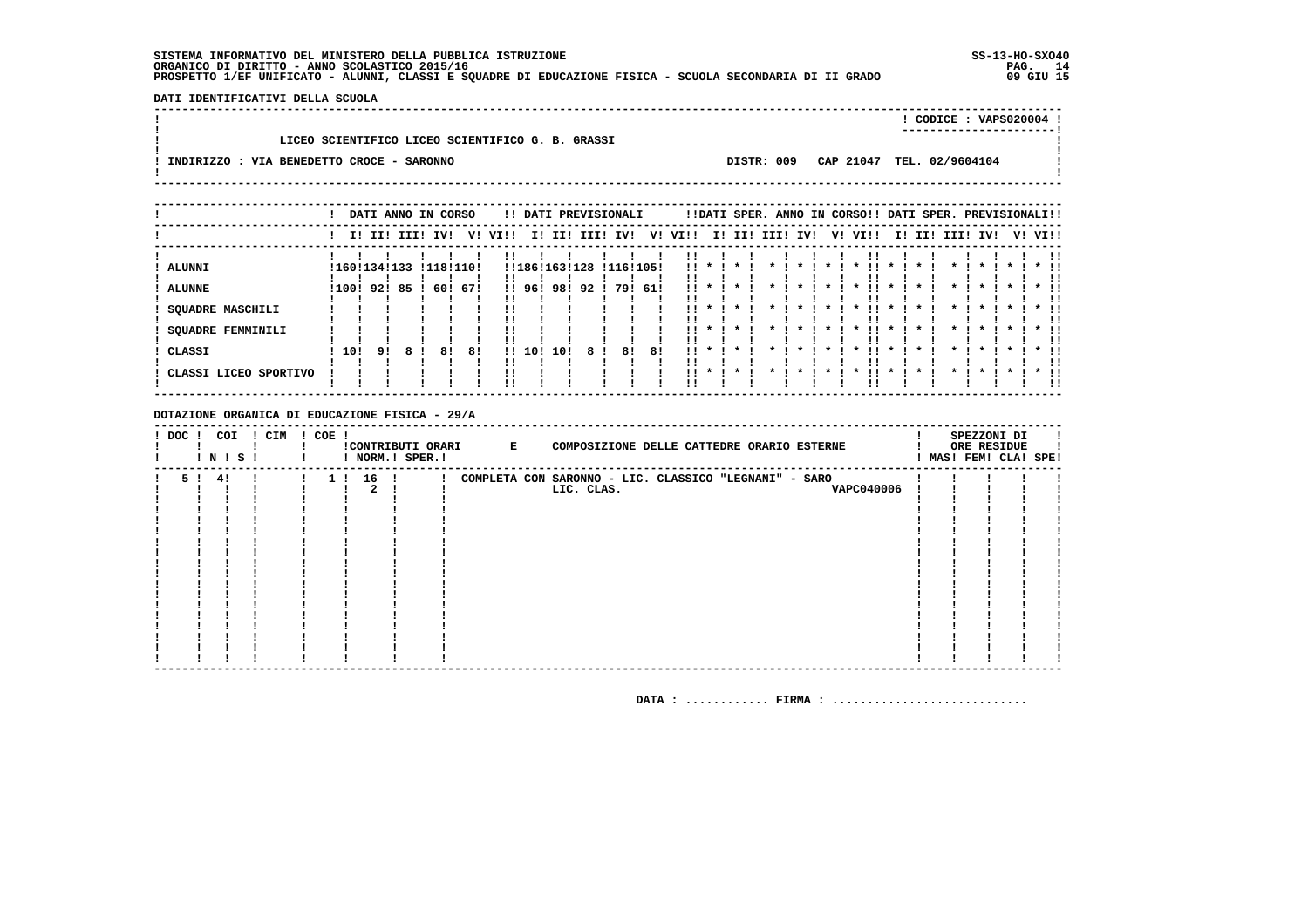DATI IDENTIFICATIVI DELLA SCUOLA 

|                                                                                      | CODICE: VAPS020004 ! |  |
|--------------------------------------------------------------------------------------|----------------------|--|
|                                                                                      |                      |  |
| LICEO SCIENTIFICO LICEO SCIENTIFICO G. B. GRASSI                                     |                      |  |
|                                                                                      |                      |  |
| CAP 21047 TEL. 02/9604104<br>DISTR: 009<br>INDIRIZZO : VIA BENEDETTO CROCE - SARONNO |                      |  |
|                                                                                      |                      |  |
|                                                                                      |                      |  |

|                                                                                                 |     |                                            |  | DATI ANNO IN CORSO               |          |                   |                      |              | !! DATI PREVISIONALI       |    |                                                                   |              |                                                                 |                    | !!DATI SPER. ANNO IN CORSO!! DATI SPER. PREVISIONALI!!          |                                   |                 |                                                                                                 |         |                                |
|-------------------------------------------------------------------------------------------------|-----|--------------------------------------------|--|----------------------------------|----------|-------------------|----------------------|--------------|----------------------------|----|-------------------------------------------------------------------|--------------|-----------------------------------------------------------------|--------------------|-----------------------------------------------------------------|-----------------------------------|-----------------|-------------------------------------------------------------------------------------------------|---------|--------------------------------|
|                                                                                                 |     | I! II! III! IV!                            |  |                                  | V! VI!!  |                   |                      |              | I! II! III! IV!            |    | V! VI!!                                                           |              |                                                                 | I! II! III! IV!    | V! VI!!                                                         |                                   | I! II! III! IV! |                                                                                                 | V! VI!! |                                |
| <b>ALUNNI</b><br><b>ALUNNE</b><br><b>SQUADRE MASCHILI</b><br><b>SQUADRE FEMMINILI</b><br>CLASSI | 10! | ! 160 ! 134 ! 133<br>$1100!$ 92! 85!<br>91 |  | !118!110!<br>60! 67!<br>81<br>81 | !!<br>!! | !! 96!<br>11, 101 | !!186!163!128<br>10! | 981921<br>81 | !116!105!<br>79! 61!<br>81 | 81 | $\mathbf{11}$ *<br>. .<br>. .<br>$\mathbf{1}$ $\mathbf{1}$<br>. . | $\mathbf{x}$ | $\boldsymbol{\ast}$<br>$\cdot$<br>$\cdot$<br>$\cdot$<br>$\cdot$ | $\boldsymbol{\pi}$ | $\boldsymbol{\ast}$<br>$\boldsymbol{\pi}$<br>$\boldsymbol{\pi}$ | $\boldsymbol{\pi}$<br>$\mathbf x$ |                 | $\boldsymbol{\pi}$<br>$\boldsymbol{\pi}$<br>$\star$<br>$\boldsymbol{\pi}$<br>$\boldsymbol{\pi}$ |         | $\star$ $\pm$<br>$\star$ $\pm$ |
| CLASSI LICEO SPORTIVO                                                                           |     |                                            |  |                                  | !!       |                   |                      |              |                            |    | $\mathbf{11}$ *                                                   |              |                                                                 |                    | $\boldsymbol{\ast}$                                             |                                   |                 | $\boldsymbol{\pi}$                                                                              |         | $*$ !!                         |

### DOTAZIONE ORGANICA DI EDUCAZIONE FISICA - 29/A

| ! DOC ! | ! N ! S ! | COI | ! CIM | ! COE ! |          | ! NORM.! SPER.! | !CONTRIBUTI ORARI E | COMPOSIZIONE DELLE CATTEDRE ORARIO ESTERNE            |  | SPEZZONI DI<br>ORE RESIDUE<br>! MAS! FEM! CLA! SPE! |  |
|---------|-----------|-----|-------|---------|----------|-----------------|---------------------|-------------------------------------------------------|--|-----------------------------------------------------|--|
| 51      | 41        |     |       |         | 1 ! 16 ! |                 |                     | COMPLETA CON SARONNO - LIC. CLASSICO "LEGNANI" - SARO |  |                                                     |  |
|         |           |     |       |         |          |                 |                     | LIC. CLAS.<br><b>VAPC040006</b>                       |  |                                                     |  |
|         |           |     |       |         |          |                 |                     |                                                       |  |                                                     |  |
|         |           |     |       |         |          |                 |                     |                                                       |  |                                                     |  |
|         |           |     |       |         |          |                 |                     |                                                       |  |                                                     |  |
|         |           |     |       |         |          |                 |                     |                                                       |  |                                                     |  |
|         |           |     |       |         |          |                 |                     |                                                       |  |                                                     |  |
|         |           |     |       |         |          |                 |                     |                                                       |  |                                                     |  |
|         |           |     |       |         |          |                 |                     |                                                       |  |                                                     |  |
|         |           |     |       |         |          |                 |                     |                                                       |  |                                                     |  |
|         |           |     |       |         |          |                 |                     |                                                       |  |                                                     |  |
|         |           |     |       |         |          |                 |                     |                                                       |  |                                                     |  |
|         |           |     |       |         |          |                 |                     |                                                       |  |                                                     |  |
|         |           |     |       |         |          |                 |                     |                                                       |  |                                                     |  |
|         |           |     |       |         |          |                 |                     |                                                       |  |                                                     |  |
|         |           |     |       |         |          |                 |                     |                                                       |  |                                                     |  |
|         |           |     |       |         |          |                 |                     |                                                       |  |                                                     |  |
|         |           |     |       |         |          |                 |                     |                                                       |  |                                                     |  |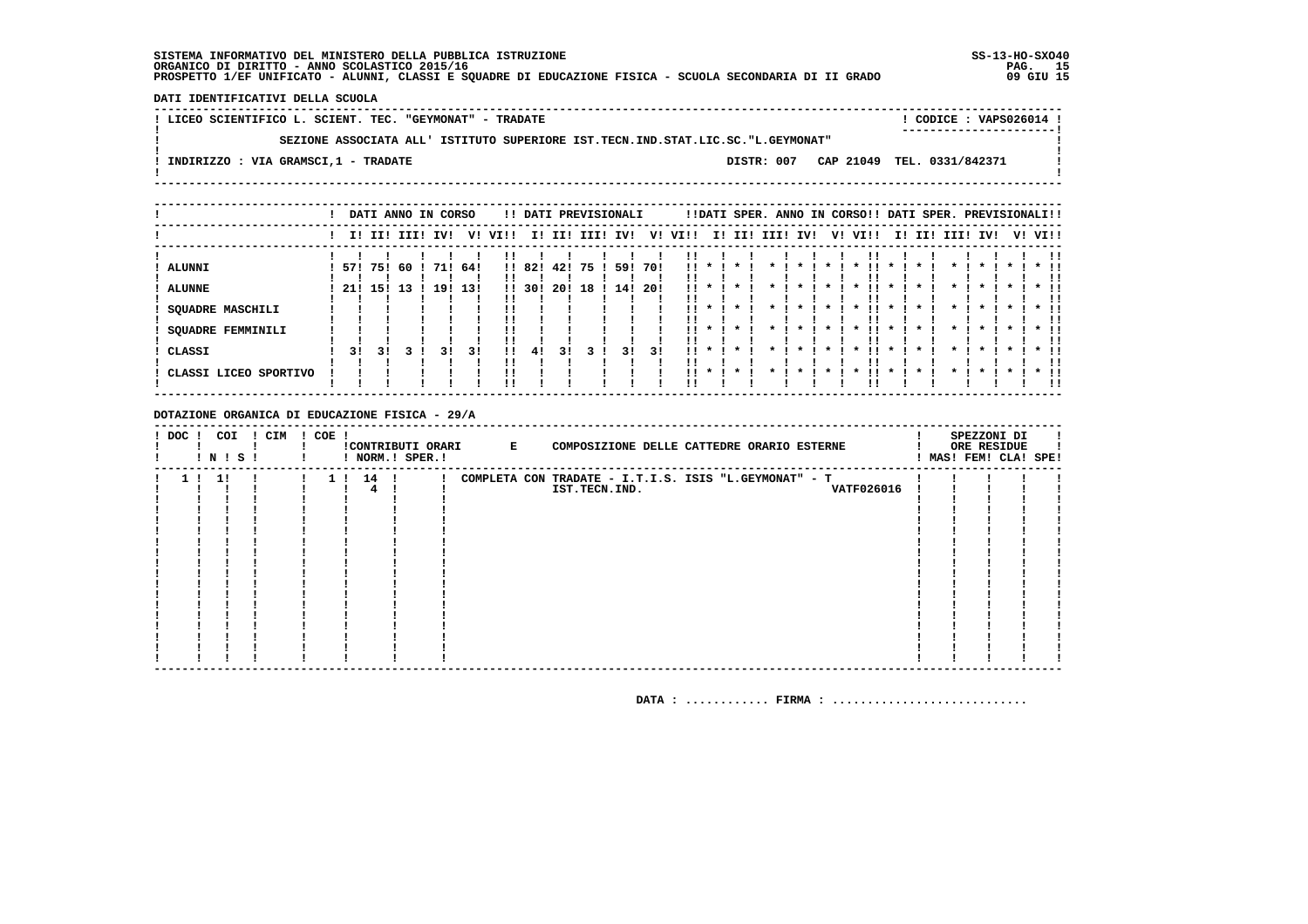DATI IDENTIFICATIVI DELLA SCUOLA

| ! LICEO SCIENTIFICO L. SCIENT. TEC. "GEYMONAT" - TRADATE                          | CODICE: VAPS026014 ! |
|-----------------------------------------------------------------------------------|----------------------|
| SEZIONE ASSOCIATA ALL' ISTITUTO SUPERIORE IST.TECN.IND.STAT.LIC.SC."L.GEYMONAT"   |                      |
| CAP 21049 TEL. 0331/842371<br>DISTR: 007<br>! INDIRIZZO : VIA GRAMSCI,1 - TRADATE |                      |

|                                                                                       |             |             |           | DATI ANNO IN CORSO |            |                            |               |             |          | !! DATI PREVISIONALI |             |           |              |         |      |                    | !!DATI SPER. ANNO IN CORSO!! DATI SPER. PREVISIONALI!! |             |     |                    |              |         |                             |
|---------------------------------------------------------------------------------------|-------------|-------------|-----------|--------------------|------------|----------------------------|---------------|-------------|----------|----------------------|-------------|-----------|--------------|---------|------|--------------------|--------------------------------------------------------|-------------|-----|--------------------|--------------|---------|-----------------------------|
|                                                                                       |             | I! II! III! |           | IV!                | V!         | VI!!                       | II.           | II!         | III!     | IV!                  | V!          | VI!!      |              | I! II!  | III! | IV!                | V! VI!!                                                | I!          | II! | III!               | IV!          | V! VI!! |                             |
| <b>ALUNNI</b><br><b>ALUNNE</b><br><b>SQUADRE MASCHILI</b><br><b>SQUADRE FEMMINILI</b> | 571<br>-21! | 751<br>15!  | -60<br>13 | 71!<br>19!         | 64!<br>131 | $\mathbf{1}$<br>!!         | !! 82!<br>30! | 42!<br>-20! | 75<br>18 | 59!<br>14!           | 70!<br>-201 | !!<br>. . | $\mathbf{x}$ |         |      | $\boldsymbol{\pi}$ | $\cdot$<br>. .<br>$\boldsymbol{\ast}$                  | $\mathbf x$ |     | $\boldsymbol{\pi}$ | $\mathbf{x}$ |         | $\star$ 11                  |
| CLASSI<br>CLASSI LICEO SPORTIVO                                                       | 31          | 31          |           | 31                 | 31         | !!<br>11<br>!!<br>!!<br>'' | 41            | 31          |          | 31                   | 31          | <br>. .   | $\cdot$      | $\cdot$ |      |                    |                                                        |             |     |                    |              |         | $*$ !!<br><br>$*$ 11<br>-11 |

DOTAZIONE ORGANICA DI EDUCAZIONE FISICA - 29/A

| $!$ DOC $ $ | ! N ! S ! | COI | ! CIM | $! COE$ ! |          | ! NORM.! SPER.! | !CONTRIBUTI ORARI E | COMPOSIZIONE DELLE CATTEDRE ORARIO ESTERNE            |  | SPEZZONI DI<br>ORE RESIDUE<br>MAS! FEM! CLA! SPE! |  |
|-------------|-----------|-----|-------|-----------|----------|-----------------|---------------------|-------------------------------------------------------|--|---------------------------------------------------|--|
|             | 1!        |     |       |           | 1 ! 14 ! |                 |                     | COMPLETA CON TRADATE - I.T.I.S. ISIS "L.GEYMONAT" - T |  |                                                   |  |
|             |           |     |       |           |          |                 |                     | <b>VATF026016</b><br>IST.TECN.IND.                    |  |                                                   |  |
|             |           |     |       |           |          |                 |                     |                                                       |  |                                                   |  |
|             |           |     |       |           |          |                 |                     |                                                       |  |                                                   |  |
|             |           |     |       |           |          |                 |                     |                                                       |  |                                                   |  |
|             |           |     |       |           |          |                 |                     |                                                       |  |                                                   |  |
|             |           |     |       |           |          |                 |                     |                                                       |  |                                                   |  |
|             |           |     |       |           |          |                 |                     |                                                       |  |                                                   |  |
|             |           |     |       |           |          |                 |                     |                                                       |  |                                                   |  |
|             |           |     |       |           |          |                 |                     |                                                       |  |                                                   |  |
|             |           |     |       |           |          |                 |                     |                                                       |  |                                                   |  |
|             |           |     |       |           |          |                 |                     |                                                       |  |                                                   |  |
|             |           |     |       |           |          |                 |                     |                                                       |  |                                                   |  |
|             |           |     |       |           |          |                 |                     |                                                       |  |                                                   |  |
|             |           |     |       |           |          |                 |                     |                                                       |  |                                                   |  |
|             |           |     |       |           |          |                 |                     |                                                       |  |                                                   |  |
|             |           |     |       |           |          |                 |                     |                                                       |  |                                                   |  |
|             |           |     |       |           |          |                 |                     |                                                       |  |                                                   |  |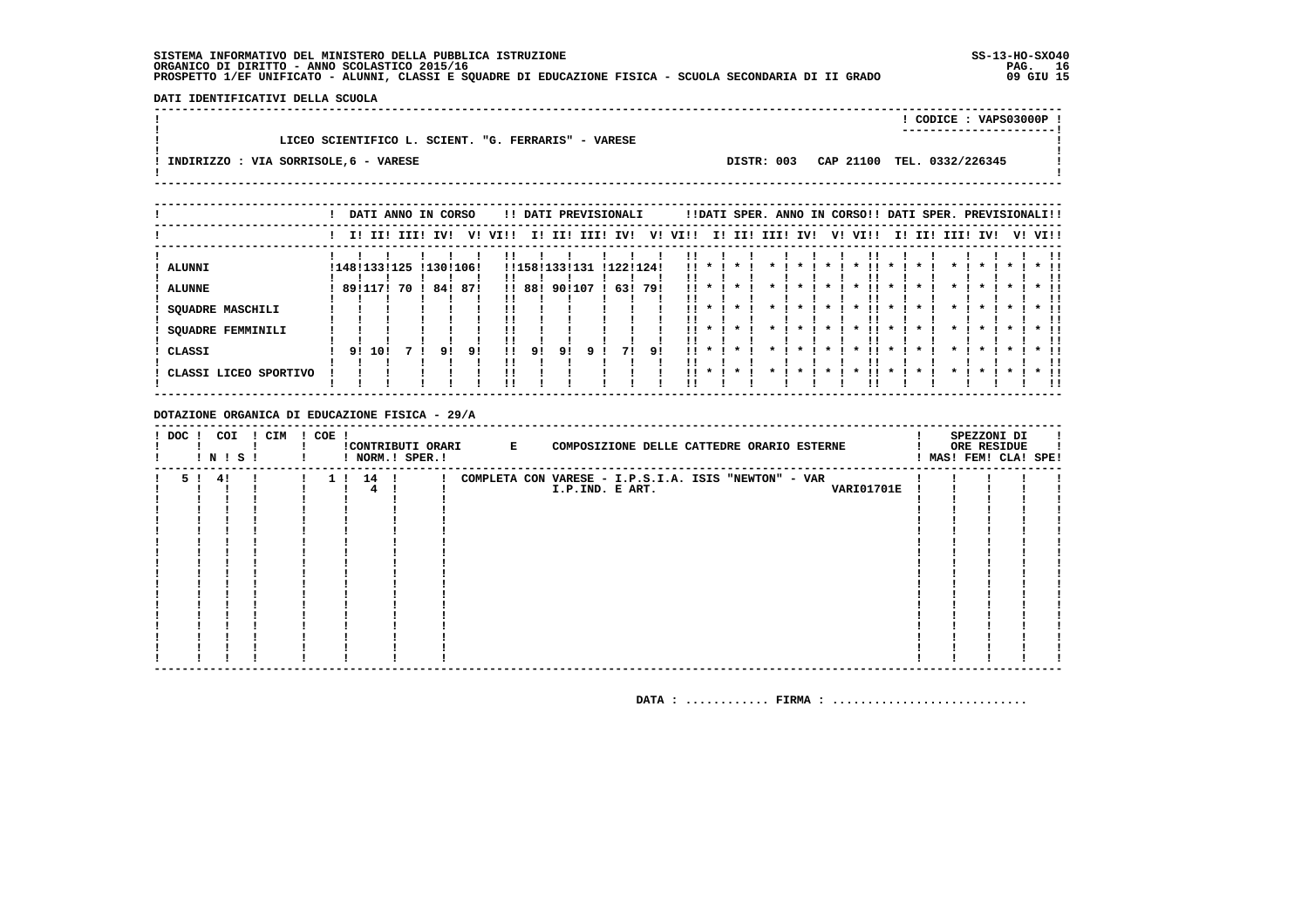DATI IDENTIFICATIVI DELLA SCUOLA 

|                                                     |            | CODICE: VAPS03000P!        |  |
|-----------------------------------------------------|------------|----------------------------|--|
| LICEO SCIENTIFICO L. SCIENT. "G. FERRARIS" - VARESE |            |                            |  |
| INDIRIZZO : VIA SORRISOLE, 6 - VARESE               | DISTR: 003 | CAP 21100 TEL. 0332/226345 |  |
|                                                     |            |                            |  |

|                                                                                                                          |         |        | DATI ANNO IN CORSO |           |                        |                |                            |              |             | !! DATI PREVISIONALI   |           |                                  |                              |                                         |      | !!DATI SPER. ANNO IN CORSO!! DATI SPER. PREVISIONALI!! |                                                    |      |                     |     |          |                    |  |                                               |
|--------------------------------------------------------------------------------------------------------------------------|---------|--------|--------------------|-----------|------------------------|----------------|----------------------------|--------------|-------------|------------------------|-----------|----------------------------------|------------------------------|-----------------------------------------|------|--------------------------------------------------------|----------------------------------------------------|------|---------------------|-----|----------|--------------------|--|-----------------------------------------------|
|                                                                                                                          |         |        | I! II! III!        | IV!       |                        | V! VI!!        | II.                        | II!          | III!        | IV!                    | V!        | VI!!                             | I!                           | II!                                     | III! | IV!                                                    | V!                                                 | VI!! | II.                 | II! | III! IV! |                    |  | V! VI!!                                       |
| <b>ALUNNI</b><br><b>ALUNNE</b><br><b>SQUADRE MASCHILI</b><br><b>SQUADRE FEMMINILI</b><br>CLASSI<br>CLASSI LICEO SPORTIVO | 8911171 | 91 101 | !148!133!125<br>70 | 84!<br>91 | !130!106!<br>87!<br>91 | !!<br>11<br>!! | !!158!133!<br>!! 88!<br>91 | 90!107<br>9! | 131<br>ا (9 | !122!124!<br>63!<br>71 | 79!<br>91 | !!<br><br>11<br>. .<br>11<br>. . | $\mathbf{x}$<br>$\mathbf{x}$ | $\mathbf{x}$<br>$\mathbf{x}$<br>$\star$ |      | $\boldsymbol{\pi}$                                     | $\mathbf{x}$<br>$\boldsymbol{\ast}$<br>$\mathbf x$ | . .  | $\boldsymbol{\ast}$ |     |          | $\boldsymbol{\pi}$ |  | $\star$ $\pm$<br>!!<br>$*$ 11<br>!!<br>$*$ 11 |
|                                                                                                                          |         |        |                    |           |                        |                |                            |              |             |                        |           |                                  |                              |                                         |      |                                                        |                                                    |      |                     |     |          |                    |  | !!                                            |

#### DOTAZIONE ORGANICA DI EDUCAZIONE FISICA - 29/A

| $!$ DOC $!$ |         | COI<br>! N ! S ! | ! CIM | ! COE ! |          | ! NORM.! SPER.! | !CONTRIBUTI ORARI E |                 | COMPOSIZIONE DELLE CATTEDRE ORARIO ESTERNE           |  |                   |  | SPEZZONI DI<br>ORE RESIDUE<br>MAS! FEM! CLA! SPE! |  |
|-------------|---------|------------------|-------|---------|----------|-----------------|---------------------|-----------------|------------------------------------------------------|--|-------------------|--|---------------------------------------------------|--|
|             | 5 ! 4 ! |                  |       |         | 1 ! 14 ! |                 |                     |                 | COMPLETA CON VARESE - I.P.S.I.A. ISIS "NEWTON" - VAR |  |                   |  |                                                   |  |
|             |         |                  |       |         |          |                 |                     | I.P.IND. E ART. |                                                      |  | <b>VARI01701E</b> |  |                                                   |  |
|             |         |                  |       |         |          |                 |                     |                 |                                                      |  |                   |  |                                                   |  |
|             |         |                  |       |         |          |                 |                     |                 |                                                      |  |                   |  |                                                   |  |
|             |         |                  |       |         |          |                 |                     |                 |                                                      |  |                   |  |                                                   |  |
|             |         |                  |       |         |          |                 |                     |                 |                                                      |  |                   |  |                                                   |  |
|             |         |                  |       |         |          |                 |                     |                 |                                                      |  |                   |  |                                                   |  |
|             |         |                  |       |         |          |                 |                     |                 |                                                      |  |                   |  |                                                   |  |
|             |         |                  |       |         |          |                 |                     |                 |                                                      |  |                   |  |                                                   |  |
|             |         |                  |       |         |          |                 |                     |                 |                                                      |  |                   |  |                                                   |  |
|             |         |                  |       |         |          |                 |                     |                 |                                                      |  |                   |  |                                                   |  |
|             |         |                  |       |         |          |                 |                     |                 |                                                      |  |                   |  |                                                   |  |
|             |         |                  |       |         |          |                 |                     |                 |                                                      |  |                   |  |                                                   |  |
|             |         |                  |       |         |          |                 |                     |                 |                                                      |  |                   |  |                                                   |  |
|             |         |                  |       |         |          |                 |                     |                 |                                                      |  |                   |  |                                                   |  |
|             |         |                  |       |         |          |                 |                     |                 |                                                      |  |                   |  |                                                   |  |
|             |         |                  |       |         |          |                 |                     |                 |                                                      |  |                   |  |                                                   |  |
|             |         |                  |       |         |          |                 |                     |                 |                                                      |  |                   |  |                                                   |  |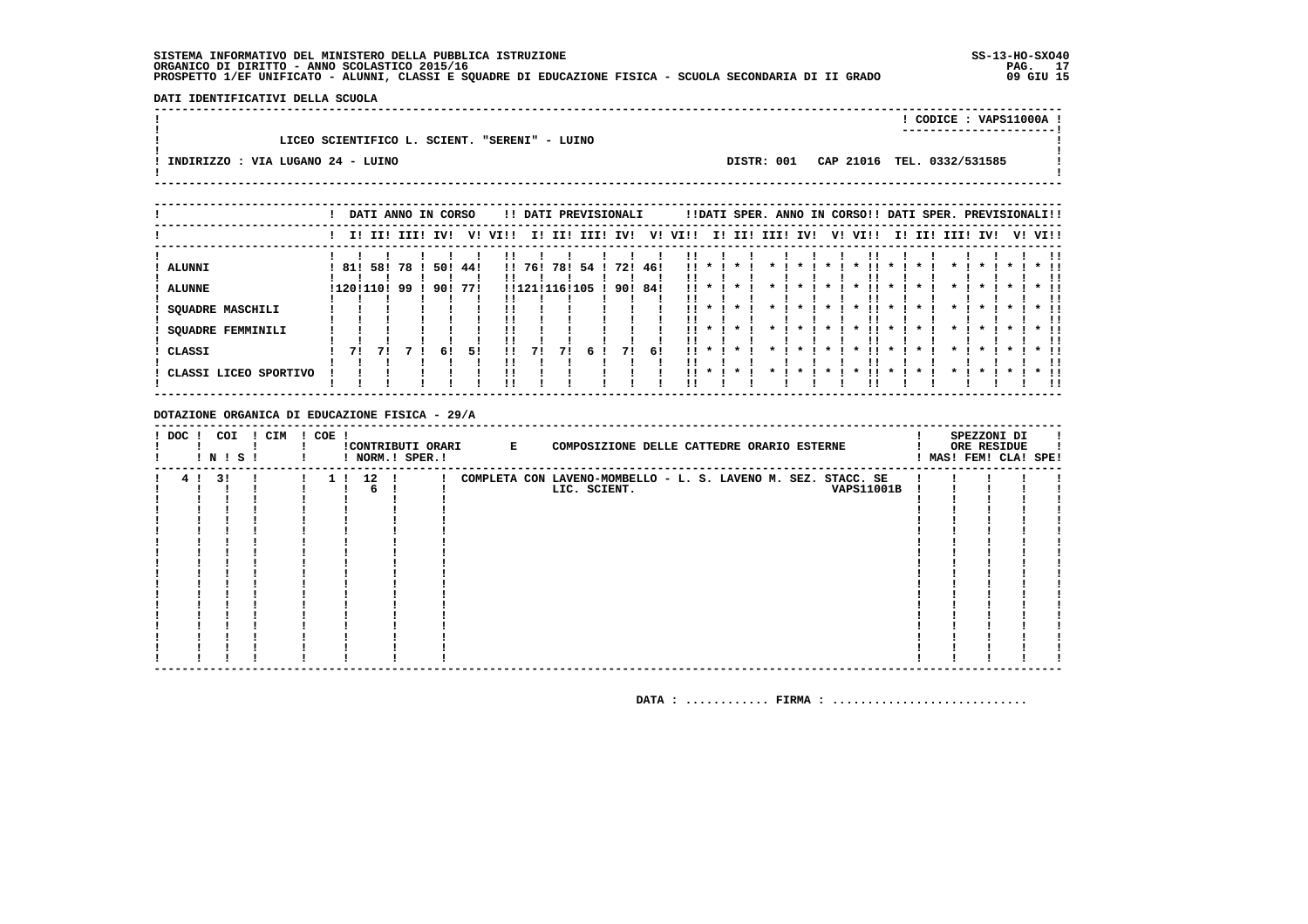DATI IDENTIFICATIVI DELLA SCUOLA 

|                                               |            | CODICE: VAPS11000A !       |  |
|-----------------------------------------------|------------|----------------------------|--|
|                                               |            |                            |  |
| LICEO SCIENTIFICO L. SCIENT. "SERENI" - LUINO |            |                            |  |
|                                               |            |                            |  |
| INDIRIZZO : VIA LUGANO 24 - LUINO             | DISTR: 001 | CAP 21016 TEL. 0332/531585 |  |
|                                               |            |                            |  |
|                                               |            |                            |  |

|                                                               |                  |     |             | DATI ANNO IN CORSO |            |              |                      |     | !! DATI PREVISIONALI |                |     |                         |                                              |                                    |      |     |         | !!DATI SPER. ANNO IN CORSO!! DATI SPER. PREVISIONALI!! |              |     |              |                         |         |                              |
|---------------------------------------------------------------|------------------|-----|-------------|--------------------|------------|--------------|----------------------|-----|----------------------|----------------|-----|-------------------------|----------------------------------------------|------------------------------------|------|-----|---------|--------------------------------------------------------|--------------|-----|--------------|-------------------------|---------|------------------------------|
|                                                               |                  |     | I! II! III! | IVI                |            | V! VI!!      | II.                  | III | III!                 | IV!            | V!  | VI!!                    | II.                                          | II!                                | III! | IV! | V!      | VI!!                                                   | II.          | II! | III! IV!     |                         | V! VI!! |                              |
| ALUNNI<br><b>ALUNNE</b><br><b>SQUADRE MASCHILI</b>            | 81!<br>!120!110! | 58! | 78<br>99    | 50!<br>90!         | 44!<br>771 |              | !! 76!<br>!!121!116! | 78! | 54 !<br>105          | 721<br>90! 84! | 46! | !!<br>                  |                                              |                                    |      |     |         |                                                        |              |     |              |                         |         |                              |
| <b>SQUADRE FEMMINILI</b><br>CLASSI<br>! CLASSI LICEO SPORTIVO | 71               | 71  |             | 61                 | 51         | <br>!!<br>!! | 71                   | 71  | 6.                   | 71             | -61 | . .<br>$\mathbf{H}$<br> | $\mathbf{x}$<br>$\mathbf{x}$<br>$\mathbf{x}$ | $\star$<br>$\mathbf{x}$<br>$\star$ |      |     | $\star$ | $\star$<br>. .<br>$\boldsymbol{\ast}$                  | $\mathbf{x}$ |     | $\mathbf{x}$ | $\star$<br>$\mathbf{x}$ |         | $*$ !!<br>ΙI<br>$*$ 11<br>'' |

### DOTAZIONE ORGANICA DI EDUCAZIONE FISICA - 29/A

| $!$ DOC $!$ | COI<br>! N ! S ! | ! CIM | ! COE ! |          | ! NORM.! SPER.! | CONTRIBUTI ORARI E | COMPOSIZIONE DELLE CATTEDRE ORARIO ESTERNE                    |  | SPEZZONI DI<br>ORE RESIDUE<br>MAS! FEM! CLA! SPE! |  |
|-------------|------------------|-------|---------|----------|-----------------|--------------------|---------------------------------------------------------------|--|---------------------------------------------------|--|
| 4!          | 31               |       |         | 1 ! 12 ! |                 |                    | COMPLETA CON LAVENO-MOMBELLO - L. S. LAVENO M. SEZ. STACC. SE |  |                                                   |  |
|             |                  |       |         | 6        |                 |                    | LIC. SCIENT.<br><b>VAPS11001B</b>                             |  |                                                   |  |
|             |                  |       |         |          |                 |                    |                                                               |  |                                                   |  |
|             |                  |       |         |          |                 |                    |                                                               |  |                                                   |  |
|             |                  |       |         |          |                 |                    |                                                               |  |                                                   |  |
|             |                  |       |         |          |                 |                    |                                                               |  |                                                   |  |
|             |                  |       |         |          |                 |                    |                                                               |  |                                                   |  |
|             |                  |       |         |          |                 |                    |                                                               |  |                                                   |  |
|             |                  |       |         |          |                 |                    |                                                               |  |                                                   |  |
|             |                  |       |         |          |                 |                    |                                                               |  |                                                   |  |
|             |                  |       |         |          |                 |                    |                                                               |  |                                                   |  |
|             |                  |       |         |          |                 |                    |                                                               |  |                                                   |  |
|             |                  |       |         |          |                 |                    |                                                               |  |                                                   |  |
|             |                  |       |         |          |                 |                    |                                                               |  |                                                   |  |
|             |                  |       |         |          |                 |                    |                                                               |  |                                                   |  |
|             |                  |       |         |          |                 |                    |                                                               |  |                                                   |  |
|             |                  |       |         |          |                 |                    |                                                               |  |                                                   |  |
|             |                  |       |         |          |                 |                    |                                                               |  |                                                   |  |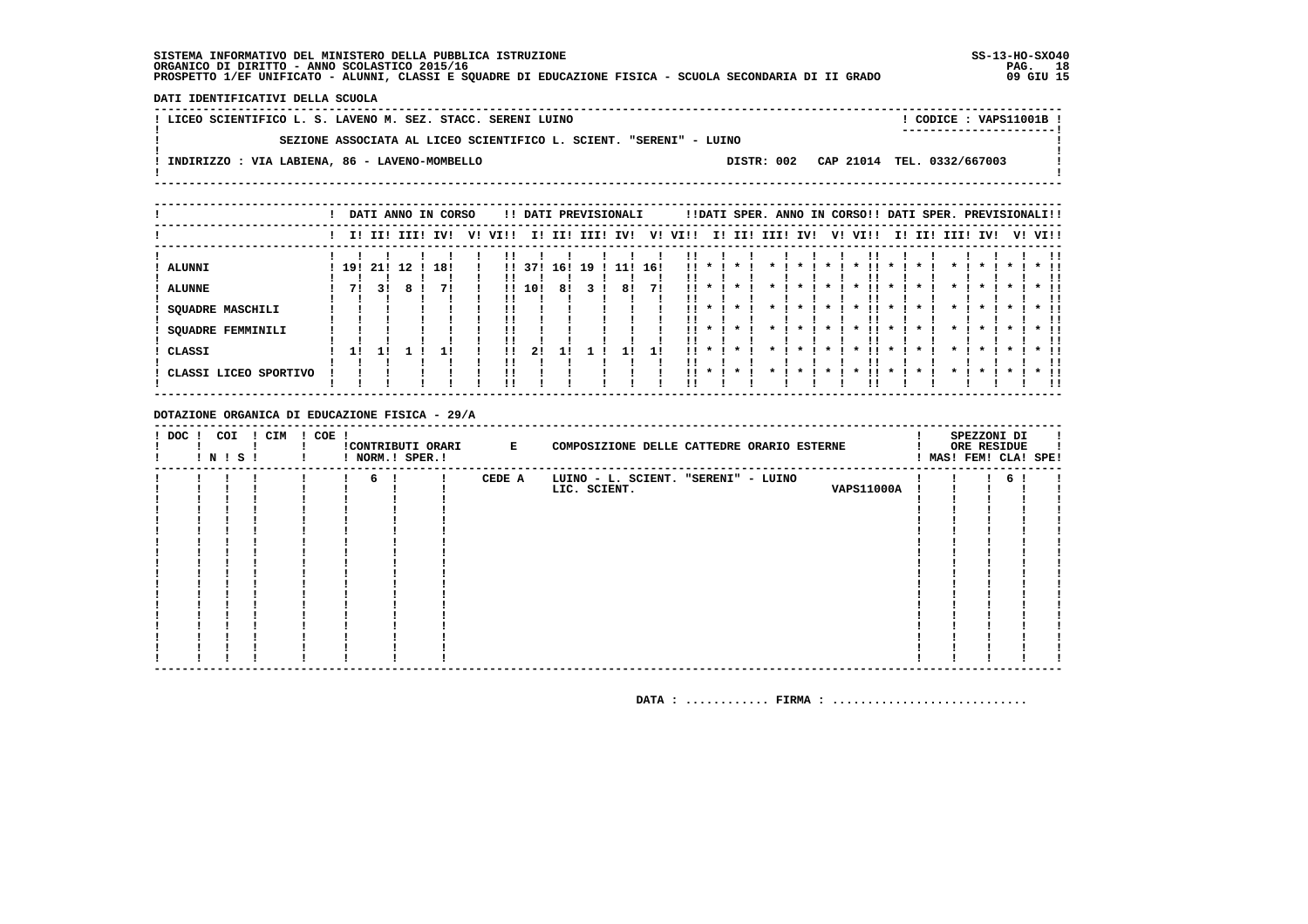DATI IDENTIFICATIVI DELLA SCUOLA

| ! LICEO SCIENTIFICO L. S. LAVENO M. SEZ. STACC. SERENI LUINO                           | CODICE: VAPS11001B !<br>----------------------- |
|----------------------------------------------------------------------------------------|-------------------------------------------------|
| SEZIONE ASSOCIATA AL LICEO SCIENTIFICO L. SCIENT. "SERENI" - LUINO                     |                                                 |
| INDIRIZZO : VIA LABIENA, 86 - LAVENO-MOMBELLO<br>DISTR: 002 CAP 21014 TEL. 0332/667003 |                                                 |
|                                                                                        |                                                 |

|                                 |     |    |             | DATI ANNO IN CORSO |    |                |        |     |      | !! DATI PREVISIONALI |     |            |                    |                    |      |         |    | !!DATI SPER. ANNO IN CORSO!! DATI SPER. PREVISIONALI!! |              |     |              |         |                    |                        |
|---------------------------------|-----|----|-------------|--------------------|----|----------------|--------|-----|------|----------------------|-----|------------|--------------------|--------------------|------|---------|----|--------------------------------------------------------|--------------|-----|--------------|---------|--------------------|------------------------|
|                                 |     |    | I! II! III! | IV!                | v! | VI!!           | II.    | II! | III! | IV!                  | V!  | VI!!       | II.                | II!                | III! | IV!     | V! | VI!!                                                   | II.          | II! | III! IV!     |         |                    | V! VI!!                |
| <b>ALUNNI</b>                   | 19! |    | 21! 12      | 18!                |    | $\mathbf{1}$   | 371    | 16! | 19   |                      | 16! | . .        |                    |                    |      |         |    |                                                        |              |     |              |         |                    |                        |
| <b>ALUNNE</b>                   | 71  | 31 |             |                    |    |                | !! 10! | 81  |      | 8!                   | 71  |            |                    |                    |      |         |    |                                                        |              |     |              |         |                    |                        |
| SQUADRE MASCHILI                |     |    |             |                    |    |                |        |     |      |                      |     | !!         |                    | $\cdot$            |      |         |    | $\boldsymbol{\ast}$                                    | $\mathbf{x}$ |     |              |         |                    |                        |
| SQUADRE FEMMINILI               |     |    |             |                    |    | !!             |        |     |      |                      |     |            | $\cdot$            | $\mathbf{r}$       |      | $\star$ |    | $\mathbf{x}$                                           | $\mathbf{x}$ |     | $\mathbf{x}$ | $\cdot$ | $\boldsymbol{\pi}$ | $\star$ $\pm$          |
| CLASSI<br>CLASSI LICEO SPORTIVO | 1!  |    |             |                    |    | !!<br>!!<br>!! | 2!     |     |      |                      |     | . .<br>. . | $\boldsymbol{\pi}$ | $\star$<br>$\cdot$ |      |         |    | $\boldsymbol{\ast}$                                    |              |     |              |         |                    | $*$ !!<br>!!<br>$*$ 11 |
|                                 |     |    |             |                    |    |                |        |     |      |                      |     |            |                    |                    |      |         |    |                                                        |              |     |              |         |                    | !!                     |

DOTAZIONE ORGANICA DI EDUCAZIONE FISICA - 29/A

| $!$ DOC $!$ | ! N ! S ! | COI | ! CIM | $! COE$ ! | ! NORM.! SPER.! | !CONTRIBUTI ORARI E |        | COMPOSIZIONE DELLE CATTEDRE ORARIO ESTERNE                               |  | SPEZZONI DI<br>ORE RESIDUE<br>! MAS! FEM! CLA! SPE! |  |
|-------------|-----------|-----|-------|-----------|-----------------|---------------------|--------|--------------------------------------------------------------------------|--|-----------------------------------------------------|--|
|             |           |     |       |           | 6!              |                     | CEDE A | LUINO - L. SCIENT. "SERENI" - LUINO<br><b>VAPS11000A</b><br>LIC. SCIENT. |  | 6                                                   |  |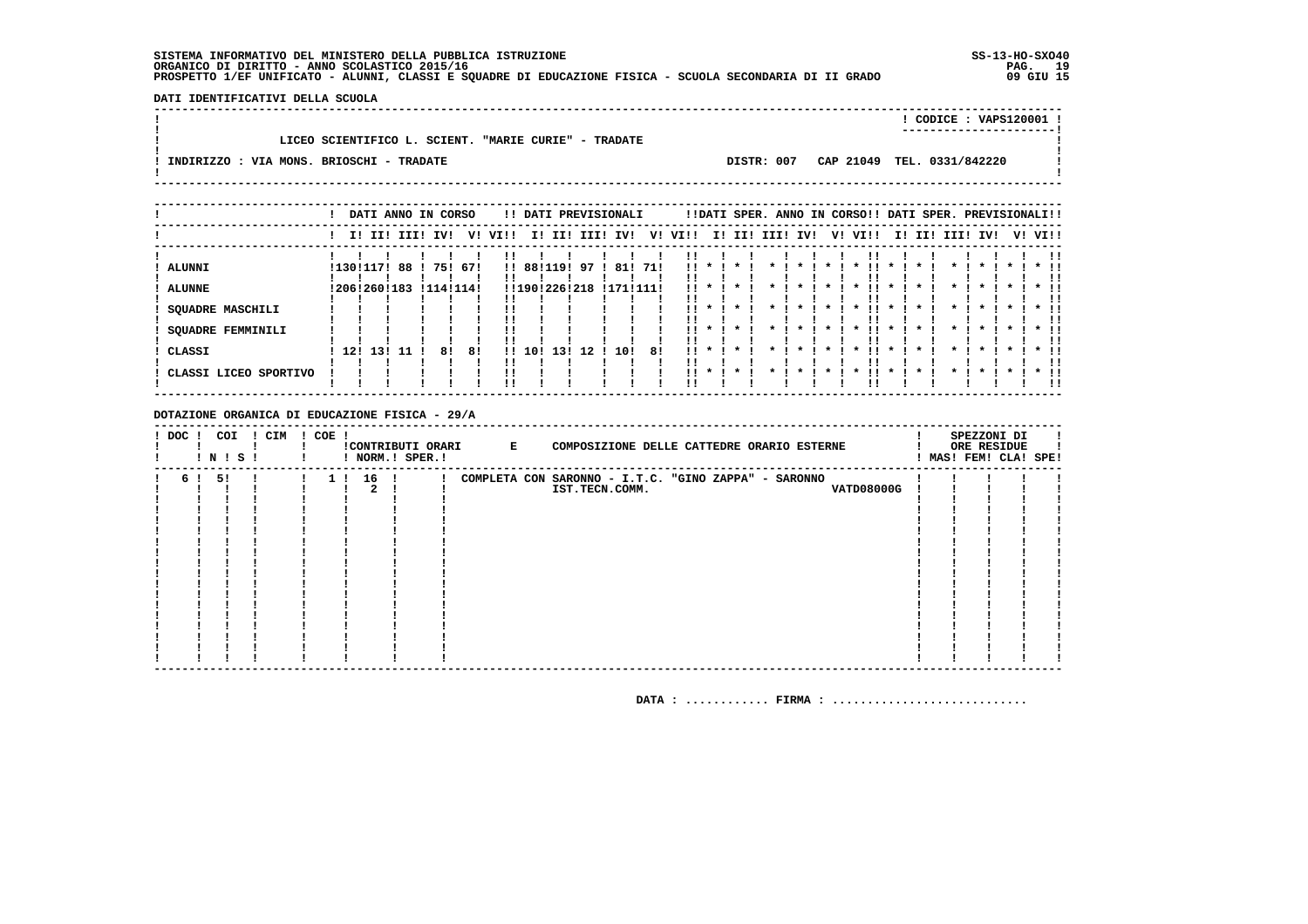DATI IDENTIFICATIVI DELLA SCUOLA 

|                                          |                                                      |            | CODICE: VAPS120001 !<br>----------------------- |  |
|------------------------------------------|------------------------------------------------------|------------|-------------------------------------------------|--|
|                                          | LICEO SCIENTIFICO L. SCIENT. "MARIE CURIE" - TRADATE |            |                                                 |  |
| INDIRIZZO : VIA MONS. BRIOSCHI - TRADATE |                                                      | DISTR: 007 | CAP 21049 TEL. 0331/842220                      |  |
|                                          |                                                      |            |                                                 |  |
|                                          |                                                      |            |                                                 |  |

|                                                                                          |     |                        | DATI ANNO IN CORSO     |           |            |      |        |                                    |          | !! DATI PREVISIONALI |                            |                             |                                             |                                                          | !!DATI SPER. ANNO IN CORSO!! DATI SPER. PREVISIONALI!! |    |                                                                           |                                              |                 |                                             |         |                                   |
|------------------------------------------------------------------------------------------|-----|------------------------|------------------------|-----------|------------|------|--------|------------------------------------|----------|----------------------|----------------------------|-----------------------------|---------------------------------------------|----------------------------------------------------------|--------------------------------------------------------|----|---------------------------------------------------------------------------|----------------------------------------------|-----------------|---------------------------------------------|---------|-----------------------------------|
|                                                                                          |     |                        | I! II! III!            | IV!       | v!         | VIII | II.    | II!                                |          | III! IV!             | V!                         | VI!!                        |                                             |                                                          | I! II! III! IV!                                        | V! | VI!!                                                                      |                                              | I! II! III! IV! |                                             | V! VI!! |                                   |
| <b>ALUNNI</b><br><b>ALUNNE</b><br><b>SQUADRE MASCHILI</b><br>SQUADRE FEMMINILI<br>CLASSI | 12! | !130!117! 88<br>13! 11 | !206!260!183 !114!114! | 751<br>81 | -671<br>81 | !!   | !! 10! | !! 88!119!<br>!!190!226!218<br>131 | 97<br>12 | 10!                  | 81! 71!<br>!171!111!<br>81 | <br>. .<br>!!<br>. .<br>. . | $\mathbf x$<br>$\mathbf{x}$<br>$\mathbf{x}$ | $\star$<br>$\mathbf{x}$<br>$\boldsymbol{\pi}$<br>$\cdot$ |                                                        |    | $\boldsymbol{\pi}$<br>$\mathbf{x}$<br>$\boldsymbol{\ast}$<br>$\mathbf{x}$ | $\mathbf{x}$<br>$\mathbf{x}$<br>$\mathbf{x}$ |                 | $\mathbf{x}$<br>$\mathbf{x}$<br>$\mathbf x$ |         | $\star$ $\pm$<br>$*$ !!<br>$*$ !! |
| CLASSI LICEO SPORTIVO                                                                    |     |                        |                        |           |            |      |        |                                    |          |                      |                            | . .                         |                                             |                                                          |                                                        |    |                                                                           | $\boldsymbol{\ast}$                          |                 |                                             |         | $*$ 11<br>!!                      |

### DOTAZIONE ORGANICA DI EDUCAZIONE FISICA - 29/A

| ! DOC ! | ! N ! S ! | COI | ! CIM | $! COE$ ! |          | ! NORM.! SPER.! | !CONTRIBUTI ORARI E | COMPOSIZIONE DELLE CATTEDRE ORARIO ESTERNE           |  | SPEZZONI DI<br>ORE RESIDUE<br>MAS! FEM! CLA! SPE! |  |
|---------|-----------|-----|-------|-----------|----------|-----------------|---------------------|------------------------------------------------------|--|---------------------------------------------------|--|
| 61      | 51        |     |       |           | 1 ! 16 ! |                 |                     | COMPLETA CON SARONNO - I.T.C. "GINO ZAPPA" - SARONNO |  |                                                   |  |
|         |           |     |       |           |          |                 |                     | <b>VATD08000G</b><br>IST.TECN.COMM.                  |  |                                                   |  |
|         |           |     |       |           |          |                 |                     |                                                      |  |                                                   |  |
|         |           |     |       |           |          |                 |                     |                                                      |  |                                                   |  |
|         |           |     |       |           |          |                 |                     |                                                      |  |                                                   |  |
|         |           |     |       |           |          |                 |                     |                                                      |  |                                                   |  |
|         |           |     |       |           |          |                 |                     |                                                      |  |                                                   |  |
|         |           |     |       |           |          |                 |                     |                                                      |  |                                                   |  |
|         |           |     |       |           |          |                 |                     |                                                      |  |                                                   |  |
|         |           |     |       |           |          |                 |                     |                                                      |  |                                                   |  |
|         |           |     |       |           |          |                 |                     |                                                      |  |                                                   |  |
|         |           |     |       |           |          |                 |                     |                                                      |  |                                                   |  |
|         |           |     |       |           |          |                 |                     |                                                      |  |                                                   |  |
|         |           |     |       |           |          |                 |                     |                                                      |  |                                                   |  |
|         |           |     |       |           |          |                 |                     |                                                      |  |                                                   |  |
|         |           |     |       |           |          |                 |                     |                                                      |  |                                                   |  |
|         |           |     |       |           |          |                 |                     |                                                      |  |                                                   |  |
|         |           |     |       |           |          |                 |                     |                                                      |  |                                                   |  |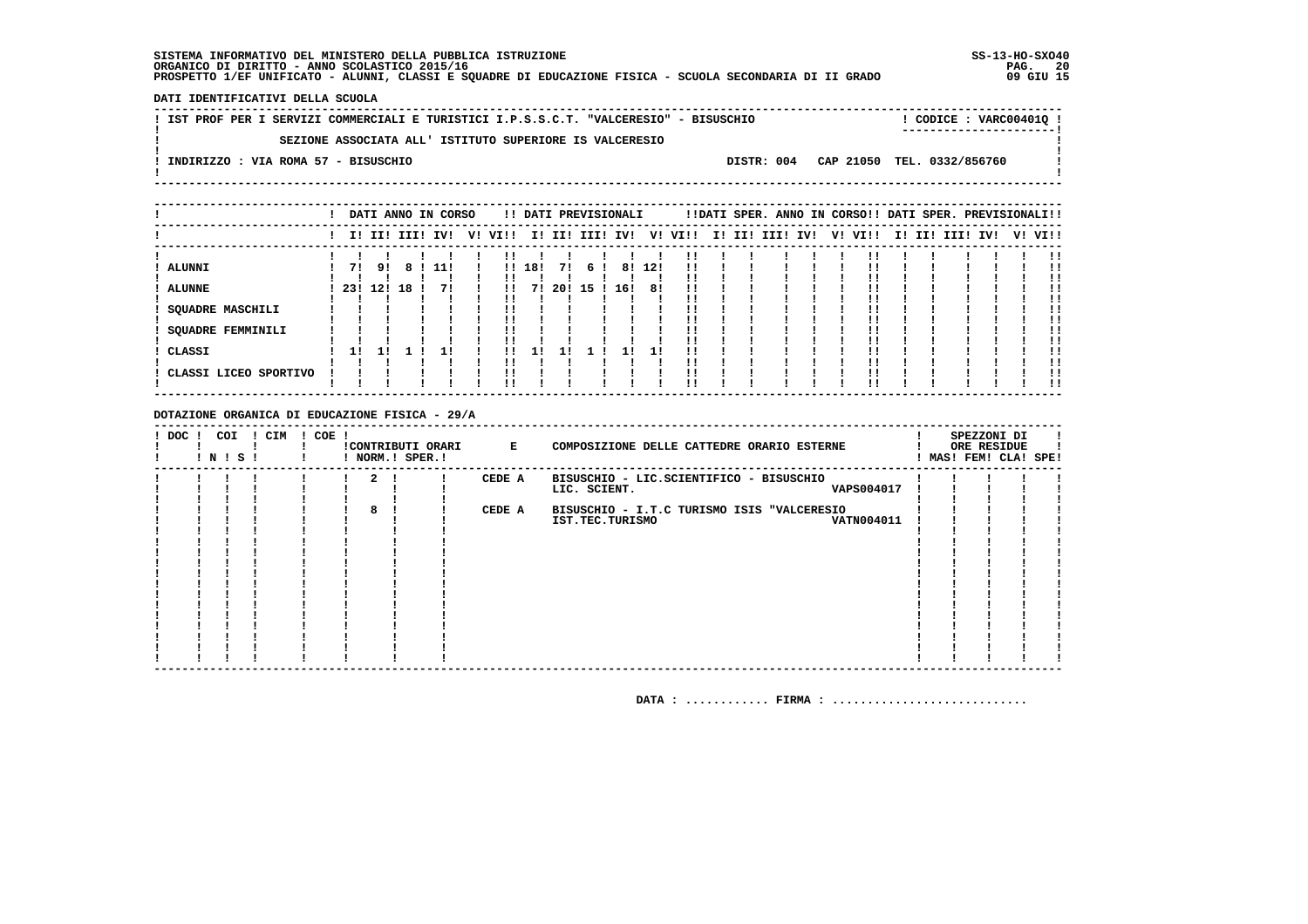**DATI IDENTIFICATIVI DELLA SCUOLA**

| IST PROF PER I SERVIZI COMMERCIALI E TURISTICI I.P.S.S.C.T. "VALCERESIO" - BISUSCHIO |  | CODICE: VARC004010 !                  |  |
|--------------------------------------------------------------------------------------|--|---------------------------------------|--|
| SEZIONE ASSOCIATA ALL' ISTITUTO SUPERIORE IS VALCERESIO                              |  |                                       |  |
| INDIRIZZO : VIA ROMA 57 - BISUSCHIO                                                  |  | DISTR: 004 CAP 21050 TEL. 0332/856760 |  |
|                                                                                      |  |                                       |  |

|                       |      |     | DATI ANNO IN CORSO |     | !! DATI PREVISIONALI |        |     |      |     |     |  |  |  | !!DATI SPER. ANNO IN CORSO!! DATI SPER. PREVISIONALI!! |  |  |                         |
|-----------------------|------|-----|--------------------|-----|----------------------|--------|-----|------|-----|-----|--|--|--|--------------------------------------------------------|--|--|-------------------------|
|                       |      |     |                    |     |                      |        |     |      |     |     |  |  |  | V! VI!!                                                |  |  | I! II! III! IV! V! VI!! |
|                       |      |     |                    |     |                      |        |     |      |     |     |  |  |  |                                                        |  |  |                         |
| ALUNNI                | 71   | 91  |                    | 11! |                      | 111181 | 71  | 61   | 81  | 12! |  |  |  |                                                        |  |  |                         |
| <b>ALUNNE</b>         | -231 | 12! | 18                 | 71  |                      | 71     | 201 | 15 ! | 16! | 81  |  |  |  |                                                        |  |  |                         |
|                       |      |     |                    |     |                      |        |     |      |     |     |  |  |  |                                                        |  |  |                         |
| SQUADRE MASCHILI      |      |     |                    |     |                      |        |     |      |     |     |  |  |  |                                                        |  |  |                         |
|                       |      |     |                    |     |                      |        |     |      |     |     |  |  |  |                                                        |  |  |                         |
| SQUADRE FEMMINILI     |      |     |                    |     |                      |        |     |      |     |     |  |  |  |                                                        |  |  |                         |
|                       |      |     |                    |     |                      |        |     |      |     |     |  |  |  |                                                        |  |  |                         |
| CLASSI                |      |     |                    |     |                      |        |     |      |     |     |  |  |  |                                                        |  |  |                         |
|                       |      |     |                    |     |                      |        |     |      |     |     |  |  |  |                                                        |  |  |                         |
| CLASSI LICEO SPORTIVO |      |     |                    |     |                      |        |     |      |     |     |  |  |  |                                                        |  |  |                         |
|                       |      |     |                    |     |                      |        |     |      |     |     |  |  |  |                                                        |  |  | !!                      |

### **DOTAZIONE ORGANICA DI EDUCAZIONE FISICA - 29/A**

| ! DOC ! | COI<br>! N ! S ! | ! CIM | $! COE$ ! |             | !CONTRIBUTI ORARI<br>! NORM.! SPER.! | $\mathbf{E}$ and $\mathbf{E}$ and $\mathbf{E}$ | COMPOSIZIONE DELLE CATTEDRE ORARIO ESTERNE |  | SPEZZONI DI<br>ORE RESIDUE<br>MAS! FEM! CLA! SPE! |  |
|---------|------------------|-------|-----------|-------------|--------------------------------------|------------------------------------------------|--------------------------------------------|--|---------------------------------------------------|--|
|         |                  |       |           | $2 \quad 1$ |                                      | CEDE A                                         | BISUSCHIO - LIC.SCIENTIFICO - BISUSCHIO    |  |                                                   |  |
|         |                  |       |           |             |                                      |                                                | <b>VAPS004017</b><br>LIC. SCIENT.          |  |                                                   |  |
|         |                  |       |           |             |                                      |                                                |                                            |  |                                                   |  |
|         |                  |       |           | 8           |                                      | CEDE A                                         | BISUSCHIO - I.T.C TURISMO ISIS "VALCERESIO |  |                                                   |  |
|         |                  |       |           |             |                                      |                                                | <b>VATN004011</b><br>IST.TEC.TURISMO       |  |                                                   |  |
|         |                  |       |           |             |                                      |                                                |                                            |  |                                                   |  |
|         |                  |       |           |             |                                      |                                                |                                            |  |                                                   |  |
|         |                  |       |           |             |                                      |                                                |                                            |  |                                                   |  |
|         |                  |       |           |             |                                      |                                                |                                            |  |                                                   |  |
|         |                  |       |           |             |                                      |                                                |                                            |  |                                                   |  |
|         |                  |       |           |             |                                      |                                                |                                            |  |                                                   |  |
|         |                  |       |           |             |                                      |                                                |                                            |  |                                                   |  |
|         |                  |       |           |             |                                      |                                                |                                            |  |                                                   |  |
|         |                  |       |           |             |                                      |                                                |                                            |  |                                                   |  |
|         |                  |       |           |             |                                      |                                                |                                            |  |                                                   |  |
|         |                  |       |           |             |                                      |                                                |                                            |  |                                                   |  |
|         |                  |       |           |             |                                      |                                                |                                            |  |                                                   |  |
|         |                  |       |           |             |                                      |                                                |                                            |  |                                                   |  |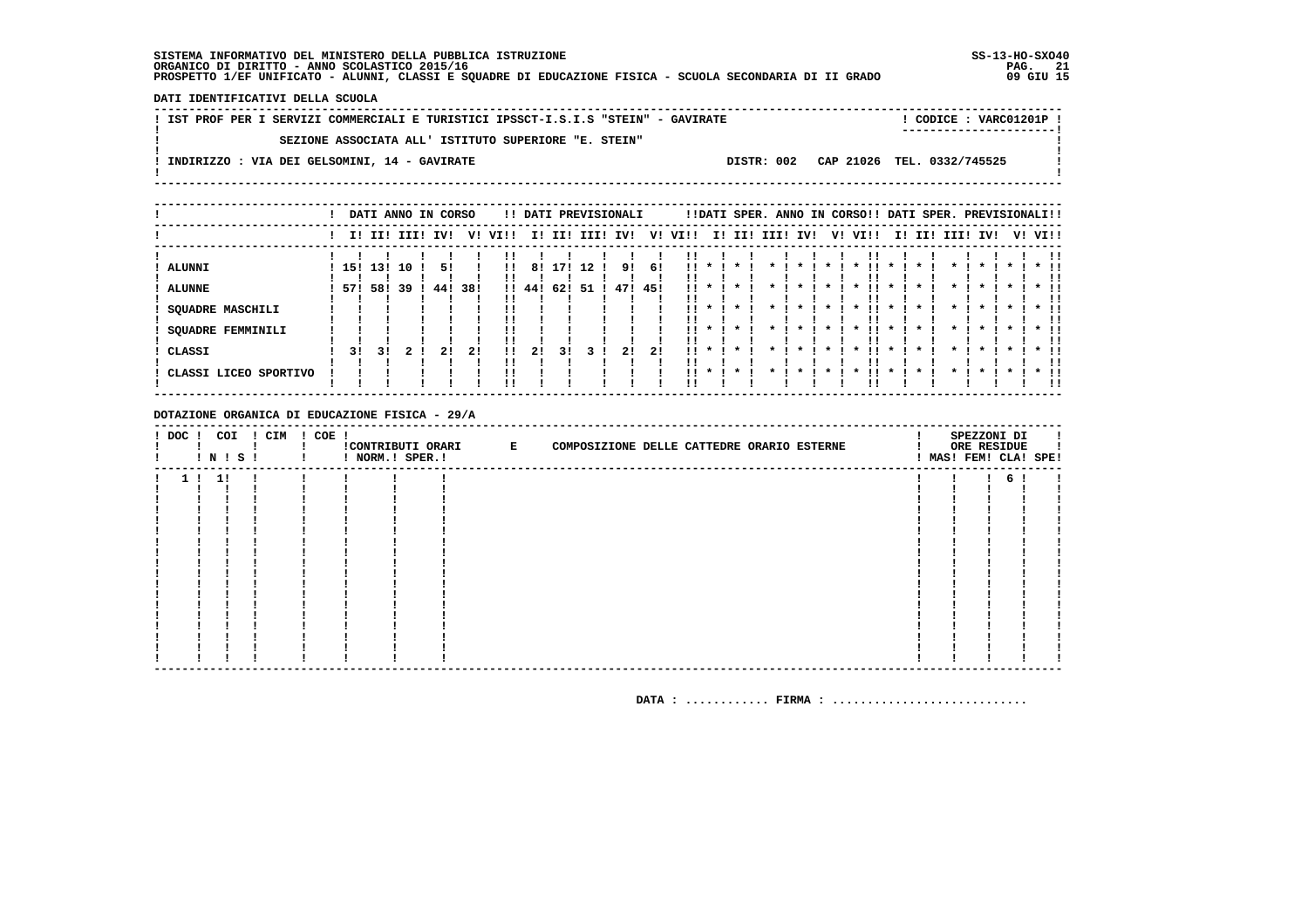DATI IDENTIFICATIVI DELLA SCUOLA

|  | ! IST PROF PER I SERVIZI COMMERCIALI E TURISTICI IPSSCT-I.S.I.S "STEIN" - GAVIRATE |  | CODICE: VARC01201P !<br>----------------------- |  |
|--|------------------------------------------------------------------------------------|--|-------------------------------------------------|--|
|  | SEZIONE ASSOCIATA ALL' ISTITUTO SUPERIORE "E. STEIN"                               |  |                                                 |  |
|  | INDIRIZZO : VIA DEI GELSOMINI, 14 - GAVIRATE                                       |  | DISTR: 002 CAP 21026 TEL. 0332/745525           |  |

|                          |     |     |             | DATI ANNO IN CORSO |     |          |        |     |      | !! DATI PREVISIONALI |     |      |              |              |      |                    |              | !!DATI SPER. ANNO IN CORSO!! DATI SPER. PREVISIONALI!! |                    |     |      |              |    |      |
|--------------------------|-----|-----|-------------|--------------------|-----|----------|--------|-----|------|----------------------|-----|------|--------------|--------------|------|--------------------|--------------|--------------------------------------------------------|--------------------|-----|------|--------------|----|------|
|                          |     |     | I! II! III! | IV!                | v!  | VI!!     | II.    | II! | III! | IV!                  | V!  | VI!! | IJ           | II!          | III! | IV!                | V!           | VI!!                                                   | II.                | II! | III! | IV!          | V! | VI!! |
| <b>ALUNNI</b>            | 15! | 13! | 10          | 51                 |     | !!       | 81     | 171 | 12   | 91                   | 6!  | 11.  |              |              |      |                    |              |                                                        |                    |     |      |              |    |      |
| <b>ALUNNE</b>            | 571 | 58! | -39         | 44!                | 38! |          | !! 44! | 62! | -51  | 47!                  | 45! | 11.  |              |              |      |                    |              |                                                        |                    |     |      |              |    |      |
| SQUADRE MASCHILI         |     |     |             |                    |     |          |        |     |      |                      |     | !!   |              |              |      |                    | $\star$      | *                                                      |                    |     |      |              |    |      |
| <b>SQUADRE FEMMINILI</b> |     |     |             |                    |     | !!<br>!! |        |     |      |                      |     |      | $\mathbf{x}$ | $\star$      |      | $\boldsymbol{\pi}$ | $\mathbf{r}$ | $\star$                                                | $\boldsymbol{\pi}$ |     |      | $\mathbf{x}$ |    |      |
| CLASSI                   | 31  | 31  |             | 21                 | 21  | 11<br>!! | 21     | 31  |      | 2!                   | 21  |      |              | $\mathbf{x}$ |      |                    |              |                                                        |                    |     |      |              |    |      |
| CLASSI LICEO SPORTIVO    |     |     |             |                    |     | !!<br>'' |        |     |      |                      |     | 11   | $\mathbf{x}$ | $\mathbf{x}$ |      |                    |              |                                                        |                    |     |      |              |    | . .  |

DOTAZIONE ORGANICA DI EDUCAZIONE FISICA - 29/A

| ! DOC ! COI | ! N ! S ! | ! CIM | $! COE$ ! | ! NORM.! SPER.! | !CONTRIBUTI ORARI E | COMPOSIZIONE DELLE CATTEDRE ORARIO ESTERNE |  |  |  | SPEZZONI DI<br>ORE RESIDUE<br>! MAS! FEM! CLA! SPE! |  |
|-------------|-----------|-------|-----------|-----------------|---------------------|--------------------------------------------|--|--|--|-----------------------------------------------------|--|
|             | 1!1!      |       |           |                 |                     |                                            |  |  |  | 61                                                  |  |
|             |           |       |           |                 |                     |                                            |  |  |  |                                                     |  |
|             |           |       |           |                 |                     |                                            |  |  |  |                                                     |  |
|             |           |       |           |                 |                     |                                            |  |  |  |                                                     |  |
|             |           |       |           |                 |                     |                                            |  |  |  |                                                     |  |
|             |           |       |           |                 |                     |                                            |  |  |  |                                                     |  |
|             |           |       |           |                 |                     |                                            |  |  |  |                                                     |  |
|             |           |       |           |                 |                     |                                            |  |  |  |                                                     |  |
|             |           |       |           |                 |                     |                                            |  |  |  |                                                     |  |
|             |           |       |           |                 |                     |                                            |  |  |  |                                                     |  |
|             |           |       |           |                 |                     |                                            |  |  |  |                                                     |  |
|             |           |       |           |                 |                     |                                            |  |  |  |                                                     |  |
|             |           |       |           |                 |                     |                                            |  |  |  |                                                     |  |
|             |           |       |           |                 |                     |                                            |  |  |  |                                                     |  |
|             |           |       |           |                 |                     |                                            |  |  |  |                                                     |  |
|             |           |       |           |                 |                     |                                            |  |  |  |                                                     |  |
|             |           |       |           |                 |                     |                                            |  |  |  |                                                     |  |
|             |           |       |           |                 |                     |                                            |  |  |  |                                                     |  |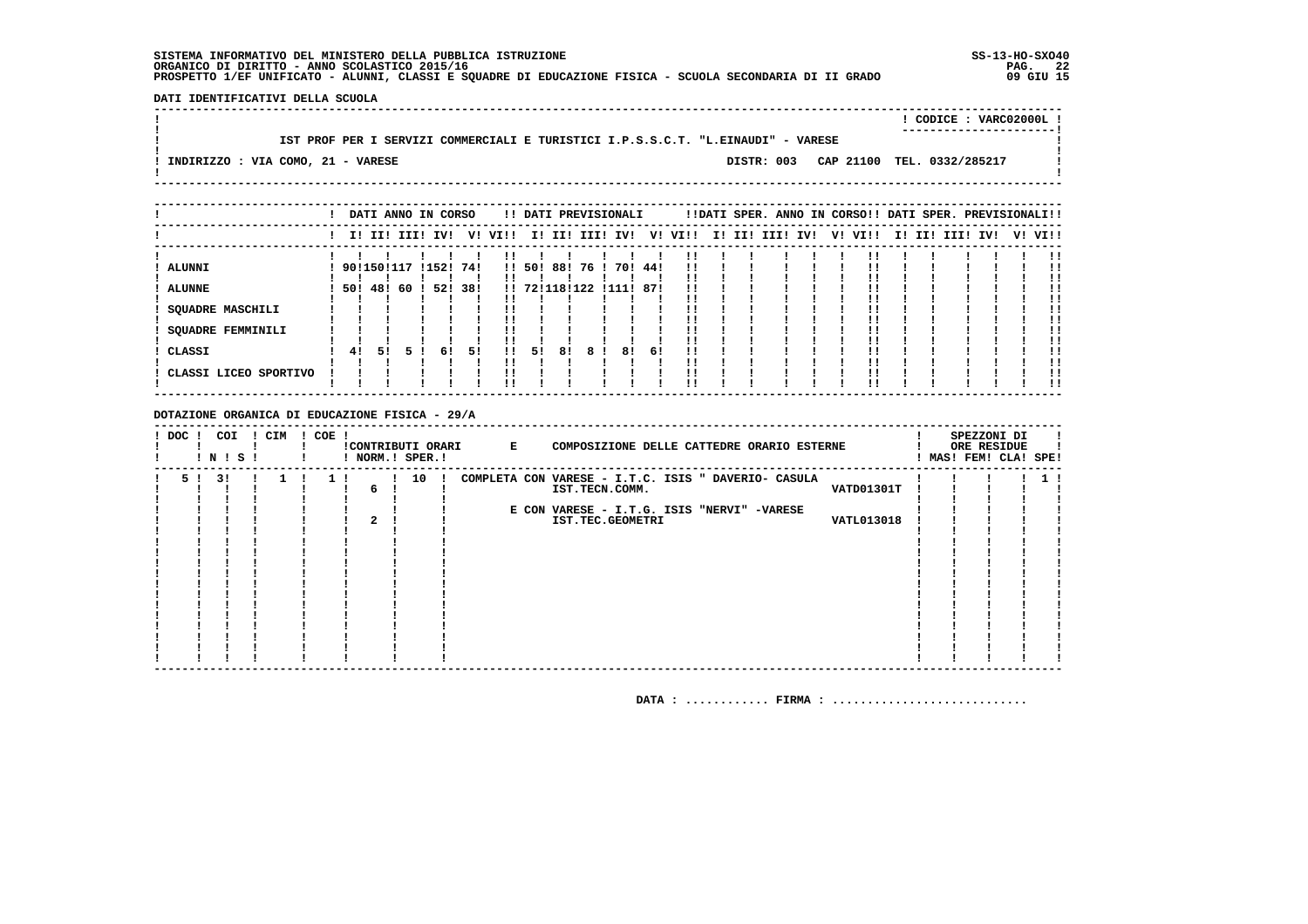**DATI IDENTIFICATIVI DELLA SCUOLA**

|                                   |                                                                                  |  |  | CODICE: VARC02000L!                   |  |
|-----------------------------------|----------------------------------------------------------------------------------|--|--|---------------------------------------|--|
|                                   | IST PROF PER I SERVIZI COMMERCIALI E TURISTICI I.P.S.S.C.T. "L.EINAUDI" - VARESE |  |  |                                       |  |
| INDIRIZZO : VIA COMO, 21 - VARESE |                                                                                  |  |  | DISTR: 003 CAP 21100 TEL. 0332/285217 |  |

|                       |            |     |     | DATI ANNO IN CORSO |     |                         |        |               |      | !! DATI PREVISIONALI |     |         |                 |  | !!DATI SPER. ANNO IN CORSO!! DATI SPER. PREVISIONALI!! |  |                 |  |         |
|-----------------------|------------|-----|-----|--------------------|-----|-------------------------|--------|---------------|------|----------------------|-----|---------|-----------------|--|--------------------------------------------------------|--|-----------------|--|---------|
|                       |            |     |     | I! II! III! IV!    |     | V! VI!! I! II! III! IV! |        |               |      |                      |     | V! VI!! | I! II! III! IV! |  | V! VI!!                                                |  | I! II! III! IV! |  | V! VI!! |
| ALUNNI                | 9011501117 |     |     | !152!              | 741 |                         | !! 50! | 88!           | 76 ! | 70!                  | 44! | !!      |                 |  |                                                        |  |                 |  |         |
| <b>ALUNNE</b>         | 501        | 48! | -60 | 52!                | 38! |                         |        | !! 72!118!122 |      | !111!                | 87! |         |                 |  |                                                        |  |                 |  |         |
| SQUADRE MASCHILI      |            |     |     |                    |     |                         |        |               |      |                      |     |         |                 |  |                                                        |  |                 |  |         |
| SQUADRE FEMMINILI     |            |     |     |                    |     |                         |        |               |      |                      |     |         |                 |  |                                                        |  |                 |  |         |
| CLASSI                | 41         | 51  | 5.  | 61                 | -51 | $\mathbf{1}$            | 51     | 8!            | 81   | 8!                   | 6!  |         |                 |  |                                                        |  |                 |  |         |
| CLASSI LICEO SPORTIVO |            |     |     |                    |     |                         |        |               |      |                      |     |         |                 |  |                                                        |  |                 |  | !!      |

### **DOTAZIONE ORGANICA DI EDUCAZIONE FISICA - 29/A**

| ! DOC ! | COI<br>! N ! S ! | ! CIM | ! COE ! |   | ! NORM.! SPER.! | !CONTRIBUTI ORARI E | COMPOSIZIONE DELLE CATTEDRE ORARIO ESTERNE          |  | SPEZZONI DI<br>ORE RESIDUE<br>MAS! FEM! CLA! SPE! |  |
|---------|------------------|-------|---------|---|-----------------|---------------------|-----------------------------------------------------|--|---------------------------------------------------|--|
| 51      | 31               |       | 11      |   | 10 !            |                     | COMPLETA CON VARESE - I.T.C. ISIS " DAVERIO- CASULA |  |                                                   |  |
|         |                  |       |         | 6 |                 |                     | VATD01301T<br>IST.TECN.COMM.                        |  |                                                   |  |
|         |                  |       |         |   |                 |                     |                                                     |  |                                                   |  |
|         |                  |       |         |   |                 |                     | E CON VARESE - I.T.G. ISIS "NERVI" -VARESE          |  |                                                   |  |
|         |                  |       |         |   |                 |                     | <b>VATL013018</b><br>IST.TEC.GEOMETRI               |  |                                                   |  |
|         |                  |       |         |   |                 |                     |                                                     |  |                                                   |  |
|         |                  |       |         |   |                 |                     |                                                     |  |                                                   |  |
|         |                  |       |         |   |                 |                     |                                                     |  |                                                   |  |
|         |                  |       |         |   |                 |                     |                                                     |  |                                                   |  |
|         |                  |       |         |   |                 |                     |                                                     |  |                                                   |  |
|         |                  |       |         |   |                 |                     |                                                     |  |                                                   |  |
|         |                  |       |         |   |                 |                     |                                                     |  |                                                   |  |
|         |                  |       |         |   |                 |                     |                                                     |  |                                                   |  |
|         |                  |       |         |   |                 |                     |                                                     |  |                                                   |  |
|         |                  |       |         |   |                 |                     |                                                     |  |                                                   |  |
|         |                  |       |         |   |                 |                     |                                                     |  |                                                   |  |
|         |                  |       |         |   |                 |                     |                                                     |  |                                                   |  |
|         |                  |       |         |   |                 |                     |                                                     |  |                                                   |  |
|         |                  |       |         |   |                 |                     |                                                     |  |                                                   |  |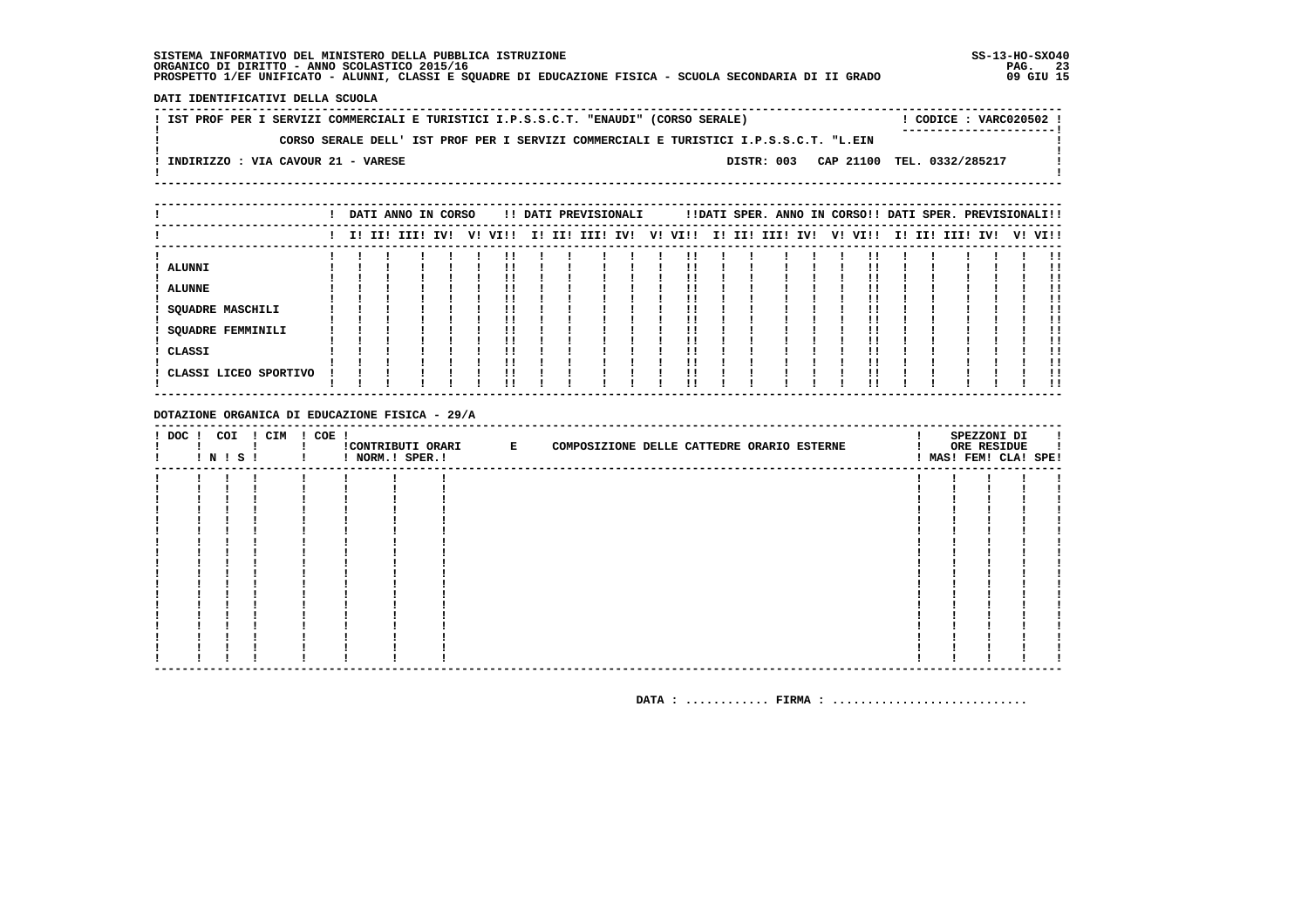DATI IDENTIFICATIVI DELLA SCUOLA

! IST PROF PER I SERVIZI COMMERCIALI E TURISTICI I.P.S.S.C.T. "ENAUDI" (CORSO SERALE) ! CODICE : VARC020502 !  $\mathbf{I}$ CORSO SERALE DELL' IST PROF PER I SERVIZI COMMERCIALI E TURISTICI I.P.S.S.C.T. "L.EIN  $\mathbf{I}$  $\blacksquare$  $\mathbf{I}$ -: INDIRIZZO : VIA CAVOUR 21 - VARESE DISTR: 003 CAP 21100 TEL. 0332/285217  $\sim$  100  $\pm$  $\mathbf{I}$  $\mathbf{I}$ 

|                          |  | DATI ANNO IN CORSO |  |         |  | !! DATI PREVISIONALI |    |      |  | !!DATI SPER. ANNO IN CORSO!! DATI SPER. PREVISIONALI!! |  |         |  |                 |  |         |
|--------------------------|--|--------------------|--|---------|--|----------------------|----|------|--|--------------------------------------------------------|--|---------|--|-----------------|--|---------|
|                          |  | I! II! III! IV!    |  | V! VI!! |  | I! II! III! IV!      | V! | VI!! |  | I! II! III! IV!                                        |  | V! VI!! |  | I! II! III! IV! |  | V! VI!! |
|                          |  |                    |  |         |  |                      |    |      |  |                                                        |  |         |  |                 |  |         |
| <b>ALUNNI</b>            |  |                    |  |         |  |                      |    |      |  |                                                        |  |         |  |                 |  |         |
|                          |  |                    |  |         |  |                      |    |      |  |                                                        |  |         |  |                 |  |         |
| <b>ALUNNE</b>            |  |                    |  |         |  |                      |    |      |  |                                                        |  |         |  |                 |  |         |
|                          |  |                    |  |         |  |                      |    |      |  |                                                        |  |         |  |                 |  |         |
| SQUADRE MASCHILI         |  |                    |  |         |  |                      |    |      |  |                                                        |  |         |  |                 |  |         |
|                          |  |                    |  |         |  |                      |    |      |  |                                                        |  |         |  |                 |  |         |
| <b>SQUADRE FEMMINILI</b> |  |                    |  |         |  |                      |    |      |  |                                                        |  |         |  |                 |  |         |
|                          |  |                    |  |         |  |                      |    |      |  |                                                        |  |         |  |                 |  |         |
| CLASSI                   |  |                    |  |         |  |                      |    |      |  |                                                        |  |         |  |                 |  |         |
|                          |  |                    |  |         |  |                      |    |      |  |                                                        |  |         |  |                 |  |         |
| CLASSI LICEO SPORTIVO    |  |                    |  | !!      |  |                      |    |      |  |                                                        |  |         |  |                 |  |         |
|                          |  |                    |  | !!      |  |                      |    | !!   |  |                                                        |  |         |  |                 |  | . .     |

DOTAZIONE ORGANICA DI EDUCAZIONE FISICA - 29/A

| $!$ DOC $!$ | COI<br>I N I S I | ! CIM | ! COE ! | ! NORM.! SPER.! | CONTRIBUTI ORARI E | COMPOSIZIONE DELLE CATTEDRE ORARIO ESTERNE |  | SPEZZONI DI<br>ORE RESIDUE<br>! MAS! FEM! CLA! SPE! |  |
|-------------|------------------|-------|---------|-----------------|--------------------|--------------------------------------------|--|-----------------------------------------------------|--|
|             |                  |       |         |                 |                    |                                            |  |                                                     |  |
|             |                  |       |         |                 |                    |                                            |  |                                                     |  |
|             |                  |       |         |                 |                    |                                            |  |                                                     |  |
|             |                  |       |         |                 |                    |                                            |  |                                                     |  |
|             |                  |       |         |                 |                    |                                            |  |                                                     |  |
|             |                  |       |         |                 |                    |                                            |  |                                                     |  |
|             |                  |       |         |                 |                    |                                            |  |                                                     |  |
|             |                  |       |         |                 |                    |                                            |  |                                                     |  |
|             |                  |       |         |                 |                    |                                            |  |                                                     |  |
|             |                  |       |         |                 |                    |                                            |  |                                                     |  |
|             |                  |       |         |                 |                    |                                            |  |                                                     |  |
|             |                  |       |         |                 |                    |                                            |  |                                                     |  |
|             |                  |       |         |                 |                    |                                            |  |                                                     |  |
|             |                  |       |         |                 |                    |                                            |  |                                                     |  |
|             |                  |       |         |                 |                    |                                            |  |                                                     |  |
|             |                  |       |         |                 |                    |                                            |  |                                                     |  |
|             |                  |       |         |                 |                    |                                            |  |                                                     |  |
|             |                  |       |         |                 |                    |                                            |  |                                                     |  |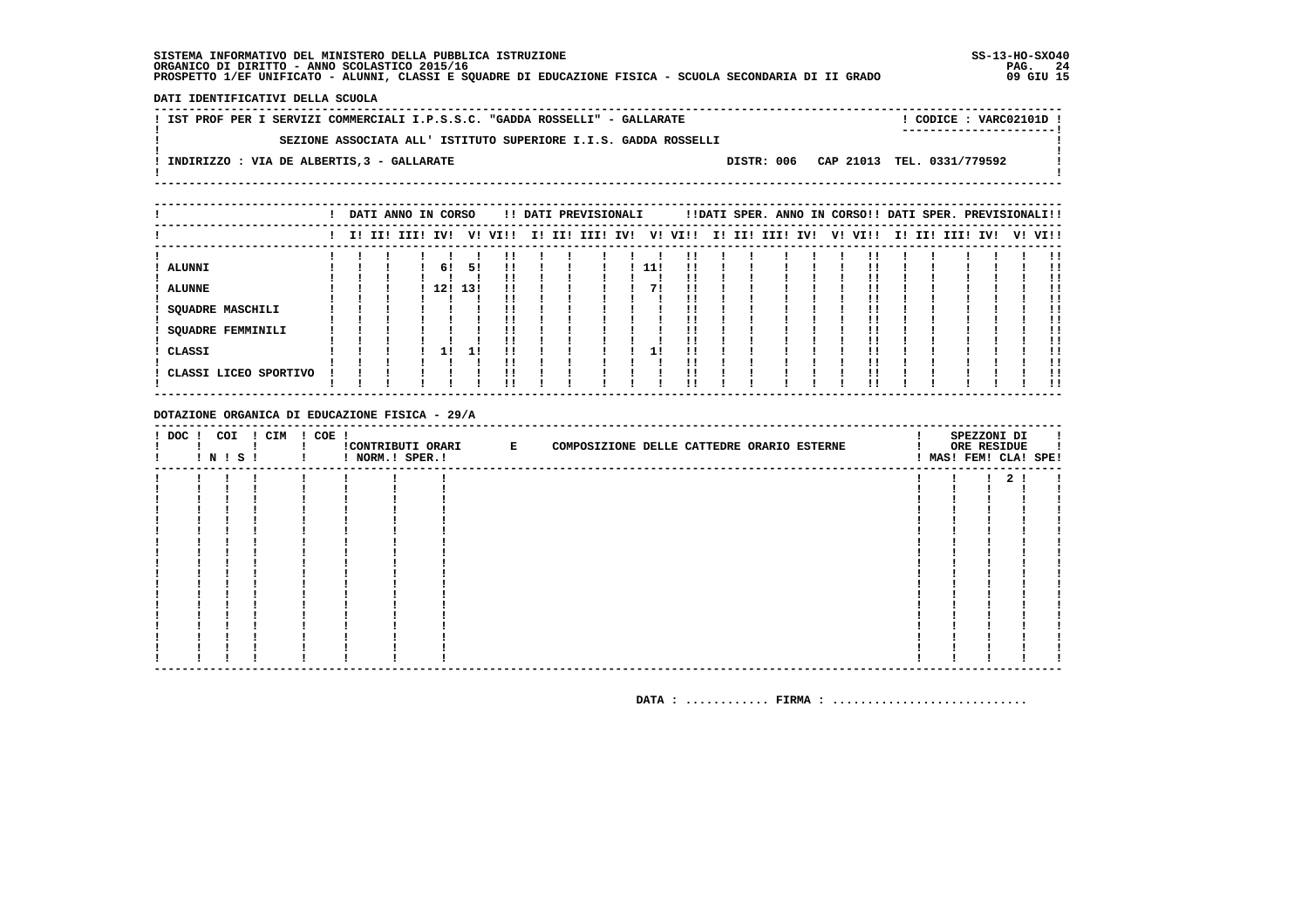DATI IDENTIFICATIVI DELLA SCUOLA

| ! IST PROF PER I SERVIZI COMMERCIALI I.P.S.S.C. "GADDA ROSSELLI" - GALLARATE        | CODICE: VARC02101D !    |
|-------------------------------------------------------------------------------------|-------------------------|
|                                                                                     | ----------------------- |
| SEZIONE ASSOCIATA ALL' ISTITUTO SUPERIORE I.I.S. GADDA ROSSELLI                     |                         |
|                                                                                     |                         |
| DISTR: 006 CAP 21013 TEL. 0331/779592<br>INDIRIZZO : VIA DE ALBERTIS, 3 - GALLARATE |                         |
|                                                                                     |                         |

|                                   |  | DATI ANNO IN CORSO |     |     |         |  | !! DATI PREVISIONALI |     |      |  |                 |    | !!DATI SPER. ANNO IN CORSO!! DATI SPER. PREVISIONALI!! |  |                 |  |         |
|-----------------------------------|--|--------------------|-----|-----|---------|--|----------------------|-----|------|--|-----------------|----|--------------------------------------------------------|--|-----------------|--|---------|
|                                   |  | I! II! III! IV!    |     |     | V! VI!! |  | I! II! III! IV!      | V!  | VI!! |  | I! II! III! IV! | V! | VI!!                                                   |  | I! II! III! IV! |  | V! VI!! |
| <b>ALUNNI</b>                     |  |                    | 6!  | 51  | !!      |  |                      | 11! |      |  |                 |    |                                                        |  |                 |  |         |
| <b>ALUNNE</b><br>SQUADRE MASCHILI |  |                    | 12! | 13! |         |  |                      |     |      |  |                 |    |                                                        |  |                 |  |         |
| SQUADRE FEMMINILI                 |  |                    |     |     |         |  |                      |     |      |  |                 |    |                                                        |  |                 |  |         |
| CLASSI<br>CLASSI LICEO SPORTIVO   |  |                    | 11  | 11  |         |  |                      |     |      |  |                 |    |                                                        |  |                 |  |         |
|                                   |  |                    |     |     | !!      |  |                      |     | !!   |  |                 |    |                                                        |  |                 |  | !!      |

DOTAZIONE ORGANICA DI EDUCAZIONE FISICA - 29/A

| $!$ DOC $!$ |  | COI<br>! N ! S ! | ! CIM | $! COE$ ! | ! NORM.! SPER.! | CONTRIBUTI ORARI E | COMPOSIZIONE DELLE CATTEDRE ORARIO ESTERNE |  | SPEZZONI DI<br>ORE RESIDUE | ! MAS! FEM! CLA! SPE! |
|-------------|--|------------------|-------|-----------|-----------------|--------------------|--------------------------------------------|--|----------------------------|-----------------------|
|             |  |                  |       |           |                 |                    |                                            |  |                            |                       |
|             |  |                  |       |           |                 |                    |                                            |  |                            |                       |
|             |  |                  |       |           |                 |                    |                                            |  |                            |                       |
|             |  |                  |       |           |                 |                    |                                            |  |                            |                       |
|             |  |                  |       |           |                 |                    |                                            |  |                            |                       |
|             |  |                  |       |           |                 |                    |                                            |  |                            |                       |
|             |  |                  |       |           |                 |                    |                                            |  |                            |                       |
|             |  |                  |       |           |                 |                    |                                            |  |                            |                       |
|             |  |                  |       |           |                 |                    |                                            |  |                            |                       |
|             |  |                  |       |           |                 |                    |                                            |  |                            |                       |
|             |  |                  |       |           |                 |                    |                                            |  |                            |                       |
|             |  |                  |       |           |                 |                    |                                            |  |                            |                       |
|             |  |                  |       |           |                 |                    |                                            |  |                            |                       |
|             |  |                  |       |           |                 |                    |                                            |  |                            |                       |
|             |  |                  |       |           |                 |                    |                                            |  |                            |                       |
|             |  |                  |       |           |                 |                    |                                            |  |                            |                       |
|             |  |                  |       |           |                 |                    |                                            |  |                            |                       |
|             |  |                  |       |           |                 |                    |                                            |  |                            |                       |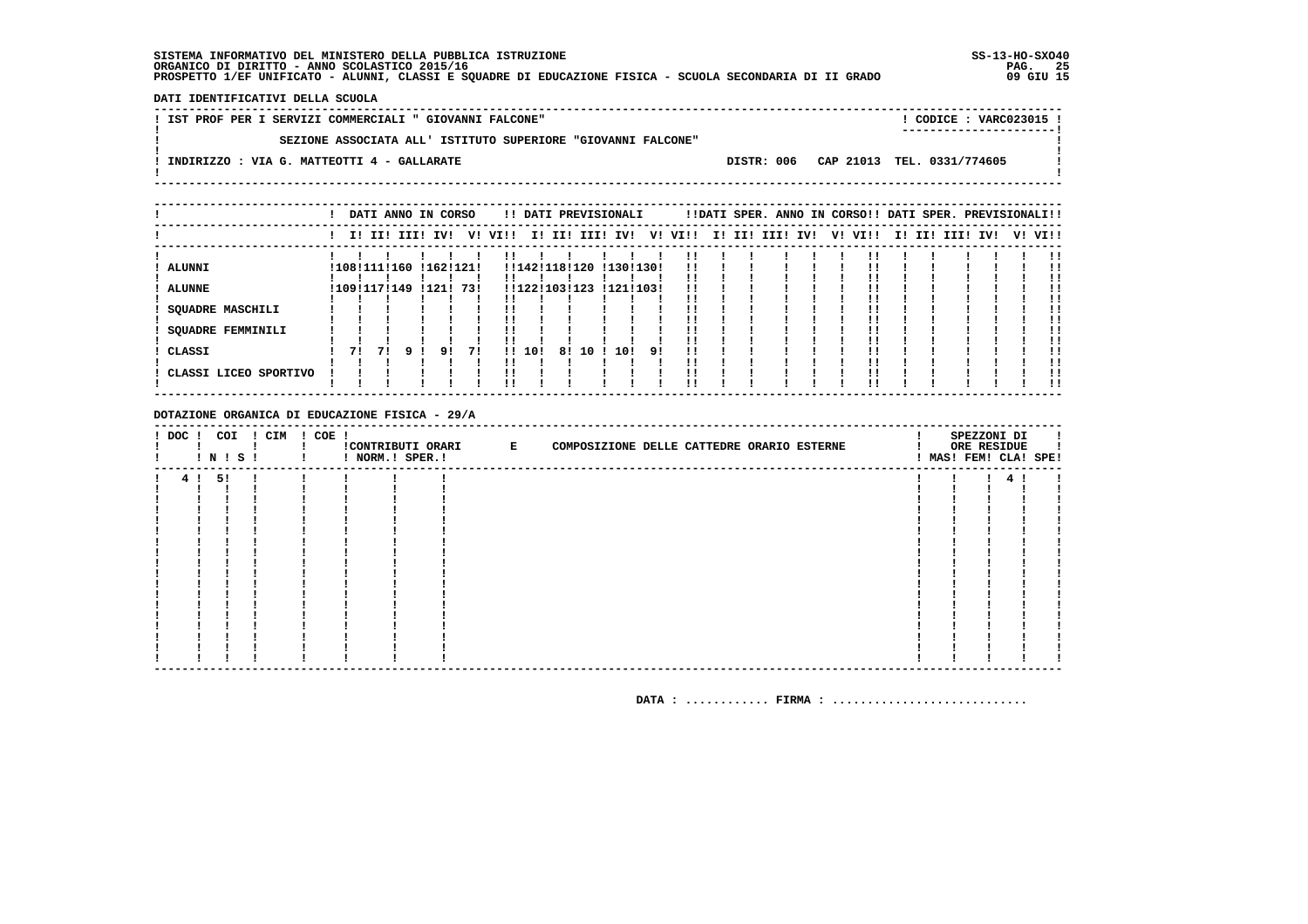DATI IDENTIFICATIVI DELLA SCUOLA

| SEZIONE ASSOCIATA ALL' ISTITUTO SUPERIORE "GIOVANNI FALCONE"<br>DISTR: 006 CAP 21013 TEL. 0331/774605<br>INDIRIZZO : VIA G. MATTEOTTI 4 - GALLARATE | ! CODICE : VARC023015 ! |
|-----------------------------------------------------------------------------------------------------------------------------------------------------|-------------------------|
|                                                                                                                                                     |                         |
|                                                                                                                                                     |                         |

|                                                                                       |    |                              |                 | DATI ANNO IN CORSO     |    |         |        |                                |         | !! DATI PREVISIONALI   |    |          |  |                 |  | !!DATI SPER. ANNO IN CORSO!! DATI SPER. PREVISIONALI!! |  |                 |  |         |
|---------------------------------------------------------------------------------------|----|------------------------------|-----------------|------------------------|----|---------|--------|--------------------------------|---------|------------------------|----|----------|--|-----------------|--|--------------------------------------------------------|--|-----------------|--|---------|
|                                                                                       |    |                              | I! II! III! IV! |                        |    | V! VI!! |        |                                |         | I! II! III! IV!        | V! | VI!!     |  | I! II! III! IV! |  | V! VI!!                                                |  | I! II! III! IV! |  | V! VI!! |
| <b>ALUNNI</b><br><b>ALUNNE</b><br><b>SQUADRE MASCHILI</b><br><b>SQUADRE FEMMINILI</b> |    | !108!111!160<br>!109!117!149 |                 | !162!121!<br>!121! 73! |    |         |        | !!142!118!120<br>!!122!103!123 |         | !130!130!<br>!121!103! |    | !!<br>!! |  |                 |  |                                                        |  |                 |  |         |
| ! CLASSI<br>! CLASSI LICEO SPORTIVO                                                   | 71 | 71                           |                 | 91                     | 71 |         | !! 10! |                                | 8! 10 ! | 10!                    | 91 | !!       |  |                 |  |                                                        |  |                 |  | !!      |

DOTAZIONE ORGANICA DI EDUCAZIONE FISICA - 29/A

| $!$ DOC $!$ | COI   | $\blacksquare$ N $\blacksquare$ S $\blacksquare$ | ! CIM        | ! COE ! | ! NORM.! SPER.! | CONTRIBUTI ORARI E | COMPOSIZIONE DELLE CATTEDRE ORARIO ESTERNE |  |  |  | SPEZZONI DI<br>ORE RESIDUE<br>MAS! FEM! CLA! SPE! |  |
|-------------|-------|--------------------------------------------------|--------------|---------|-----------------|--------------------|--------------------------------------------|--|--|--|---------------------------------------------------|--|
|             | 4! 5! |                                                  | $\mathbf{I}$ |         |                 |                    |                                            |  |  |  | 4!                                                |  |
|             |       |                                                  |              |         |                 |                    |                                            |  |  |  |                                                   |  |
|             |       |                                                  |              |         |                 |                    |                                            |  |  |  |                                                   |  |
|             |       |                                                  |              |         |                 |                    |                                            |  |  |  |                                                   |  |
|             |       |                                                  |              |         |                 |                    |                                            |  |  |  |                                                   |  |
|             |       |                                                  |              |         |                 |                    |                                            |  |  |  |                                                   |  |
|             |       |                                                  |              |         |                 |                    |                                            |  |  |  |                                                   |  |
|             |       |                                                  |              |         |                 |                    |                                            |  |  |  |                                                   |  |
|             |       |                                                  |              |         |                 |                    |                                            |  |  |  |                                                   |  |
|             |       |                                                  |              |         |                 |                    |                                            |  |  |  |                                                   |  |
|             |       |                                                  |              |         |                 |                    |                                            |  |  |  |                                                   |  |
|             |       |                                                  |              |         |                 |                    |                                            |  |  |  |                                                   |  |
|             |       |                                                  |              |         |                 |                    |                                            |  |  |  |                                                   |  |
|             |       |                                                  |              |         |                 |                    |                                            |  |  |  |                                                   |  |
|             |       |                                                  |              |         |                 |                    |                                            |  |  |  |                                                   |  |
|             |       |                                                  |              |         |                 |                    |                                            |  |  |  |                                                   |  |
|             |       |                                                  |              |         |                 |                    |                                            |  |  |  |                                                   |  |
|             |       |                                                  |              |         |                 |                    |                                            |  |  |  |                                                   |  |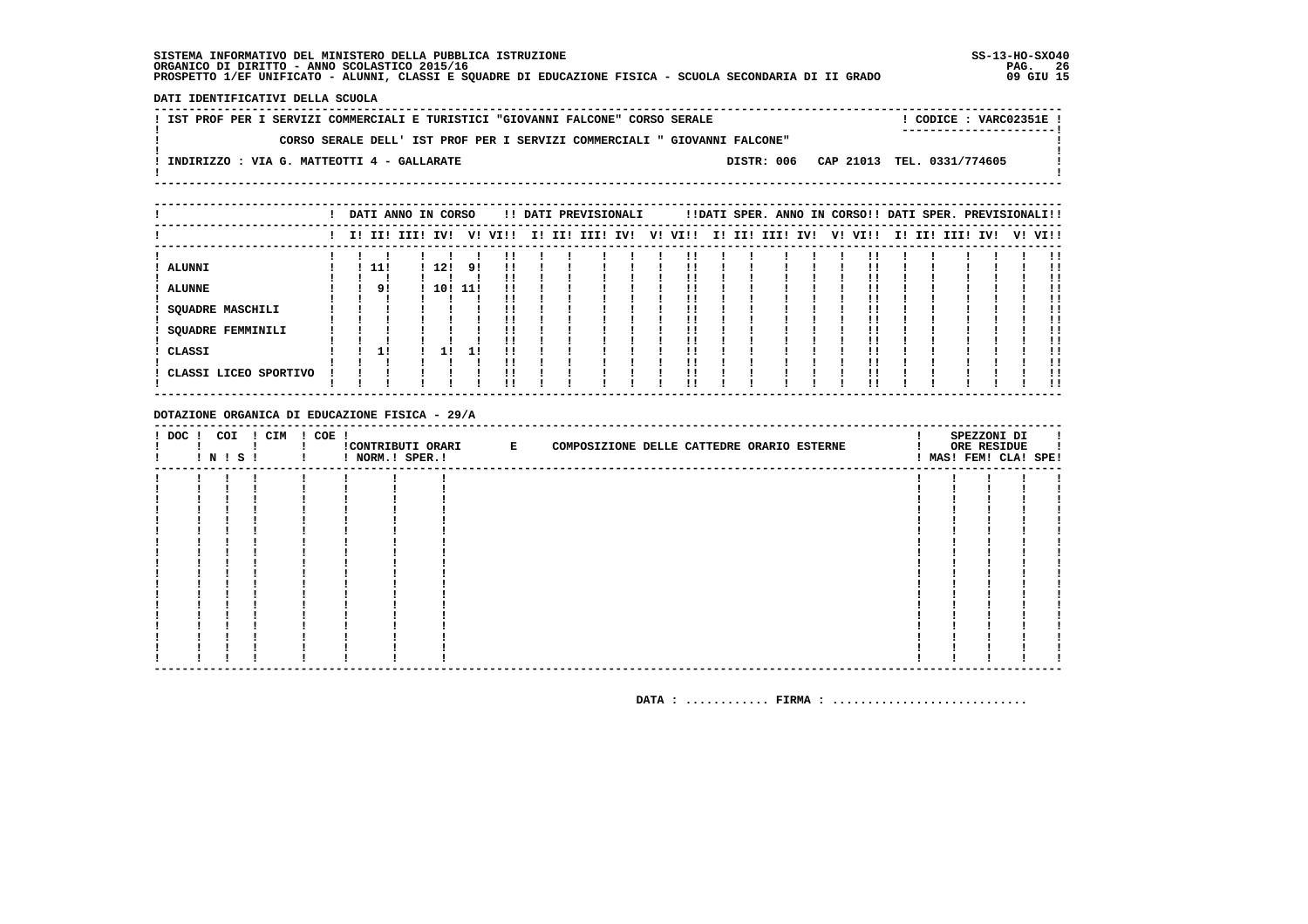DATI IDENTIFICATIVI DELLA SCUOLA

|  |  |                                            |  |  | ! IST PROF PER I SERVIZI COMMERCIALI E TURISTICI "GIOVANNI FALCONE" CORSO SERALE |  |  |                                                                           |                            |  | CODICE: VARC02351E!     |  |
|--|--|--------------------------------------------|--|--|----------------------------------------------------------------------------------|--|--|---------------------------------------------------------------------------|----------------------------|--|-------------------------|--|
|  |  |                                            |  |  |                                                                                  |  |  |                                                                           |                            |  | ----------------------- |  |
|  |  |                                            |  |  |                                                                                  |  |  | CORSO SERALE DELL' IST PROF PER I SERVIZI COMMERCIALI " GIOVANNI FALCONE" |                            |  |                         |  |
|  |  |                                            |  |  |                                                                                  |  |  |                                                                           |                            |  |                         |  |
|  |  | INDIRIZZO : VIA G. MATTEOTTI 4 - GALLARATE |  |  |                                                                                  |  |  | DISTR: 006                                                                | CAP 21013 TEL. 0331/774605 |  |                         |  |
|  |  |                                            |  |  |                                                                                  |  |  |                                                                           |                            |  |                         |  |
|  |  |                                            |  |  |                                                                                  |  |  |                                                                           |                            |  |                         |  |

|                                                                                            |  |             | DATI ANNO IN CORSO |                    |          |         |  | !! DATI PREVISIONALI |    |      |  |                 |  | !!DATI SPER. ANNO IN CORSO!! DATI SPER. PREVISIONALI!! |  |             |     |         |
|--------------------------------------------------------------------------------------------|--|-------------|--------------------|--------------------|----------|---------|--|----------------------|----|------|--|-----------------|--|--------------------------------------------------------|--|-------------|-----|---------|
|                                                                                            |  |             | I! II! III! IV!    |                    |          | V! VI!! |  | I! II! III! IV!      | V! | VI!! |  | I! II! III! IV! |  | V! VI!!                                                |  | I! II! III! | IV! | V! VI!! |
| ALUNNI<br><b>ALUNNE</b><br><b>SQUADRE MASCHILI</b><br><b>SQUADRE FEMMINILI</b><br>! CLASSI |  | - 11!<br>9! |                    | ! 12!<br>! 10! 11! | 9!<br>11 | !!      |  |                      |    |      |  |                 |  |                                                        |  |             |     |         |
| ! CLASSI LICEO SPORTIVO                                                                    |  |             |                    |                    |          | !!      |  |                      |    |      |  |                 |  |                                                        |  |             |     |         |

DOTAZIONE ORGANICA DI EDUCAZIONE FISICA - 29/A

| $!$ DOC $!$ | COI<br>! N ! S ! | ! CIM | ! COE ! |  | !CONTRIBUTI ORARI E | COMPOSIZIONE DELLE CATTEDRE ORARIO ESTERNE |  | SPEZZONI DI<br>ORE RESIDUE<br>! MAS! FEM! CLA! SPE! |  |
|-------------|------------------|-------|---------|--|---------------------|--------------------------------------------|--|-----------------------------------------------------|--|
|             |                  |       |         |  |                     |                                            |  |                                                     |  |
|             |                  |       |         |  |                     |                                            |  |                                                     |  |
|             |                  |       |         |  |                     |                                            |  |                                                     |  |
|             |                  |       |         |  |                     |                                            |  |                                                     |  |
|             |                  |       |         |  |                     |                                            |  |                                                     |  |
|             |                  |       |         |  |                     |                                            |  |                                                     |  |
|             |                  |       |         |  |                     |                                            |  |                                                     |  |
|             |                  |       |         |  |                     |                                            |  |                                                     |  |
|             |                  |       |         |  |                     |                                            |  |                                                     |  |
|             |                  |       |         |  |                     |                                            |  |                                                     |  |
|             |                  |       |         |  |                     |                                            |  |                                                     |  |
|             |                  |       |         |  |                     |                                            |  |                                                     |  |
|             |                  |       |         |  |                     |                                            |  |                                                     |  |
|             |                  |       |         |  |                     |                                            |  |                                                     |  |
|             |                  |       |         |  |                     |                                            |  |                                                     |  |
|             |                  |       |         |  |                     |                                            |  |                                                     |  |
|             |                  |       |         |  |                     |                                            |  |                                                     |  |
|             |                  |       |         |  |                     |                                            |  |                                                     |  |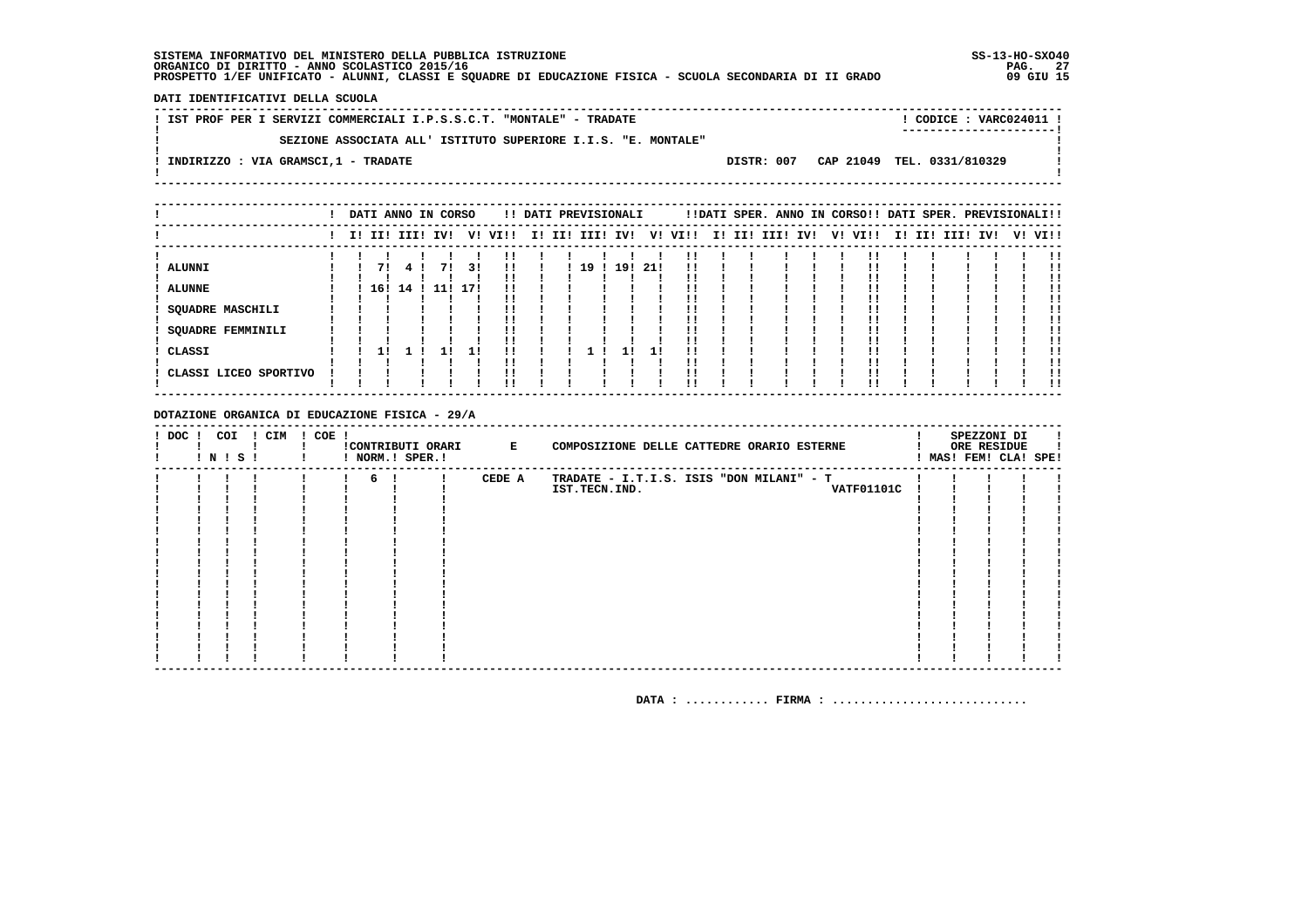DATI IDENTIFICATIVI DELLA SCUOLA

| SEZIONE ASSOCIATA ALL' ISTITUTO SUPERIORE I.I.S. "E. MONTALE"                 |  |
|-------------------------------------------------------------------------------|--|
|                                                                               |  |
| DISTR: 007 CAP 21049 TEL. 0331/810329<br>INDIRIZZO : VIA GRAMSCI, 1 - TRADATE |  |

|                                      |  |       |    | DATI ANNO IN CORSO |     |         |  | !! DATI PREVISIONALI |     |      |         |  |                 |  | !!DATI SPER. ANNO IN CORSO!! DATI SPER. PREVISIONALI!! |  |                 |  |         |
|--------------------------------------|--|-------|----|--------------------|-----|---------|--|----------------------|-----|------|---------|--|-----------------|--|--------------------------------------------------------|--|-----------------|--|---------|
|                                      |  |       |    | I! II! III! IV!    |     | V! VI!! |  | I! II! III! IV!      |     |      | V! VI!! |  | I! II! III! IV! |  | V! VI!!                                                |  | I! II! III! IV! |  | V! VI!! |
| ALUNNI                               |  | 71    |    | 71                 | 31  | !!      |  | 19                   | 19! | -21! | !!      |  |                 |  |                                                        |  |                 |  |         |
| ! ALUNNE                             |  | ! 16! | 14 | 11!                | 17! |         |  |                      |     |      |         |  |                 |  |                                                        |  |                 |  |         |
| <b>SQUADRE MASCHILI</b>              |  |       |    |                    |     |         |  |                      |     |      |         |  |                 |  |                                                        |  |                 |  |         |
| <b>SQUADRE FEMMINILI</b><br>! CLASSI |  |       |    |                    |     |         |  |                      |     |      | !!      |  |                 |  |                                                        |  |                 |  |         |
| ! CLASSI LICEO SPORTIVO              |  |       |    |                    |     |         |  |                      |     |      |         |  |                 |  |                                                        |  |                 |  |         |
|                                      |  |       |    |                    |     |         |  |                      |     |      | !!      |  |                 |  |                                                        |  |                 |  |         |

DOTAZIONE ORGANICA DI EDUCAZIONE FISICA - 29/A

| $!$ DOC $!$ | COI<br>! N ! S ! | ! CIM | $! COE$ ! |   | ! NORM.! SPER.! | !CONTRIBUTI ORARI E | COMPOSIZIONE DELLE CATTEDRE ORARIO ESTERNE |  | SPEZZONI DI<br>ORE RESIDUE<br>MAS! FEM! CLA! SPE! |  |
|-------------|------------------|-------|-----------|---|-----------------|---------------------|--------------------------------------------|--|---------------------------------------------------|--|
|             |                  |       |           | 6 |                 | CEDE A              | TRADATE - I.T.I.S. ISIS "DON MILANI" - T   |  |                                                   |  |
|             |                  |       |           |   |                 |                     | IST.TECN.IND.<br><b>VATF01101C</b>         |  |                                                   |  |
|             |                  |       |           |   |                 |                     |                                            |  |                                                   |  |
|             |                  |       |           |   |                 |                     |                                            |  |                                                   |  |
|             |                  |       |           |   |                 |                     |                                            |  |                                                   |  |
|             |                  |       |           |   |                 |                     |                                            |  |                                                   |  |
|             |                  |       |           |   |                 |                     |                                            |  |                                                   |  |
|             |                  |       |           |   |                 |                     |                                            |  |                                                   |  |
|             |                  |       |           |   |                 |                     |                                            |  |                                                   |  |
|             |                  |       |           |   |                 |                     |                                            |  |                                                   |  |
|             |                  |       |           |   |                 |                     |                                            |  |                                                   |  |
|             |                  |       |           |   |                 |                     |                                            |  |                                                   |  |
|             |                  |       |           |   |                 |                     |                                            |  |                                                   |  |
|             |                  |       |           |   |                 |                     |                                            |  |                                                   |  |
|             |                  |       |           |   |                 |                     |                                            |  |                                                   |  |
|             |                  |       |           |   |                 |                     |                                            |  |                                                   |  |
|             |                  |       |           |   |                 |                     |                                            |  |                                                   |  |
|             |                  |       |           |   |                 |                     |                                            |  |                                                   |  |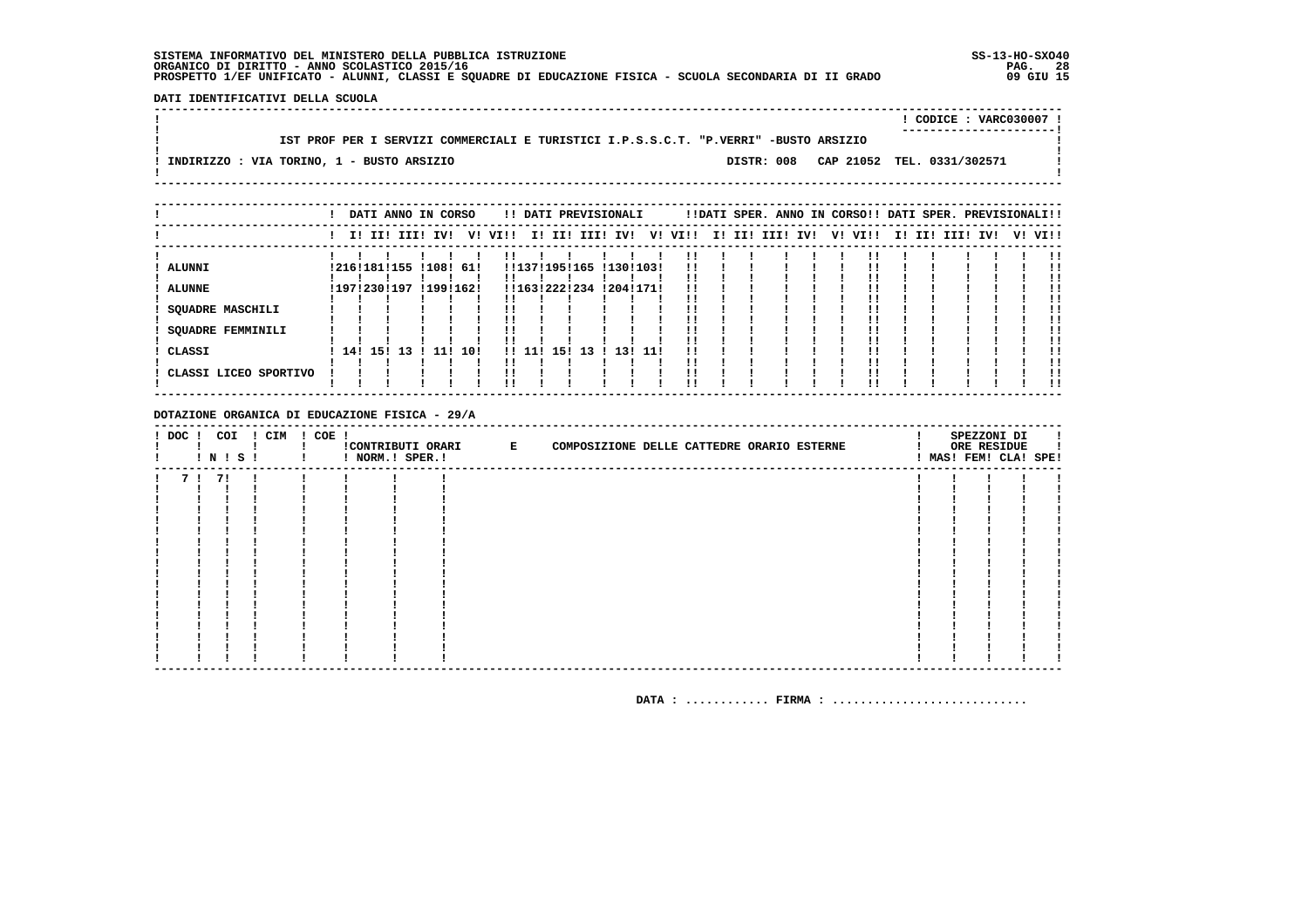DATI IDENTIFICATIVI DELLA SCUOLA 

|                                                                                      |  | ! CODICE : VARC030007 !               |  |
|--------------------------------------------------------------------------------------|--|---------------------------------------|--|
|                                                                                      |  |                                       |  |
| IST PROF PER I SERVIZI COMMERCIALI E TURISTICI I.P.S.S.C.T. "P.VERRI" -BUSTO ARSIZIO |  |                                       |  |
|                                                                                      |  |                                       |  |
| ! INDIRIZZO : VIA TORINO, 1 - BUSTO ARSIZIO                                          |  | DISTR: 008 CAP 21052 TEL. 0331/302571 |  |
|                                                                                      |  |                                       |  |
|                                                                                      |  |                                       |  |

|                                              |  | DATI ANNO IN CORSO |     |           |      | !! DATI PREVISIONALI |     |             |           |       |          |    |     |      |     |    | !!DATI SPER. ANNO IN CORSO!! DATI SPER. PREVISIONALI!! |     |     |          |         |
|----------------------------------------------|--|--------------------|-----|-----------|------|----------------------|-----|-------------|-----------|-------|----------|----|-----|------|-----|----|--------------------------------------------------------|-----|-----|----------|---------|
|                                              |  | I! II! III! IV!    |     | V!        | VI!! |                      |     | I! II! III! | IV!       | V!    | VI!!     | I! | II! | III! | IV! | V! | VI!!                                                   | II. | II! | III! IV! | V! VI!! |
| <b>ALUNNI</b>                                |  | !216!181!155       |     | !108! 61! |      | !!137!195!165        |     |             | !130!103! |       | !!       |    |     |      |     |    |                                                        |     |     |          |         |
| <b>ALUNNE</b>                                |  | !197!230!197       |     | !199!162! |      | !!163!222!234        |     |             | !204!171! |       |          |    |     |      |     |    |                                                        |     |     |          |         |
| <b>SQUADRE MASCHILI</b><br>SQUADRE FEMMINILI |  |                    |     |           |      |                      |     |             |           |       |          |    |     |      |     |    |                                                        |     |     |          |         |
| CLASSI                                       |  | 14! 15! 13         | 111 | 10!       |      | II 11 I              | 151 | 13          | 131       | -11 ! | !!<br>!! |    |     |      |     |    |                                                        |     |     |          |         |
| CLASSI LICEO SPORTIVO                        |  |                    |     |           |      |                      |     |             |           |       | !!<br>!! |    |     |      |     |    |                                                        |     |     |          |         |

DOTAZIONE ORGANICA DI EDUCAZIONE FISICA - 29/A

| $!$ DOC $!$ |    | COI | <b>!N!S!</b> | ! CIM | ! COE ! | ! NORM.! SPER.! | CONTRIBUTI ORARI E | COMPOSIZIONE DELLE CATTEDRE ORARIO ESTERNE |  |  |  | SPEZZONI DI<br>ORE RESIDUE<br>! MAS! FEM! CLA! SPE! |  |
|-------------|----|-----|--------------|-------|---------|-----------------|--------------------|--------------------------------------------|--|--|--|-----------------------------------------------------|--|
|             | 71 | 71  |              |       |         |                 |                    |                                            |  |  |  |                                                     |  |
|             |    |     |              |       |         |                 |                    |                                            |  |  |  |                                                     |  |
|             |    |     |              |       |         |                 |                    |                                            |  |  |  |                                                     |  |
|             |    |     |              |       |         |                 |                    |                                            |  |  |  |                                                     |  |
|             |    |     |              |       |         |                 |                    |                                            |  |  |  |                                                     |  |
|             |    |     |              |       |         |                 |                    |                                            |  |  |  |                                                     |  |
|             |    |     |              |       |         |                 |                    |                                            |  |  |  |                                                     |  |
|             |    |     |              |       |         |                 |                    |                                            |  |  |  |                                                     |  |
|             |    |     |              |       |         |                 |                    |                                            |  |  |  |                                                     |  |
|             |    |     |              |       |         |                 |                    |                                            |  |  |  |                                                     |  |
|             |    |     |              |       |         |                 |                    |                                            |  |  |  |                                                     |  |
|             |    |     |              |       |         |                 |                    |                                            |  |  |  |                                                     |  |
|             |    |     |              |       |         |                 |                    |                                            |  |  |  |                                                     |  |
|             |    |     |              |       |         |                 |                    |                                            |  |  |  |                                                     |  |
|             |    |     |              |       |         |                 |                    |                                            |  |  |  |                                                     |  |
|             |    |     |              |       |         |                 |                    |                                            |  |  |  |                                                     |  |
|             |    |     |              |       |         |                 |                    |                                            |  |  |  |                                                     |  |
|             |    |     |              |       |         |                 |                    |                                            |  |  |  |                                                     |  |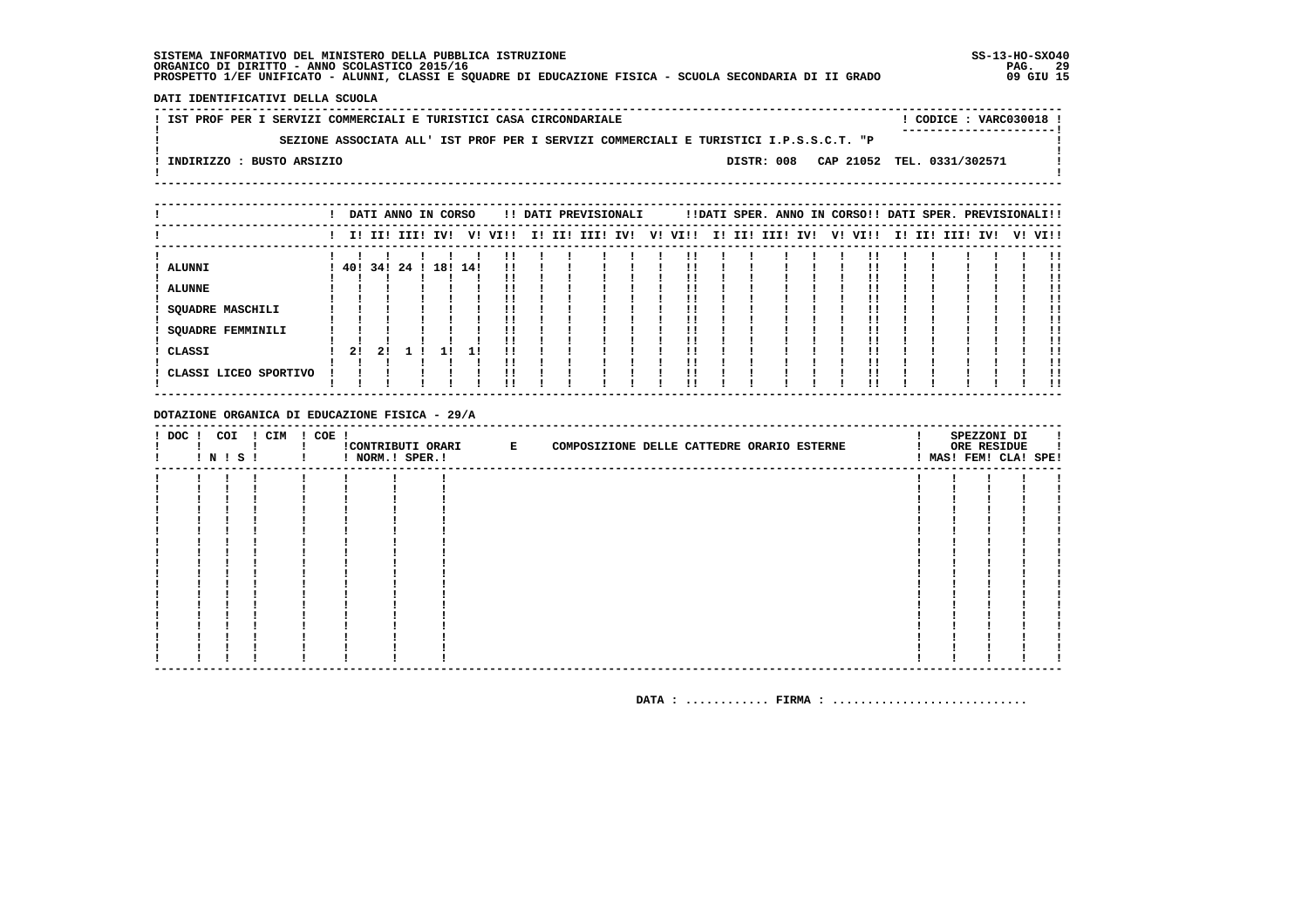DATI IDENTIFICATIVI DELLA SCUOLA

! IST PROF PER I SERVIZI COMMERCIALI E TURISTICI CASA CIRCONDARIALE ! CODICE : VARC030018 !  $\mathbf{I}$ SEZIONE ASSOCIATA ALL' IST PROF PER I SERVIZI COMMERCIALI E TURISTICI I.P.S.S.C.T. "P  $\blacksquare$  $\blacksquare$  $\mathbf{I}$ -: INDIRIZZO : BUSTO ARSIZIO DISTR: 008 CAP 21052 TEL. 0331/302571  $\sim$  100  $\pm$  $\mathbf{I}$  $\mathbf{I}$ 

|                                                                                                 |               |    |                 | DATI ANNO IN CORSO |    |          |  | !! DATI PREVISIONALI |     |    |      |  |                 |  | !!DATI SPER. ANNO IN CORSO!! DATI SPER. PREVISIONALI!! |  |             |     |         |
|-------------------------------------------------------------------------------------------------|---------------|----|-----------------|--------------------|----|----------|--|----------------------|-----|----|------|--|-----------------|--|--------------------------------------------------------|--|-------------|-----|---------|
|                                                                                                 |               |    | I! II! III! IV! |                    |    | V! VI!!  |  | I! II! III!          | IV! | V! | VI!! |  | I! II! III! IV! |  | V! VI!!                                                |  | I! II! III! | IV! | V! VI!! |
| <b>ALUNNI</b><br><b>ALUNNE</b><br><b>SQUADRE MASCHILI</b><br><b>SQUADRE FEMMINILI</b><br>CLASSI | 40! 34!<br>21 | 21 | 24!             | 18! 14!            | 11 | !!<br>ΙI |  |                      |     |    |      |  |                 |  |                                                        |  |             |     |         |
| CLASSI LICEO SPORTIVO                                                                           |               |    |                 |                    |    | ''       |  |                      |     |    |      |  |                 |  |                                                        |  |             |     | !!      |

DOTAZIONE ORGANICA DI EDUCAZIONE FISICA - 29/A

| $!$ DOC $!$ | COI | ! N ! S ! | ! CIM | ! COE ! | ! NORM.! SPER.! | !CONTRIBUTI ORARI E | COMPOSIZIONE DELLE CATTEDRE ORARIO ESTERNE |  |  |  | SPEZZONI DI<br>ORE RESIDUE<br>! MAS! FEM! CLA! SPE! |  |
|-------------|-----|-----------|-------|---------|-----------------|---------------------|--------------------------------------------|--|--|--|-----------------------------------------------------|--|
|             |     |           |       |         |                 |                     |                                            |  |  |  |                                                     |  |
|             |     |           |       |         |                 |                     |                                            |  |  |  |                                                     |  |
|             |     |           |       |         |                 |                     |                                            |  |  |  |                                                     |  |
|             |     |           |       |         |                 |                     |                                            |  |  |  |                                                     |  |
|             |     |           |       |         |                 |                     |                                            |  |  |  |                                                     |  |
|             |     |           |       |         |                 |                     |                                            |  |  |  |                                                     |  |
|             |     |           |       |         |                 |                     |                                            |  |  |  |                                                     |  |
|             |     |           |       |         |                 |                     |                                            |  |  |  |                                                     |  |
|             |     |           |       |         |                 |                     |                                            |  |  |  |                                                     |  |
|             |     |           |       |         |                 |                     |                                            |  |  |  |                                                     |  |
|             |     |           |       |         |                 |                     |                                            |  |  |  |                                                     |  |
|             |     |           |       |         |                 |                     |                                            |  |  |  |                                                     |  |
|             |     |           |       |         |                 |                     |                                            |  |  |  |                                                     |  |
|             |     |           |       |         |                 |                     |                                            |  |  |  |                                                     |  |
|             |     |           |       |         |                 |                     |                                            |  |  |  |                                                     |  |
|             |     |           |       |         |                 |                     |                                            |  |  |  |                                                     |  |
|             |     |           |       |         |                 |                     |                                            |  |  |  |                                                     |  |
|             |     |           |       |         |                 |                     |                                            |  |  |  |                                                     |  |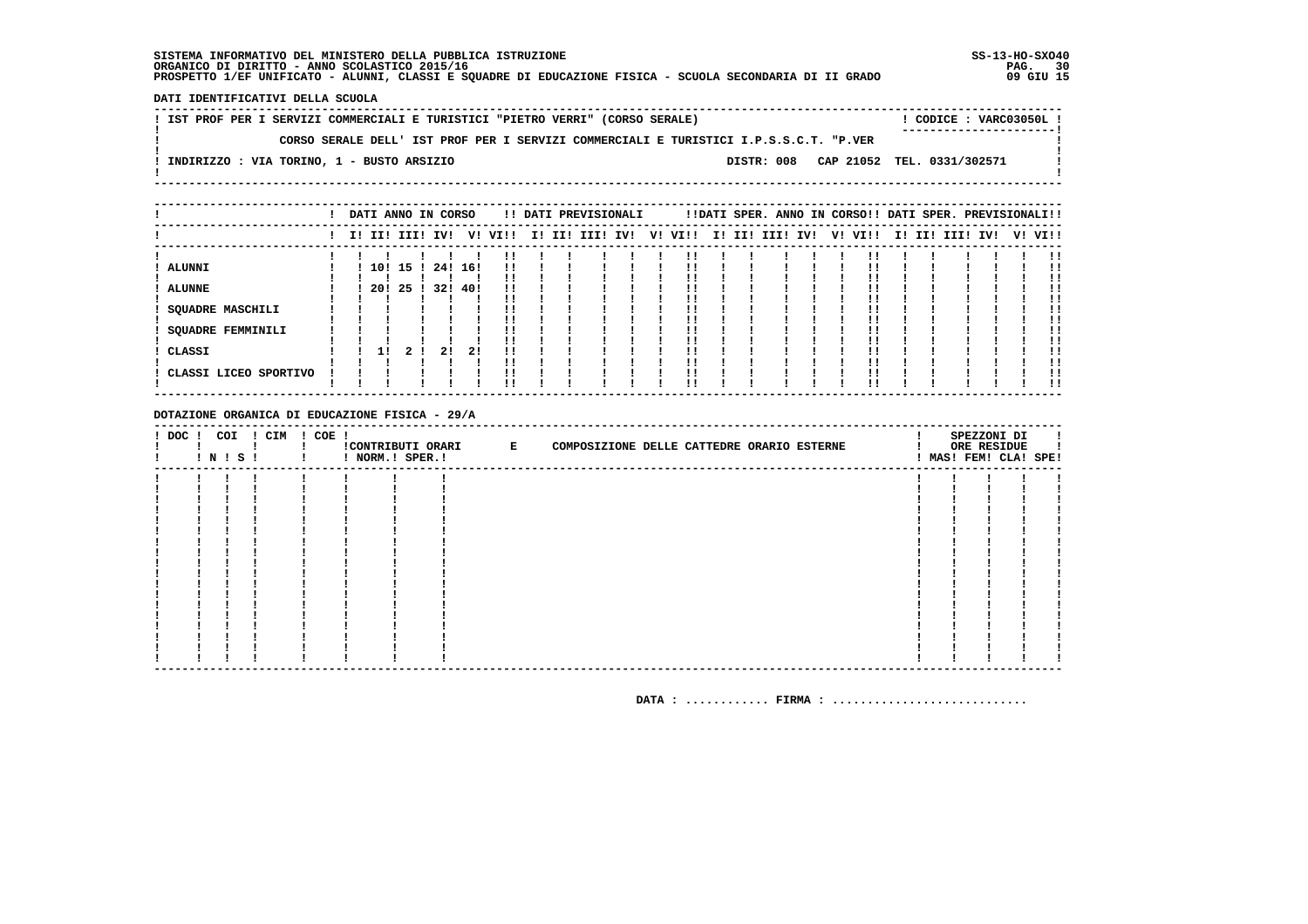DATI IDENTIFICATIVI DELLA SCUOLA

! IST PROF PER I SERVIZI COMMERCIALI E TURISTICI "PIETRO VERRI" (CORSO SERALE) ! CODICE: VARC03050L !  $\mathbf{I}$ CORSO SERALE DELL' IST PROF PER I SERVIZI COMMERCIALI E TURISTICI I.P.S.S.C.T. "P.VER  $\mathbf{I}$ - 1  $\mathbf{I}$ -! INDIRIZZO : VIA TORINO, 1 - BUSTO ARSIZIO DISTR: 008 CAP 21052 TEL. 0331/302571 **Contract Contract**  $\mathbf{I}$  $\mathbf{I}$ 

|                             |  |             |          |    | DATI ANNO IN CORSO |     |      |  | !! DATI PREVISIONALI |    |      |        |          |  | !!DATI SPER. ANNO IN CORSO!! DATI SPER. PREVISIONALI!! |        |  |          |         |
|-----------------------------|--|-------------|----------|----|--------------------|-----|------|--|----------------------|----|------|--------|----------|--|--------------------------------------------------------|--------|--|----------|---------|
|                             |  | I! II! III! |          |    | IV!                | V!  | VI!! |  | I! II! III! IV!      | V! | VI!! | I! II! | III! IV! |  | V! VI!!                                                | I! II! |  | III! IV! | V! VI!! |
| ALUNNI                      |  |             | 10! 15 ! |    | 24! 16!            |     |      |  |                      |    |      |        |          |  |                                                        |        |  |          |         |
| <b>ALUNNE</b>               |  |             | 20! 25 ! |    | 32!                | 40! |      |  |                      |    |      |        |          |  |                                                        |        |  |          |         |
| SQUADRE MASCHILI            |  |             |          |    |                    |     |      |  |                      |    |      |        |          |  |                                                        |        |  |          |         |
| SQUADRE FEMMINILI<br>CLASSI |  | 11          |          | 21 | 21                 | 21  |      |  |                      |    |      |        |          |  |                                                        |        |  |          |         |
| CLASSI LICEO SPORTIVO       |  |             |          |    |                    |     |      |  |                      |    |      |        |          |  |                                                        |        |  |          |         |
|                             |  |             |          |    |                    |     |      |  |                      |    |      |        |          |  |                                                        |        |  |          |         |

DOTAZIONE ORGANICA DI EDUCAZIONE FISICA - 29/A

| $!$ DOC $!$ | ! N ! S ! | COI | ! CIM | $! COE$ ! | ! NORM.! SPER.! | CONTRIBUTI ORARI E |  |  | COMPOSIZIONE DELLE CATTEDRE ORARIO ESTERNE |  | SPEZZONI DI<br>ORE RESIDUE<br>! MAS! FEM! CLA! SPE! | I. |
|-------------|-----------|-----|-------|-----------|-----------------|--------------------|--|--|--------------------------------------------|--|-----------------------------------------------------|----|
|             |           |     |       |           |                 |                    |  |  |                                            |  |                                                     |    |
|             |           |     |       |           |                 |                    |  |  |                                            |  |                                                     |    |
|             |           |     |       |           |                 |                    |  |  |                                            |  |                                                     |    |
|             |           |     |       |           |                 |                    |  |  |                                            |  |                                                     |    |
|             |           |     |       |           |                 |                    |  |  |                                            |  |                                                     |    |
|             |           |     |       |           |                 |                    |  |  |                                            |  |                                                     |    |
|             |           |     |       |           |                 |                    |  |  |                                            |  |                                                     |    |
|             |           |     |       |           |                 |                    |  |  |                                            |  |                                                     |    |
|             |           |     |       |           |                 |                    |  |  |                                            |  |                                                     |    |
|             |           |     |       |           |                 |                    |  |  |                                            |  |                                                     |    |
|             |           |     |       |           |                 |                    |  |  |                                            |  |                                                     |    |
|             |           |     |       |           |                 |                    |  |  |                                            |  |                                                     |    |
|             |           |     |       |           |                 |                    |  |  |                                            |  |                                                     |    |
|             |           |     |       |           |                 |                    |  |  |                                            |  |                                                     |    |
|             |           |     |       |           |                 |                    |  |  |                                            |  |                                                     |    |
|             |           |     |       |           |                 |                    |  |  |                                            |  |                                                     |    |
|             |           |     |       |           |                 |                    |  |  |                                            |  |                                                     |    |
|             |           |     |       |           |                 |                    |  |  |                                            |  |                                                     |    |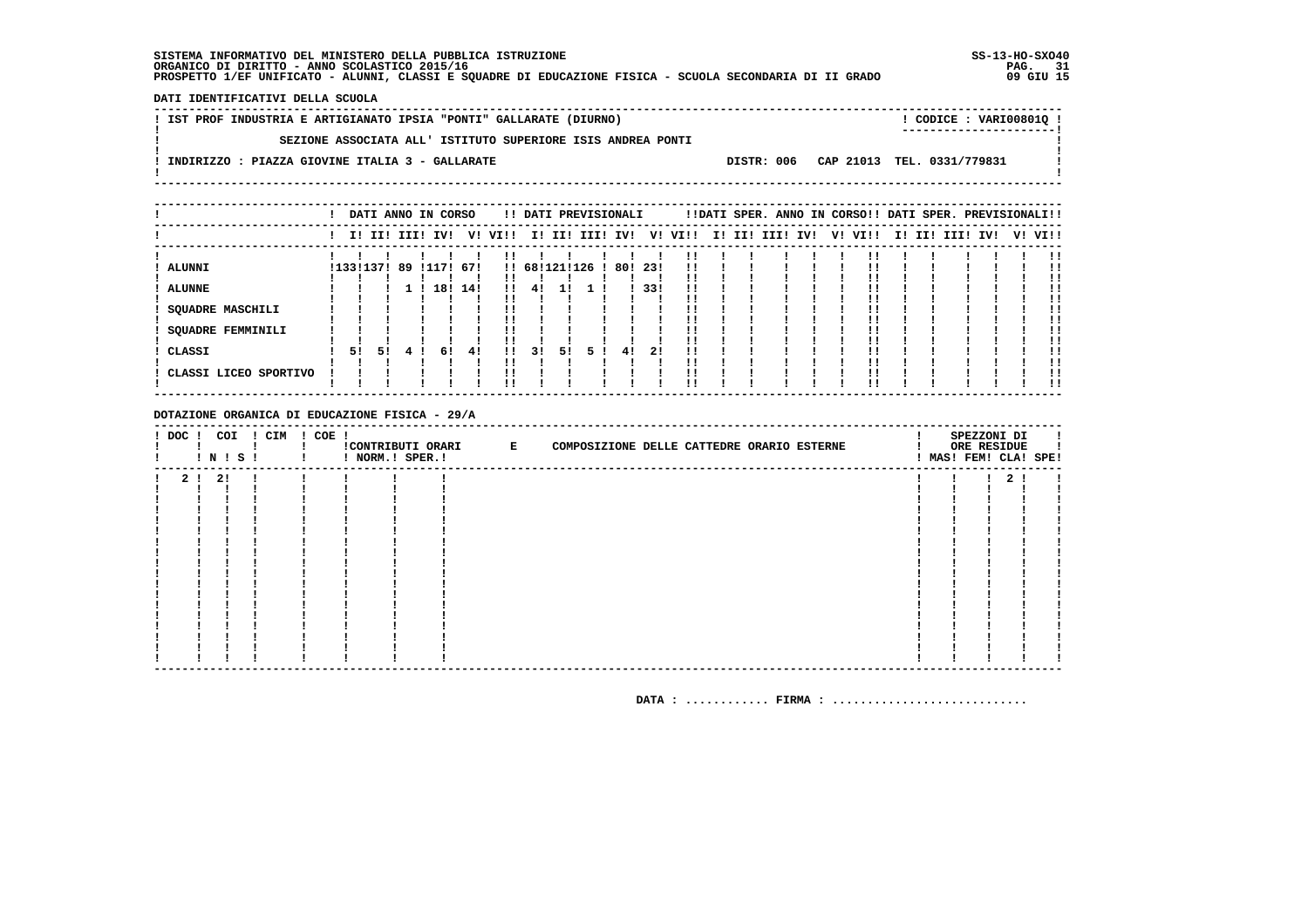DATI IDENTIFICATIVI DELLA SCUOLA

| ! IST PROF INDUSTRIA E ARTIGIANATO IPSIA "PONTI" GALLARATE (DIURNO) | $!$ CODICE : VARI008010 $!$           |
|---------------------------------------------------------------------|---------------------------------------|
| SEZIONE ASSOCIATA ALL' ISTITUTO SUPERIORE ISIS ANDREA PONTI         |                                       |
| INDIRIZZO : PIAZZA GIOVINE ITALIA 3 - GALLARATE                     | DISTR: 006 CAP 21013 TEL. 0331/779831 |
|                                                                     |                                       |

|                                                                                          |                 |    | DATI ANNO IN CORSO |                  |    |           |                     |                            |    | !! DATI PREVISIONALI |           |                   |      |  | !!DATI SPER. ANNO IN CORSO!! DATI SPER. PREVISIONALI!! |  |         |  |             |     |         |
|------------------------------------------------------------------------------------------|-----------------|----|--------------------|------------------|----|-----------|---------------------|----------------------------|----|----------------------|-----------|-------------------|------|--|--------------------------------------------------------|--|---------|--|-------------|-----|---------|
|                                                                                          |                 |    | I! II! III! IV!    |                  |    |           | V! VI!!             |                            |    | I! II! III! IV!      |           | V!                | VI!! |  | I! II! III! IV!                                        |  | V! VI!! |  | I! II! III! | IV! | V! VI!! |
| <b>ALUNNI</b><br><b>ALUNNE</b><br><b>SQUADRE MASCHILI</b><br>SQUADRE FEMMINILI<br>CLASSI | !133!137!<br>51 | 51 | -89                | !117! 67!<br>18! | 61 | 14!<br>41 | $\mathbf{1}$<br>. . | !! 68!121!126<br>-41<br>31 | 51 | 5.                   | 80!<br>41 | -23!<br>33!<br>21 | !!   |  |                                                        |  |         |  |             |     |         |
| CLASSI LICEO SPORTIVO                                                                    |                 |    |                    |                  |    |           |                     |                            |    |                      |           |                   |      |  |                                                        |  |         |  |             |     | 11      |

DOTAZIONE ORGANICA DI EDUCAZIONE FISICA - 29/A

| ! DOC ! COI | ! N ! S ! | ! CIM | $! COE$ ! | ! NORM.! SPER.! | CONTRIBUTI ORARI E | COMPOSIZIONE DELLE CATTEDRE ORARIO ESTERNE |  |  |  | SPEZZONI DI<br>ORE RESIDUE<br>! MAS! FEM! CLA! SPE! |  |
|-------------|-----------|-------|-----------|-----------------|--------------------|--------------------------------------------|--|--|--|-----------------------------------------------------|--|
|             | 2 ! 2 !   |       |           |                 |                    |                                            |  |  |  | 2 <sub>1</sub>                                      |  |
|             |           |       |           |                 |                    |                                            |  |  |  |                                                     |  |
|             |           |       |           |                 |                    |                                            |  |  |  |                                                     |  |
|             |           |       |           |                 |                    |                                            |  |  |  |                                                     |  |
|             |           |       |           |                 |                    |                                            |  |  |  |                                                     |  |
|             |           |       |           |                 |                    |                                            |  |  |  |                                                     |  |
|             |           |       |           |                 |                    |                                            |  |  |  |                                                     |  |
|             |           |       |           |                 |                    |                                            |  |  |  |                                                     |  |
|             |           |       |           |                 |                    |                                            |  |  |  |                                                     |  |
|             |           |       |           |                 |                    |                                            |  |  |  |                                                     |  |
|             |           |       |           |                 |                    |                                            |  |  |  |                                                     |  |
|             |           |       |           |                 |                    |                                            |  |  |  |                                                     |  |
|             |           |       |           |                 |                    |                                            |  |  |  |                                                     |  |
|             |           |       |           |                 |                    |                                            |  |  |  |                                                     |  |
|             |           |       |           |                 |                    |                                            |  |  |  |                                                     |  |
|             |           |       |           |                 |                    |                                            |  |  |  |                                                     |  |
|             |           |       |           |                 |                    |                                            |  |  |  |                                                     |  |
|             |           |       |           |                 |                    |                                            |  |  |  |                                                     |  |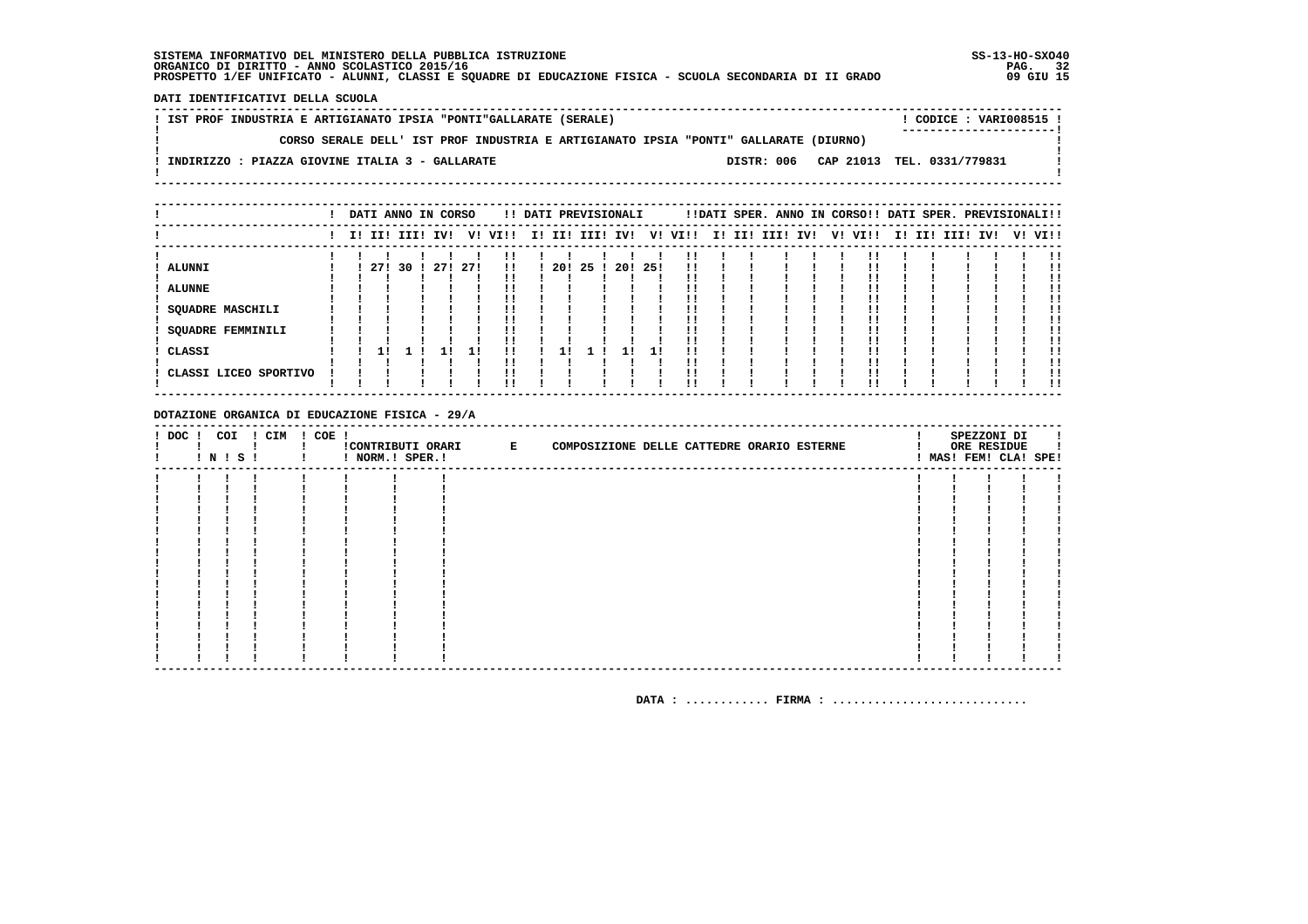DATI IDENTIFICATIVI DELLA SCUOLA

| ! IST PROF INDUSTRIA E ARTIGIANATO IPSIA "PONTI"GALLARATE (SERALE)                   |            | ! CODICE : VARI008515 !    |
|--------------------------------------------------------------------------------------|------------|----------------------------|
|                                                                                      |            | ----------------------     |
| CORSO SERALE DELL' IST PROF INDUSTRIA E ARTIGIANATO IPSIA "PONTI" GALLARATE (DIURNO) |            |                            |
|                                                                                      |            |                            |
| INDIRIZZO : PIAZZA GIOVINE ITALIA 3 - GALLARATE                                      | DISTR: 006 | CAP 21013 TEL. 0331/779831 |
|                                                                                      |            |                            |
|                                                                                      |            |                            |

|                                                                                          |  |                |  | DATI ANNO IN CORSO |            |          |     | !! DATI PREVISIONALI |      |      |           |  | !!DATI SPER. ANNO IN CORSO!! DATI SPER. PREVISIONALI!! |     |         |  |                 |  |         |
|------------------------------------------------------------------------------------------|--|----------------|--|--------------------|------------|----------|-----|----------------------|------|------|-----------|--|--------------------------------------------------------|-----|---------|--|-----------------|--|---------|
|                                                                                          |  |                |  | I! II! III! IV!    |            | V! VI!!  |     | I! II! III! IV!      |      | V!   | VI!!      |  | I! II! III!                                            | IV! | V! VI!! |  | I! II! III! IV! |  | V! VI!! |
| <b>ALUNNI</b><br><b>ALUNNE</b><br>SQUADRE MASCHILI<br><b>SQUADRE FEMMINILI</b><br>CLASSI |  | 27! 30 !<br>11 |  | 27!                | -271<br>11 | !!<br>!! | 20! | 25 !                 | -201 | -25! | !!        |  |                                                        |     |         |  |                 |  |         |
| CLASSI LICEO SPORTIVO                                                                    |  |                |  |                    |            | !!<br>!! |     |                      |      |      | !!<br>' ' |  |                                                        |     |         |  |                 |  | !!      |

DOTAZIONE ORGANICA DI EDUCAZIONE FISICA - 29/A

|  | ! N ! S ! | ! DOC ! COI ! CIM ! COE ! | ! NORM.! SPER.! | !CONTRIBUTI ORARI E | COMPOSIZIONE DELLE CATTEDRE ORARIO ESTERNE |  |  |  | SPEZZONI DI<br>ORE RESIDUE<br>! MAS! FEM! CLA! SPE! |  |
|--|-----------|---------------------------|-----------------|---------------------|--------------------------------------------|--|--|--|-----------------------------------------------------|--|
|  |           |                           |                 |                     |                                            |  |  |  |                                                     |  |
|  |           |                           |                 |                     |                                            |  |  |  |                                                     |  |
|  |           |                           |                 |                     |                                            |  |  |  |                                                     |  |
|  |           |                           |                 |                     |                                            |  |  |  |                                                     |  |
|  |           |                           |                 |                     |                                            |  |  |  |                                                     |  |
|  |           |                           |                 |                     |                                            |  |  |  |                                                     |  |
|  |           |                           |                 |                     |                                            |  |  |  |                                                     |  |
|  |           |                           |                 |                     |                                            |  |  |  |                                                     |  |
|  |           |                           |                 |                     |                                            |  |  |  |                                                     |  |
|  |           |                           |                 |                     |                                            |  |  |  |                                                     |  |
|  |           |                           |                 |                     |                                            |  |  |  |                                                     |  |
|  |           |                           |                 |                     |                                            |  |  |  |                                                     |  |
|  |           |                           |                 |                     |                                            |  |  |  |                                                     |  |
|  |           |                           |                 |                     |                                            |  |  |  |                                                     |  |
|  |           |                           |                 |                     |                                            |  |  |  |                                                     |  |
|  |           |                           |                 |                     |                                            |  |  |  |                                                     |  |
|  |           |                           |                 |                     |                                            |  |  |  |                                                     |  |
|  |           |                           |                 |                     |                                            |  |  |  |                                                     |  |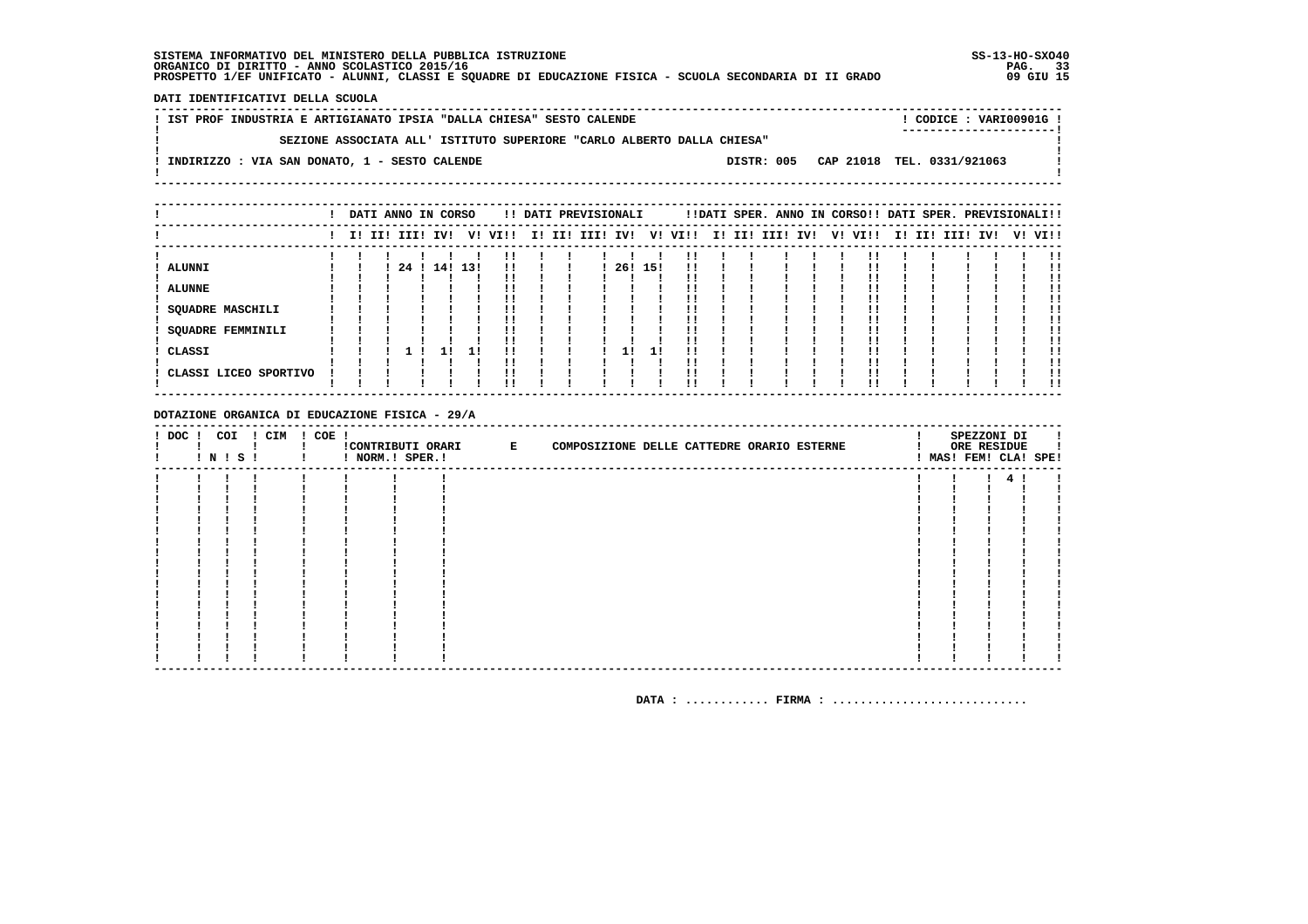DATI IDENTIFICATIVI DELLA SCUOLA

| ! IST PROF INDUSTRIA E ARTIGIANATO IPSIA "DALLA CHIESA" SESTO CALENDE  |  | CODICE: VARI00901G!                   |  |
|------------------------------------------------------------------------|--|---------------------------------------|--|
| SEZIONE ASSOCIATA ALL' ISTITUTO SUPERIORE "CARLO ALBERTO DALLA CHIESA" |  |                                       |  |
|                                                                        |  |                                       |  |
| ! INDIRIZZO : VIA SAN DONATO, 1 - SESTO CALENDE                        |  | DISTR: 005 CAP 21018 TEL. 0331/921063 |  |
|                                                                        |  |                                       |  |

| !!DATI SPER. ANNO IN CORSO!! DATI SPER. PREVISIONALI!! |
|--------------------------------------------------------|
| I! II! III!<br>V! VI!!<br>IV!                          |
|                                                        |
|                                                        |
|                                                        |
|                                                        |
|                                                        |

DOTAZIONE ORGANICA DI EDUCAZIONE FISICA - 29/A

| $!$ DOC $!$ | COI | ! N ! S ! | ! CIM | $! COE$ ! | ! NORM.! SPER.! | CONTRIBUTI ORARI E | COMPOSIZIONE DELLE CATTEDRE ORARIO ESTERNE |  |  |  | SPEZZONI DI<br>ORE RESIDUE | ! MAS! FEM! CLA! SPE! |
|-------------|-----|-----------|-------|-----------|-----------------|--------------------|--------------------------------------------|--|--|--|----------------------------|-----------------------|
|             |     |           |       |           |                 |                    |                                            |  |  |  |                            |                       |
|             |     |           |       |           |                 |                    |                                            |  |  |  |                            |                       |
|             |     |           |       |           |                 |                    |                                            |  |  |  |                            |                       |
|             |     |           |       |           |                 |                    |                                            |  |  |  |                            |                       |
|             |     |           |       |           |                 |                    |                                            |  |  |  |                            |                       |
|             |     |           |       |           |                 |                    |                                            |  |  |  |                            |                       |
|             |     |           |       |           |                 |                    |                                            |  |  |  |                            |                       |
|             |     |           |       |           |                 |                    |                                            |  |  |  |                            |                       |
|             |     |           |       |           |                 |                    |                                            |  |  |  |                            |                       |
|             |     |           |       |           |                 |                    |                                            |  |  |  |                            |                       |
|             |     |           |       |           |                 |                    |                                            |  |  |  |                            |                       |
|             |     |           |       |           |                 |                    |                                            |  |  |  |                            |                       |
|             |     |           |       |           |                 |                    |                                            |  |  |  |                            |                       |
|             |     |           |       |           |                 |                    |                                            |  |  |  |                            |                       |
|             |     |           |       |           |                 |                    |                                            |  |  |  |                            |                       |
|             |     |           |       |           |                 |                    |                                            |  |  |  |                            |                       |
|             |     |           |       |           |                 |                    |                                            |  |  |  |                            |                       |
|             |     |           |       |           |                 |                    |                                            |  |  |  |                            |                       |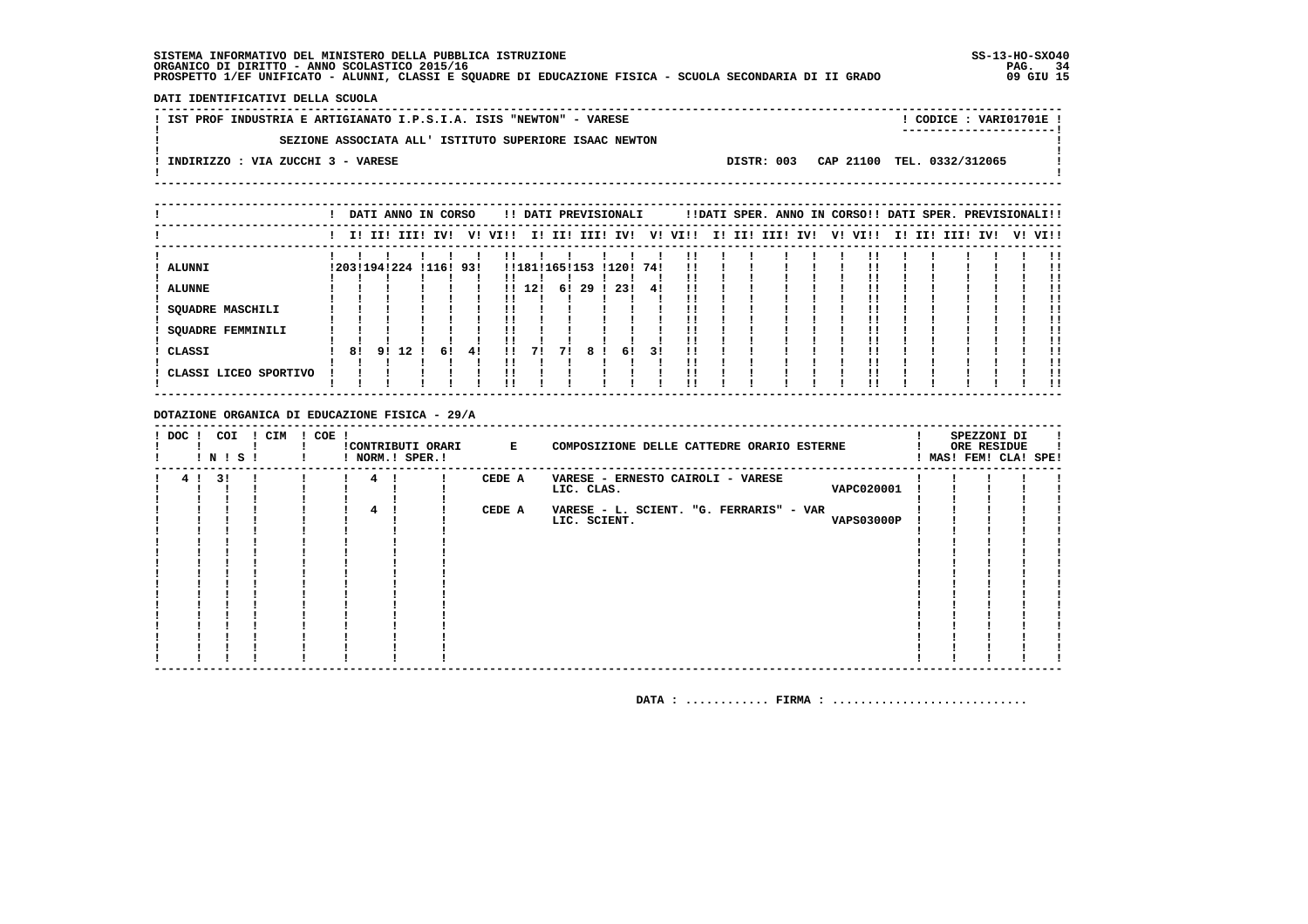**DATI IDENTIFICATIVI DELLA SCUOLA**

| IST PROF INDUSTRIA E ARTIGIANATO I.P.S.I.A. ISIS "NEWTON" - VARESE         |  | CODICE: VARI01701E!<br>---------------------- |
|----------------------------------------------------------------------------|--|-----------------------------------------------|
| SEZIONE ASSOCIATA ALL' ISTITUTO SUPERIORE ISAAC NEWTON                     |  |                                               |
| DISTR: 003 CAP 21100 TEL. 0332/312065<br>INDIRIZZO : VIA ZUCCHI 3 - VARESE |  |                                               |
|                                                                            |  |                                               |

|                       |                 |       |    | DATI ANNO IN CORSO | !! DATI PREVISIONALI    |               |    |    |                 |     |         |                 |  | !!DATI SPER. ANNO IN CORSO!! DATI SPER. PREVISIONALI!! |  |  |                         |
|-----------------------|-----------------|-------|----|--------------------|-------------------------|---------------|----|----|-----------------|-----|---------|-----------------|--|--------------------------------------------------------|--|--|-------------------------|
|                       |                 |       |    |                    | I! II! III! IV! V! VI!! |               |    |    | I! II! III! IV! |     | V! VI!! | I! II! III! IV! |  | V! VI!!                                                |  |  | I! II! III! IV! V! VI!! |
| <b>ALUNNI</b>         | ! 203! 194! 224 |       |    | !116! 93!          |                         | !!181!165!153 |    |    | !120!           | 741 |         |                 |  |                                                        |  |  |                         |
| <b>ALUNNE</b>         |                 |       |    |                    |                         | !! 12!        | 61 | 29 | -231            | 41  |         |                 |  |                                                        |  |  |                         |
| SQUADRE MASCHILI      |                 |       |    |                    |                         |               |    |    |                 |     |         |                 |  |                                                        |  |  |                         |
| SQUADRE FEMMINILI     |                 |       |    |                    |                         |               |    |    |                 |     |         |                 |  |                                                        |  |  |                         |
| CLASSI                | 81              | 91 12 | 61 | -41                |                         | 71            | 71 | 8! | 6!              | 31  |         |                 |  |                                                        |  |  |                         |
| CLASSI LICEO SPORTIVO |                 |       |    |                    |                         |               |    |    |                 |     |         |                 |  |                                                        |  |  |                         |
|                       |                 |       |    |                    |                         |               |    |    |                 |     |         |                 |  |                                                        |  |  |                         |

### **DOTAZIONE ORGANICA DI EDUCAZIONE FISICA - 29/A**

|  | DOC ! COI ! CIM<br>! N ! S ! |  | $! COE$ ! |   | CONTRIBUTI ORARI E<br>! NORM.! SPER.! |        | COMPOSIZIONE DELLE CATTEDRE ORARIO ESTERNE |  | SPEZZONI DI<br>ORE RESIDUE<br>MAS! FEM! CLA! SPE! |  |
|--|------------------------------|--|-----------|---|---------------------------------------|--------|--------------------------------------------|--|---------------------------------------------------|--|
|  | 4 ! 3 !                      |  |           | 4 |                                       | CEDE A | VARESE - ERNESTO CAIROLI - VARESE          |  |                                                   |  |
|  |                              |  |           |   |                                       |        | VAPC020001<br>LIC. CLAS.                   |  |                                                   |  |
|  |                              |  |           |   |                                       |        |                                            |  |                                                   |  |
|  |                              |  |           |   |                                       | CEDE A | VARESE - L. SCIENT. "G. FERRARIS" - VAR    |  |                                                   |  |
|  |                              |  |           |   |                                       |        | <b>VAPS03000P</b><br>LIC. SCIENT.          |  |                                                   |  |
|  |                              |  |           |   |                                       |        |                                            |  |                                                   |  |
|  |                              |  |           |   |                                       |        |                                            |  |                                                   |  |
|  |                              |  |           |   |                                       |        |                                            |  |                                                   |  |
|  |                              |  |           |   |                                       |        |                                            |  |                                                   |  |
|  |                              |  |           |   |                                       |        |                                            |  |                                                   |  |
|  |                              |  |           |   |                                       |        |                                            |  |                                                   |  |
|  |                              |  |           |   |                                       |        |                                            |  |                                                   |  |
|  |                              |  |           |   |                                       |        |                                            |  |                                                   |  |
|  |                              |  |           |   |                                       |        |                                            |  |                                                   |  |
|  |                              |  |           |   |                                       |        |                                            |  |                                                   |  |
|  |                              |  |           |   |                                       |        |                                            |  |                                                   |  |
|  |                              |  |           |   |                                       |        |                                            |  |                                                   |  |
|  |                              |  |           |   |                                       |        |                                            |  |                                                   |  |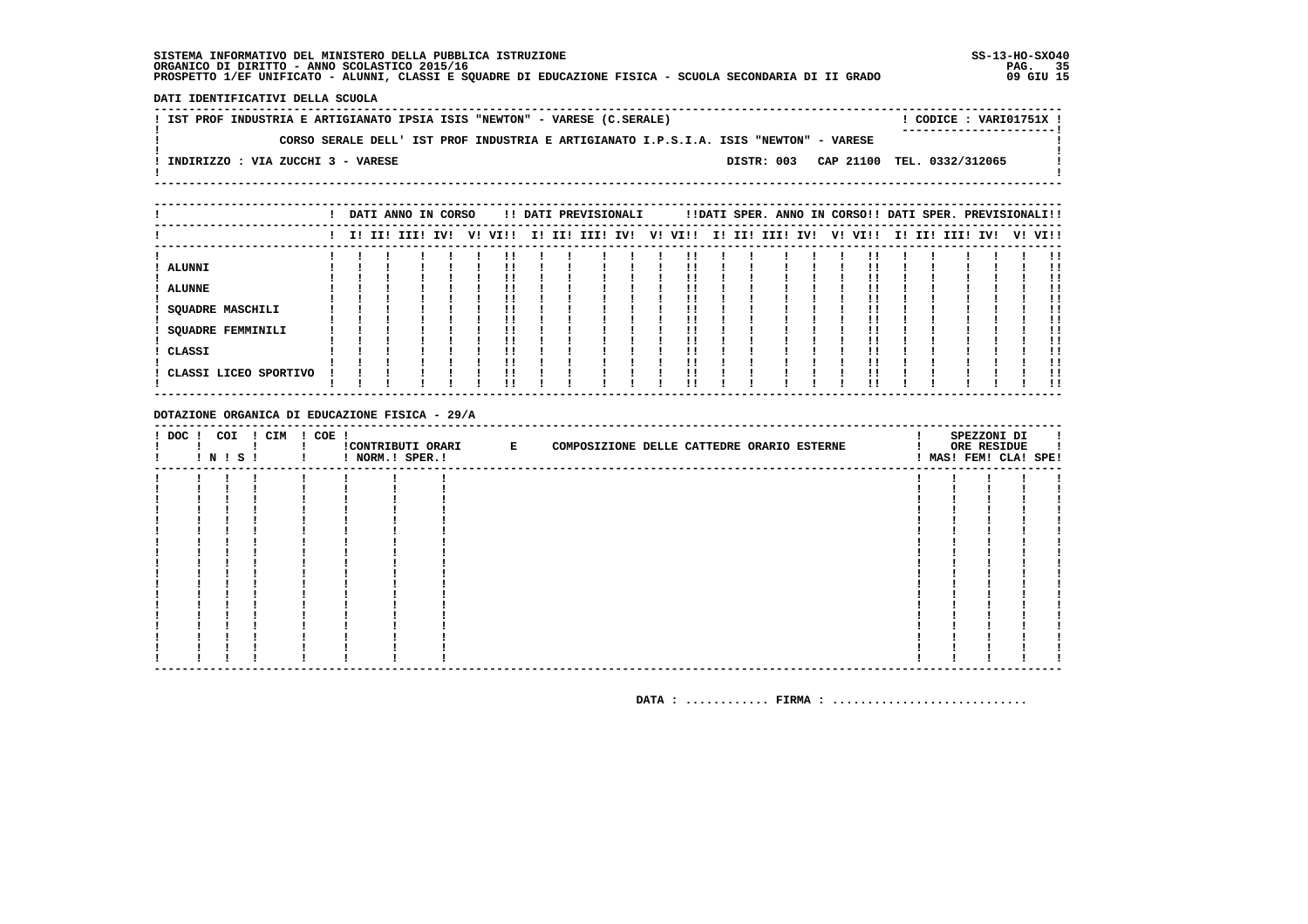DATI IDENTIFICATIVI DELLA SCUOLA

! IST PROF INDUSTRIA E ARTIGIANATO IPSIA ISIS "NEWTON" - VARESE (C.SERALE) ! CODICE : VARI01751X !  $\mathbf{I}$ CORSO SERALE DELL' IST PROF INDUSTRIA E ARTIGIANATO I.P.S.I.A. ISIS "NEWTON" - VARESE  $\mathbf{I}$  $\overline{\phantom{a}}$  $\mathbf{I}$ -: INDIRIZZO : VIA ZUCCHI 3 - VARESE DISTR: 003 CAP 21100 TEL. 0332/312065 **Contract Contract**  $\mathbf{I}$  $\mathbf{I}$ 

|                                       |  | DATI ANNO IN CORSO |     |    |      |        | !! DATI PREVISIONALI |  |         |        | !!DATI SPER. ANNO IN CORSO!! DATI SPER. PREVISIONALI!! |  |         |  |             |     |         |
|---------------------------------------|--|--------------------|-----|----|------|--------|----------------------|--|---------|--------|--------------------------------------------------------|--|---------|--|-------------|-----|---------|
|                                       |  | I! II! III!        | IV! | V! | VI!! | I! II! | III! IV!             |  | V! VI!! | I! II! | III! IV!                                               |  | V! VI!! |  | I! II! III! | IV! | V! VI!! |
| <b>ALUNNI</b><br><b>ALUNNE</b>        |  |                    |     |    |      |        |                      |  |         |        |                                                        |  |         |  |             |     | . .     |
| SQUADRE MASCHILI<br>SQUADRE FEMMINILI |  |                    |     |    |      |        |                      |  |         |        |                                                        |  |         |  |             |     |         |
| CLASSI                                |  |                    |     |    |      |        |                      |  |         |        |                                                        |  |         |  |             |     | !!      |
| CLASSI LICEO SPORTIVO                 |  |                    |     |    |      |        |                      |  |         |        |                                                        |  |         |  |             |     | !!      |

DOTAZIONE ORGANICA DI EDUCAZIONE FISICA - 29/A

| $!$ DOC $!$ | COI<br>! N ! S ! | ! CIM | ! COE ! | ! NORM.! SPER.! | CONTRIBUTI ORARI E |  | COMPOSIZIONE DELLE CATTEDRE ORARIO ESTERNE |  |  | SPEZZONI DI<br>ORE RESIDUE<br>MAS! FEM! CLA! SPE! |  |
|-------------|------------------|-------|---------|-----------------|--------------------|--|--------------------------------------------|--|--|---------------------------------------------------|--|
|             |                  |       |         |                 |                    |  |                                            |  |  |                                                   |  |
|             |                  |       |         |                 |                    |  |                                            |  |  |                                                   |  |
|             |                  |       |         |                 |                    |  |                                            |  |  |                                                   |  |
|             |                  |       |         |                 |                    |  |                                            |  |  |                                                   |  |
|             |                  |       |         |                 |                    |  |                                            |  |  |                                                   |  |
|             |                  |       |         |                 |                    |  |                                            |  |  |                                                   |  |
|             |                  |       |         |                 |                    |  |                                            |  |  |                                                   |  |
|             |                  |       |         |                 |                    |  |                                            |  |  |                                                   |  |
|             |                  |       |         |                 |                    |  |                                            |  |  |                                                   |  |
|             |                  |       |         |                 |                    |  |                                            |  |  |                                                   |  |
|             |                  |       |         |                 |                    |  |                                            |  |  |                                                   |  |
|             |                  |       |         |                 |                    |  |                                            |  |  |                                                   |  |
|             |                  |       |         |                 |                    |  |                                            |  |  |                                                   |  |
|             |                  |       |         |                 |                    |  |                                            |  |  |                                                   |  |
|             |                  |       |         |                 |                    |  |                                            |  |  |                                                   |  |
|             |                  |       |         |                 |                    |  |                                            |  |  |                                                   |  |
|             |                  |       |         |                 |                    |  |                                            |  |  |                                                   |  |
|             |                  |       |         |                 |                    |  |                                            |  |  |                                                   |  |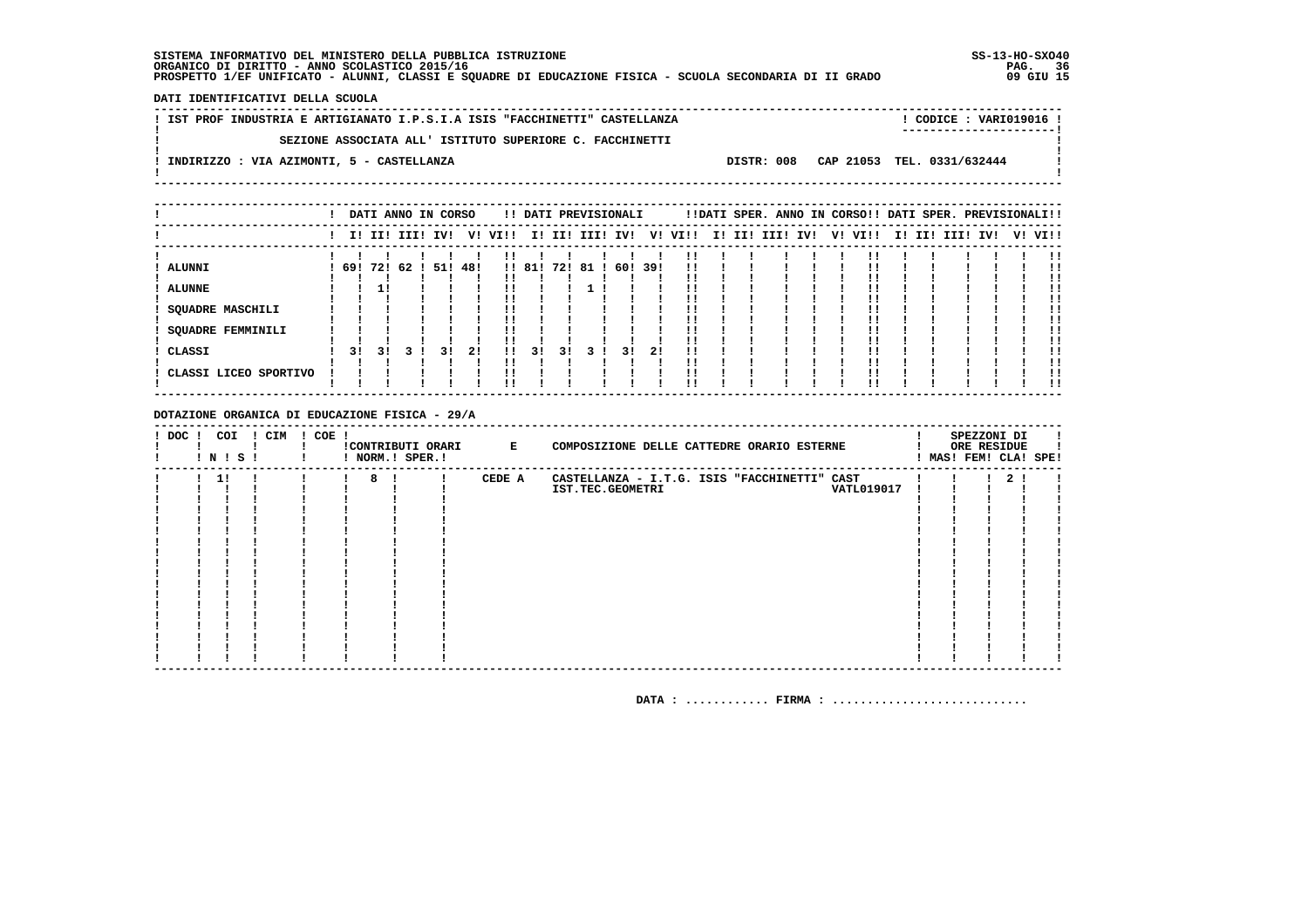DATI IDENTIFICATIVI DELLA SCUOLA

| ! IST PROF INDUSTRIA E ARTIGIANATO I.P.S.I.A ISIS "FACCHINETTI" CASTELLANZA |  | ! CODICE : VARI019016 !               |  |
|-----------------------------------------------------------------------------|--|---------------------------------------|--|
| SEZIONE ASSOCIATA ALL' ISTITUTO SUPERIORE C. FACCHINETTI                    |  | -----------------------               |  |
| ! INDIRIZZO : VIA AZIMONTI, 5 - CASTELLANZA                                 |  | DISTR: 008 CAP 21053 TEL. 0331/632444 |  |
|                                                                             |  |                                       |  |
|                                                                             |  |                                       |  |

|                                 |    |    | DATI ANNO IN CORSO   |     |    |      |        |     |     | !! DATI PREVISIONALI |      |      |        | !!DATI SPER. ANNO IN CORSO!! DATI SPER. PREVISIONALI!! |    |      |     |          |     |    |      |
|---------------------------------|----|----|----------------------|-----|----|------|--------|-----|-----|----------------------|------|------|--------|--------------------------------------------------------|----|------|-----|----------|-----|----|------|
|                                 |    |    | I! II! III!          | IV! | V! | VI!! | II.    | II! |     | III! IV!             | V!   | VI!! | I! II! | III! IV!                                               | V! | VI!! | II. | II! III! | IV! | V! | VI!! |
| <b>ALUNNI</b>                   |    |    | 69! 72! 62 ! 51! 48! |     |    |      | !! 81! | 72! | -81 | 60!                  | -39! |      |        |                                                        |    |      |     |          |     |    |      |
| <b>ALUNNE</b>                   |    |    |                      |     |    |      |        |     |     |                      |      |      |        |                                                        |    |      |     |          |     |    |      |
| <b>SQUADRE MASCHILI</b>         |    |    |                      |     |    |      |        |     |     |                      |      |      |        |                                                        |    |      |     |          |     |    |      |
| <b>SQUADRE FEMMINILI</b>        |    |    |                      |     |    |      |        |     |     |                      |      |      |        |                                                        |    |      |     |          |     |    |      |
| CLASSI<br>CLASSI LICEO SPORTIVO | 31 | 31 |                      | 31  | 21 | . .  | 31     | 31  |     | 3 I                  | 21   |      |        |                                                        |    |      |     |          |     |    |      |
|                                 |    |    |                      |     |    |      |        |     |     |                      |      |      |        |                                                        |    |      |     |          |     |    | !!   |

DOTAZIONE ORGANICA DI EDUCAZIONE FISICA - 29/A

| $!$ DOC $!$ |    | COI<br>! N ! S ! | ! CIM | $! COE$ ! |   | !CONTRIBUTI ORARI E<br>! NORM.! SPER.! |        | COMPOSIZIONE DELLE CATTEDRE ORARIO ESTERNE      |  | SPEZZONI DI<br>ORE RESIDUE<br>MAS! FEM! CLA! SPE! |  |
|-------------|----|------------------|-------|-----------|---|----------------------------------------|--------|-------------------------------------------------|--|---------------------------------------------------|--|
|             | 11 |                  |       |           | 8 |                                        | CEDE A | CASTELLANZA - I.T.G. ISIS "FACCHINETTI"<br>CAST |  | 2 <sub>1</sub>                                    |  |
|             |    |                  |       |           |   |                                        |        | IST.TEC.GEOMETRI<br><b>VATL019017</b>           |  |                                                   |  |
|             |    |                  |       |           |   |                                        |        |                                                 |  |                                                   |  |
|             |    |                  |       |           |   |                                        |        |                                                 |  |                                                   |  |
|             |    |                  |       |           |   |                                        |        |                                                 |  |                                                   |  |
|             |    |                  |       |           |   |                                        |        |                                                 |  |                                                   |  |
|             |    |                  |       |           |   |                                        |        |                                                 |  |                                                   |  |
|             |    |                  |       |           |   |                                        |        |                                                 |  |                                                   |  |
|             |    |                  |       |           |   |                                        |        |                                                 |  |                                                   |  |
|             |    |                  |       |           |   |                                        |        |                                                 |  |                                                   |  |
|             |    |                  |       |           |   |                                        |        |                                                 |  |                                                   |  |
|             |    |                  |       |           |   |                                        |        |                                                 |  |                                                   |  |
|             |    |                  |       |           |   |                                        |        |                                                 |  |                                                   |  |
|             |    |                  |       |           |   |                                        |        |                                                 |  |                                                   |  |
|             |    |                  |       |           |   |                                        |        |                                                 |  |                                                   |  |
|             |    |                  |       |           |   |                                        |        |                                                 |  |                                                   |  |
|             |    |                  |       |           |   |                                        |        |                                                 |  |                                                   |  |
|             |    |                  |       |           |   |                                        |        |                                                 |  |                                                   |  |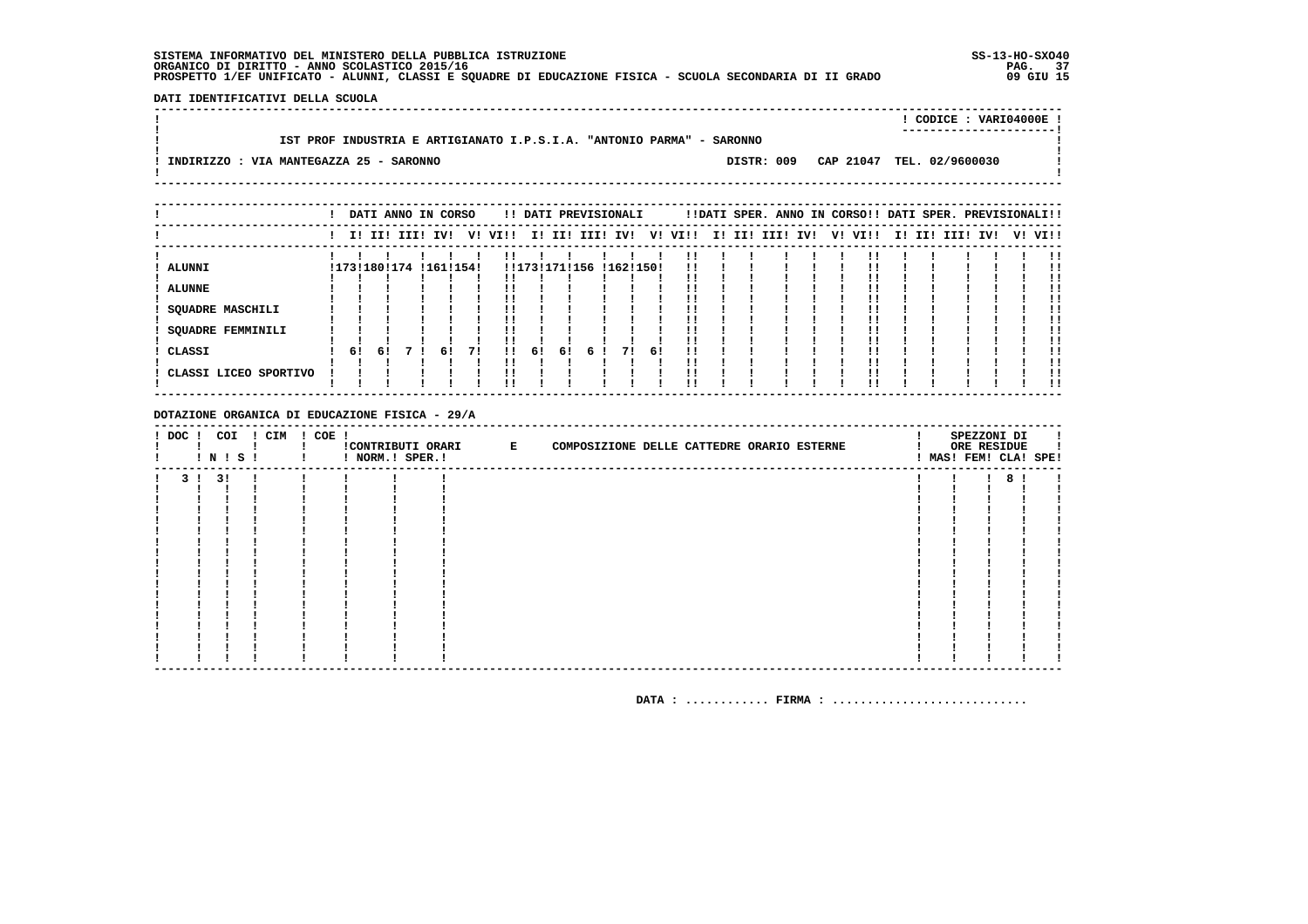DATI IDENTIFICATIVI DELLA SCUOLA 

|                                                                                                                                | CODICE: VARI04000E!<br>----------------------- |
|--------------------------------------------------------------------------------------------------------------------------------|------------------------------------------------|
| IST PROF INDUSTRIA E ARTIGIANATO I.P.S.I.A. "ANTONIO PARMA" - SARONNO<br>INDIRIZZO : VIA MANTEGAZZA 25 - SARONNO<br>DISTR: 009 | CAP 21047 TEL. 02/9600030                      |

|                                      |    | DATI ANNO IN CORSO     |    |    |              |               |    |   | !! DATI PREVISIONALI |     |      |  | !!DATI SPER. ANNO IN CORSO!! DATI SPER. PREVISIONALI!! |  |         |     |          |     |    |      |
|--------------------------------------|----|------------------------|----|----|--------------|---------------|----|---|----------------------|-----|------|--|--------------------------------------------------------|--|---------|-----|----------|-----|----|------|
|                                      |    | I! II! III! IV!        |    |    | V! VI!!      |               |    |   | I! II! III! IV!      | V!  | VI!! |  | I! II! III! IV!                                        |  | V! VI!! | II. | II! III! | IV! | V! | VI!! |
| ALUNNI                               |    | !173!180!174 !161!154! |    |    |              | !!173!171!156 |    |   | !162!150!            |     |      |  |                                                        |  |         |     |          |     |    |      |
| <b>ALUNNE</b>                        |    |                        |    |    |              |               |    |   |                      |     |      |  |                                                        |  |         |     |          |     |    |      |
| <b>SQUADRE MASCHILI</b>              |    |                        |    |    |              |               |    |   |                      |     |      |  |                                                        |  |         |     |          |     |    |      |
| <b>SQUADRE FEMMINILI</b><br>! CLASSI | 6! | 61                     | 61 | 71 | $\mathbf{H}$ | 61            | 61 | 6 | 71                   | -61 |      |  |                                                        |  |         |     |          |     |    |      |
| ! CLASSI LICEO SPORTIVO              |    |                        |    |    |              |               |    |   |                      |     |      |  |                                                        |  |         |     |          |     |    |      |
|                                      |    |                        |    |    | !!           |               |    |   |                      |     |      |  |                                                        |  |         |     |          |     |    |      |

DOTAZIONE ORGANICA DI EDUCAZIONE FISICA - 29/A

| $!$ DOC $!$ | COI<br>! N ! S ! | ! CIM | $! COE$ ! | ! NORM.! SPER.! | CONTRIBUTI ORARI E | COMPOSIZIONE DELLE CATTEDRE ORARIO ESTERNE |  | SPEZZONI DI<br>ORE RESIDUE | ! MAS! FEM! CLA! SPE! |
|-------------|------------------|-------|-----------|-----------------|--------------------|--------------------------------------------|--|----------------------------|-----------------------|
| 3 I         | 3!               |       |           |                 |                    |                                            |  |                            |                       |
|             |                  |       |           |                 |                    |                                            |  |                            |                       |
|             |                  |       |           |                 |                    |                                            |  |                            |                       |
|             |                  |       |           |                 |                    |                                            |  |                            |                       |
|             |                  |       |           |                 |                    |                                            |  |                            |                       |
|             |                  |       |           |                 |                    |                                            |  |                            |                       |
|             |                  |       |           |                 |                    |                                            |  |                            |                       |
|             |                  |       |           |                 |                    |                                            |  |                            |                       |
|             |                  |       |           |                 |                    |                                            |  |                            |                       |
|             |                  |       |           |                 |                    |                                            |  |                            |                       |
|             |                  |       |           |                 |                    |                                            |  |                            |                       |
|             |                  |       |           |                 |                    |                                            |  |                            |                       |
|             |                  |       |           |                 |                    |                                            |  |                            |                       |
|             |                  |       |           |                 |                    |                                            |  |                            |                       |
|             |                  |       |           |                 |                    |                                            |  |                            |                       |
|             |                  |       |           |                 |                    |                                            |  |                            |                       |
|             |                  |       |           |                 |                    |                                            |  |                            |                       |
|             |                  |       |           |                 |                    |                                            |  |                            |                       |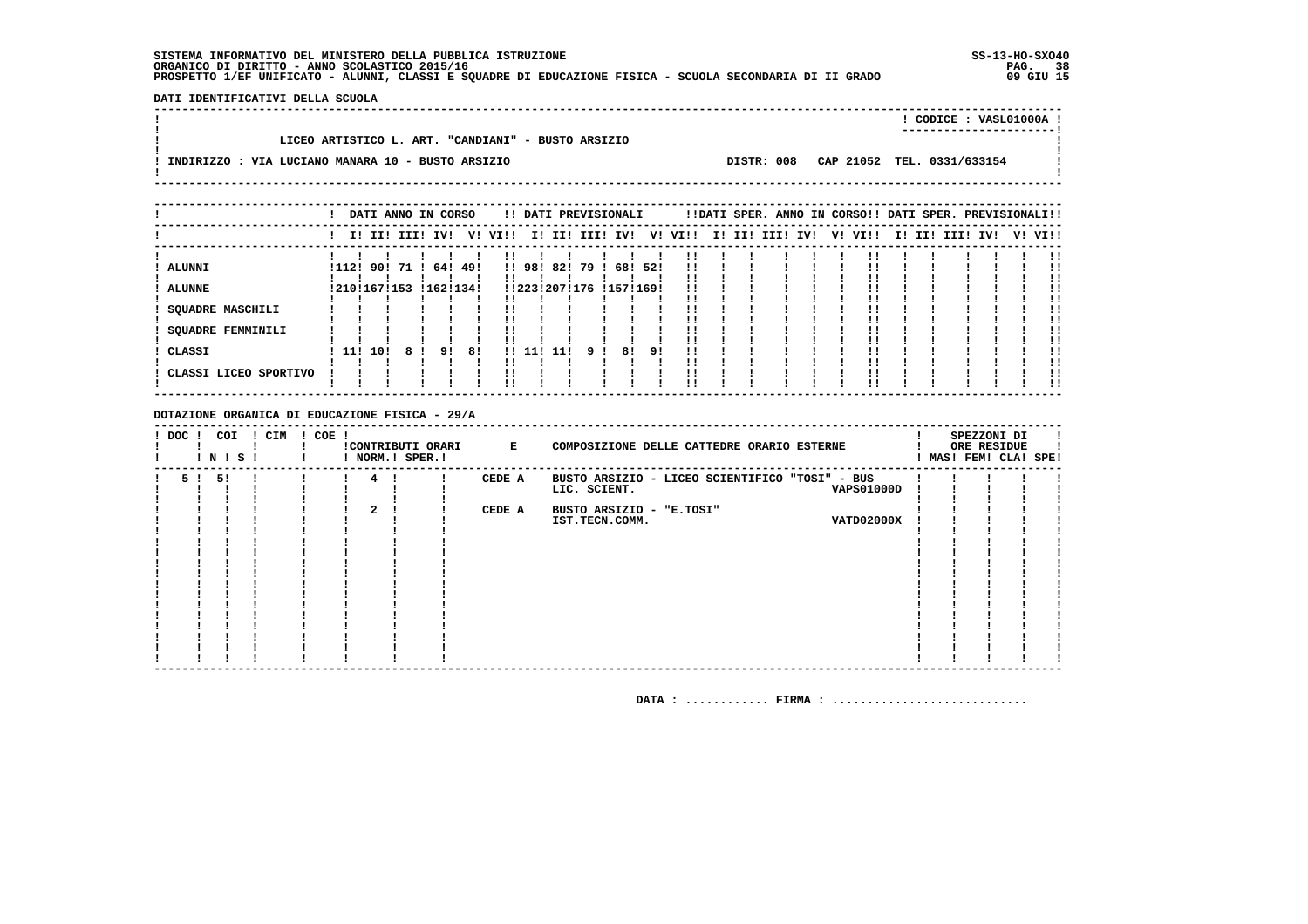**DATI IDENTIFICATIVI DELLA SCUOLA**

| LICEO ARTISTICO L. ART. "CANDIANI" - BUSTO ARSIZIO                                         |  |
|--------------------------------------------------------------------------------------------|--|
| DISTR: 008 CAP 21052 TEL. 0331/633154<br>INDIRIZZO : VIA LUCIANO MANARA 10 - BUSTO ARSIZIO |  |

 **----------------------------------------------------------------------------------------------------------------------------------**

|                       |            |                   |                 |    | DATI ANNO IN CORSO | !! DATI PREVISIONALI    |        |            |     |     |                         |         | !!DATI SPER. ANNO IN CORSO!! DATI SPER. PREVISIONALI!! |  |         |                 |  |         |
|-----------------------|------------|-------------------|-----------------|----|--------------------|-------------------------|--------|------------|-----|-----|-------------------------|---------|--------------------------------------------------------|--|---------|-----------------|--|---------|
|                       |            |                   | I! II! III! IV! |    |                    | V! VI!! I! II! III! IV! |        |            |     |     |                         | V! VI!! | I! II! III! IV!                                        |  | V! VI!! | I! II! III! IV! |  | V! VI!! |
| <b>ALUNNI</b>         | ! 112!     | 90 !              | 71              |    | 64! 49!            |                         | !! 98! | 82!        | 791 | 68! | 52!                     |         |                                                        |  |         |                 |  |         |
| <b>ALUNNE</b>         |            | ! 210 ! 167 ! 153 |                 |    | !162!134!          |                         |        |            |     |     | !!223!207!176 !157!169! |         |                                                        |  |         |                 |  |         |
| SQUADRE MASCHILI      |            |                   |                 |    |                    |                         |        |            |     |     |                         |         |                                                        |  |         |                 |  |         |
| SQUADRE FEMMINILI     |            |                   |                 |    |                    |                         |        |            |     |     |                         |         |                                                        |  |         |                 |  |         |
| CLASSI                | <b>11!</b> | 10!               | 8               | 91 | 81                 |                         |        | !! 11! 11! | 91  | 81  | 91                      |         |                                                        |  |         |                 |  |         |
| CLASSI LICEO SPORTIVO |            |                   |                 |    |                    |                         |        |            |     |     |                         |         |                                                        |  |         |                 |  | . .     |

### **DOTAZIONE ORGANICA DI EDUCAZIONE FISICA - 29/A**

| ! DOC ! | COI<br>! N ! S ! | ! CIM | $! COE$ ! |              | !CONTRIBUTI ORARI<br>! NORM.! SPER.! | $\mathbf{E}$ and $\mathbf{E}$ and $\mathbf{E}$ | COMPOSIZIONE DELLE CATTEDRE ORARIO ESTERNE     |  | SPEZZONI DI<br>ORE RESIDUE<br>MAS! FEM! CLA! SPE! |  |
|---------|------------------|-------|-----------|--------------|--------------------------------------|------------------------------------------------|------------------------------------------------|--|---------------------------------------------------|--|
|         | 5 ! 5 !          |       |           | 4            |                                      | CEDE A                                         | BUSTO ARSIZIO - LICEO SCIENTIFICO "TOSI" - BUS |  |                                                   |  |
|         |                  |       |           |              |                                      |                                                | LIC. SCIENT.<br><b>VAPS01000D</b>              |  |                                                   |  |
|         |                  |       |           |              |                                      |                                                |                                                |  |                                                   |  |
|         |                  |       |           | $\mathbf{2}$ |                                      | CEDE A                                         | BUSTO ARSIZIO - "E.TOSI"                       |  |                                                   |  |
|         |                  |       |           |              |                                      |                                                | <b>VATD02000X</b><br>IST.TECN.COMM.            |  |                                                   |  |
|         |                  |       |           |              |                                      |                                                |                                                |  |                                                   |  |
|         |                  |       |           |              |                                      |                                                |                                                |  |                                                   |  |
|         |                  |       |           |              |                                      |                                                |                                                |  |                                                   |  |
|         |                  |       |           |              |                                      |                                                |                                                |  |                                                   |  |
|         |                  |       |           |              |                                      |                                                |                                                |  |                                                   |  |
|         |                  |       |           |              |                                      |                                                |                                                |  |                                                   |  |
|         |                  |       |           |              |                                      |                                                |                                                |  |                                                   |  |
|         |                  |       |           |              |                                      |                                                |                                                |  |                                                   |  |
|         |                  |       |           |              |                                      |                                                |                                                |  |                                                   |  |
|         |                  |       |           |              |                                      |                                                |                                                |  |                                                   |  |
|         |                  |       |           |              |                                      |                                                |                                                |  |                                                   |  |
|         |                  |       |           |              |                                      |                                                |                                                |  |                                                   |  |
|         |                  |       |           |              |                                      |                                                |                                                |  |                                                   |  |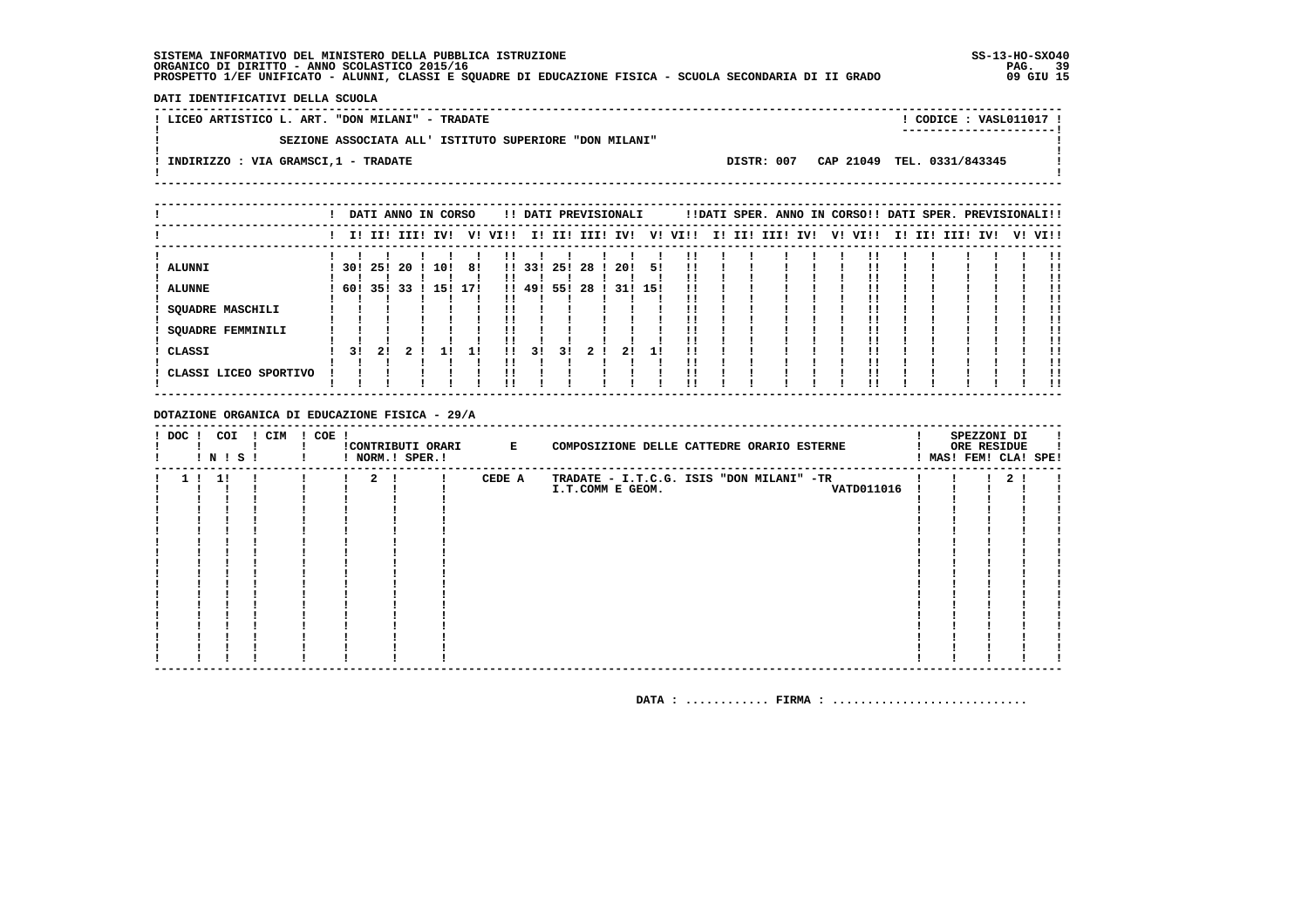DATI IDENTIFICATIVI DELLA SCUOLA

| ! LICEO ARTISTICO L. ART. "DON MILANI" - TRADATE       | ! CODICE : VASL011017 !<br>----------------------- |
|--------------------------------------------------------|----------------------------------------------------|
| SEZIONE ASSOCIATA ALL' ISTITUTO SUPERIORE "DON MILANI" |                                                    |
| INDIRIZZO : VIA GRAMSCI,1 - TRADATE                    | DISTR: 007 CAP 21049 TEL. 0331/843345              |

|                                                                                   |                      |           |            | DATI ANNO IN CORSO |           |                    |                     |                  | !! DATI PREVISIONALI |                  |                 |          |        |      |     | !!DATI SPER. ANNO IN CORSO!! DATI SPER. PREVISIONALI!! |  |                 |  |         |
|-----------------------------------------------------------------------------------|----------------------|-----------|------------|--------------------|-----------|--------------------|---------------------|------------------|----------------------|------------------|-----------------|----------|--------|------|-----|--------------------------------------------------------|--|-----------------|--|---------|
|                                                                                   |                      |           |            | I! II! III! IV!    |           | V! VI!!            |                     |                  | I! II! III! IV!      |                  | V!              | VI!!     | I! II! | III! | IV! | V! VI!!                                                |  | I! II! III! IV! |  | V! VI!! |
| <b>ALUNNI</b><br><b>ALUNNE</b><br>SQUADRE MASCHILI<br>SQUADRE FEMMINILI<br>CLASSI | 30! 25!<br>60!<br>31 | 351<br>21 | -20<br>-33 | 10!<br>15!         | 8!<br>17! | $\mathbf{1}$<br>!! | 33!<br>!! 49!<br>31 | 25!<br>55!<br>31 | 28<br>28<br>21       | 20!<br>31!<br>21 | 51<br>15!<br>11 | !!<br>!! |        |      |     |                                                        |  |                 |  |         |
| CLASSI LICEO SPORTIVO                                                             |                      |           |            |                    |           | !!                 |                     |                  |                      |                  |                 | !!       |        |      |     |                                                        |  |                 |  | !!      |

### DOTAZIONE ORGANICA DI EDUCAZIONE FISICA - 29/A

| ! DOC !        |      | COI<br>! N ! S ! | ! CIM | ! COE ! |             | !CONTRIBUTI ORARI E<br>! NORM.! SPER.! |        | COMPOSIZIONE DELLE CATTEDRE ORARIO ESTERNE | SPEZZONI DI<br>ORE RESIDUE<br>! MAS! FEM! CLA! SPE! |                |  |
|----------------|------|------------------|-------|---------|-------------|----------------------------------------|--------|--------------------------------------------|-----------------------------------------------------|----------------|--|
| 1 <sub>1</sub> | - 11 |                  |       |         | $2 \cdot 1$ |                                        | CEDE A | TRADATE - I.T.C.G. ISIS "DON MILANI" -TR   |                                                     | 2 <sub>1</sub> |  |
|                |      |                  |       |         |             |                                        |        | <b>VATD011016</b><br>I.T.COMM E GEOM.      |                                                     |                |  |
|                |      |                  |       |         |             |                                        |        |                                            |                                                     |                |  |
|                |      |                  |       |         |             |                                        |        |                                            |                                                     |                |  |
|                |      |                  |       |         |             |                                        |        |                                            |                                                     |                |  |
|                |      |                  |       |         |             |                                        |        |                                            |                                                     |                |  |
|                |      |                  |       |         |             |                                        |        |                                            |                                                     |                |  |
|                |      |                  |       |         |             |                                        |        |                                            |                                                     |                |  |
|                |      |                  |       |         |             |                                        |        |                                            |                                                     |                |  |
|                |      |                  |       |         |             |                                        |        |                                            |                                                     |                |  |
|                |      |                  |       |         |             |                                        |        |                                            |                                                     |                |  |
|                |      |                  |       |         |             |                                        |        |                                            |                                                     |                |  |
|                |      |                  |       |         |             |                                        |        |                                            |                                                     |                |  |
|                |      |                  |       |         |             |                                        |        |                                            |                                                     |                |  |
|                |      |                  |       |         |             |                                        |        |                                            |                                                     |                |  |
|                |      |                  |       |         |             |                                        |        |                                            |                                                     |                |  |
|                |      |                  |       |         |             |                                        |        |                                            |                                                     |                |  |
|                |      |                  |       |         |             |                                        |        |                                            |                                                     |                |  |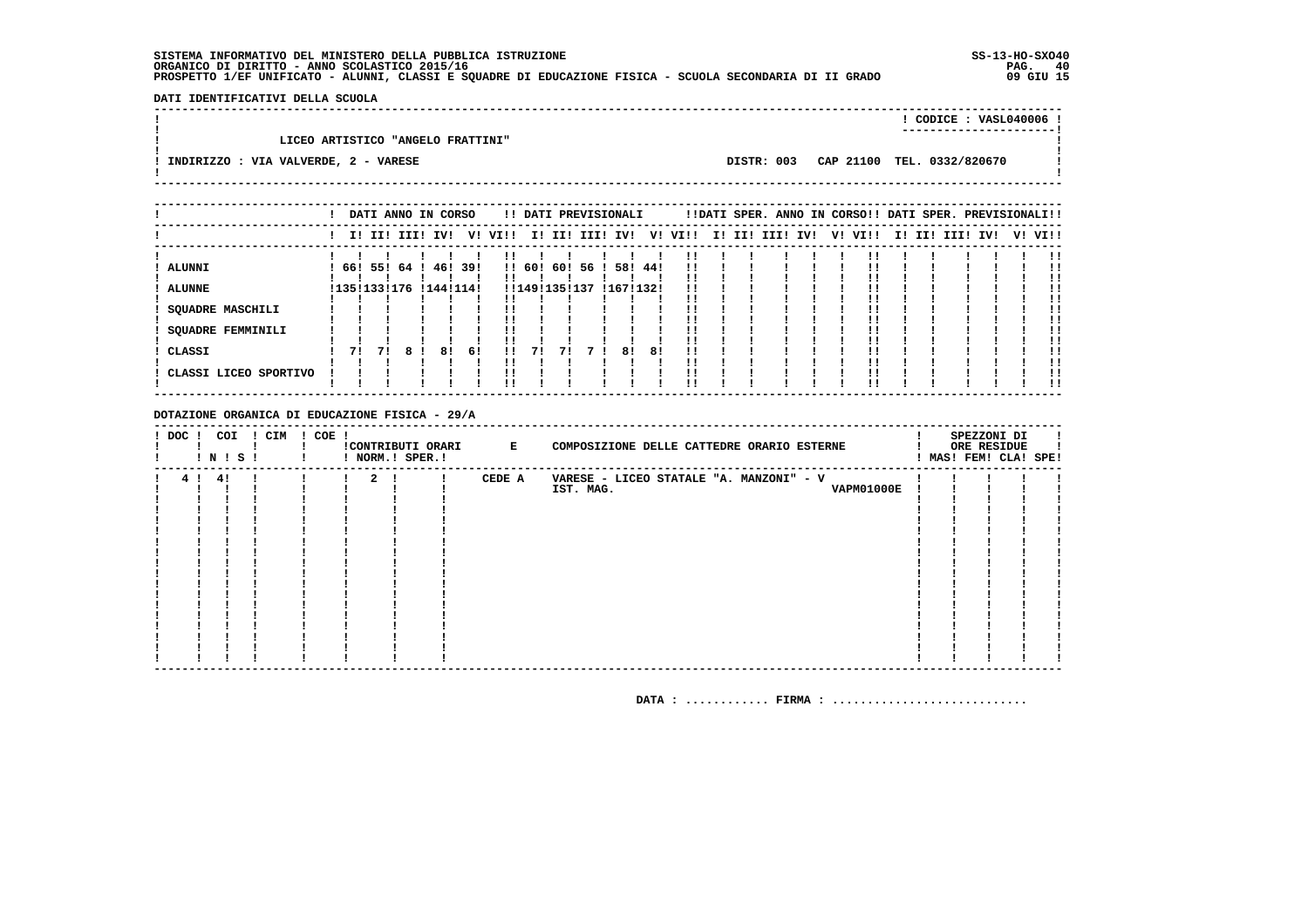DATI IDENTIFICATIVI DELLA SCUOLA 

|                                        |            | CODICE: VASL040006 !<br>------------------------ |  |
|----------------------------------------|------------|--------------------------------------------------|--|
| LICEO ARTISTICO "ANGELO FRATTINI"      |            |                                                  |  |
| ! INDIRIZZO : VIA VALVERDE, 2 - VARESE | DISTR: 003 | CAP 21100 TEL. 0332/820670                       |  |

|                                     |    |                   |                 | DATI ANNO IN CORSO |      |               |     |                 | !! DATI PREVISIONALI |    |      |  |             |     |    | !!DATI SPER. ANNO IN CORSO!! DATI SPER. PREVISIONALI!! |     |              |    |      |
|-------------------------------------|----|-------------------|-----------------|--------------------|------|---------------|-----|-----------------|----------------------|----|------|--|-------------|-----|----|--------------------------------------------------------|-----|--------------|----|------|
|                                     |    |                   | I! II! III! IV! | V!                 | VI!! |               | II. |                 | II! III! IV!         | V! | VI!! |  | I! II! III! | IV! | V! | VI!!                                                   | II. | II! III! IV! | V! | VI!! |
| <b>ALUNNI</b>                       |    |                   | 66! 55! 64 !    | 46! 39!            |      |               |     | !! 60! 60! 56 ! | 58! 44!              |    | !!   |  |             |     |    |                                                        |     |              |    |      |
| <b>ALUNNE</b>                       |    | ! 135 ! 133 ! 176 |                 | ! 144! 114!        |      | !!149!135!137 |     |                 | !167!132!            |    |      |  |             |     |    |                                                        |     |              |    |      |
| <b>SQUADRE MASCHILI</b>             |    |                   |                 |                    |      |               |     |                 |                      |    |      |  |             |     |    |                                                        |     |              |    |      |
| <b>SQUADRE FEMMINILI</b>            |    |                   |                 |                    |      |               |     |                 |                      |    |      |  |             |     |    |                                                        |     |              |    |      |
| ! CLASSI<br>! CLASSI LICEO SPORTIVO | 71 | 71                | 8               | 81<br>61           |      |               | 71  |                 | 81                   | 81 |      |  |             |     |    |                                                        |     |              |    |      |
|                                     |    |                   |                 |                    |      |               |     |                 |                      |    |      |  |             |     |    |                                                        |     |              |    | . .  |

### DOTAZIONE ORGANICA DI EDUCAZIONE FISICA - 29/A

| $!$ DOC $!$ | COI<br>$!$ N $!$ S $!$ | ! CIM | $! COE$ ! |              | ! NORM.! SPER.! | !CONTRIBUTI ORARI E | COMPOSIZIONE DELLE CATTEDRE ORARIO ESTERNE |  | SPEZZONI DI<br>ORE RESIDUE<br>! MAS! FEM! CLA! SPE! |  |
|-------------|------------------------|-------|-----------|--------------|-----------------|---------------------|--------------------------------------------|--|-----------------------------------------------------|--|
|             | 4! 4!                  |       |           | $\mathbf{2}$ |                 | CEDE A              | VARESE - LICEO STATALE "A. MANZONI" - V    |  |                                                     |  |
|             |                        |       |           |              |                 |                     | IST. MAG.<br><b>VAPM01000E</b>             |  |                                                     |  |
|             |                        |       |           |              |                 |                     |                                            |  |                                                     |  |
|             |                        |       |           |              |                 |                     |                                            |  |                                                     |  |
|             |                        |       |           |              |                 |                     |                                            |  |                                                     |  |
|             |                        |       |           |              |                 |                     |                                            |  |                                                     |  |
|             |                        |       |           |              |                 |                     |                                            |  |                                                     |  |
|             |                        |       |           |              |                 |                     |                                            |  |                                                     |  |
|             |                        |       |           |              |                 |                     |                                            |  |                                                     |  |
|             |                        |       |           |              |                 |                     |                                            |  |                                                     |  |
|             |                        |       |           |              |                 |                     |                                            |  |                                                     |  |
|             |                        |       |           |              |                 |                     |                                            |  |                                                     |  |
|             |                        |       |           |              |                 |                     |                                            |  |                                                     |  |
|             |                        |       |           |              |                 |                     |                                            |  |                                                     |  |
|             |                        |       |           |              |                 |                     |                                            |  |                                                     |  |
|             |                        |       |           |              |                 |                     |                                            |  |                                                     |  |
|             |                        |       |           |              |                 |                     |                                            |  |                                                     |  |
|             |                        |       |           |              |                 |                     |                                            |  |                                                     |  |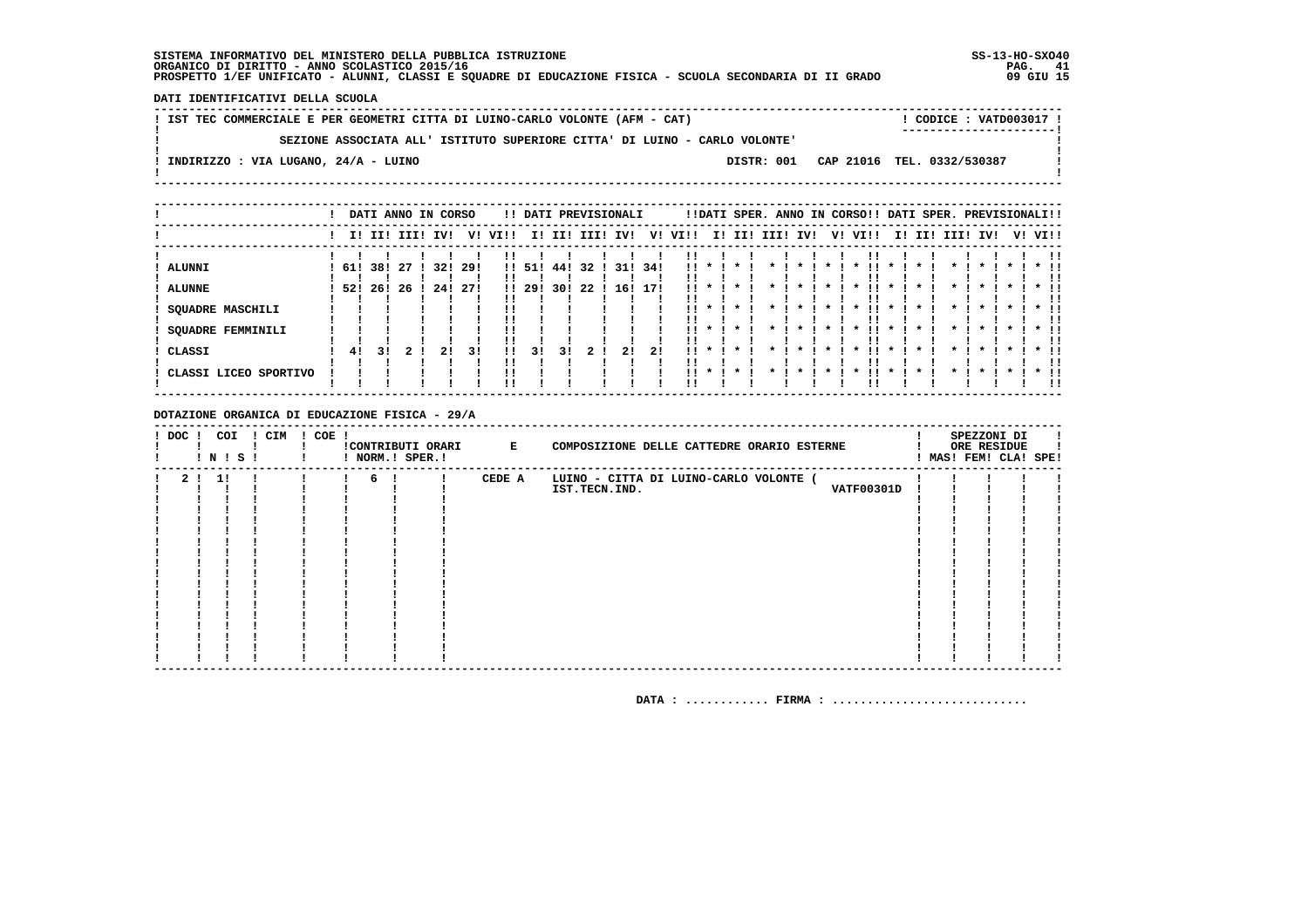DATI IDENTIFICATIVI DELLA SCUOLA

| ! IST TEC COMMERCIALE E PER GEOMETRI CITTA DI LUINO-CARLO VOLONTE (AFM - CAT) |  | CODICE: VATD003017 !                  |  |
|-------------------------------------------------------------------------------|--|---------------------------------------|--|
| SEZIONE ASSOCIATA ALL' ISTITUTO SUPERIORE CITTA' DI LUINO - CARLO VOLONTE'    |  | ------------------------              |  |
| INDIRIZZO : VIA LUGANO, 24/A - LUINO                                          |  | DISTR: 001 CAP 21016 TEL. 0332/530387 |  |
|                                                                               |  |                                       |  |

|                                      |         |    |             | DATI ANNO IN CORSO |      |                |        |        |      | !! DATI PREVISIONALI |      |                |         | !!DATI SPER. ANNO IN CORSO!! DATI SPER. PREVISIONALI!! |          |  |                     |              |        |                    |                    |         |                         |
|--------------------------------------|---------|----|-------------|--------------------|------|----------------|--------|--------|------|----------------------|------|----------------|---------|--------------------------------------------------------|----------|--|---------------------|--------------|--------|--------------------|--------------------|---------|-------------------------|
|                                      |         |    | I! II! III! | IV!                | V!   | VIII           |        | I! II! | III! | IV!                  | V!   | VIII           |         | I! II!                                                 | III! IV! |  | V! VI!!             |              | I! II! | III!               | IV!                | V! VI!! |                         |
| ! ALUNNI                             | 61! 38! |    | -27         | 32!                | -29! |                | !! 51! | 44 !   | 32   | 31!                  | 34!  | !!             |         |                                                        |          |  |                     |              |        |                    |                    |         |                         |
| ! ALUNNE                             | 52! 26! |    | -26         | 24!                | -271 |                | !! 29! | 30!    | 22   | 16!                  | -171 | . .            |         |                                                        |          |  |                     |              |        |                    |                    |         |                         |
| <b>SQUADRE MASCHILI</b>              |         |    |             |                    |      |                |        |        |      |                      |      | 11.            |         |                                                        |          |  | !!<br>$\cdot$       | $\star$      |        |                    | $\boldsymbol{\pi}$ |         |                         |
| <b>SQUADRE FEMMINILI</b><br>! CLASSI | 41      | 31 |             | 21                 | 31   | !!<br>!!<br>11 | 31     | 3 I    |      | 21                   | 21   | $11 \star$<br> |         |                                                        |          |  | $\boldsymbol{\ast}$ | $\mathbf{x}$ |        | $\boldsymbol{\pi}$ | $\mathbf{r}$       |         | $*$ !!                  |
| ! CLASSI LICEO SPORTIVO              |         |    |             |                    |      | !!<br>!!       |        |        |      |                      |      | . .            | $\cdot$ |                                                        |          |  |                     |              |        |                    |                    |         | $*$ !!<br>. .<br>$*$ 11 |
|                                      |         |    |             |                    |      |                |        |        |      |                      |      |                |         |                                                        |          |  |                     |              |        |                    |                    |         | . .                     |

DOTAZIONE ORGANICA DI EDUCAZIONE FISICA - 29/A

| $!$ DOC $!$    | ! N ! S ! | COI | ! CIM | $! COE$ ! |   | !CONTRIBUTI ORARI E<br>! NORM.! SPER.! |        | COMPOSIZIONE DELLE CATTEDRE ORARIO ESTERNE                                   |  | SPEZZONI DI<br>ORE RESIDUE<br>! MAS! FEM! CLA! SPE! |  |
|----------------|-----------|-----|-------|-----------|---|----------------------------------------|--------|------------------------------------------------------------------------------|--|-----------------------------------------------------|--|
| 2 <sub>1</sub> | 1!        |     |       |           | 6 |                                        | CEDE A | LUINO - CITTA DI LUINO-CARLO VOLONTE (<br><b>VATF00301D</b><br>IST.TECN.IND. |  |                                                     |  |
|                |           |     |       |           |   |                                        |        |                                                                              |  |                                                     |  |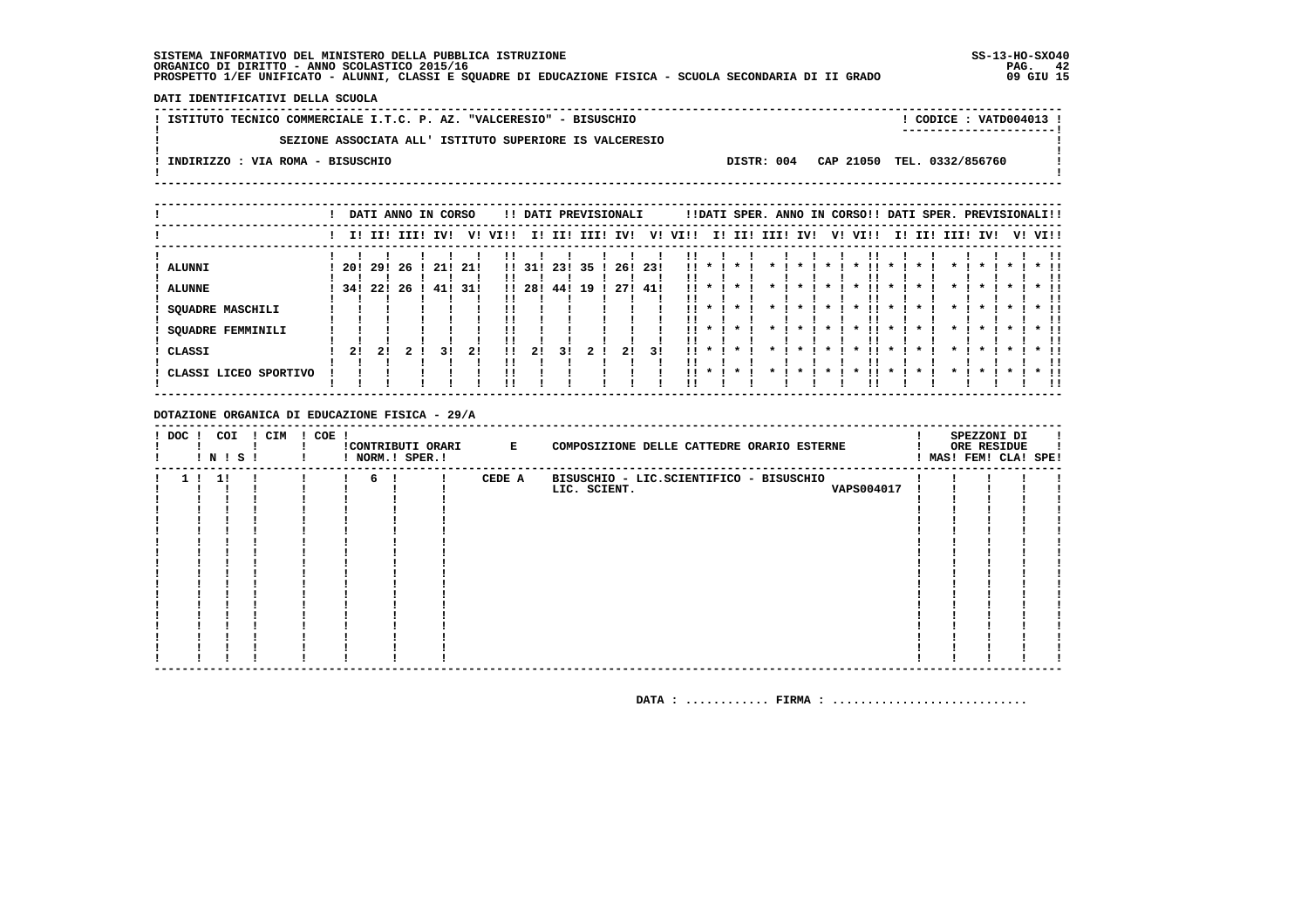DATI IDENTIFICATIVI DELLA SCUOLA

! ISTITUTO TECNICO COMMERCIALE I.T.C. P. AZ. "VALCERESIO" - BISUSCHIO ! CODICE : VATD004013 !  $\mathbf{I}$ SEZIONE ASSOCIATA ALL' ISTITUTO SUPERIORE IS VALCERESIO  $\mathbf{I}$  $\overline{\phantom{a}}$  $\mathbf{I}$ -: INDIRIZZO : VIA ROMA - BISUSCHIO DISTR: 004 CAP 21050 TEL. 0332/856760 **Contract Contract**  $\mathbf{I}$  $\mathbf{I}$ 

|                                   |      |       |             | DATI ANNO IN CORSO |     |              |        |     | !! DATI PREVISIONALI |         |      |          |              |         |      |                    |         | !!DATI SPER. ANNO IN CORSO!! DATI SPER. PREVISIONALI!! |              |     |                    |              |              |    |                      |
|-----------------------------------|------|-------|-------------|--------------------|-----|--------------|--------|-----|----------------------|---------|------|----------|--------------|---------|------|--------------------|---------|--------------------------------------------------------|--------------|-----|--------------------|--------------|--------------|----|----------------------|
|                                   |      |       | I! II! III! | IVI                | V!  | VI!!         | I!     | II! | III!                 | IV!     | V!   | VI!!     |              | I! II!  | III! | IV!                | V!      | VI!!                                                   | II.          | II! | III!               | IV!          |              | V! | VI!!                 |
| <b>ALUNNI</b>                     | -201 | -29 ! | 26          | 21!                | 21! | $\mathbf{1}$ | 31!    | 23! | 35                   | 26!     | -23! | !!       |              |         |      |                    |         |                                                        |              |     |                    |              |              |    |                      |
| <b>ALUNNE</b><br>SQUADRE MASCHILI | 34!  | 22!   | 26          | 41!                | 31! |              | !! 28! | 44! | 19                   | 27! 41! |      | !!<br>!! |              |         |      |                    |         |                                                        |              |     |                    |              |              |    |                      |
| SQUADRE FEMMINILI                 |      |       |             |                    |     |              |        |     |                      |         |      | !!       | $\cdot$      | $\star$ |      | $\boldsymbol{\pi}$ | $\star$ | $\star$<br>!!                                          | $\mathbf{x}$ |     | $\boldsymbol{\pi}$ | $\mathbf{r}$ | $\mathbf{x}$ |    | $*$ 11               |
| CLASSI                            | 21   | 21    |             | 31                 | 21  |              | 2!     | 31  |                      | 2!      | 31   | !!       | $\mathbf{x}$ |         |      |                    |         |                                                        |              |     |                    |              |              |    | $*$ !!               |
| CLASSI LICEO SPORTIVO             |      |       |             |                    |     |              |        |     |                      |         |      | $11 *$   |              |         |      |                    |         |                                                        |              |     |                    |              |              |    | -11<br>$*$ 11<br>-11 |

DOTAZIONE ORGANICA DI EDUCAZIONE FISICA - 29/A

| $. \, \, \mathrm{DOC}$ | COI<br>! N ! S ! | ! CIM | ! COE | ! NORM.! SPER.! | !CONTRIBUTI ORARI E |        | COMPOSIZIONE DELLE CATTEDRE ORARIO ESTERNE |  | SPEZZONI DI<br>ORE RESIDUE | ! MAS! FEM! CLA! SPE! |
|------------------------|------------------|-------|-------|-----------------|---------------------|--------|--------------------------------------------|--|----------------------------|-----------------------|
|                        | 1!               |       |       | 6               |                     | CEDE A | BISUSCHIO - LIC.SCIENTIFICO - BISUSCHIO    |  |                            |                       |
|                        |                  |       |       |                 |                     |        | VAPS004017<br>LIC. SCIENT.                 |  |                            |                       |
|                        |                  |       |       |                 |                     |        |                                            |  |                            |                       |
|                        |                  |       |       |                 |                     |        |                                            |  |                            |                       |
|                        |                  |       |       |                 |                     |        |                                            |  |                            |                       |
|                        |                  |       |       |                 |                     |        |                                            |  |                            |                       |
|                        |                  |       |       |                 |                     |        |                                            |  |                            |                       |
|                        |                  |       |       |                 |                     |        |                                            |  |                            |                       |
|                        |                  |       |       |                 |                     |        |                                            |  |                            |                       |
|                        |                  |       |       |                 |                     |        |                                            |  |                            |                       |
|                        |                  |       |       |                 |                     |        |                                            |  |                            |                       |
|                        |                  |       |       |                 |                     |        |                                            |  |                            |                       |
|                        |                  |       |       |                 |                     |        |                                            |  |                            |                       |
|                        |                  |       |       |                 |                     |        |                                            |  |                            |                       |
|                        |                  |       |       |                 |                     |        |                                            |  |                            |                       |
|                        |                  |       |       |                 |                     |        |                                            |  |                            |                       |
|                        |                  |       |       |                 |                     |        |                                            |  |                            |                       |
|                        |                  |       |       |                 |                     |        |                                            |  |                            |                       |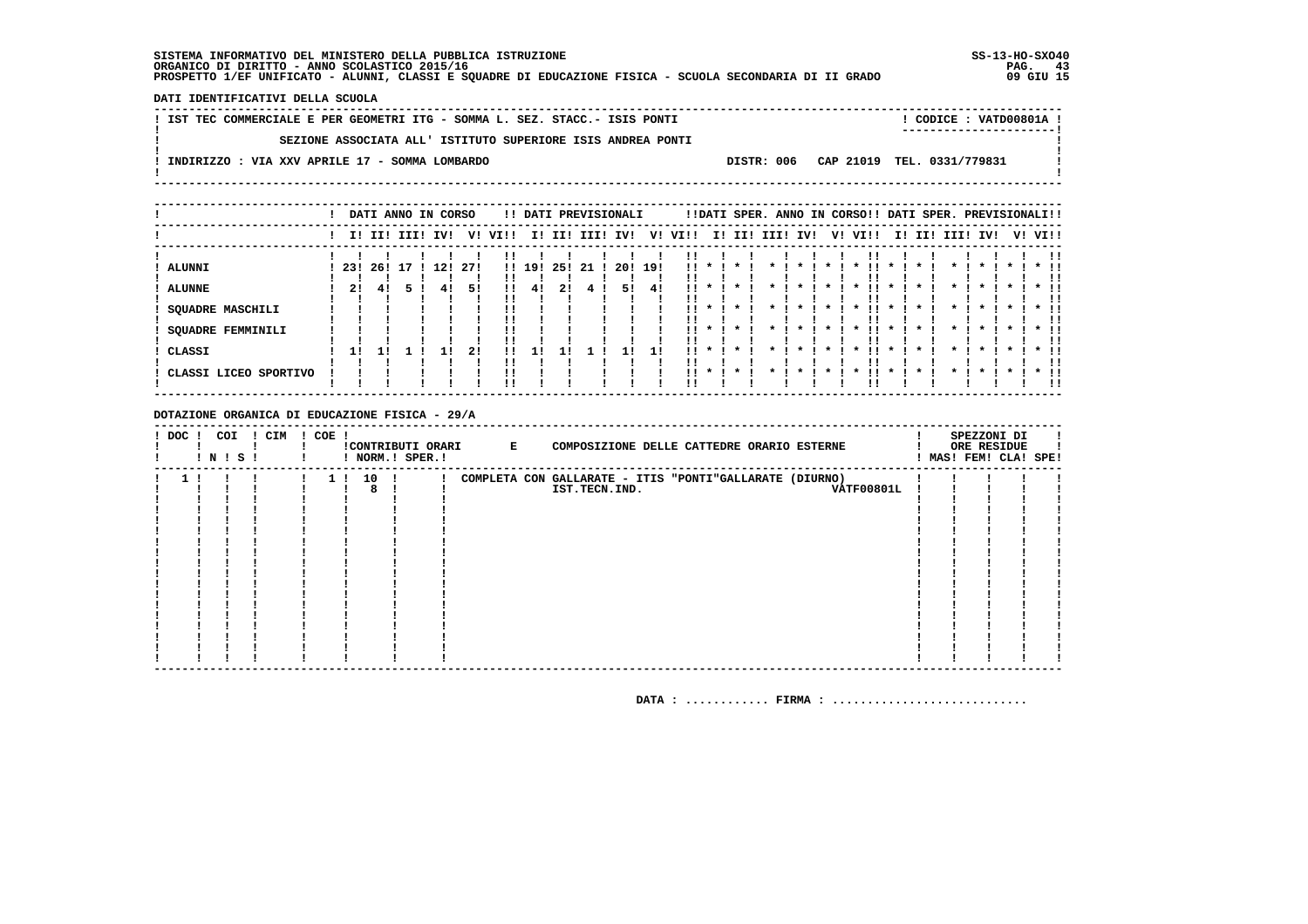DATI IDENTIFICATIVI DELLA SCUOLA

| ! IST TEC COMMERCIALE E PER GEOMETRI ITG - SOMMA L. SEZ. STACC.- ISIS PONTI |  | $!$ CODICE : VATD00801A $!$           |  |
|-----------------------------------------------------------------------------|--|---------------------------------------|--|
|                                                                             |  | -----------------------               |  |
| SEZIONE ASSOCIATA ALL' ISTITUTO SUPERIORE ISIS ANDREA PONTI                 |  |                                       |  |
|                                                                             |  |                                       |  |
| INDIRIZZO : VIA XXV APRILE 17 - SOMMA LOMBARDO                              |  | DISTR: 006 CAP 21019 TEL. 0331/779831 |  |
|                                                                             |  |                                       |  |

|                                                                                   |                 | DATI ANNO IN CORSO |  |           |                 |              |              |           |     | !! DATI PREVISIONALI |           |                                |                                                   | !!DATI SPER. ANNO IN CORSO!! DATI SPER. PREVISIONALI!! |  |    |                                                                       |                                     |  |                 |                                                                                 |  |                  |
|-----------------------------------------------------------------------------------|-----------------|--------------------|--|-----------|-----------------|--------------|--------------|-----------|-----|----------------------|-----------|--------------------------------|---------------------------------------------------|--------------------------------------------------------|--|----|-----------------------------------------------------------------------|-------------------------------------|--|-----------------|---------------------------------------------------------------------------------|--|------------------|
|                                                                                   |                 | I! II! III! IV!    |  |           | V!              | VI!!         |              |           |     | I! II! III! IV!      | V!        | VI!!                           |                                                   | I! II! III! IV!                                        |  | V! | VI!!                                                                  |                                     |  | I! II! III! IV! |                                                                                 |  | V! VI!!          |
| <b>ALUNNI</b><br><b>ALUNNE</b><br>SQUADRE MASCHILI<br>SQUADRE FEMMINILI<br>CLASSI | 231<br>21<br>11 | 26! 17<br>41       |  | 12!<br>41 | 271<br>51<br>21 | <br>!!<br>!! | !! 19!<br>41 | 25!<br>21 | -21 | 20!<br>51            | 191<br>41 | 11.<br>. .<br>!!<br>. .<br>. . | $\mathbf x$<br>$\mathbf{x}$<br>$\boldsymbol{\pi}$ | $\cdot$<br>$\star$<br>$\star$                          |  |    | $\overline{\phantom{m}}$<br>$\boldsymbol{\pi}$<br>$\boldsymbol{\ast}$ | $\mathbf{x}$<br>$\boldsymbol{\ast}$ |  |                 | $\boldsymbol{\pi}$<br>$\boldsymbol{\pi}$<br>$\mathbf{x}$<br>$\boldsymbol{\ast}$ |  | $*$ !!<br>$*$ !! |
| CLASSI LICEO SPORTIVO                                                             |                 |                    |  |           |                 | !!           |              |           |     |                      |           | . .                            | $\mathbf{x}$                                      | $\cdot$                                                |  |    |                                                                       |                                     |  |                 |                                                                                 |  | $*$ 11<br>!!     |

DOTAZIONE ORGANICA DI EDUCAZIONE FISICA - 29/A

| $!$ DOC $ $ | ! N ! S ! | COI | ! CIM | $! COE$ ! |          |      | ! NORM.! SPER.! | !CONTRIBUTI ORARI E | COMPOSIZIONE DELLE CATTEDRE ORARIO ESTERNE              |                   |  | SPEZZONI DI<br>ORE RESIDUE<br>MAS! FEM! CLA! SPE! |  |
|-------------|-----------|-----|-------|-----------|----------|------|-----------------|---------------------|---------------------------------------------------------|-------------------|--|---------------------------------------------------|--|
|             |           |     |       |           | $1 \; 1$ | 10 ! |                 |                     | COMPLETA CON GALLARATE - ITIS "PONTI"GALLARATE (DIURNO) |                   |  |                                                   |  |
|             |           |     |       |           |          |      |                 |                     | IST.TECN.IND.                                           | <b>VATF00801L</b> |  |                                                   |  |
|             |           |     |       |           |          |      |                 |                     |                                                         |                   |  |                                                   |  |
|             |           |     |       |           |          |      |                 |                     |                                                         |                   |  |                                                   |  |
|             |           |     |       |           |          |      |                 |                     |                                                         |                   |  |                                                   |  |
|             |           |     |       |           |          |      |                 |                     |                                                         |                   |  |                                                   |  |
|             |           |     |       |           |          |      |                 |                     |                                                         |                   |  |                                                   |  |
|             |           |     |       |           |          |      |                 |                     |                                                         |                   |  |                                                   |  |
|             |           |     |       |           |          |      |                 |                     |                                                         |                   |  |                                                   |  |
|             |           |     |       |           |          |      |                 |                     |                                                         |                   |  |                                                   |  |
|             |           |     |       |           |          |      |                 |                     |                                                         |                   |  |                                                   |  |
|             |           |     |       |           |          |      |                 |                     |                                                         |                   |  |                                                   |  |
|             |           |     |       |           |          |      |                 |                     |                                                         |                   |  |                                                   |  |
|             |           |     |       |           |          |      |                 |                     |                                                         |                   |  |                                                   |  |
|             |           |     |       |           |          |      |                 |                     |                                                         |                   |  |                                                   |  |
|             |           |     |       |           |          |      |                 |                     |                                                         |                   |  |                                                   |  |
|             |           |     |       |           |          |      |                 |                     |                                                         |                   |  |                                                   |  |
|             |           |     |       |           |          |      |                 |                     |                                                         |                   |  |                                                   |  |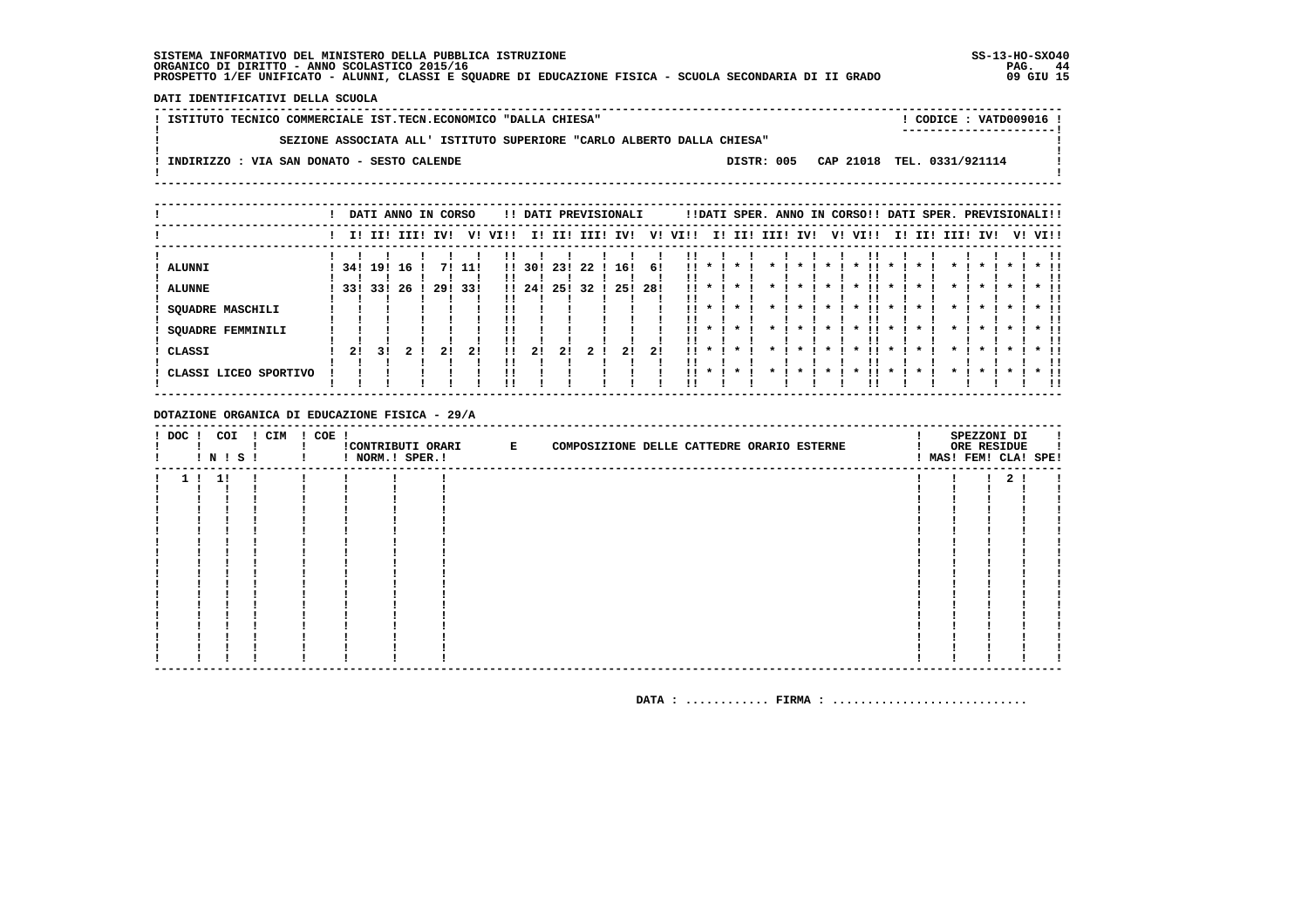DATI IDENTIFICATIVI DELLA SCUOLA

| ISTITUTO TECNICO COMMERCIALE IST.TECN.ECONOMICO "DALLA CHIESA" |                                                                        |  |  |  |            |  |                            | CODICE: VATD009016 !<br>----------------------- |  |
|----------------------------------------------------------------|------------------------------------------------------------------------|--|--|--|------------|--|----------------------------|-------------------------------------------------|--|
|                                                                | SEZIONE ASSOCIATA ALL' ISTITUTO SUPERIORE "CARLO ALBERTO DALLA CHIESA" |  |  |  |            |  |                            |                                                 |  |
| INDIRIZZO : VIA SAN DONATO - SESTO CALENDE                     |                                                                        |  |  |  | DISTR: 005 |  | CAP 21018 TEL. 0331/921114 |                                                 |  |
|                                                                |                                                                        |  |  |  |            |  |                            |                                                 |  |

|                                                                                                 |           | DATI ANNO IN CORSO   |           |               |           |                    |                    |                  | !! DATI PREVISIONALI |                  |                   |                 |                                        |         | !!DATI SPER. ANNO IN CORSO!! DATI SPER. PREVISIONALI!! |                    |              |        |              |              |              |         |                                    |
|-------------------------------------------------------------------------------------------------|-----------|----------------------|-----------|---------------|-----------|--------------------|--------------------|------------------|----------------------|------------------|-------------------|-----------------|----------------------------------------|---------|--------------------------------------------------------|--------------------|--------------|--------|--------------|--------------|--------------|---------|------------------------------------|
|                                                                                                 |           | I! II! III!          |           | IV!           | V!        | VI!!               | II.                | II!              | III!                 | IVI              | V!                | VI!!            |                                        |         | I! II! III! IV!                                        | V! VI!!            |              | I! II! | IIII         | IV!          |              | V! VI!! |                                    |
| <b>ALUNNI</b><br><b>ALUNNE</b><br><b>SQUADRE MASCHILI</b><br><b>SQUADRE FEMMINILI</b><br>CLASSI | 34!<br>21 | 19!<br>33! 33!<br>31 | 16<br>-26 | 71<br>29! 33! | 11!<br>21 | $\mathbf{H}$<br>11 | 30!<br>1!24!<br>21 | 23!<br>25!<br>21 | 22<br>32             | 16!<br>25!<br>21 | -61<br>-28!<br>21 | 11<br>!!<br>. . | $\mathbf{x}$<br>$11 * 1$<br>$\cdot$    |         |                                                        | !!<br>$\mathbf{x}$ | $\mathbf{x}$ |        | $\mathbf{r}$ | $\mathbf{r}$ | $\mathbf{x}$ |         | $\star$ 11<br>. .<br>$*$ !!<br>. . |
| CLASSI LICEO SPORTIVO                                                                           |           |                      |           |               |           |                    |                    |                  |                      |                  |                   |                 | $\mathbf{1}$ $\mathbf{1}$ $\mathbf{1}$ | $\cdot$ | $\cdot$                                                | $\mathbf{x}$       | $\star$      |        |              |              |              |         | $*$ 11<br>!!                       |

DOTAZIONE ORGANICA DI EDUCAZIONE FISICA - 29/A

| ! DOC ! COI | ! N ! S ! | ! CIM | $! COE$ ! | ! NORM.! SPER.! | !CONTRIBUTI ORARI E | COMPOSIZIONE DELLE CATTEDRE ORARIO ESTERNE |  |  |  | SPEZZONI DI<br>ORE RESIDUE<br>! MAS! FEM! CLA! SPE! |  |
|-------------|-----------|-------|-----------|-----------------|---------------------|--------------------------------------------|--|--|--|-----------------------------------------------------|--|
|             | 1!1!      |       |           |                 |                     |                                            |  |  |  | 2 <sub>1</sub>                                      |  |
|             |           |       |           |                 |                     |                                            |  |  |  |                                                     |  |
|             |           |       |           |                 |                     |                                            |  |  |  |                                                     |  |
|             |           |       |           |                 |                     |                                            |  |  |  |                                                     |  |
|             |           |       |           |                 |                     |                                            |  |  |  |                                                     |  |
|             |           |       |           |                 |                     |                                            |  |  |  |                                                     |  |
|             |           |       |           |                 |                     |                                            |  |  |  |                                                     |  |
|             |           |       |           |                 |                     |                                            |  |  |  |                                                     |  |
|             |           |       |           |                 |                     |                                            |  |  |  |                                                     |  |
|             |           |       |           |                 |                     |                                            |  |  |  |                                                     |  |
|             |           |       |           |                 |                     |                                            |  |  |  |                                                     |  |
|             |           |       |           |                 |                     |                                            |  |  |  |                                                     |  |
|             |           |       |           |                 |                     |                                            |  |  |  |                                                     |  |
|             |           |       |           |                 |                     |                                            |  |  |  |                                                     |  |
|             |           |       |           |                 |                     |                                            |  |  |  |                                                     |  |
|             |           |       |           |                 |                     |                                            |  |  |  |                                                     |  |
|             |           |       |           |                 |                     |                                            |  |  |  |                                                     |  |
|             |           |       |           |                 |                     |                                            |  |  |  |                                                     |  |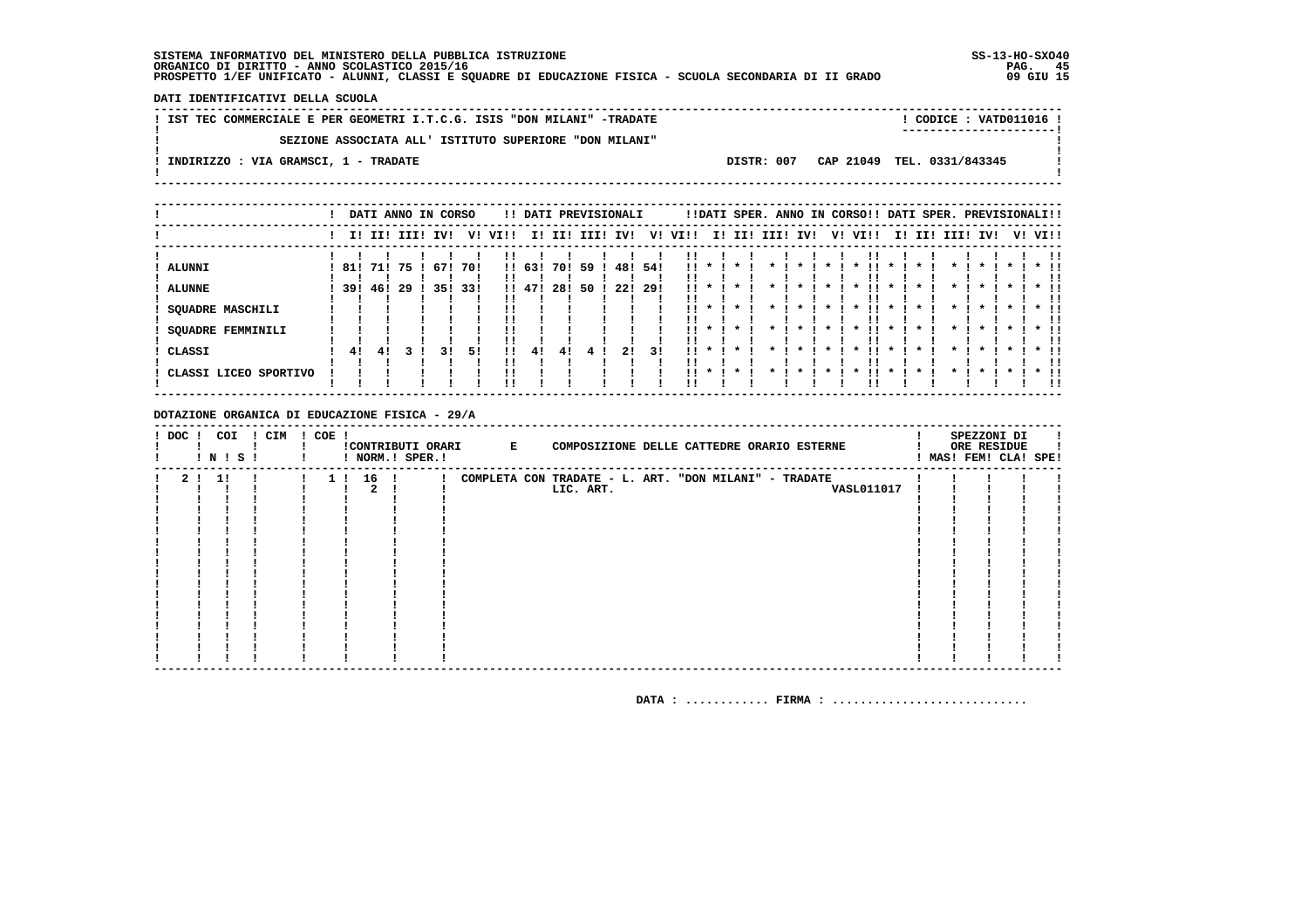DATI IDENTIFICATIVI DELLA SCUOLA

| IST TEC COMMERCIALE E PER GEOMETRI I.T.C.G. ISIS "DON MILANI" -TRADATE |                                       | CODICE: VATD011016 ! |  |
|------------------------------------------------------------------------|---------------------------------------|----------------------|--|
| SEZIONE ASSOCIATA ALL' ISTITUTO SUPERIORE "DON MILANI"                 |                                       |                      |  |
| INDIRIZZO : VIA GRAMSCI, 1 - TRADATE                                   | DISTR: 007 CAP 21049 TEL. 0331/843345 |                      |  |

|                                 |                |     |             | DATI ANNO IN CORSO |            |          |                  |            |           | !! DATI PREVISIONALI |            |           |              |                         | !!DATI SPER. ANNO IN CORSO!! DATI SPER. PREVISIONALI!! |     |    |                                            |                     |     |          |                     |  |                              |
|---------------------------------|----------------|-----|-------------|--------------------|------------|----------|------------------|------------|-----------|----------------------|------------|-----------|--------------|-------------------------|--------------------------------------------------------|-----|----|--------------------------------------------|---------------------|-----|----------|---------------------|--|------------------------------|
|                                 |                |     | I! II! III! | IV!                | V!         | VIII     | II.              | III        | III!      | IV!                  | V!         | VI!!      | I!           | II!                     | III!                                                   | IV! | V! | VI!!                                       | II.                 | II! | III! IV! |                     |  | V! VI!!                      |
| ALUNNI<br><b>ALUNNE</b>         | 81!<br>39! 46! | 71! | -75<br>-29  | 67!<br>351         | 70!<br>33! |          | !! 63!<br>!! 47! | 70!<br>28! | 59<br>50. | 48!<br>-221          | 54!<br>29! | <br>11.   |              |                         |                                                        |     |    |                                            |                     |     |          |                     |  |                              |
| SQUADRE MASCHILI                |                |     |             |                    |            |          |                  |            |           |                      |            | 11        |              |                         |                                                        |     |    | $\boldsymbol{\ast}$                        | $\boldsymbol{\ast}$ |     |          |                     |  |                              |
| <b>SQUADRE FEMMINILI</b>        |                |     |             |                    |            |          |                  |            |           |                      |            | . .<br>!! |              |                         |                                                        |     |    | $\boldsymbol{\ast}$                        | $\boldsymbol{\ast}$ |     |          | $\boldsymbol{\ast}$ |  | $\star$ $\pm$<br>!!          |
| CLASSI<br>CLASSI LICEO SPORTIVO | 41             | 41  |             | 31                 | 51         | 11<br>!! | 41               | 41         |           | 21                   | 31         | 11<br>. . | $\mathbf{x}$ | $\mathbf{x}$<br>$\star$ |                                                        |     |    | $\boldsymbol{\ast}$<br>$\boldsymbol{\ast}$ |                     |     |          |                     |  | $*$ 11<br>!!<br>$*$ 11<br>ΙI |

DOTAZIONE ORGANICA DI EDUCAZIONE FISICA - 29/A

| $!$ DOC $ $ | ! N ! S ! | COI | ! CIM | $! COE$ ! |          | ! NORM.! SPER.! | !CONTRIBUTI ORARI E | COMPOSIZIONE DELLE CATTEDRE ORARIO ESTERNE            |  | SPEZZONI DI<br>ORE RESIDUE<br>MAS! FEM! CLA! SPE! |  |
|-------------|-----------|-----|-------|-----------|----------|-----------------|---------------------|-------------------------------------------------------|--|---------------------------------------------------|--|
|             | 2 ! 1 !   |     |       |           | 1 ! 16 ! |                 |                     | COMPLETA CON TRADATE - L. ART. "DON MILANI" - TRADATE |  |                                                   |  |
|             |           |     |       |           |          |                 |                     | LIC. ART.<br><b>VASL011017</b>                        |  |                                                   |  |
|             |           |     |       |           |          |                 |                     |                                                       |  |                                                   |  |
|             |           |     |       |           |          |                 |                     |                                                       |  |                                                   |  |
|             |           |     |       |           |          |                 |                     |                                                       |  |                                                   |  |
|             |           |     |       |           |          |                 |                     |                                                       |  |                                                   |  |
|             |           |     |       |           |          |                 |                     |                                                       |  |                                                   |  |
|             |           |     |       |           |          |                 |                     |                                                       |  |                                                   |  |
|             |           |     |       |           |          |                 |                     |                                                       |  |                                                   |  |
|             |           |     |       |           |          |                 |                     |                                                       |  |                                                   |  |
|             |           |     |       |           |          |                 |                     |                                                       |  |                                                   |  |
|             |           |     |       |           |          |                 |                     |                                                       |  |                                                   |  |
|             |           |     |       |           |          |                 |                     |                                                       |  |                                                   |  |
|             |           |     |       |           |          |                 |                     |                                                       |  |                                                   |  |
|             |           |     |       |           |          |                 |                     |                                                       |  |                                                   |  |
|             |           |     |       |           |          |                 |                     |                                                       |  |                                                   |  |
|             |           |     |       |           |          |                 |                     |                                                       |  |                                                   |  |
|             |           |     |       |           |          |                 |                     |                                                       |  |                                                   |  |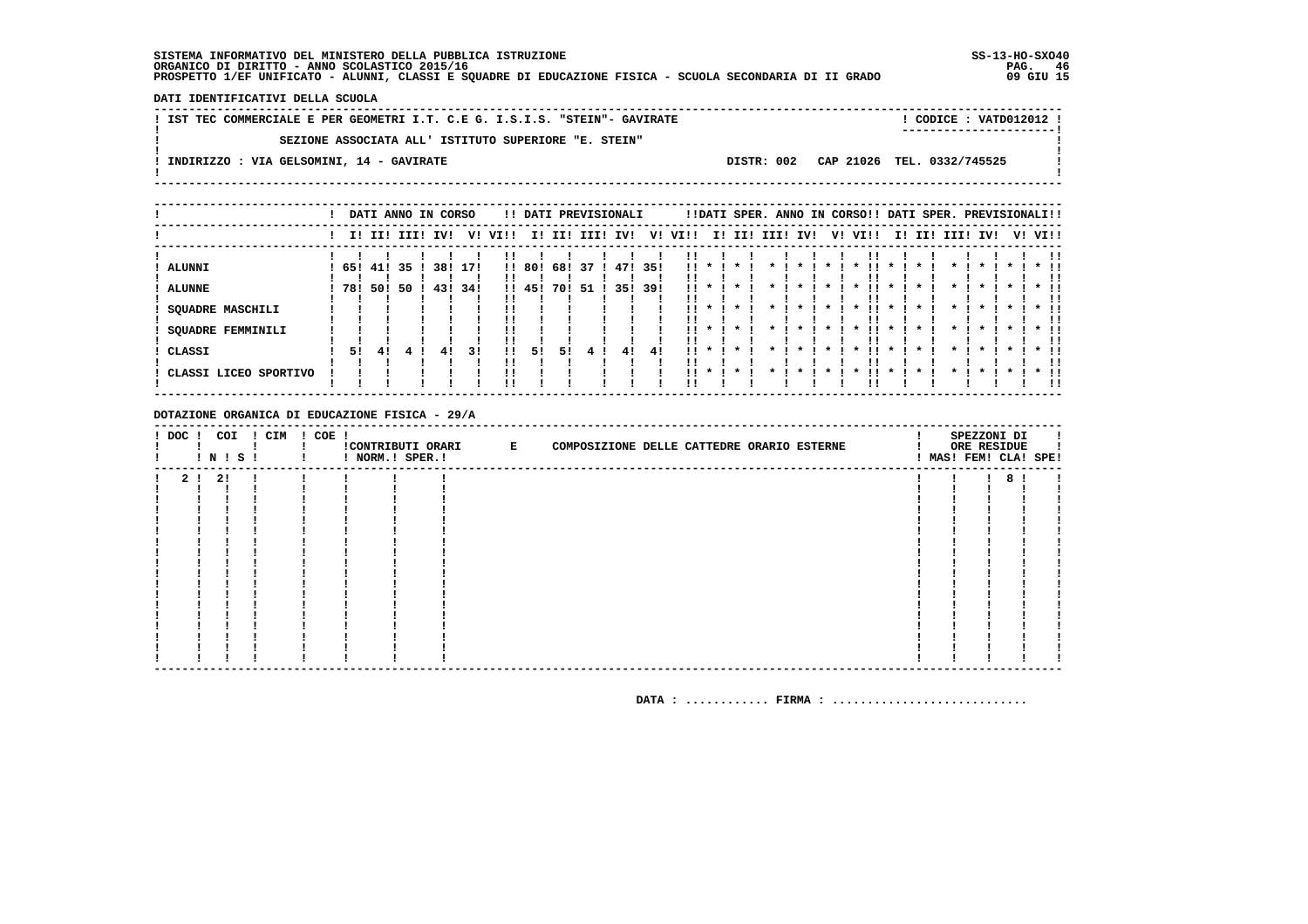DATI IDENTIFICATIVI DELLA SCUOLA

! IST TEC COMMERCIALE E PER GEOMETRI I.T. C.E G. I.S.I.S. "STEIN"- GAVIRATE ! CODICE : VATD012012 !  $\mathbf{L}$ SEZIONE ASSOCIATA ALL' ISTITUTO SUPERIORE "E. STEIN"  $\mathbf{I}$  $\blacksquare$  $\mathbf{I}$ -.<br>! INDIRIZZO : VIA GELSOMINI, 14 - GAVIRATE DISTR: 002 CAP 21026 TEL. 0332/745525 **Contract Contract**  $\mathbf{I}$  $\mathbf{I}$ 

|                         |     |     |             | DATI ANNO IN CORSO |      |      |        |      |      | !! DATI PREVISIONALI |      |      |              |         |      |     |    | !!DATI SPER. ANNO IN CORSO!! DATI SPER. PREVISIONALI!! |                     |     |  |              |    |              |
|-------------------------|-----|-----|-------------|--------------------|------|------|--------|------|------|----------------------|------|------|--------------|---------|------|-----|----|--------------------------------------------------------|---------------------|-----|--|--------------|----|--------------|
|                         |     |     | I! II! III! | IV!                | v!   | VIII | ΙI     | II!  | III! | IV!                  | V!   | VI!! | II.          | II!     | III! | IV! | V! | VI!!                                                   | II.                 | II! |  | III! IV!     | V! | VI!!         |
| <b>ALUNNI</b>           | 65! |     | 41! 35      | 38!                | 171  |      | !! 80! | 68!  | 37   | 471                  | -351 | . .  |              |         |      |     |    |                                                        |                     |     |  |              |    |              |
| <b>ALUNNE</b>           | 781 | 501 | -50         | 431                | -34! |      | !! 45! | 70 ! | -51  | 35!                  | 39!  | . .  |              |         |      |     |    |                                                        |                     |     |  |              |    |              |
| <b>SQUADRE MASCHILI</b> |     |     |             |                    |      |      |        |      |      |                      |      | !!   |              | $\cdot$ |      |     |    | $\boldsymbol{\pi}$                                     | $\mathbf{x}$        |     |  | $\mathbf{x}$ |    |              |
| SQUADRE FEMMINILI       |     |     |             |                    |      |      |        |      |      |                      |      | . .  |              |         |      |     |    | $\boldsymbol{\ast}$                                    | $\boldsymbol{\ast}$ |     |  |              |    | $*$ !!<br>!! |
| CLASSI                  | 51  | 41  |             |                    | 31   | !!   | 51     | 51   |      | 41                   | 41   | . .  | $\mathbf{x}$ | $\star$ |      |     |    |                                                        |                     |     |  |              |    | * !!<br>!!   |
| CLASSI LICEO SPORTIVO   |     |     |             |                    |      | !!   |        |      |      |                      |      | . .  | $\mathbf{x}$ | $\cdot$ |      |     |    |                                                        |                     |     |  |              |    | $*$ 11<br>!! |

DOTAZIONE ORGANICA DI EDUCAZIONE FISICA - 29/A

| ! DOC ! COI |         |              | ! CIM<br><b>INISI</b> | ! COE ! |  | !CONTRIBUTI ORARI E | COMPOSIZIONE DELLE CATTEDRE ORARIO ESTERNE |  | SPEZZONI DI<br>ORE RESIDUE<br>! MAS! FEM! CLA! SPE! |  |
|-------------|---------|--------------|-----------------------|---------|--|---------------------|--------------------------------------------|--|-----------------------------------------------------|--|
|             | 2 1 2 1 | $\mathbf{r}$ |                       |         |  |                     |                                            |  | 8                                                   |  |
|             |         |              |                       |         |  |                     |                                            |  |                                                     |  |
|             |         |              |                       |         |  |                     |                                            |  |                                                     |  |
|             |         |              |                       |         |  |                     |                                            |  |                                                     |  |
|             |         |              |                       |         |  |                     |                                            |  |                                                     |  |
|             |         |              |                       |         |  |                     |                                            |  |                                                     |  |
|             |         |              |                       |         |  |                     |                                            |  |                                                     |  |
|             |         |              |                       |         |  |                     |                                            |  |                                                     |  |
|             |         |              |                       |         |  |                     |                                            |  |                                                     |  |
|             |         |              |                       |         |  |                     |                                            |  |                                                     |  |
|             |         |              |                       |         |  |                     |                                            |  |                                                     |  |
|             |         |              |                       |         |  |                     |                                            |  |                                                     |  |
|             |         |              |                       |         |  |                     |                                            |  |                                                     |  |
|             |         |              |                       |         |  |                     |                                            |  |                                                     |  |
|             |         |              |                       |         |  |                     |                                            |  |                                                     |  |
|             |         |              |                       |         |  |                     |                                            |  |                                                     |  |
|             |         |              |                       |         |  |                     |                                            |  |                                                     |  |
|             |         |              |                       |         |  |                     |                                            |  |                                                     |  |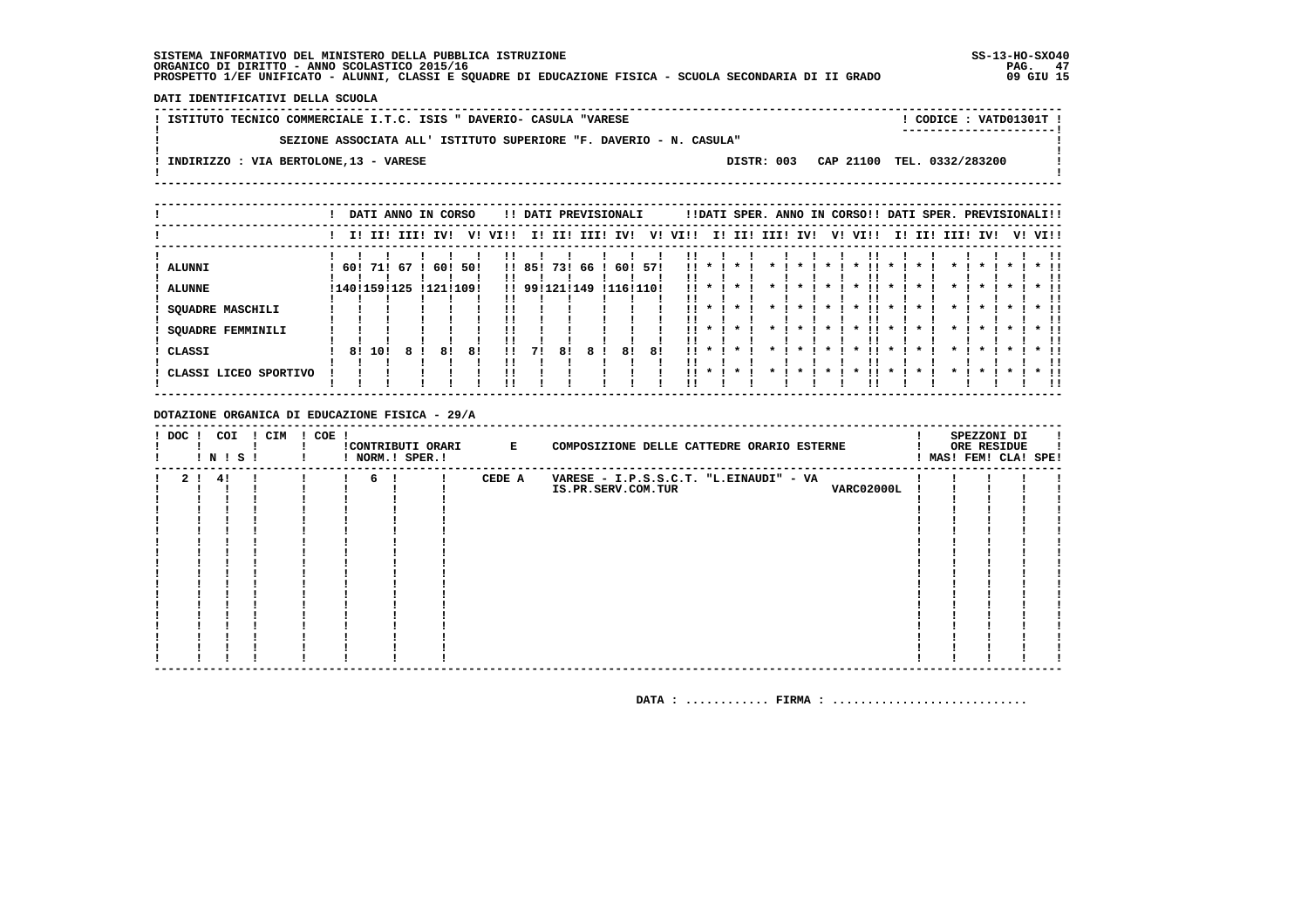DATI IDENTIFICATIVI DELLA SCUOLA

| ! ISTITUTO TECNICO COMMERCIALE I.T.C. ISIS " DAVERIO- CASULA "VARESE |            | CODICE: VATD01301T !<br>----------------------- |  |
|----------------------------------------------------------------------|------------|-------------------------------------------------|--|
| SEZIONE ASSOCIATA ALL' ISTITUTO SUPERIORE "F. DAVERIO - N. CASULA"   |            |                                                 |  |
| INDIRIZZO : VIA BERTOLONE, 13 - VARESE                               | DISTR: 003 | CAP 21100 TEL. 0332/283200                      |  |

|                             |     |     | DATI ANNO IN CORSO     |                  |     |                |                         |     |      | !! DATI PREVISIONALI |     |            |                               |                    |      |                              |         |    | !!DATI SPER. ANNO IN CORSO!! DATI SPER. PREVISIONALI!! |                         |     |                   |                         |                    |         |                         |
|-----------------------------|-----|-----|------------------------|------------------|-----|----------------|-------------------------|-----|------|----------------------|-----|------------|-------------------------------|--------------------|------|------------------------------|---------|----|--------------------------------------------------------|-------------------------|-----|-------------------|-------------------------|--------------------|---------|-------------------------|
|                             |     |     | I! II! III!            | IV!              | V!  | VI!!           | ΙI.                     | II! | III! | IV!                  | V!  | VI!!       | II.                           | II!                | III! | IV!                          |         | V! | VI!!                                                   | II.                     | II! | III!              | IV!                     |                    | V! VI!! |                         |
| ALUNNI<br><b>ALUNNE</b>     | 60! | 71! | -67<br>! 140! 159! 125 | 60!<br>!121!109! | 50! |                | !! 85!<br>!! 99!121!149 | 731 | 66   | 60!<br>!116!110!     | 571 | !!<br>. .  |                               |                    |      |                              |         |    | $\cdot$<br>!!                                          | $\boldsymbol{\pi}$      |     |                   |                         |                    |         |                         |
| <b>SQUADRE MASCHILI</b>     |     |     |                        |                  |     |                |                         |     |      |                      |     | !!         |                               |                    |      | $\mathbf{x}$                 | $\star$ |    | !!<br>$\cdot$                                          | $\cdot$                 |     | $\mathbf{r}$      | $\star$                 | $\boldsymbol{\pi}$ |         |                         |
| SQUADRE FEMMINILI<br>CLASSI | 81  | 101 |                        | 81               | 81  | !!<br>!!<br>11 | 71                      | 81  | 8    | 81                   | 81  | . .<br>. . | $\cdot$<br>$\boldsymbol{\pi}$ | $\cdot$<br>$\cdot$ |      | $\mathbf{x}$<br>$\mathbf{x}$ |         |    | $\cdot$<br>. .<br>$\boldsymbol{\ast}$                  | $\cdot$<br>$\mathbf{x}$ |     | *<br>$\mathbf{r}$ | $\mathbf{x}$<br>$\star$ |                    |         | $*$ !!<br>. .<br>$*$ !! |
| CLASSI LICEO SPORTIVO       |     |     |                        |                  |     | !!             |                         |     |      |                      |     | . .        | $\cdot$                       | $\cdot$            |      | $\star$                      |         |    | $\boldsymbol{\ast}$                                    | $\cdot$                 |     | $\star$           | $\boldsymbol{\pi}$      |                    |         | $*$ 11                  |

DOTAZIONE ORGANICA DI EDUCAZIONE FISICA - 29/A

| $!$ DOC $!$    | ! N ! S ! | COI | ! CIM | $! COE$ ! |    | ! NORM.! SPER.! | !CONTRIBUTI ORARI E | COMPOSIZIONE DELLE CATTEDRE ORARIO ESTERNE |  | SPEZZONI DI<br>ORE RESIDUE<br>MAS! FEM! CLA! SPE! |  |
|----------------|-----------|-----|-------|-----------|----|-----------------|---------------------|--------------------------------------------|--|---------------------------------------------------|--|
| 2 <sub>1</sub> | 4!        |     |       |           | 6! |                 | CEDE A              | VARESE - I.P.S.S.C.T. "L.EINAUDI" - VA     |  |                                                   |  |
|                |           |     |       |           |    |                 |                     | VARC02000L<br>IS.PR.SERV.COM.TUR           |  |                                                   |  |
|                |           |     |       |           |    |                 |                     |                                            |  |                                                   |  |
|                |           |     |       |           |    |                 |                     |                                            |  |                                                   |  |
|                |           |     |       |           |    |                 |                     |                                            |  |                                                   |  |
|                |           |     |       |           |    |                 |                     |                                            |  |                                                   |  |
|                |           |     |       |           |    |                 |                     |                                            |  |                                                   |  |
|                |           |     |       |           |    |                 |                     |                                            |  |                                                   |  |
|                |           |     |       |           |    |                 |                     |                                            |  |                                                   |  |
|                |           |     |       |           |    |                 |                     |                                            |  |                                                   |  |
|                |           |     |       |           |    |                 |                     |                                            |  |                                                   |  |
|                |           |     |       |           |    |                 |                     |                                            |  |                                                   |  |
|                |           |     |       |           |    |                 |                     |                                            |  |                                                   |  |
|                |           |     |       |           |    |                 |                     |                                            |  |                                                   |  |
|                |           |     |       |           |    |                 |                     |                                            |  |                                                   |  |
|                |           |     |       |           |    |                 |                     |                                            |  |                                                   |  |
|                |           |     |       |           |    |                 |                     |                                            |  |                                                   |  |
|                |           |     |       |           |    |                 |                     |                                            |  |                                                   |  |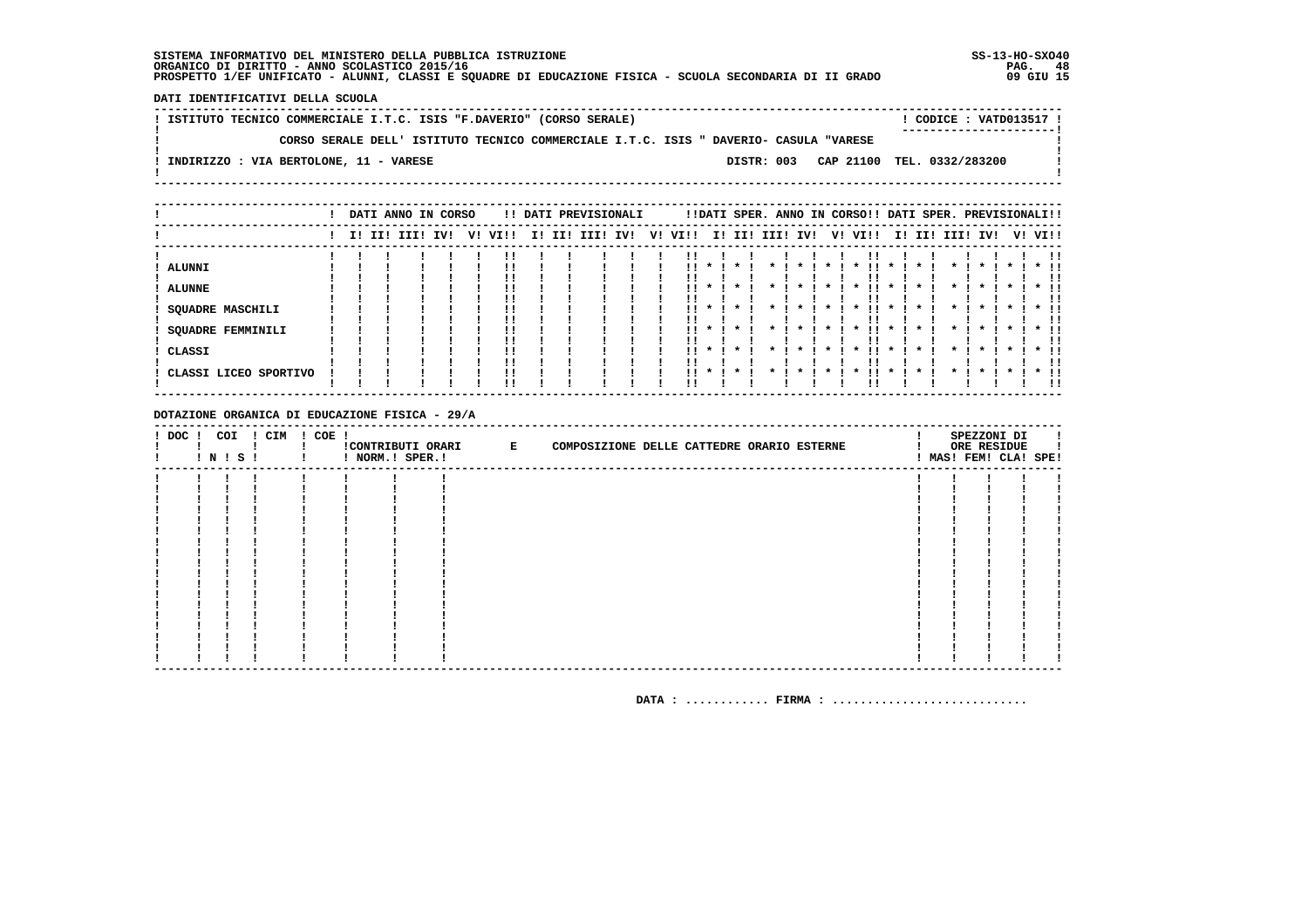DATI IDENTIFICATIVI DELLA SCUOLA

! ISTITUTO TECNICO COMMERCIALE I.T.C. ISIS "F.DAVERIO" (CORSO SERALE) ! CODICE : VATD013517 !  $\mathbf{L}$ CORSO SERALE DELL' ISTITUTO TECNICO COMMERCIALE I.T.C. ISIS " DAVERIO- CASULA "VARESE  $\mathbf{I}$  $\overline{\phantom{a}}$  $\mathbf{I}$ -: INDIRIZZO : VIA BERTOLONE, 11 - VARESE DISTR: 003 CAP 21100 TEL. 0332/283200 **Contract Contract**  $\mathbf{I}$  $\mathbf{I}$ 

|                         |  | DATI ANNO IN CORSO |     |    |      |        | !! DATI PREVISIONALI |    |      |              |                    |              |                     |    |                     |                    | !!DATI SPER. ANNO IN CORSO!! DATI SPER. PREVISIONALI!! |                     |                    |         |        |
|-------------------------|--|--------------------|-----|----|------|--------|----------------------|----|------|--------------|--------------------|--------------|---------------------|----|---------------------|--------------------|--------------------------------------------------------|---------------------|--------------------|---------|--------|
|                         |  | I! II! III!        | IV! | V! | VIII | I! II! | III! IV!             | V! | VI!! |              | I! II! III! IV!    |              |                     | V! | VI!!                |                    | I! II! III! IV!                                        |                     |                    | V! VI!! |        |
| ALUNNI                  |  |                    |     |    |      |        |                      |    | !!   | $\mathbf x$  | $\star$            |              | $\boldsymbol{\ast}$ |    | $\boldsymbol{\pi}$  |                    |                                                        | $\boldsymbol{\pi}$  | $\boldsymbol{\pi}$ |         |        |
|                         |  |                    |     |    |      |        |                      |    |      |              |                    |              |                     |    |                     |                    |                                                        |                     |                    |         |        |
| <b>ALUNNE</b>           |  |                    |     |    |      |        |                      |    | !!   |              |                    |              |                     |    | $\boldsymbol{\ast}$ |                    |                                                        |                     |                    |         | $*$ !! |
| <b>SQUADRE MASCHILI</b> |  |                    |     |    |      |        |                      |    | !!   | $\mathbf{x}$ | $\boldsymbol{\pi}$ |              |                     |    | $\boldsymbol{\pi}$  | $\boldsymbol{\pi}$ |                                                        | $\boldsymbol{\pi}$  |                    |         | $*$ !! |
| SQUADRE FEMMINILI       |  |                    |     |    | !!   |        |                      |    |      | $11 * 1$     | $\mathbf{x}$       | $\mathbf{x}$ | $\boldsymbol{\pi}$  |    | $\boldsymbol{\pi}$  | $\mathbf{x}$       | $\mathbf{r}$                                           | $\boldsymbol{\ast}$ |                    |         | $*$ 11 |
| CLASSI                  |  |                    |     |    |      |        |                      |    | . .  | $\cdot$      | $\cdot$            |              | $\boldsymbol{\pi}$  |    | $\boldsymbol{\pi}$  | $\boldsymbol{\pi}$ | $\mathbf{r}$                                           | $\boldsymbol{\ast}$ |                    |         | $*$ !! |
| CLASSI LICEO SPORTIVO   |  |                    |     |    |      |        |                      |    | 11.  | $\mathbf{x}$ |                    |              |                     |    | $\boldsymbol{\ast}$ | $\boldsymbol{\pi}$ | $\mathbf{r}$                                           | $\boldsymbol{\ast}$ |                    |         | $*$ 11 |
|                         |  |                    |     |    |      |        |                      |    |      |              |                    |              |                     |    |                     |                    |                                                        |                     |                    |         | !!     |
|                         |  |                    |     |    |      |        |                      |    |      |              |                    |              |                     |    |                     |                    |                                                        |                     |                    |         |        |

DOTAZIONE ORGANICA DI EDUCAZIONE FISICA - 29/A

|  | ! DOC ! COI ! CIM ! COE !<br><b>! N ! S !</b> | ! ! NORM.! SPER.! | !CONTRIBUTI ORARI E | COMPOSIZIONE DELLE CATTEDRE ORARIO ESTERNE |  | SPEZZONI DI<br>ORE RESIDUE<br>! MAS! FEM! CLA! SPE! |  |
|--|-----------------------------------------------|-------------------|---------------------|--------------------------------------------|--|-----------------------------------------------------|--|
|  |                                               |                   |                     |                                            |  |                                                     |  |
|  |                                               |                   |                     |                                            |  |                                                     |  |
|  |                                               |                   |                     |                                            |  |                                                     |  |
|  |                                               |                   |                     |                                            |  |                                                     |  |
|  |                                               |                   |                     |                                            |  |                                                     |  |
|  |                                               |                   |                     |                                            |  |                                                     |  |
|  |                                               |                   |                     |                                            |  |                                                     |  |
|  |                                               |                   |                     |                                            |  |                                                     |  |
|  |                                               |                   |                     |                                            |  |                                                     |  |
|  |                                               |                   |                     |                                            |  |                                                     |  |
|  |                                               |                   |                     |                                            |  |                                                     |  |
|  |                                               |                   |                     |                                            |  |                                                     |  |
|  |                                               |                   |                     |                                            |  |                                                     |  |
|  |                                               |                   |                     |                                            |  |                                                     |  |
|  |                                               |                   |                     |                                            |  |                                                     |  |
|  |                                               |                   |                     |                                            |  |                                                     |  |
|  |                                               |                   |                     |                                            |  |                                                     |  |
|  |                                               |                   |                     |                                            |  |                                                     |  |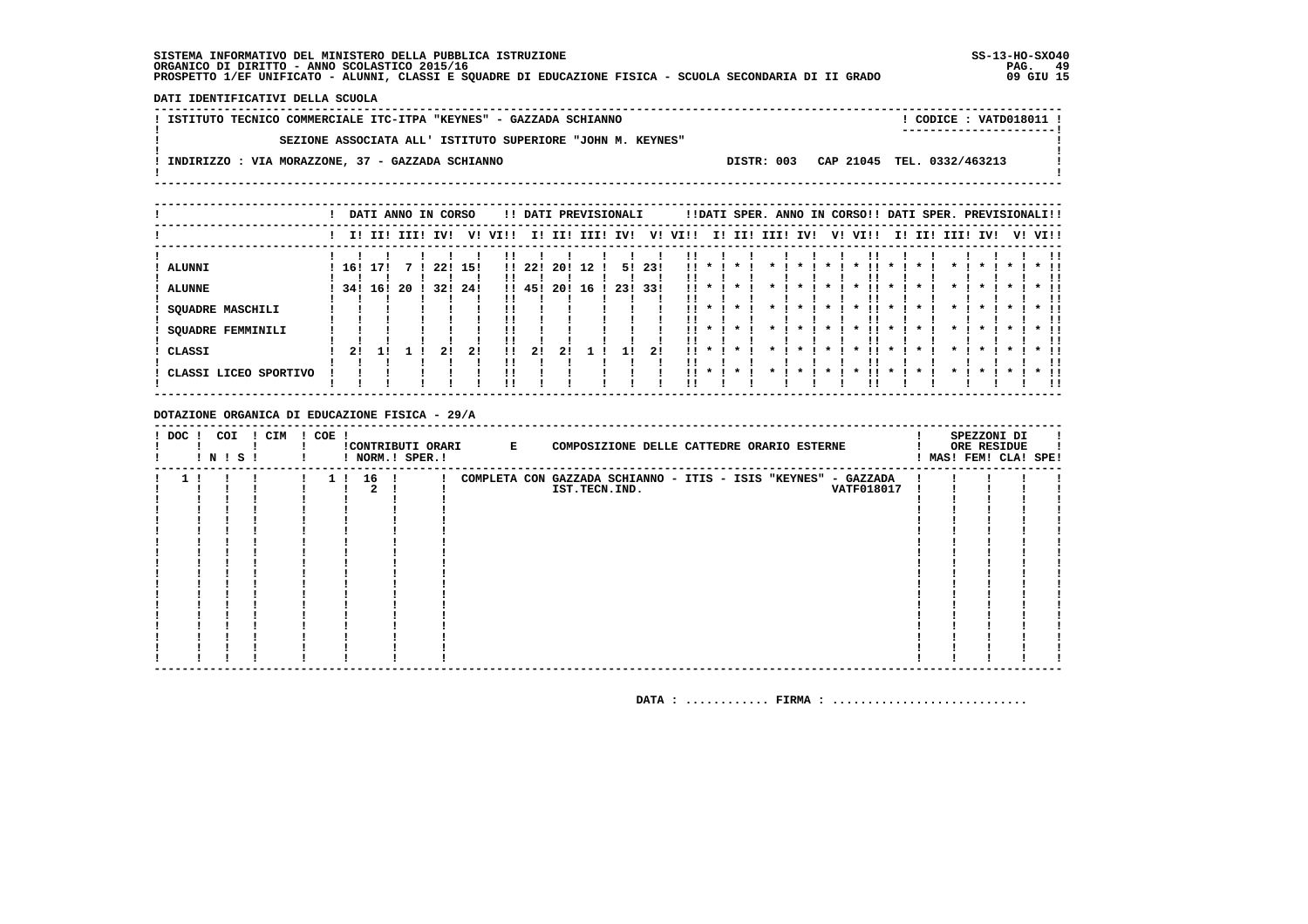DATI IDENTIFICATIVI DELLA SCUOLA

| ! ISTITUTO TECNICO COMMERCIALE ITC-ITPA "KEYNES" - GAZZADA SCHIANNO                         | ! CODICE : VATD018011 ! |
|---------------------------------------------------------------------------------------------|-------------------------|
|                                                                                             | ----------------------- |
| SEZIONE ASSOCIATA ALL' ISTITUTO SUPERIORE "JOHN M. KEYNES"                                  |                         |
|                                                                                             |                         |
| DISTR: 003 CAP 21045 TEL. 0332/463213<br>! INDIRIZZO : VIA MORAZZONE, 37 - GAZZADA SCHIANNO |                         |
|                                                                                             |                         |

|                                                                                                            |           | DATI ANNO IN CORSO |     |            |                   |              |                       |                  |          | !! DATI PREVISIONALI |              |                                           |                                              | !!DATI SPER. ANNO IN CORSO!! DATI SPER. PREVISIONALI!!   |                    |    |                                                                                                        |                                                                                      |  |                    |                                                                                                                        |  |                                   |
|------------------------------------------------------------------------------------------------------------|-----------|--------------------|-----|------------|-------------------|--------------|-----------------------|------------------|----------|----------------------|--------------|-------------------------------------------|----------------------------------------------|----------------------------------------------------------|--------------------|----|--------------------------------------------------------------------------------------------------------|--------------------------------------------------------------------------------------|--|--------------------|------------------------------------------------------------------------------------------------------------------------|--|-----------------------------------|
|                                                                                                            |           | I! II! III! IV!    |     |            | V!                | VI!!         |                       |                  |          | I! II! III! IV!      | V!           | VI!!                                      |                                              | I! II! III! IV!                                          |                    | V! | VI!!                                                                                                   |                                                                                      |  | I! II! III! IV!    |                                                                                                                        |  | V! VI!!                           |
| <b>ALUNNI</b><br><b>ALUNNE</b><br>SQUADRE MASCHILI<br>SQUADRE FEMMINILI<br>CLASSI<br>CLASSI LICEO SPORTIVO | 16!<br>21 | 171<br>34! 16!     | -20 | 22!<br>32! | 15!<br>-241<br>21 | !!<br><br>!! | 11221<br>!! 45!<br>2! | 20!<br>20!<br>21 | 12<br>16 | 23! 33!              | 5! 23!<br>21 | . .<br><br>. .<br><br><br>$\mathbf{11}$ * | $\mathbf{x}$<br>$\mathbf{r}$<br>$\mathbf{x}$ | $\star$<br>$\cdot$<br>$\mathbf{r}$<br>$\cdot$<br>$\cdot$ | $\boldsymbol{\pi}$ |    | $\boldsymbol{\ast}$<br>$\boldsymbol{\pi}$<br>$\mathbf{x}$<br>$\boldsymbol{\pi}$<br>$\boldsymbol{\ast}$ | $\boldsymbol{\pi}$<br>$\boldsymbol{\pi}$<br>$\boldsymbol{\pi}$<br>''<br>$\mathbf{x}$ |  | $\boldsymbol{\pi}$ | $\boldsymbol{\pi}$<br>$\boldsymbol{\ast}$<br>$\cdot$<br>$\boldsymbol{\pi}$<br>$\boldsymbol{\pi}$<br>$\boldsymbol{\pi}$ |  | $*$ !!<br>$\star$ $\pm$<br>$*$ !! |
|                                                                                                            |           |                    |     |            |                   |              |                       |                  |          |                      |              |                                           |                                              |                                                          |                    |    |                                                                                                        |                                                                                      |  |                    |                                                                                                                        |  |                                   |

### DOTAZIONE ORGANICA DI EDUCAZIONE FISICA - 29/A

| ! DOC ! | COI<br>! N ! S ! | ! CIM | $! COE$ !      |      | ! NORM.! SPER.! | !CONTRIBUTI ORARI E | COMPOSIZIONE DELLE CATTEDRE ORARIO ESTERNE                     |  |                   |  | SPEZZONI DI<br>ORE RESIDUE<br>! MAS! FEM! CLA! SPE! |  |
|---------|------------------|-------|----------------|------|-----------------|---------------------|----------------------------------------------------------------|--|-------------------|--|-----------------------------------------------------|--|
|         |                  |       | 1 <sub>1</sub> | 16 ! |                 |                     | COMPLETA CON GAZZADA SCHIANNO - ITIS - ISIS "KEYNES" - GAZZADA |  |                   |  |                                                     |  |
|         |                  |       |                |      |                 |                     | IST.TECN.IND.                                                  |  | <b>VATF018017</b> |  |                                                     |  |
|         |                  |       |                |      |                 |                     |                                                                |  |                   |  |                                                     |  |
|         |                  |       |                |      |                 |                     |                                                                |  |                   |  |                                                     |  |
|         |                  |       |                |      |                 |                     |                                                                |  |                   |  |                                                     |  |
|         |                  |       |                |      |                 |                     |                                                                |  |                   |  |                                                     |  |
|         |                  |       |                |      |                 |                     |                                                                |  |                   |  |                                                     |  |
|         |                  |       |                |      |                 |                     |                                                                |  |                   |  |                                                     |  |
|         |                  |       |                |      |                 |                     |                                                                |  |                   |  |                                                     |  |
|         |                  |       |                |      |                 |                     |                                                                |  |                   |  |                                                     |  |
|         |                  |       |                |      |                 |                     |                                                                |  |                   |  |                                                     |  |
|         |                  |       |                |      |                 |                     |                                                                |  |                   |  |                                                     |  |
|         |                  |       |                |      |                 |                     |                                                                |  |                   |  |                                                     |  |
|         |                  |       |                |      |                 |                     |                                                                |  |                   |  |                                                     |  |
|         |                  |       |                |      |                 |                     |                                                                |  |                   |  |                                                     |  |
|         |                  |       |                |      |                 |                     |                                                                |  |                   |  |                                                     |  |
|         |                  |       |                |      |                 |                     |                                                                |  |                   |  |                                                     |  |
|         |                  |       |                |      |                 |                     |                                                                |  |                   |  |                                                     |  |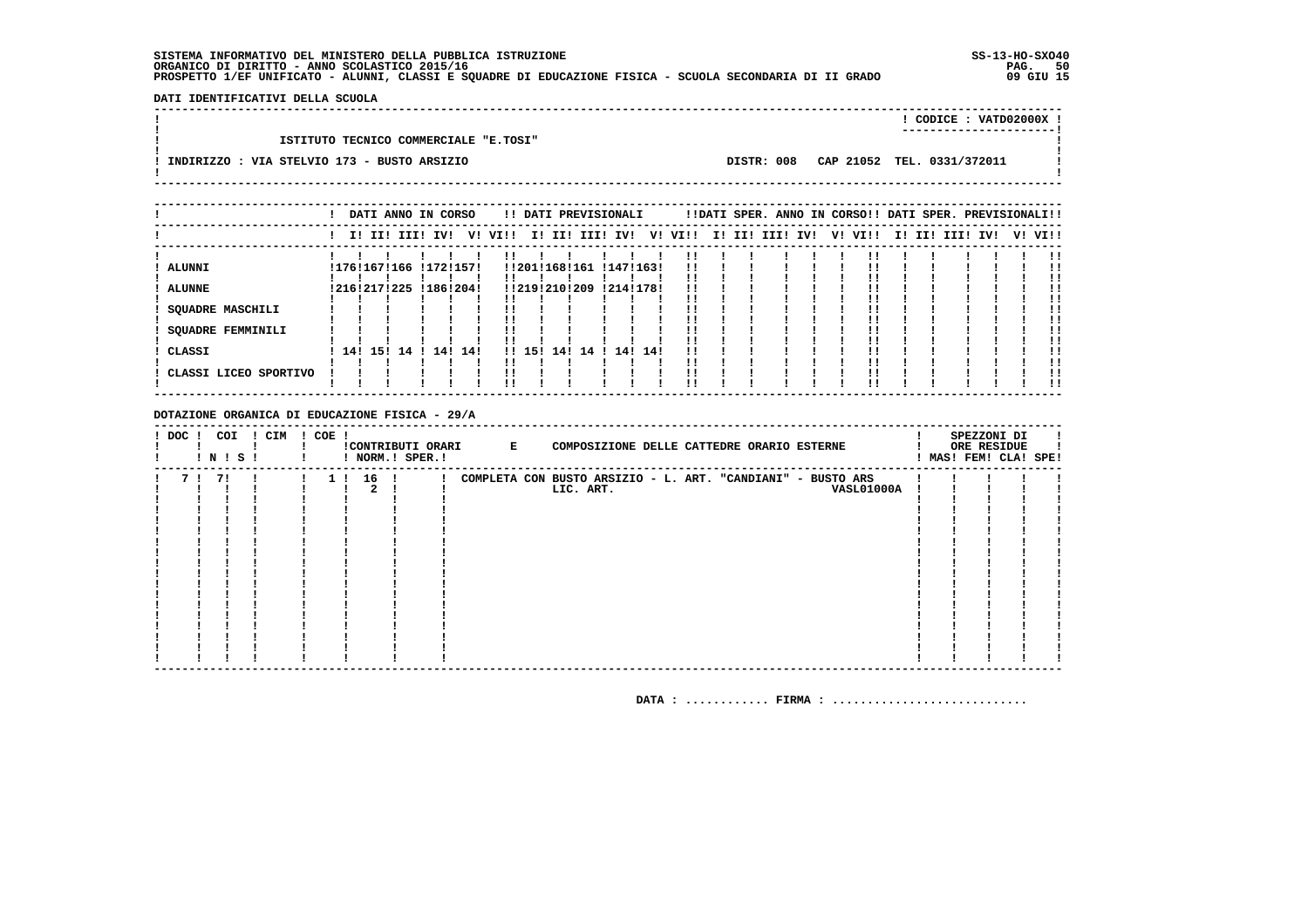DATI IDENTIFICATIVI DELLA SCUOLA

|                                             |            | CODICE: VATD02000X !       |  |
|---------------------------------------------|------------|----------------------------|--|
| ISTITUTO TECNICO COMMERCIALE "E.TOSI"       |            |                            |  |
| INDIRIZZO : VIA STELVIO 173 - BUSTO ARSIZIO | DISTR: 008 | CAP 21052 TEL. 0331/372011 |  |

|                                                                                                     |  | DATI ANNO IN CORSO                                     |     |                  |      |        |     | !! DATI PREVISIONALI                 |  |                                   |         |  | !!DATI SPER. ANNO IN CORSO!! DATI SPER. PREVISIONALI!! |  |         |        |      |     |         |
|-----------------------------------------------------------------------------------------------------|--|--------------------------------------------------------|-----|------------------|------|--------|-----|--------------------------------------|--|-----------------------------------|---------|--|--------------------------------------------------------|--|---------|--------|------|-----|---------|
|                                                                                                     |  | I! II! III! IV!                                        |     | V!               | VI!! |        |     | I! II! III! IV!                      |  |                                   | V! VI!! |  | I! II! III! IV!                                        |  | V! VI!! | I! II! | III! | IV! | V! VI!! |
| ALUNNI<br><b>ALUNNE</b><br>SQUADRE MASCHILI<br>SQUADRE FEMMINILI<br>CLASSI<br>CLASSI LICEO SPORTIVO |  | !176!167!166 !172!157!<br>! 216! 217! 225<br>141151141 | 141 | !186!204!<br>14! |      | !! 15! | 141 | !!201!168!161<br>!!219!210!209<br>14 |  | !147!163!<br>!214!178!<br>14! 14! | . .     |  |                                                        |  |         |        |      |     |         |
|                                                                                                     |  |                                                        |     |                  |      |        |     |                                      |  |                                   |         |  |                                                        |  |         |        |      |     |         |

### DOTAZIONE ORGANICA DI EDUCAZIONE FISICA - 29/A

| ! DOC ! | COI<br>! N ! S ! | ! CIM | ! COE ! |          | ! NORM.! SPER.! |  | !CONTRIBUTI ORARI B E COMPOSIZIONE DELLE CATTEDRE ORARIO ESTERNE         |  |                   |  | SPEZZONI DI<br>ORE RESIDUE<br>! MAS! FEM! CLA! SPE! |  |
|---------|------------------|-------|---------|----------|-----------------|--|--------------------------------------------------------------------------|--|-------------------|--|-----------------------------------------------------|--|
| 71      | 71               |       |         | 1 ! 16 ! |                 |  | COMPLETA CON BUSTO ARSIZIO - L. ART. "CANDIANI" - BUSTO ARS<br>LIC. ART. |  | <b>VASL01000A</b> |  |                                                     |  |
|         |                  |       |         |          |                 |  |                                                                          |  |                   |  |                                                     |  |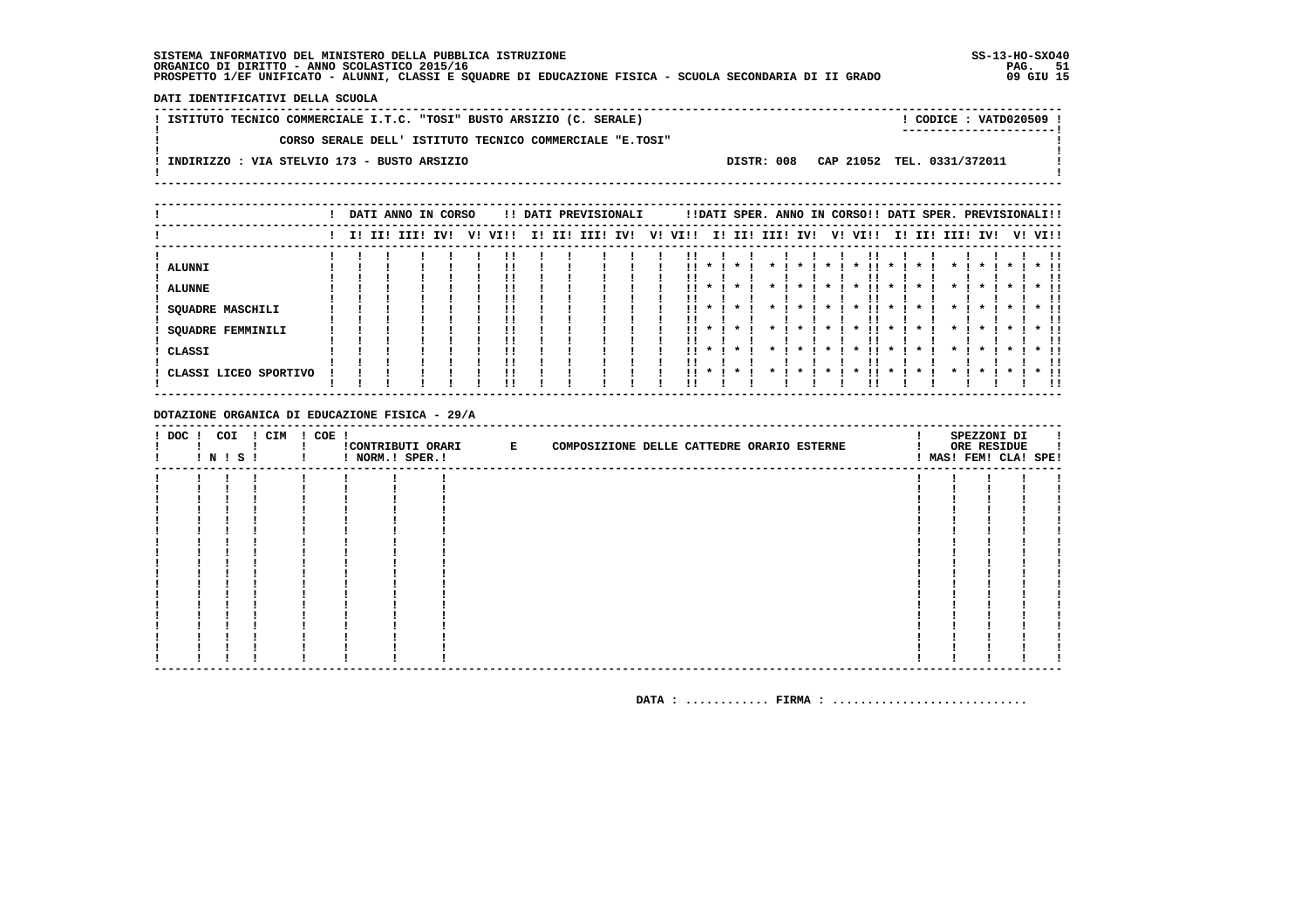DATI IDENTIFICATIVI DELLA SCUOLA

! ISTITUTO TECNICO COMMERCIALE I.T.C. "TOSI" BUSTO ARSIZIO (C. SERALE) ! CODICE : VATD020509 !  $\mathbf{I}$ CORSO SERALE DELL' ISTITUTO TECNICO COMMERCIALE "E.TOSI"  $\mathbf{I}$ - 1  $\mathbf{I}$ -: INDIRIZZO : VIA STELVIO 173 - BUSTO ARSIZIO DISTR: 008 CAP 21052 TEL. 0331/372011 **Contract Contract**  $\mathbf{I}$  $\mathbf{I}$ 

|                                                                         |  | DATI ANNO IN CORSO |     |    |          |     |     | !! DATI PREVISIONALI |     |    |                        |                    |                    |      |                     |    | !!DATI SPER. ANNO IN CORSO!! DATI SPER. PREVISIONALI!!           |                                           |     |                                                      |         |                              |
|-------------------------------------------------------------------------|--|--------------------|-----|----|----------|-----|-----|----------------------|-----|----|------------------------|--------------------|--------------------|------|---------------------|----|------------------------------------------------------------------|-------------------------------------------|-----|------------------------------------------------------|---------|------------------------------|
|                                                                         |  | I! II! III!        | IV! | v! | VIII     | II. | II! | III!                 | IV! | V! | VI!!                   | ΙI                 | II!                | III! | IV!                 | V! | VI!!                                                             | II.                                       | II! | III! IV!                                             | V! VI!! |                              |
| <b>ALUNNI</b><br><b>ALUNNE</b><br>SQUADRE MASCHILI<br>SQUADRE FEMMINILI |  |                    |     |    | !!<br>!! |     |     |                      |     |    | !!<br>!!<br>. .        | $\boldsymbol{\pi}$ | $\cdot$            |      | $\boldsymbol{\ast}$ |    | $\boldsymbol{\ast}$<br>$\boldsymbol{\pi}$<br>$\boldsymbol{\ast}$ | $\mathbf{x}$<br>$\mathbf{x}$              |     | $\cdot$<br>$\boldsymbol{\pi}$<br>$\boldsymbol{\ast}$ |         | $*$ !!<br>!!                 |
| CLASSI<br>CLASSI LICEO SPORTIVO                                         |  |                    |     |    | !!<br>!! |     |     |                      |     |    | . .<br>$\mathbf{11}$ * | $\mathbf{x}$       | $\cdot$<br>$\cdot$ |      |                     |    | $\boldsymbol{\ast}$<br>$\mathbf x$                               | $\boldsymbol{\pi}$<br>$\boldsymbol{\ast}$ |     | $\boldsymbol{\ast}$<br>$\mathbf x$                   |         | $*$ !!<br>!!<br>$*$ 11<br>ΙI |

DOTAZIONE ORGANICA DI EDUCAZIONE FISICA - 29/A

| ! DOC ! COI | I N I S I | ! CIM | ! COE ! | ! NORM.! SPER.! | !CONTRIBUTI ORARI E | COMPOSIZIONE DELLE CATTEDRE ORARIO ESTERNE |  |  |  | SPEZZONI DI<br>ORE RESIDUE<br>! MAS! FEM! CLA! SPE! |  |
|-------------|-----------|-------|---------|-----------------|---------------------|--------------------------------------------|--|--|--|-----------------------------------------------------|--|
|             |           |       |         |                 |                     |                                            |  |  |  |                                                     |  |
|             |           |       |         |                 |                     |                                            |  |  |  |                                                     |  |
|             |           |       |         |                 |                     |                                            |  |  |  |                                                     |  |
|             |           |       |         |                 |                     |                                            |  |  |  |                                                     |  |
|             |           |       |         |                 |                     |                                            |  |  |  |                                                     |  |
|             |           |       |         |                 |                     |                                            |  |  |  |                                                     |  |
|             |           |       |         |                 |                     |                                            |  |  |  |                                                     |  |
|             |           |       |         |                 |                     |                                            |  |  |  |                                                     |  |
|             |           |       |         |                 |                     |                                            |  |  |  |                                                     |  |
|             |           |       |         |                 |                     |                                            |  |  |  |                                                     |  |
|             |           |       |         |                 |                     |                                            |  |  |  |                                                     |  |
|             |           |       |         |                 |                     |                                            |  |  |  |                                                     |  |
|             |           |       |         |                 |                     |                                            |  |  |  |                                                     |  |
|             |           |       |         |                 |                     |                                            |  |  |  |                                                     |  |
|             |           |       |         |                 |                     |                                            |  |  |  |                                                     |  |
|             |           |       |         |                 |                     |                                            |  |  |  |                                                     |  |
|             |           |       |         |                 |                     |                                            |  |  |  |                                                     |  |
|             |           |       |         |                 |                     |                                            |  |  |  |                                                     |  |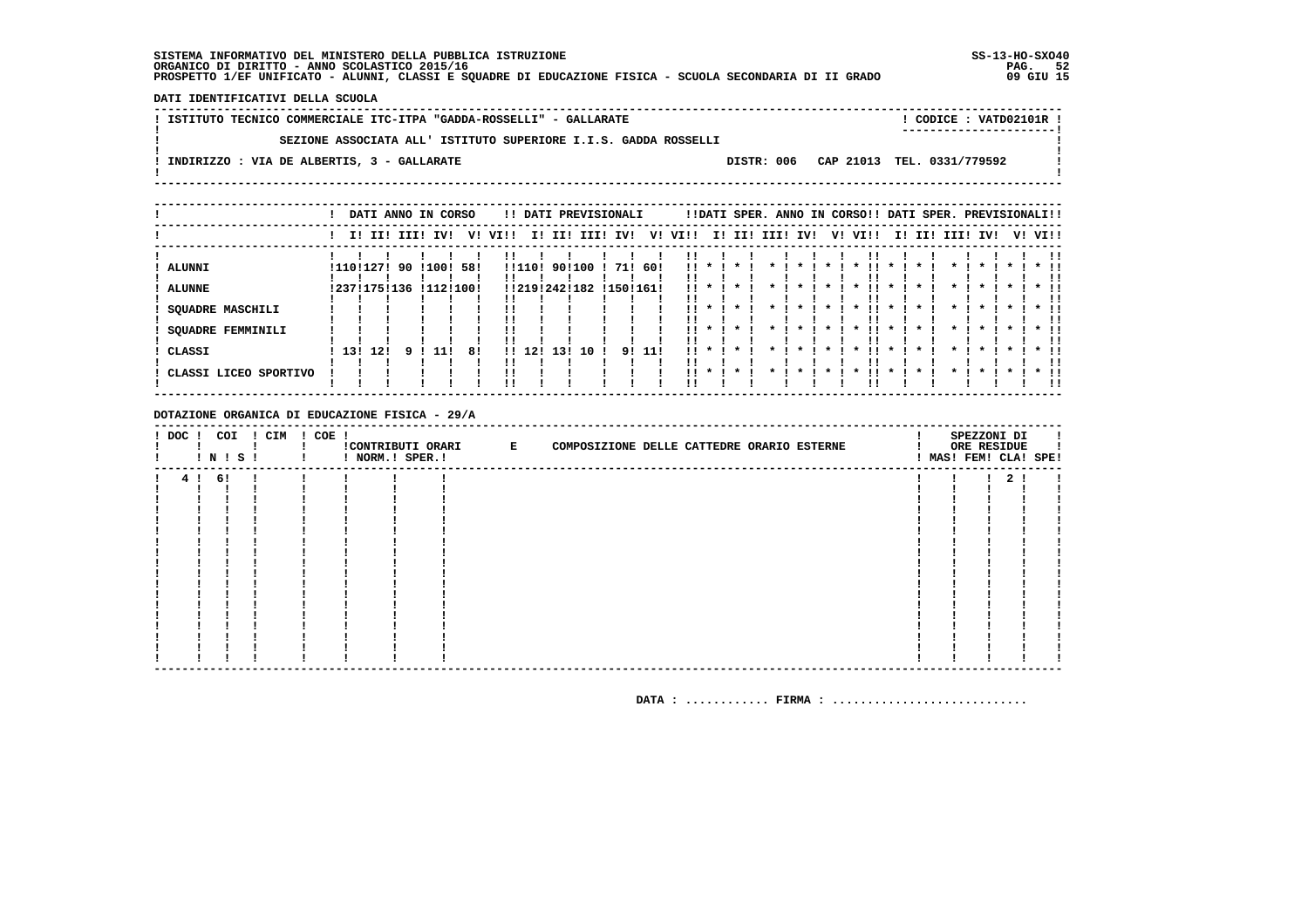DATI IDENTIFICATIVI DELLA SCUOLA

| ! ISTITUTO TECNICO COMMERCIALE ITC-ITPA "GADDA-ROSSELLI" - GALLARATE |  | CODICE: VATD02101R !<br>----------------------- |  |
|----------------------------------------------------------------------|--|-------------------------------------------------|--|
| SEZIONE ASSOCIATA ALL' ISTITUTO SUPERIORE I.I.S. GADDA ROSSELLI      |  |                                                 |  |
| INDIRIZZO : VIA DE ALBERTIS, 3 - GALLARATE                           |  | DISTR: 006 CAP 21013 TEL. 0331/779592           |  |
|                                                                      |  |                                                 |  |

|                          |           |     |             | DATI ANNO IN CORSO                  |    |      |        |                         |      | !! DATI PREVISIONALI |        |                                 |     |              |      |   |     |           | !!DATI SPER. ANNO IN CORSO!! DATI SPER. PREVISIONALI!! |         |     |              |                    |         |                    |
|--------------------------|-----------|-----|-------------|-------------------------------------|----|------|--------|-------------------------|------|----------------------|--------|---------------------------------|-----|--------------|------|---|-----|-----------|--------------------------------------------------------|---------|-----|--------------|--------------------|---------|--------------------|
|                          |           |     | I! II! III! | IVI                                 | v! | VI!! | II.    | III                     | IIII | IV!                  | V!     | VI!!                            | II. | II!          | IIII |   | IV! | V!        | VI!!                                                   | II.     | II! | III! IV!     |                    |         | V! VI!!            |
| ALUNNI<br><b>ALUNNE</b>  | !110!127! |     | 90          | !100! 58!<br>!237!175!136 !112!100! |    |      | !!110! | 90!100<br>!!219!242!182 |      | 71! 60!<br>!150!161! |        | <br>. .                         |     |              |      |   |     |           | *                                                      |         |     |              | $\boldsymbol{\pi}$ |         |                    |
| <b>SQUADRE MASCHILI</b>  |           |     |             |                                     |    |      |        |                         |      |                      |        | . .                             |     | $\cdot$      |      | * |     | $\star$ 1 | . .<br>$\cdot$                                         | $\star$ |     | $\star$      | $\cdot$            | $\cdot$ | $*$ !!             |
| <b>SQUADRE FEMMINILI</b> |           |     |             |                                     |    | !!   |        |                         |      |                      |        | $\mathbf{1}$ $\mathbf{1}$<br>!! |     | $\cdot$      |      |   |     | $\cdot$   | . .<br>$\cdot$                                         | $\cdot$ |     | $\mathbf{x}$ | $\boldsymbol{\pi}$ |         | !!<br>$*$ 11<br>ΙI |
| CLASSI                   | 13!       | 12! |             | 11 I                                | 81 |      | 12.1   | 1.31                    | 1 O  |                      | 91 111 | $\mathbf{1}$ $\mathbf{1}$       |     | $\cdot$      |      |   |     |           | $\boldsymbol{\ast}$                                    | $\star$ |     | $\cdot$      | $\cdot$            |         | $*$ !!<br>!!       |
| CLASSI LICEO SPORTIVO    |           |     |             |                                     |    |      |        |                         |      |                      |        | . .                             |     | $\mathbf{x}$ |      |   |     |           |                                                        | *       |     |              | $\cdot$            |         | $*$ 11             |

DOTAZIONE ORGANICA DI EDUCAZIONE FISICA - 29/A

| $!$ DOC $!$ | COI<br>1 N 1 S 1 | ! CIM | $! COE$ ! | ! NORM.! SPER.! | !CONTRIBUTI ORARI E | COMPOSIZIONE DELLE CATTEDRE ORARIO ESTERNE |  | SPEZZONI DI<br>ORE RESIDUE | ! MAS! FEM! CLA! SPE! |
|-------------|------------------|-------|-----------|-----------------|---------------------|--------------------------------------------|--|----------------------------|-----------------------|
|             | 4! 6!            |       |           |                 |                     |                                            |  | 2 <sub>1</sub>             |                       |
|             |                  |       |           |                 |                     |                                            |  |                            |                       |
|             |                  |       |           |                 |                     |                                            |  |                            |                       |
|             |                  |       |           |                 |                     |                                            |  |                            |                       |
|             |                  |       |           |                 |                     |                                            |  |                            |                       |
|             |                  |       |           |                 |                     |                                            |  |                            |                       |
|             |                  |       |           |                 |                     |                                            |  |                            |                       |
|             |                  |       |           |                 |                     |                                            |  |                            |                       |
|             |                  |       |           |                 |                     |                                            |  |                            |                       |
|             |                  |       |           |                 |                     |                                            |  |                            |                       |
|             |                  |       |           |                 |                     |                                            |  |                            |                       |
|             |                  |       |           |                 |                     |                                            |  |                            |                       |
|             |                  |       |           |                 |                     |                                            |  |                            |                       |
|             |                  |       |           |                 |                     |                                            |  |                            |                       |
|             |                  |       |           |                 |                     |                                            |  |                            |                       |
|             |                  |       |           |                 |                     |                                            |  |                            |                       |
|             |                  |       |           |                 |                     |                                            |  |                            |                       |
|             |                  |       |           |                 |                     |                                            |  |                            |                       |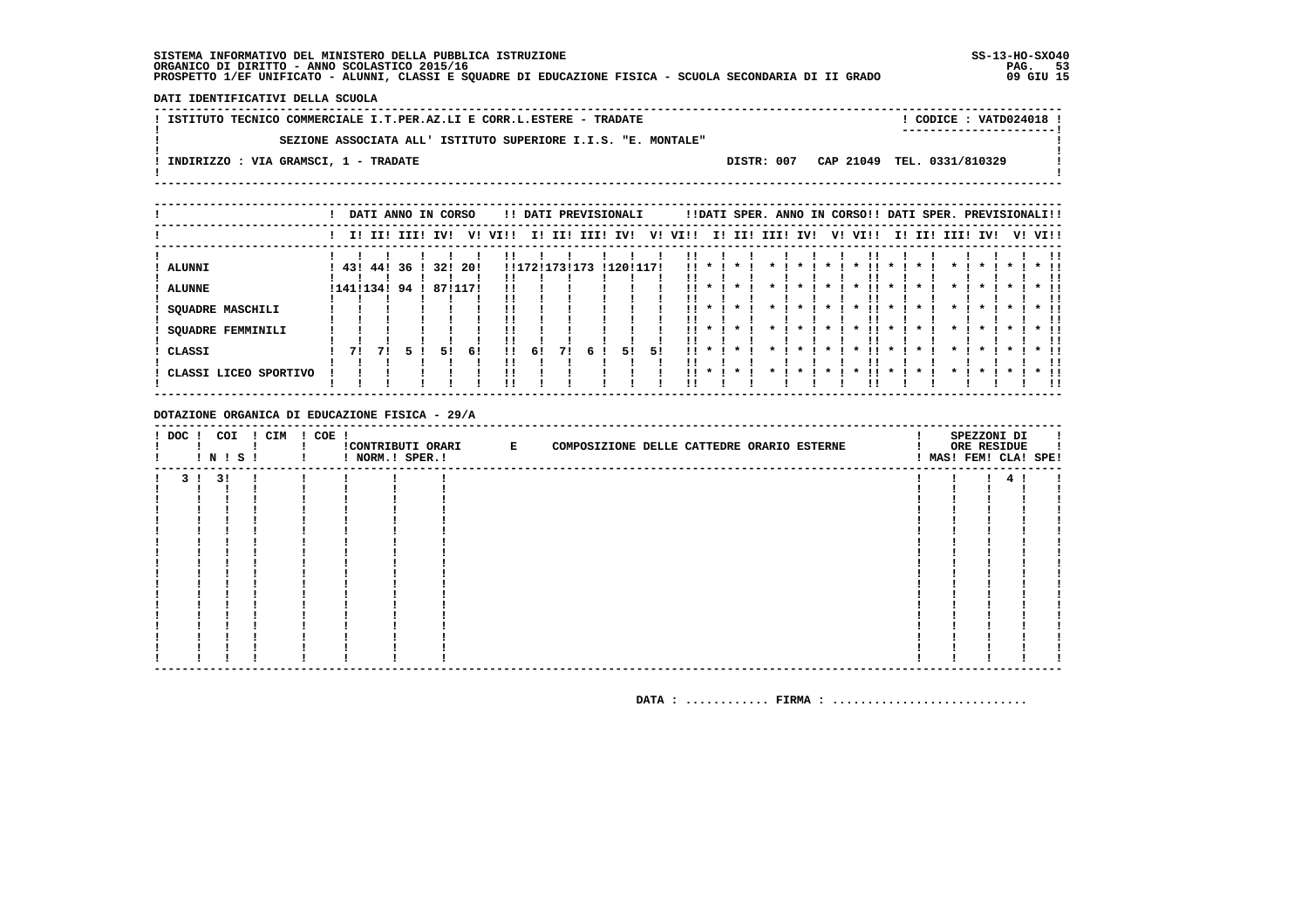DATI IDENTIFICATIVI DELLA SCUOLA

| ! ISTITUTO TECNICO COMMERCIALE I.T.PER.AZ.LI E CORR.L.ESTERE - TRADATE | ! CODICE : VATD024018 !<br>----------------------- |  |
|------------------------------------------------------------------------|----------------------------------------------------|--|
| SEZIONE ASSOCIATA ALL' ISTITUTO SUPERIORE I.I.S. "E. MONTALE"          |                                                    |  |
| ! INDIRIZZO : VIA GRAMSCI, 1 - TRADATE                                 | DISTR: 007 CAP 21049 TEL, 0331/810329              |  |
|                                                                        |                                                    |  |

|                       |               |     | DATI ANNO IN CORSO |         |      |      |             |     |      | !! DATI PREVISIONALI |    |           |                         |         |             |              |     |         | !!DATI SPER. ANNO IN CORSO!! DATI SPER. PREVISIONALI!! |                    |     |         |              |              |         |           |                   |
|-----------------------|---------------|-----|--------------------|---------|------|------|-------------|-----|------|----------------------|----|-----------|-------------------------|---------|-------------|--------------|-----|---------|--------------------------------------------------------|--------------------|-----|---------|--------------|--------------|---------|-----------|-------------------|
|                       |               |     | I! II! III!        | IV!     | V!   | VI!! | II.         | II! | III! | IV!                  | V! | VI!!      | II.                     | II!     | <b>III!</b> |              | IV! | V!      | VI!!                                                   |                    | ΙI. | II!     | IIII         | IV!          |         |           | V! VI!!           |
| <b>ALUNNI</b>         | 431           | 441 | 36                 | 32!     | -20! |      | !!172!173!1 |     | .73  | !120!117!            |    | !!        |                         |         |             |              |     |         |                                                        |                    |     |         |              |              |         |           |                   |
| <b>ALUNNE</b>         | ! 141 ! 134 ! |     | 94                 | 87!117! |      |      |             |     |      |                      |    | !!        |                         |         |             |              |     |         | *                                                      | $\cdot$            |     |         |              |              |         |           |                   |
| SQUADRE MASCHILI      |               |     |                    |         |      |      |             |     |      |                      |    | !!        | $\star$                 |         |             | $\mathbf{x}$ |     | $\star$ | $\star$<br>!!                                          | $\star$            |     | $\cdot$ | $\star$      | $\star$      |         | $\star$ 1 | $\star$ 11<br>. . |
| SQUADRE FEMMINILI     |               |     |                    |         |      |      |             |     |      |                      |    |           | $11 * 1$                | $\cdot$ | $\star$     | $\cdot$      |     | $\cdot$ | $\cdot$<br>. .                                         | $\cdot$            |     | $\cdot$ | $\mathbf{r}$ | $\mathbf{r}$ | $\star$ |           | $*$ 11<br>. .     |
| CLASSI                | 71            | 71  |                    | 51      | -61  | !!   | 61          |     | 6    | 51                   | 51 | . .<br>!! | $\mathbf{x}$<br>$\cdot$ |         |             | $\star$      |     | $\star$ | $\star$<br>$\cdot$                                     | $\star$<br>$\star$ |     |         |              | $\mathbf{x}$ |         |           | $*$ 11            |
| CLASSI LICEO SPORTIVO |               |     |                    |         |      |      |             |     |      |                      |    |           |                         |         |             |              |     |         |                                                        |                    |     |         |              |              |         |           | $*$ 11            |

DOTAZIONE ORGANICA DI EDUCAZIONE FISICA - 29/A

| $!$ DOC $!$ | ! N ! S ! | COI | ! CIM | ! COE ! | ! NORM.! SPER.! | CONTRIBUTI ORARI E | COMPOSIZIONE DELLE CATTEDRE ORARIO ESTERNE |  |  |  | SPEZZONI DI<br>ORE RESIDUE | ! MAS! FEM! CLA! SPE! |
|-------------|-----------|-----|-------|---------|-----------------|--------------------|--------------------------------------------|--|--|--|----------------------------|-----------------------|
| 3 I         | 3!        |     |       |         |                 |                    |                                            |  |  |  |                            |                       |
|             |           |     |       |         |                 |                    |                                            |  |  |  |                            |                       |
|             |           |     |       |         |                 |                    |                                            |  |  |  |                            |                       |
|             |           |     |       |         |                 |                    |                                            |  |  |  |                            |                       |
|             |           |     |       |         |                 |                    |                                            |  |  |  |                            |                       |
|             |           |     |       |         |                 |                    |                                            |  |  |  |                            |                       |
|             |           |     |       |         |                 |                    |                                            |  |  |  |                            |                       |
|             |           |     |       |         |                 |                    |                                            |  |  |  |                            |                       |
|             |           |     |       |         |                 |                    |                                            |  |  |  |                            |                       |
|             |           |     |       |         |                 |                    |                                            |  |  |  |                            |                       |
|             |           |     |       |         |                 |                    |                                            |  |  |  |                            |                       |
|             |           |     |       |         |                 |                    |                                            |  |  |  |                            |                       |
|             |           |     |       |         |                 |                    |                                            |  |  |  |                            |                       |
|             |           |     |       |         |                 |                    |                                            |  |  |  |                            |                       |
|             |           |     |       |         |                 |                    |                                            |  |  |  |                            |                       |
|             |           |     |       |         |                 |                    |                                            |  |  |  |                            |                       |
|             |           |     |       |         |                 |                    |                                            |  |  |  |                            |                       |
|             |           |     |       |         |                 |                    |                                            |  |  |  |                            |                       |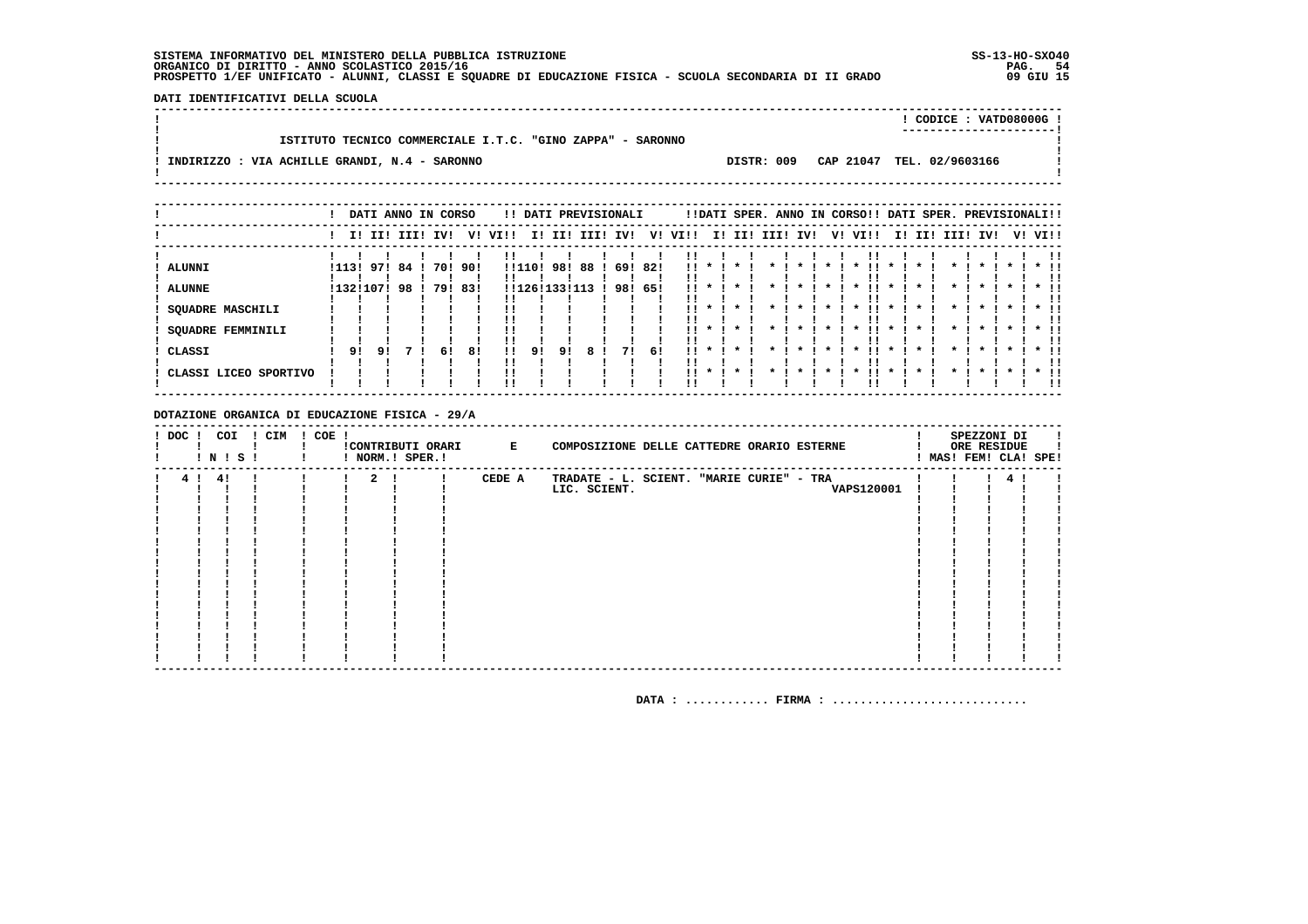DATI IDENTIFICATIVI DELLA SCUOLA

|                                                            |            | ! CODICE : VATD08000G !   |  |
|------------------------------------------------------------|------------|---------------------------|--|
|                                                            |            |                           |  |
| ISTITUTO TECNICO COMMERCIALE I.T.C. "GINO ZAPPA" - SARONNO |            |                           |  |
|                                                            |            |                           |  |
| ! INDIRIZZO : VIA ACHILLE GRANDI, N.4 - SARONNO            | DISTR: 009 | CAP 21047 TEL. 02/9603166 |  |
|                                                            |            |                           |  |
|                                                            |            |                           |  |

|                                    |                        |    | DATI ANNO IN CORSO |            |             |      |                      |     | !! DATI PREVISIONALI |            |             |                        |              |         |      |                    |    | !!DATI SPER. ANNO IN CORSO!! DATI SPER. PREVISIONALI!! |              |     |                    |              |              |    |                      |
|------------------------------------|------------------------|----|--------------------|------------|-------------|------|----------------------|-----|----------------------|------------|-------------|------------------------|--------------|---------|------|--------------------|----|--------------------------------------------------------|--------------|-----|--------------------|--------------|--------------|----|----------------------|
|                                    |                        |    | I! II! III!        | IV!        | V!          | VIII | II.                  | II! | III!                 | IV!        | V!          | VI!!                   |              | I! II!  | IIII | IV!                | V! | VI!!                                                   | II.          | III | IIII               | IV!          |              | V! | VI!!                 |
| ALUNNI<br><b>ALUNNE</b>            | !113! 97!<br>!132!107! |    | 84!<br>98          | 701<br>791 | 90!<br>-83! |      | !!110!<br>!!126!133! | 98! | 88<br>13             | 69!<br>98! | -82!<br>65! | !!<br>!!               |              |         |      |                    |    |                                                        |              |     |                    |              |              |    |                      |
| <b>SQUADRE MASCHILI</b>            |                        |    |                    |            |             |      |                      |     |                      |            |             | !!                     |              |         |      |                    |    |                                                        |              |     |                    |              |              |    |                      |
| <b>SQUADRE FEMMINILI</b><br>CLASSI | 91                     | 91 |                    | 6!         | 81          | -11  | 91                   | 91  | 8                    | 71         | 61          | . .<br>$\mathbf{11}$ * | $\mathbf{x}$ | $\star$ |      | $\boldsymbol{\pi}$ |    | $\mathbf{x}$                                           | $\mathbf{x}$ |     | $\boldsymbol{\pi}$ | $\mathbf{r}$ | $\mathbf{x}$ |    | $*$ !!               |
| ! CLASSI LICEO SPORTIVO            |                        |    |                    |            |             |      |                      |     |                      |            |             | . .                    | $\cdot$      |         |      |                    |    |                                                        |              |     |                    |              |              |    | . .<br>$*$ 11<br>. . |

DOTAZIONE ORGANICA DI EDUCAZIONE FISICA - 29/A

| $!$ DOC $ $ | ! N ! S ! | COI | ! CIM | ! COE ! |             | ! NORM.! SPER.! | !CONTRIBUTI ORARI E | COMPOSIZIONE DELLE CATTEDRE ORARIO ESTERNE |  | SPEZZONI DI<br>ORE RESIDUE | MAS! FEM! CLA! SPE! |
|-------------|-----------|-----|-------|---------|-------------|-----------------|---------------------|--------------------------------------------|--|----------------------------|---------------------|
|             | 4!        |     |       |         | $2 \quad 1$ |                 | CEDE A              | TRADATE - L. SCIENT. "MARIE CURIE" - TRA   |  | 4                          |                     |
|             |           |     |       |         |             |                 |                     | VAPS120001<br>LIC. SCIENT.                 |  |                            |                     |
|             |           |     |       |         |             |                 |                     |                                            |  |                            |                     |
|             |           |     |       |         |             |                 |                     |                                            |  |                            |                     |
|             |           |     |       |         |             |                 |                     |                                            |  |                            |                     |
|             |           |     |       |         |             |                 |                     |                                            |  |                            |                     |
|             |           |     |       |         |             |                 |                     |                                            |  |                            |                     |
|             |           |     |       |         |             |                 |                     |                                            |  |                            |                     |
|             |           |     |       |         |             |                 |                     |                                            |  |                            |                     |
|             |           |     |       |         |             |                 |                     |                                            |  |                            |                     |
|             |           |     |       |         |             |                 |                     |                                            |  |                            |                     |
|             |           |     |       |         |             |                 |                     |                                            |  |                            |                     |
|             |           |     |       |         |             |                 |                     |                                            |  |                            |                     |
|             |           |     |       |         |             |                 |                     |                                            |  |                            |                     |
|             |           |     |       |         |             |                 |                     |                                            |  |                            |                     |
|             |           |     |       |         |             |                 |                     |                                            |  |                            |                     |
|             |           |     |       |         |             |                 |                     |                                            |  |                            |                     |
|             |           |     |       |         |             |                 |                     |                                            |  |                            |                     |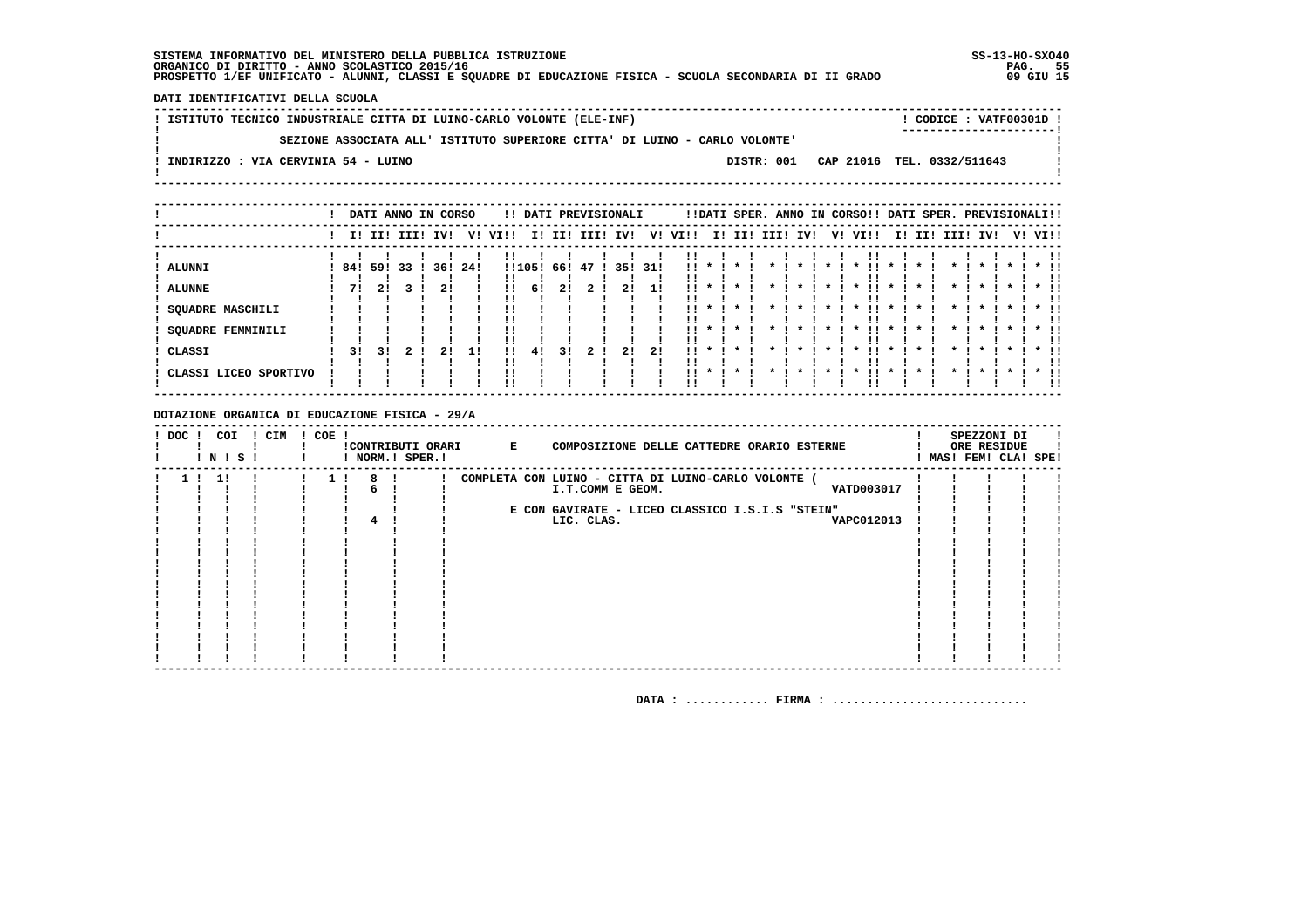**DATI IDENTIFICATIVI DELLA SCUOLA**

| ISTITUTO TECNICO INDUSTRIALE CITTA DI LUINO-CARLO VOLONTE (ELE-INF) |                                                                            |            | ! CODICE : VATF00301D !    |
|---------------------------------------------------------------------|----------------------------------------------------------------------------|------------|----------------------------|
|                                                                     | SEZIONE ASSOCIATA ALL' ISTITUTO SUPERIORE CITTA' DI LUINO - CARLO VOLONTE' |            |                            |
| INDIRIZZO : VIA CERVINIA 54 - LUINO                                 |                                                                            | DISTR: 001 | CAP 21016 TEL. 0332/511643 |

|                       |      |     | DATI ANNO IN CORSO |     |     |              |        |        |     | !! DATI PREVISIONALI |     |      |         |             |     |    | !!DATI SPER. ANNO IN CORSO!! DATI SPER. PREVISIONALI!! |  |                 |  |         |
|-----------------------|------|-----|--------------------|-----|-----|--------------|--------|--------|-----|----------------------|-----|------|---------|-------------|-----|----|--------------------------------------------------------|--|-----------------|--|---------|
|                       |      |     | I! II! III! IV!    |     | V!  | VI!!         |        | I! II! |     | III! IV!             | V!  | VI!! |         | I! II! III! | IV! | V! | VIII                                                   |  | I! II! III! IV! |  | V! VI!! |
| ALUNNI                | 84 ! | 591 | 33                 | 36! | 24! |              | !!105! | 66!    | -47 | 35!                  | 31! |      |         |             |     |    |                                                        |  |                 |  |         |
| <b>ALUNNE</b>         | 71   | 21  |                    | 21  |     |              | 61     | 21     |     | 21                   |     |      |         |             |     |    |                                                        |  |                 |  |         |
| SQUADRE MASCHILI      |      |     |                    |     |     |              |        |        |     |                      |     |      |         |             |     |    |                                                        |  |                 |  |         |
| SQUADRE FEMMINILI     |      |     |                    |     |     |              |        |        |     |                      |     |      | $\cdot$ | $\cdot$     |     |    |                                                        |  |                 |  |         |
| CLASSI                | 31   | 31  |                    | 21  | 11  | $\mathbf{H}$ | 41     | 31     |     | -21                  | 2!  | . .  | $\cdot$ | $\star$     |     |    |                                                        |  |                 |  |         |
| CLASSI LICEO SPORTIVO |      |     |                    |     |     |              |        |        |     |                      |     |      | $\star$ | $\cdot$     |     |    |                                                        |  |                 |  |         |

 **DOTAZIONE ORGANICA DI EDUCAZIONE FISICA - 29/A**

| ! DOC ! | COI<br>! N ! S ! | ! CIM | $!$ COE $ $ |   | ! NORM.! SPER.! | !CONTRIBUTI ORARI | $\mathbf{E}$ | COMPOSIZIONE DELLE CATTEDRE ORARIO ESTERNE          |  | SPEZZONI DI<br>ORE RESIDUE<br>! MAS! FEM! CLA! SPE! |  |
|---------|------------------|-------|-------------|---|-----------------|-------------------|--------------|-----------------------------------------------------|--|-----------------------------------------------------|--|
|         | -11              |       |             | 8 |                 |                   |              | COMPLETA CON LUINO - CITTA DI LUINO-CARLO VOLONTE ( |  |                                                     |  |
|         |                  |       |             |   |                 |                   |              | VATD003017<br>I.T.COMM E GEOM.                      |  |                                                     |  |
|         |                  |       |             |   |                 |                   |              |                                                     |  |                                                     |  |
|         |                  |       |             |   |                 |                   |              | E CON GAVIRATE - LICEO CLASSICO I.S.I.S "STEIN"     |  |                                                     |  |
|         |                  |       |             |   |                 |                   |              | LIC. CLAS.<br>VAPC012013                            |  |                                                     |  |
|         |                  |       |             |   |                 |                   |              |                                                     |  |                                                     |  |
|         |                  |       |             |   |                 |                   |              |                                                     |  |                                                     |  |
|         |                  |       |             |   |                 |                   |              |                                                     |  |                                                     |  |
|         |                  |       |             |   |                 |                   |              |                                                     |  |                                                     |  |
|         |                  |       |             |   |                 |                   |              |                                                     |  |                                                     |  |
|         |                  |       |             |   |                 |                   |              |                                                     |  |                                                     |  |
|         |                  |       |             |   |                 |                   |              |                                                     |  |                                                     |  |
|         |                  |       |             |   |                 |                   |              |                                                     |  |                                                     |  |
|         |                  |       |             |   |                 |                   |              |                                                     |  |                                                     |  |
|         |                  |       |             |   |                 |                   |              |                                                     |  |                                                     |  |
|         |                  |       |             |   |                 |                   |              |                                                     |  |                                                     |  |
|         |                  |       |             |   |                 |                   |              |                                                     |  |                                                     |  |
|         |                  |       |             |   |                 |                   |              |                                                     |  |                                                     |  |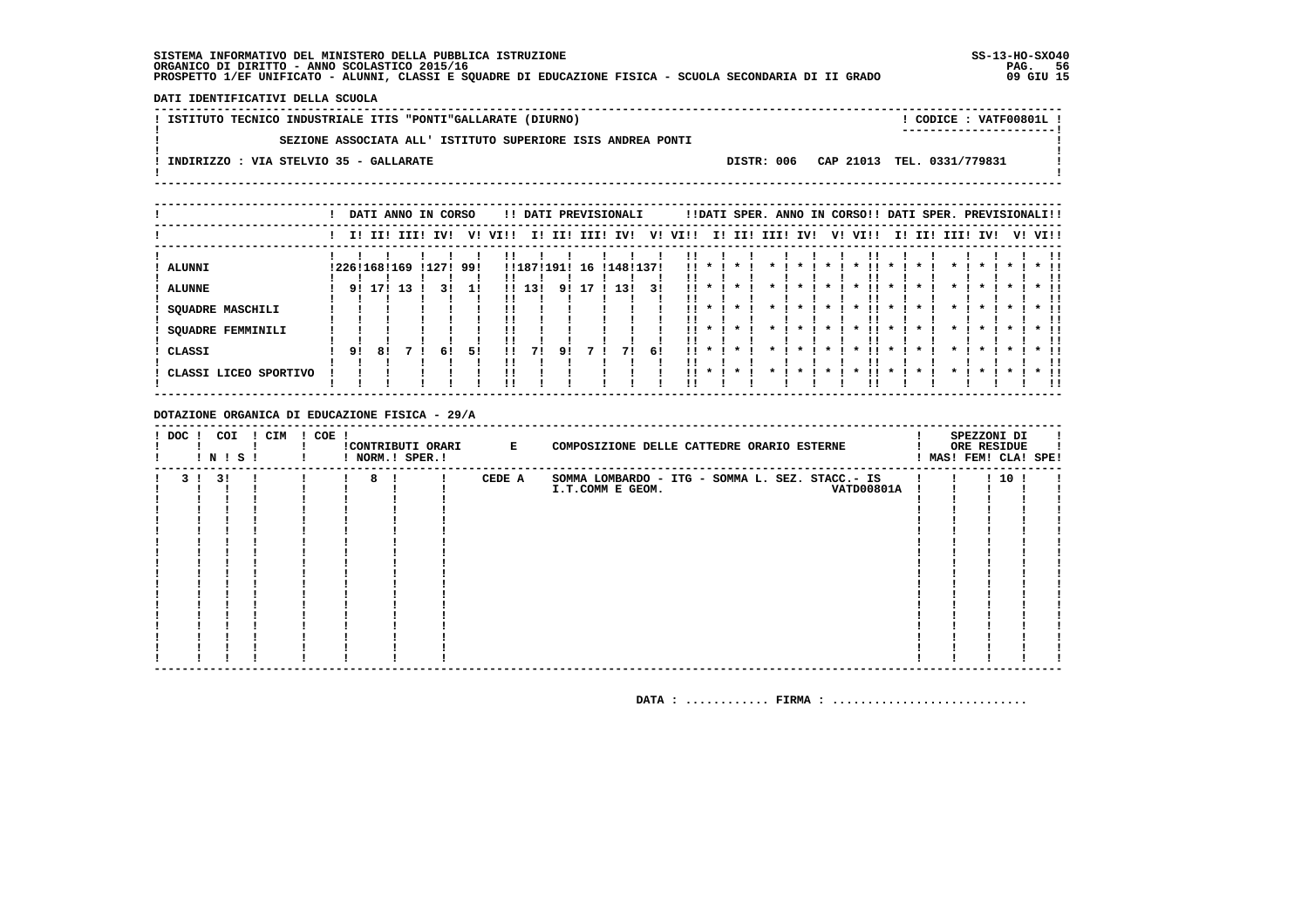DATI IDENTIFICATIVI DELLA SCUOLA

| ! ISTITUTO TECNICO INDUSTRIALE ITIS "PONTI"GALLARATE (DIURNO) |  | ! CODICE : VATF00801L !<br>----------------------- |  |
|---------------------------------------------------------------|--|----------------------------------------------------|--|
| SEZIONE ASSOCIATA ALL' ISTITUTO SUPERIORE ISIS ANDREA PONTI   |  |                                                    |  |
| INDIRIZZO : VIA STELVIO 35 - GALLARATE                        |  | DISTR: 006 CAP 21013 TEL. 0331/779831              |  |
|                                                               |  |                                                    |  |

|                                                                                |    |                     |     |                 | DATI ANNO IN CORSO |              |                   |    |    | !! DATI PREVISIONALI |    |                              |              |                         |                 |         |                    | !!DATI SPER. ANNO IN CORSO!! DATI SPER. PREVISIONALI!! |                    |                 |                    |         |                         |          |
|--------------------------------------------------------------------------------|----|---------------------|-----|-----------------|--------------------|--------------|-------------------|----|----|----------------------|----|------------------------------|--------------|-------------------------|-----------------|---------|--------------------|--------------------------------------------------------|--------------------|-----------------|--------------------|---------|-------------------------|----------|
|                                                                                |    |                     |     | I! II! III! IV! |                    | V! VI!!      |                   |    |    | I! II! III! IV!      |    | V! VI!!                      |              |                         | I! II! III! IV! |         |                    | V! VI!!                                                |                    | I! II! III! IV! |                    |         | V! VI!!                 |          |
| ALUNNI<br><b>ALUNNE</b><br><b>SQUADRE MASCHILI</b><br><b>SQUADRE FEMMINILI</b> | 91 | !226!168!169<br>171 | -13 |                 | !127! 99!<br>31    | $\mathbf{H}$ | !!187!191!<br>13! |    | 16 | !148!137!<br>13!     | 31 | !!<br>. .<br>''<br>!!<br>    | $\mathbf{r}$ | $\star$<br>$\star$      |                 | $\star$ | $\cdot$<br>$\star$ | $\star$<br>$\cdot$<br>.                                | $\star$<br>$\star$ | $\star$         | $\star$<br>$\cdot$ | $\star$ | $*$ !!<br>$*$ !!        | . .      |
| ! CLASSI<br>! CLASSI LICEO SPORTIVO                                            | 91 | 81                  |     |                 | 51<br>6!           |              | 71                | 91 |    | 71                   | 61 | !!<br>$\mathbf{11}$ *<br>11. | $\cdot$      | $\mathbf{x}$<br>$\star$ |                 |         |                    | $\boldsymbol{\ast}$                                    |                    |                 | $\mathbf{x}$       |         | $\star$ $\pm$<br>$*$ 11 | !!<br>!! |

### DOTAZIONE ORGANICA DI EDUCAZIONE FISICA - 29/A

| ! DOC ! | COI<br>! N ! S ! | ! CIM | $! COE$ ! |   | ! NORM.! SPER.! | !CONTRIBUTI ORARI E | SPEZZONI DI<br>COMPOSIZIONE DELLE CATTEDRE ORARIO ESTERNE<br>ORE RESIDUE<br>! MAS! FEM! CLA! SPE! |  |
|---------|------------------|-------|-----------|---|-----------------|---------------------|---------------------------------------------------------------------------------------------------|--|
| 3 L     | 31               |       |           | 8 |                 | CEDE A              | 1101<br>SOMMA LOMBARDO - ITG - SOMMA L. SEZ. STACC.- IS                                           |  |
|         |                  |       |           |   |                 |                     | VATD00801A<br>I.T.COMM E GEOM.                                                                    |  |
|         |                  |       |           |   |                 |                     |                                                                                                   |  |
|         |                  |       |           |   |                 |                     |                                                                                                   |  |
|         |                  |       |           |   |                 |                     |                                                                                                   |  |
|         |                  |       |           |   |                 |                     |                                                                                                   |  |
|         |                  |       |           |   |                 |                     |                                                                                                   |  |
|         |                  |       |           |   |                 |                     |                                                                                                   |  |
|         |                  |       |           |   |                 |                     |                                                                                                   |  |
|         |                  |       |           |   |                 |                     |                                                                                                   |  |
|         |                  |       |           |   |                 |                     |                                                                                                   |  |
|         |                  |       |           |   |                 |                     |                                                                                                   |  |
|         |                  |       |           |   |                 |                     |                                                                                                   |  |
|         |                  |       |           |   |                 |                     |                                                                                                   |  |
|         |                  |       |           |   |                 |                     |                                                                                                   |  |
|         |                  |       |           |   |                 |                     |                                                                                                   |  |
|         |                  |       |           |   |                 |                     |                                                                                                   |  |
|         |                  |       |           |   |                 |                     |                                                                                                   |  |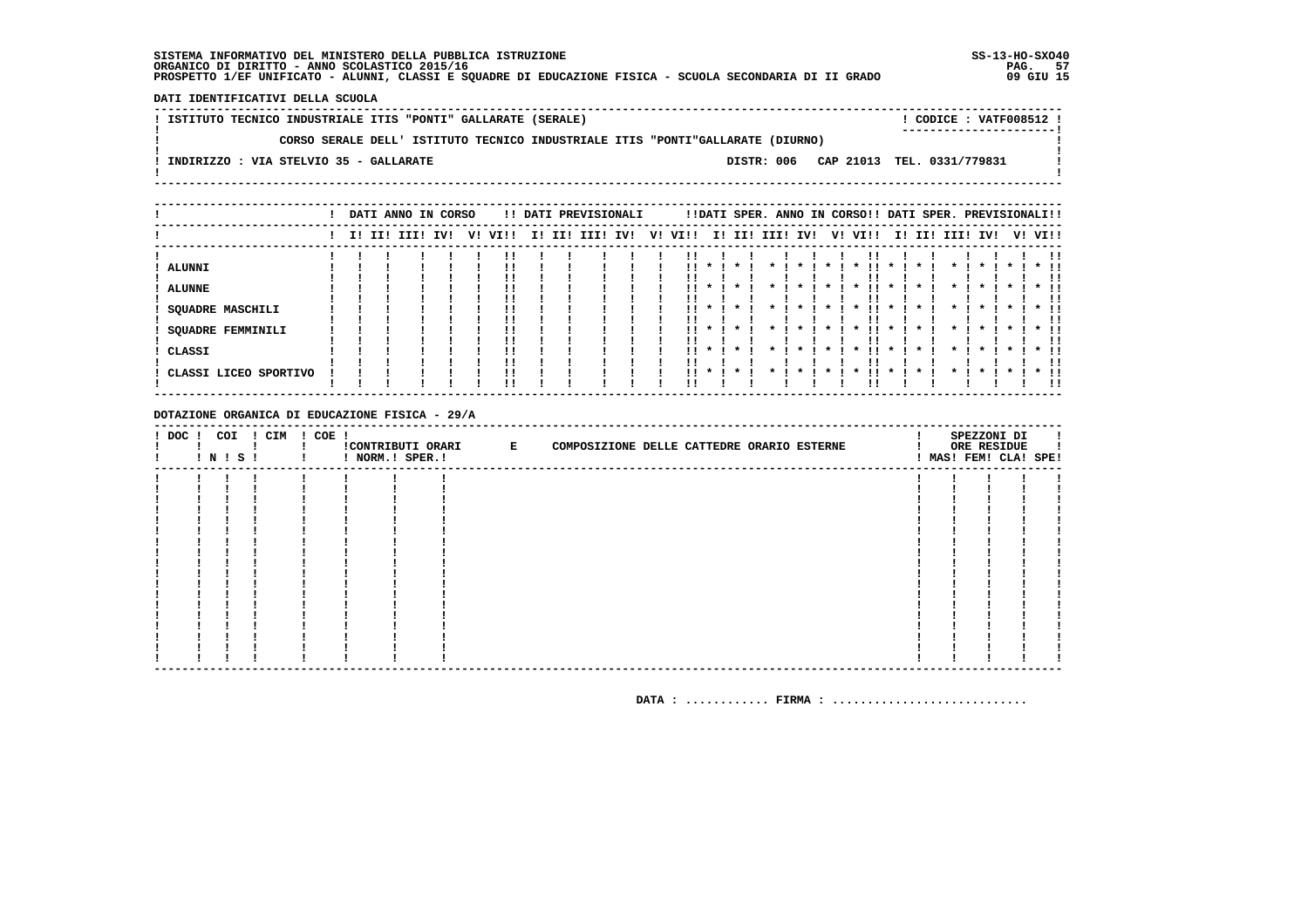DATI IDENTIFICATIVI DELLA SCUOLA

! ISTITUTO TECNICO INDUSTRIALE ITIS "PONTI" GALLARATE (SERALE) ! CODICE : VATF008512 !  $\mathbf{I}$ CORSO SERALE DELL' ISTITUTO TECNICO INDUSTRIALE ITIS "PONTI"GALLARATE (DIURNO)  $\mathbf{I}$ - 1  $\mathbf{I}$ -: INDIRIZZO : VIA STELVIO 35 - GALLARATE DISTR: 006 CAP 21013 TEL. 0331/779831 **Contract Contract**  $\mathbf{I}$  $\mathbf{I}$ 

|                                                                                                 |  | DATI ANNO IN CORSO |     |    |                      |     |     | !! DATI PREVISIONALI |     |    |           |                         |         |      |                    |                    | !!DATI SPER. ANNO IN CORSO!! DATI SPER. PREVISIONALI!!      |                                    |     |                    |              |              |         |                      |
|-------------------------------------------------------------------------------------------------|--|--------------------|-----|----|----------------------|-----|-----|----------------------|-----|----|-----------|-------------------------|---------|------|--------------------|--------------------|-------------------------------------------------------------|------------------------------------|-----|--------------------|--------------|--------------|---------|----------------------|
|                                                                                                 |  | I! II! III!        | IV! | V! | VI!!                 | II. | II! | III!                 | IV! | V! | VI!!      |                         | I! II!  | III! | IV!                |                    | V! VI!!                                                     | II.                                | II! | III!               | IV!          |              | V! VI!! |                      |
| <b>ALUNNI</b><br><b>ALUNNE</b><br><b>SQUADRE MASCHILI</b><br><b>SQUADRE FEMMINILI</b><br>CLASSI |  |                    |     |    | !!<br>!!<br>!!<br>!! |     |     |                      |     |    | . .<br>11 | $\mathbf{x}$<br>$\cdot$ | $\cdot$ |      | $\boldsymbol{\pi}$ | $\boldsymbol{\pi}$ | $\cdot$<br>ΙI<br>$\boldsymbol{\ast}$<br>$\boldsymbol{\ast}$ | $\mathbf x$<br>$\boldsymbol{\ast}$ |     | $\boldsymbol{\pi}$ | $\mathbf{x}$ | $\mathbf{x}$ |         | $*$ !!<br>$*$ !!     |
| CLASSI LICEO SPORTIVO                                                                           |  |                    |     |    | !!<br>!!             |     |     |                      |     |    |           | $\cdot$                 | $\cdot$ |      |                    |                    |                                                             |                                    |     |                    |              |              |         | -11<br>$*$ 11<br>-11 |

DOTAZIONE ORGANICA DI EDUCAZIONE FISICA - 29/A

| ! DOC ! COI |  | I N I S I | ! CIM | ! COE ! | ! NORM.! SPER.! | ! CONTRIBUTI ORARI E | COMPOSIZIONE DELLE CATTEDRE ORARIO ESTERNE |  |  |  | SPEZZONI DI<br>ORE RESIDUE<br>! MAS! FEM! CLA! SPE! |  |
|-------------|--|-----------|-------|---------|-----------------|----------------------|--------------------------------------------|--|--|--|-----------------------------------------------------|--|
|             |  |           |       |         |                 |                      |                                            |  |  |  |                                                     |  |
|             |  |           |       |         |                 |                      |                                            |  |  |  |                                                     |  |
|             |  |           |       |         |                 |                      |                                            |  |  |  |                                                     |  |
|             |  |           |       |         |                 |                      |                                            |  |  |  |                                                     |  |
|             |  |           |       |         |                 |                      |                                            |  |  |  |                                                     |  |
|             |  |           |       |         |                 |                      |                                            |  |  |  |                                                     |  |
|             |  |           |       |         |                 |                      |                                            |  |  |  |                                                     |  |
|             |  |           |       |         |                 |                      |                                            |  |  |  |                                                     |  |
|             |  |           |       |         |                 |                      |                                            |  |  |  |                                                     |  |
|             |  |           |       |         |                 |                      |                                            |  |  |  |                                                     |  |
|             |  |           |       |         |                 |                      |                                            |  |  |  |                                                     |  |
|             |  |           |       |         |                 |                      |                                            |  |  |  |                                                     |  |
|             |  |           |       |         |                 |                      |                                            |  |  |  |                                                     |  |
|             |  |           |       |         |                 |                      |                                            |  |  |  |                                                     |  |
|             |  |           |       |         |                 |                      |                                            |  |  |  |                                                     |  |
|             |  |           |       |         |                 |                      |                                            |  |  |  |                                                     |  |
|             |  |           |       |         |                 |                      |                                            |  |  |  |                                                     |  |
|             |  |           |       |         |                 |                      |                                            |  |  |  |                                                     |  |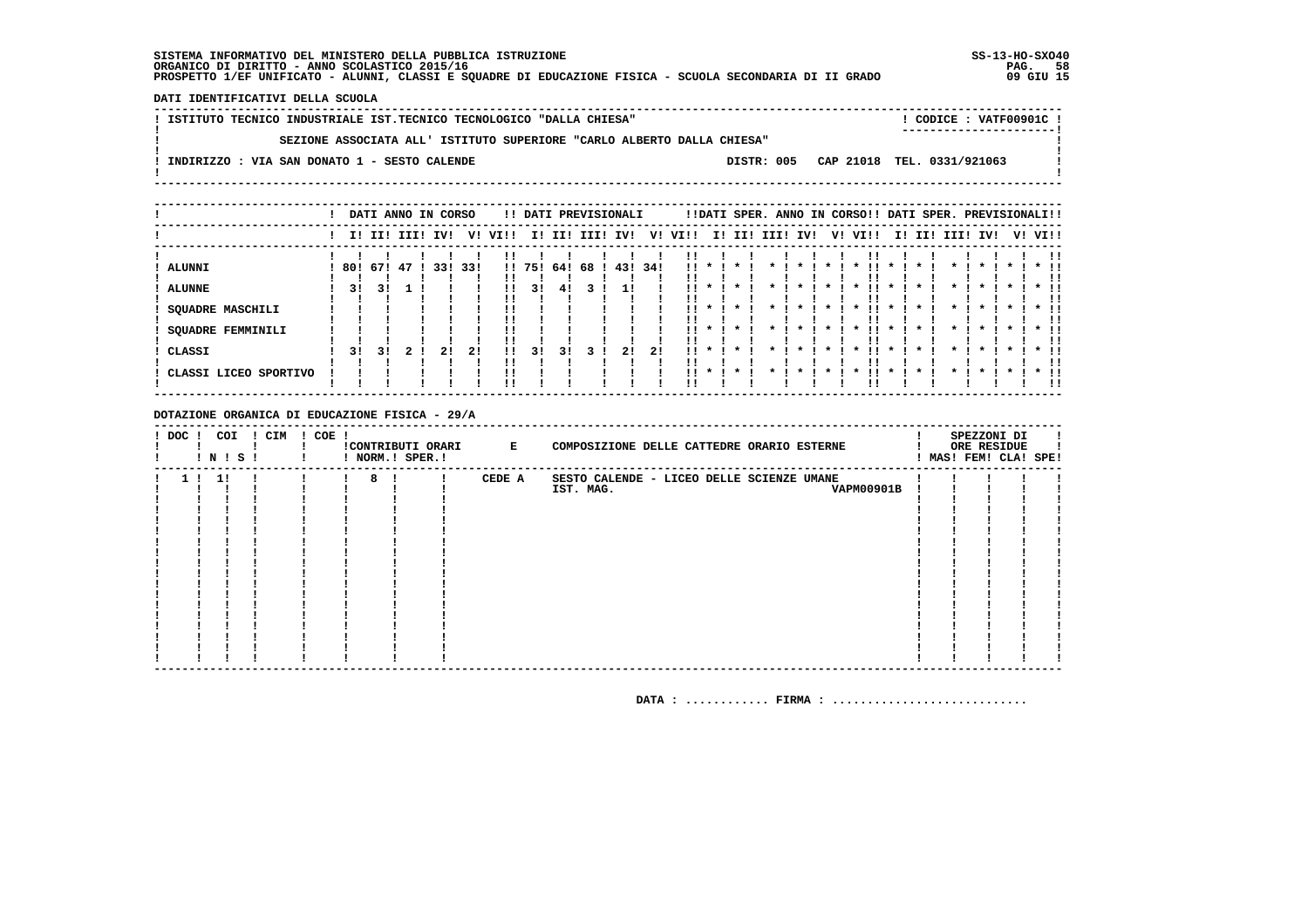DATI IDENTIFICATIVI DELLA SCUOLA

| ! ISTITUTO TECNICO INDUSTRIALE IST.TECNICO TECNOLOGICO "DALLA CHIESA"                 | $:$ CODICE : VATF00901C ! |
|---------------------------------------------------------------------------------------|---------------------------|
| SEZIONE ASSOCIATA ALL' ISTITUTO SUPERIORE "CARLO ALBERTO DALLA CHIESA"                | -----------------------   |
| DISTR: 005 CAP 21018 TEL. 0331/921063<br>INDIRIZZO : VIA SAN DONATO 1 - SESTO CALENDE |                           |
|                                                                                       |                           |
|                                                                                       |                           |

|                       |     |     | DATI ANNO IN CORSO |     |      |      |        |      |      | !! DATI PREVISIONALI |     |              |                                    |                    |      | !!DATI SPER. ANNO IN CORSO!! DATI SPER. PREVISIONALI!! |    |                     |                     |     |          |                     |         |              |
|-----------------------|-----|-----|--------------------|-----|------|------|--------|------|------|----------------------|-----|--------------|------------------------------------|--------------------|------|--------------------------------------------------------|----|---------------------|---------------------|-----|----------|---------------------|---------|--------------|
|                       |     |     | I! II! III!        | IV! | v!   | VIII | ΙI     | II!  | III! | IV!                  | V!  | VI!!         | I!                                 | II!                | III! | IV!                                                    | V! | VI!!                | II.                 | II! | III! IV! |                     | V! VI!! |              |
| <b>ALUNNI</b>         | 80! | 67! | 47                 | 33! | -33! |      | !! 75! | 64 ! | 68   | 431                  | 34! | . .          |                                    |                    |      |                                                        |    |                     |                     |     |          |                     |         |              |
| <b>ALUNNE</b>         | 3!  | 31  |                    |     |      | !!   | 31     | 41   |      |                      |     |              |                                    |                    |      |                                                        |    |                     |                     |     |          |                     |         |              |
| SQUADRE MASCHILI      |     |     |                    |     |      |      |        |      |      |                      |     | !!           |                                    |                    |      |                                                        |    | $\boldsymbol{\ast}$ | $\boldsymbol{\pi}$  |     |          |                     |         |              |
| SQUADRE FEMMINILI     |     |     |                    |     |      |      |        |      |      |                      |     |              | $\boldsymbol{\pi}$                 |                    |      |                                                        |    | $\boldsymbol{\ast}$ | $\boldsymbol{\ast}$ |     |          | $\boldsymbol{\ast}$ |         | $*$ !!<br>!! |
| CLASSI                | 31  | 31  |                    | 21  | 21   | 11   | 31     | 31   |      | 21                   | 21  | <br><b>H</b> | $\boldsymbol{\pi}$<br>$\mathbf{x}$ | $\star$<br>$\cdot$ |      |                                                        |    |                     |                     |     |          |                     |         | $*$ 11<br>!! |
| CLASSI LICEO SPORTIVO |     |     |                    |     |      | !!   |        |      |      |                      |     |              |                                    |                    |      |                                                        |    |                     |                     |     |          |                     |         | $*$ 11<br>!! |

DOTAZIONE ORGANICA DI EDUCAZIONE FISICA - 29/A

| $!$ DOC $!$    | ! N ! S ! | COI | ! CIM | $! COE$ ! |   | ! NORM.! SPER.! | !CONTRIBUTI ORARI E | COMPOSIZIONE DELLE CATTEDRE ORARIO ESTERNE |  | SPEZZONI DI<br>ORE RESIDUE<br>MAS! FEM! CLA! SPE! |  |
|----------------|-----------|-----|-------|-----------|---|-----------------|---------------------|--------------------------------------------|--|---------------------------------------------------|--|
| 1 <sub>1</sub> | 1!        |     |       |           | 8 |                 | CEDE A              | SESTO CALENDE - LICEO DELLE SCIENZE UMANE  |  |                                                   |  |
|                |           |     |       |           |   |                 |                     | IST. MAG.<br><b>VAPM00901B</b>             |  |                                                   |  |
|                |           |     |       |           |   |                 |                     |                                            |  |                                                   |  |
|                |           |     |       |           |   |                 |                     |                                            |  |                                                   |  |
|                |           |     |       |           |   |                 |                     |                                            |  |                                                   |  |
|                |           |     |       |           |   |                 |                     |                                            |  |                                                   |  |
|                |           |     |       |           |   |                 |                     |                                            |  |                                                   |  |
|                |           |     |       |           |   |                 |                     |                                            |  |                                                   |  |
|                |           |     |       |           |   |                 |                     |                                            |  |                                                   |  |
|                |           |     |       |           |   |                 |                     |                                            |  |                                                   |  |
|                |           |     |       |           |   |                 |                     |                                            |  |                                                   |  |
|                |           |     |       |           |   |                 |                     |                                            |  |                                                   |  |
|                |           |     |       |           |   |                 |                     |                                            |  |                                                   |  |
|                |           |     |       |           |   |                 |                     |                                            |  |                                                   |  |
|                |           |     |       |           |   |                 |                     |                                            |  |                                                   |  |
|                |           |     |       |           |   |                 |                     |                                            |  |                                                   |  |
|                |           |     |       |           |   |                 |                     |                                            |  |                                                   |  |
|                |           |     |       |           |   |                 |                     |                                            |  |                                                   |  |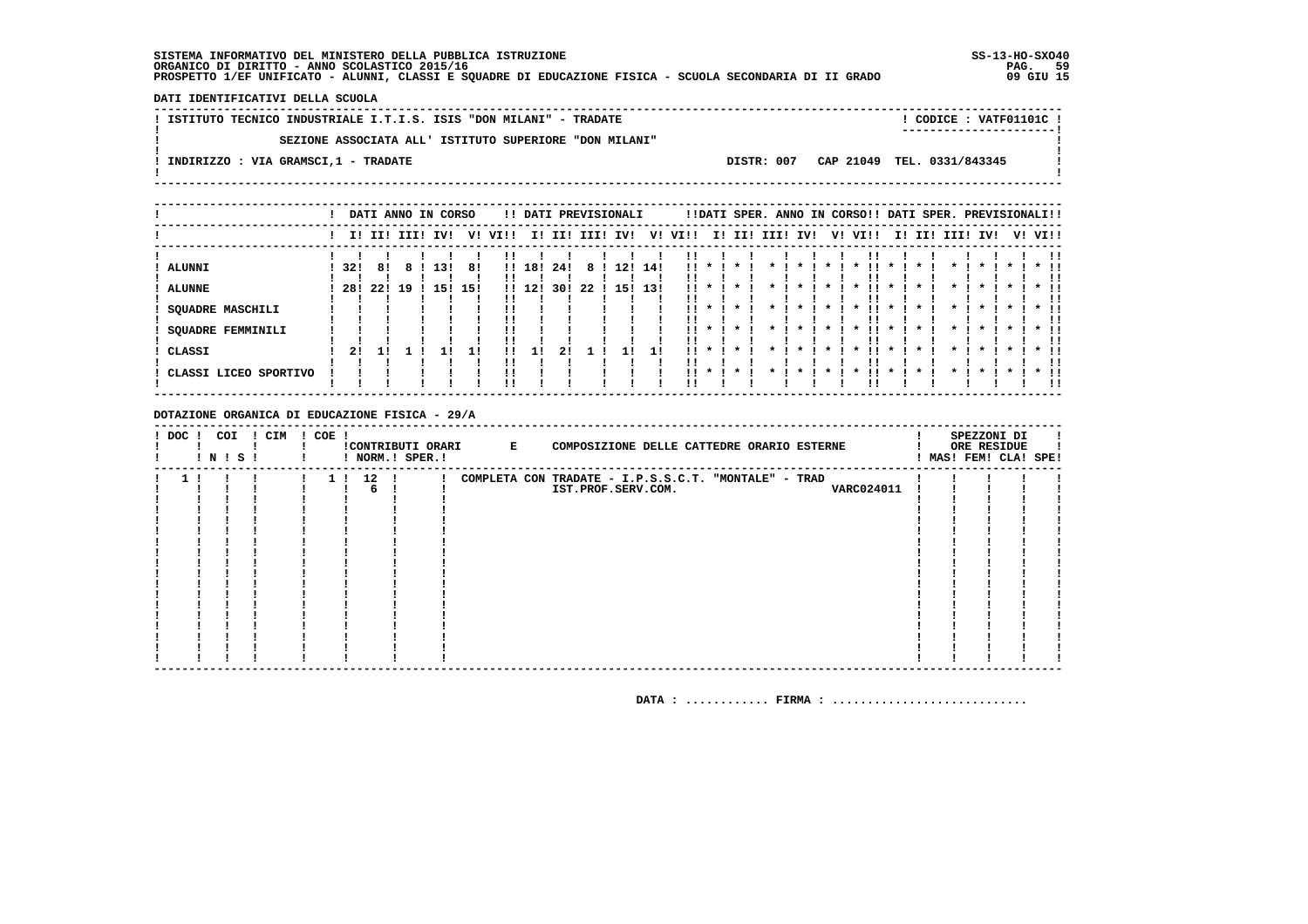DATI IDENTIFICATIVI DELLA SCUOLA

| ! ISTITUTO TECNICO INDUSTRIALE I.T.I.S. ISIS "DON MILANI" - TRADATE |            | ! CODICE : VATF01101C !    |  |
|---------------------------------------------------------------------|------------|----------------------------|--|
| SEZIONE ASSOCIATA ALL' ISTITUTO SUPERIORE "DON MILANI"              |            | -----------------------    |  |
| INDIRIZZO : VIA GRAMSCI,1 - TRADATE                                 | DISTR: 007 | CAP 21049 TEL. 0331/843345 |  |
|                                                                     |            |                            |  |

|                          |      |             |    | DATI ANNO IN CORSO |     |          |        |     |      | !! DATI PREVISIONALI |     |      |                    |         |      |              |         | !!DATI SPER. ANNO IN CORSO!! DATI SPER. PREVISIONALI!! |         |     |              |              |              |              |
|--------------------------|------|-------------|----|--------------------|-----|----------|--------|-----|------|----------------------|-----|------|--------------------|---------|------|--------------|---------|--------------------------------------------------------|---------|-----|--------------|--------------|--------------|--------------|
|                          |      | I! II! III! |    | IV!                | V!  | VI!!     | II.    | II! | III! | IV!                  | V!  | VI!! | II.                | II!     | IIII | IV!          | V!      | VIII                                                   | II.     | II! | IIII         |              | IV!          | V! VI!!      |
| ALUNNI                   | 32!  | 81          |    | 13!                | 8!  |          | !! 18! | 24! | 8    | 12!                  | 14! | !!   |                    |         |      |              |         |                                                        |         |     |              |              |              |              |
| <b>ALUNNE</b>            | -28! | -221        | 19 | 15!                | 15! | !! 1     | L 2 I  | 301 | 22   | 15!                  | 13! |      |                    |         |      |              |         |                                                        |         |     |              |              |              |              |
| <b>SQUADRE MASCHILI</b>  |      |             |    |                    |     |          |        |     |      |                      |     | !!   |                    |         |      |              |         | $\boldsymbol{\ast}$                                    |         |     |              |              |              |              |
| <b>SQUADRE FEMMINILI</b> |      |             |    |                    |     | !!       |        |     |      |                      |     | 11.  | $\star$            | $\star$ |      | $\mathbf{x}$ | $\star$ | ΙI<br>$\cdot$                                          | $\cdot$ |     | $\mathbf{r}$ | $\mathbf{x}$ | $\mathbf{x}$ | $*$ !!       |
| CLASSI                   | 21   |             |    |                    |     | !!<br>!! |        | 21  |      |                      |     | . .  |                    |         |      |              |         | $\boldsymbol{\ast}$                                    |         |     |              | $\mathbf{x}$ |              | $*$ !!       |
| ! CLASSI LICEO SPORTIVO  |      |             |    |                    |     | !!<br>'' |        |     |      |                      |     | . .  | $\boldsymbol{\pi}$ |         |      |              |         |                                                        |         |     |              |              |              | $*$ !!<br>!! |

DOTAZIONE ORGANICA DI EDUCAZIONE FISICA - 29/A

| $!$ DOC $!$ | COI<br>! N ! S ! | ! CIM | ! COE ! |        | ! NORM.! SPER.! | !CONTRIBUTI ORARI E | COMPOSIZIONE DELLE CATTEDRE ORARIO ESTERNE           |  | SPEZZONI DI<br>ORE RESIDUE<br>! MAS! FEM! CLA! SPE! |  |
|-------------|------------------|-------|---------|--------|-----------------|---------------------|------------------------------------------------------|--|-----------------------------------------------------|--|
|             |                  |       |         | 1! 12! |                 |                     | COMPLETA CON TRADATE - I.P.S.S.C.T. "MONTALE" - TRAD |  |                                                     |  |
|             |                  |       |         |        |                 |                     | VARC024011<br>IST.PROF.SERV.COM.                     |  |                                                     |  |
|             |                  |       |         |        |                 |                     |                                                      |  |                                                     |  |
|             |                  |       |         |        |                 |                     |                                                      |  |                                                     |  |
|             |                  |       |         |        |                 |                     |                                                      |  |                                                     |  |
|             |                  |       |         |        |                 |                     |                                                      |  |                                                     |  |
|             |                  |       |         |        |                 |                     |                                                      |  |                                                     |  |
|             |                  |       |         |        |                 |                     |                                                      |  |                                                     |  |
|             |                  |       |         |        |                 |                     |                                                      |  |                                                     |  |
|             |                  |       |         |        |                 |                     |                                                      |  |                                                     |  |
|             |                  |       |         |        |                 |                     |                                                      |  |                                                     |  |
|             |                  |       |         |        |                 |                     |                                                      |  |                                                     |  |
|             |                  |       |         |        |                 |                     |                                                      |  |                                                     |  |
|             |                  |       |         |        |                 |                     |                                                      |  |                                                     |  |
|             |                  |       |         |        |                 |                     |                                                      |  |                                                     |  |
|             |                  |       |         |        |                 |                     |                                                      |  |                                                     |  |
|             |                  |       |         |        |                 |                     |                                                      |  |                                                     |  |
|             |                  |       |         |        |                 |                     |                                                      |  |                                                     |  |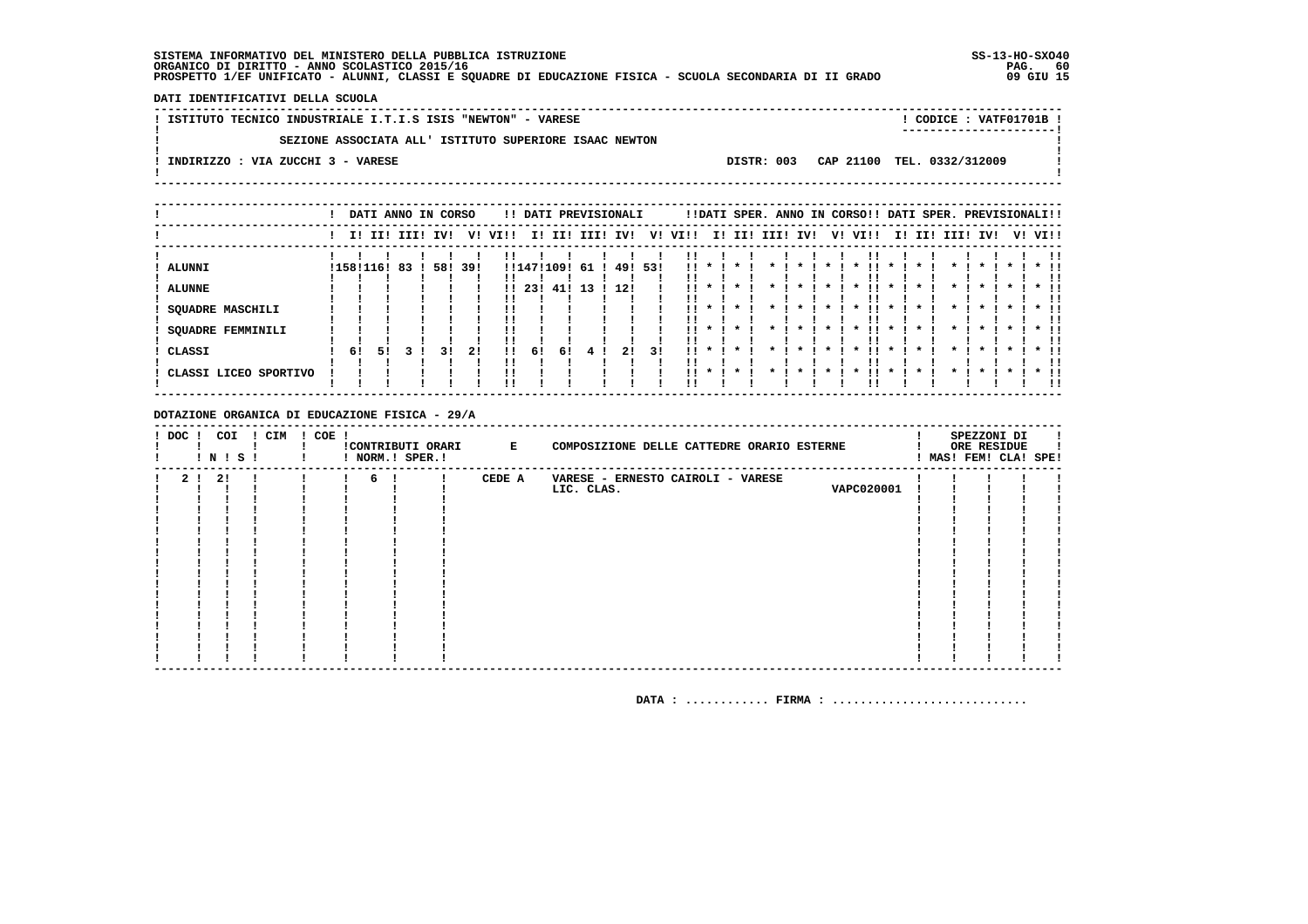DATI IDENTIFICATIVI DELLA SCUOLA

! ISTITUTO TECNICO INDUSTRIALE I.T.I.S ISIS "NEWTON" - VARESE ! CODICE: VATF01701B !  $\mathbf{I}$ SEZIONE ASSOCIATA ALL' ISTITUTO SUPERIORE ISAAC NEWTON  $\mathbf{I}$  $\blacksquare$  $\mathbf{I}$ -.<br>! INDIRIZZO : VIA ZUCCHI 3 - VARESE DISTR: 003 CAP 21100 TEL. 0332/312009 **Contract Contract**  $\mathbf{I}$  $\mathbf{I}$ 

|                       |           |    | DATI ANNO IN CORSO |     |     |      |            |     | !! DATI PREVISIONALI |         |    |                 |              |     |      |     |                    | !!DATI SPER. ANNO IN CORSO!! DATI SPER. PREVISIONALI!! |              |     |                    |              |              |         |               |
|-----------------------|-----------|----|--------------------|-----|-----|------|------------|-----|----------------------|---------|----|-----------------|--------------|-----|------|-----|--------------------|--------------------------------------------------------|--------------|-----|--------------------|--------------|--------------|---------|---------------|
|                       |           |    | I! II! III!        | IV! | V!  | VI!! | II.        | II! | III!                 | IV!     | V! | VI!!            | II.          | II! | III! | IV! | V!                 | VI!!                                                   | II.          | II! | III!               | IV!          |              | V! VI!! |               |
| <b>ALUNNI</b>         | !158!116! |    | 83                 | 58! | 39! |      | !!147!109! |     | -61                  | 49! 53! |    | !!              |              |     |      |     |                    |                                                        |              |     |                    |              |              |         |               |
| <b>ALUNNE</b>         |           |    |                    |     |     |      | -231       | 41. | 13                   | -12!    |    |                 |              |     |      |     |                    |                                                        |              |     |                    |              |              |         |               |
| SQUADRE MASCHILI      |           |    |                    |     |     |      |            |     |                      |         |    | !!              |              |     |      |     |                    | $\boldsymbol{\ast}$                                    |              |     |                    |              |              |         |               |
| SQUADRE FEMMINILI     |           |    |                    |     |     |      |            |     |                      |         |    | . .             | $\mathbf{x}$ |     |      |     | $\boldsymbol{\pi}$ | $\mathbf{x}$                                           | $\mathbf{x}$ |     | $\boldsymbol{\pi}$ | $\mathbf{r}$ | $\mathbf{x}$ |         | $*$ !!<br>. . |
| CLASSI                | -61       | 51 |                    | 31  | 21  |      | 61         | 61  |                      | 21      | 31 | . .             | $\cdot$      |     |      |     |                    |                                                        |              |     |                    |              |              |         | $*$ !!<br>. . |
| CLASSI LICEO SPORTIVO |           |    |                    |     |     |      |            |     |                      |         |    | $\mathbf{11}$ * |              |     |      |     |                    |                                                        |              |     |                    |              |              |         | $*$ 11<br>-11 |

DOTAZIONE ORGANICA DI EDUCAZIONE FISICA - 29/A

| 2 ! 2 !<br>6!<br>CEDE A<br>VARESE - ERNESTO CAIROLI - VARESE<br>$\mathbf{I}$<br>VAPC020001<br>LIC. CLAS. | ! DOC ! | COI<br>! N ! S ! | ! CIM | ! COE ! | ! NORM.! SPER.! | !CONTRIBUTI ORARI E | COMPOSIZIONE DELLE CATTEDRE ORARIO ESTERNE |  | SPEZZONI DI<br>ORE RESIDUE<br>! MAS! FEM! CLA! SPE! |  |
|----------------------------------------------------------------------------------------------------------|---------|------------------|-------|---------|-----------------|---------------------|--------------------------------------------|--|-----------------------------------------------------|--|
|                                                                                                          |         |                  |       |         |                 |                     |                                            |  |                                                     |  |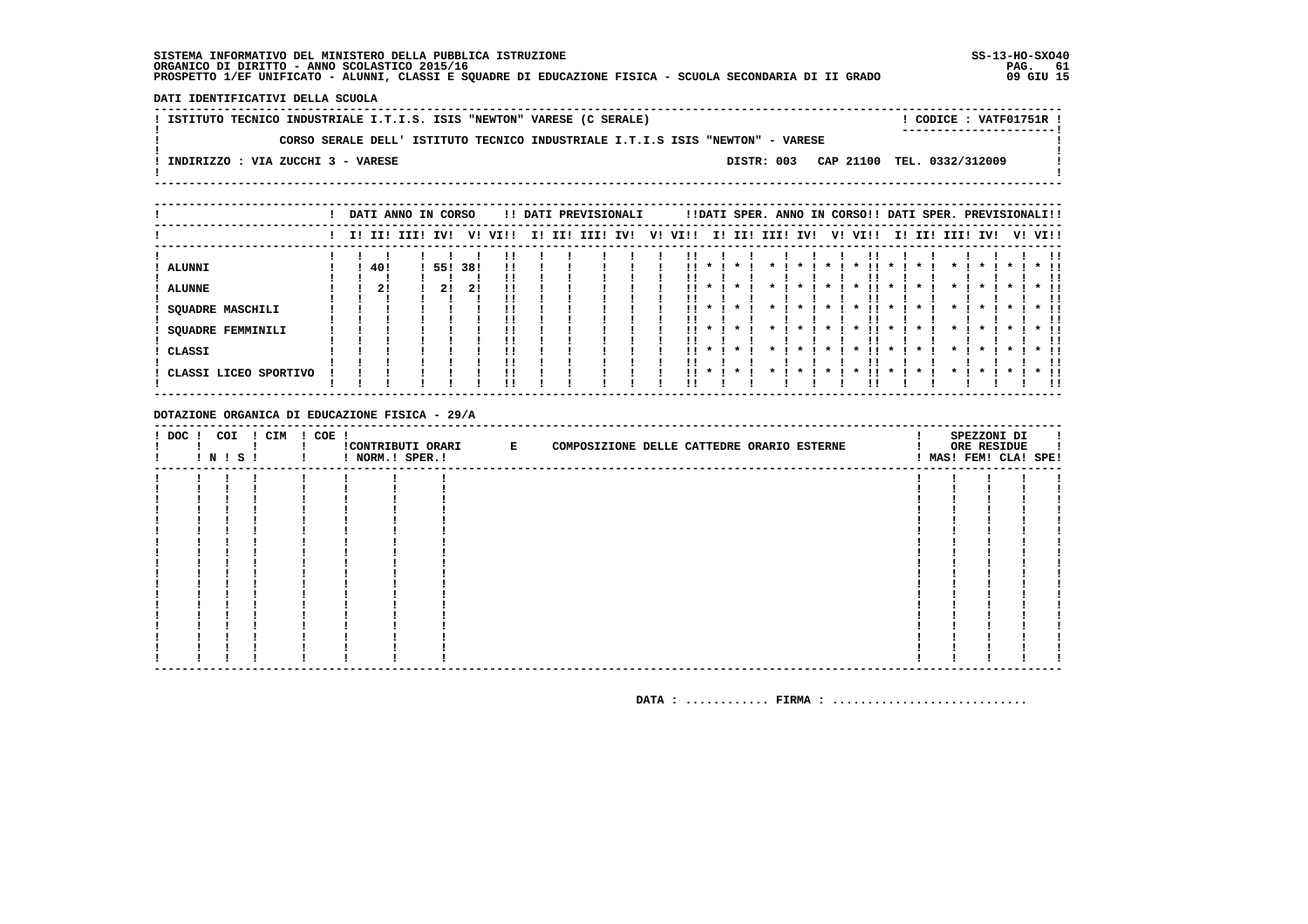DATI IDENTIFICATIVI DELLA SCUOLA

! ISTITUTO TECNICO INDUSTRIALE I.T.I.S. ISIS "NEWTON" VARESE (C SERALE) ! CODICE: VATF01751R !  $\mathbf{L}$ CORSO SERALE DELL' ISTITUTO TECNICO INDUSTRIALE I.T.I.S ISIS "NEWTON" - VARESE  $\mathbf{I}$ - 1  $\mathbf{I}$ -.<br>! INDIRIZZO : VIA ZUCCHI 3 - VARESE DISTR: 003 CAP 21100 TEL. 0332/312009  $\sim$  1.  $\mathbf{I}$  $\mathbf{I}$ 

|                                |  |           | DATI ANNO IN CORSO |           |           |          |    |     | !! DATI PREVISIONALI |     |    |      |                                    |         |      |     |    | !!DATI SPER. ANNO IN CORSO!! DATI SPER. PREVISIONALI!! |                                     |     |          |                     |  |                              |
|--------------------------------|--|-----------|--------------------|-----------|-----------|----------|----|-----|----------------------|-----|----|------|------------------------------------|---------|------|-----|----|--------------------------------------------------------|-------------------------------------|-----|----------|---------------------|--|------------------------------|
|                                |  |           | I! II! III!        | IV!       | v!        | VIII     | I! | II! | III!                 | IV! | V! | VI!! | II.                                | II!     | III! | IV! | V! | VI!!                                                   | II.                                 | II! | III! IV! |                     |  | V! VI!!                      |
| <b>ALUNNI</b><br><b>ALUNNE</b> |  | 40!<br>2! |                    | 551<br>21 | 38!<br>2! | !!       |    |     |                      |     |    |      |                                    |         |      |     |    |                                                        |                                     |     |          |                     |  |                              |
| SQUADRE MASCHILI               |  |           |                    |           |           |          |    |     |                      |     |    | !!   |                                    |         |      |     |    | $\boldsymbol{\ast}$                                    | $\boldsymbol{\pi}$                  |     |          | $\boldsymbol{\ast}$ |  |                              |
| SQUADRE FEMMINILI<br>CLASSI    |  |           |                    |           |           | !!<br>!! |    |     |                      |     |    | <br> | $\boldsymbol{\pi}$<br>$\mathbf{x}$ | $\cdot$ |      |     |    | $\boldsymbol{\ast}$<br>$\boldsymbol{\ast}$             | $\mathbf{x}$<br>$\boldsymbol{\ast}$ |     |          | $\boldsymbol{\ast}$ |  | $*$ !!<br>!!<br>$*$ 11<br>11 |
| CLASSI LICEO SPORTIVO          |  |           |                    |           |           | !!       |    |     |                      |     |    | 11.  | $\cdot$                            | $\cdot$ |      |     |    | $\boldsymbol{\ast}$                                    | $\boldsymbol{\ast}$                 |     |          |                     |  | $*$ 11<br>!!                 |

DOTAZIONE ORGANICA DI EDUCAZIONE FISICA - 29/A

|  | ! DOC ! COI ! CIM ! COE !<br><b>! N ! S !</b> | ! ! NORM.! SPER.! | !CONTRIBUTI ORARI E | COMPOSIZIONE DELLE CATTEDRE ORARIO ESTERNE |  | SPEZZONI DI<br>ORE RESIDUE<br>! MAS! FEM! CLA! SPE! |  |
|--|-----------------------------------------------|-------------------|---------------------|--------------------------------------------|--|-----------------------------------------------------|--|
|  |                                               |                   |                     |                                            |  |                                                     |  |
|  |                                               |                   |                     |                                            |  |                                                     |  |
|  |                                               |                   |                     |                                            |  |                                                     |  |
|  |                                               |                   |                     |                                            |  |                                                     |  |
|  |                                               |                   |                     |                                            |  |                                                     |  |
|  |                                               |                   |                     |                                            |  |                                                     |  |
|  |                                               |                   |                     |                                            |  |                                                     |  |
|  |                                               |                   |                     |                                            |  |                                                     |  |
|  |                                               |                   |                     |                                            |  |                                                     |  |
|  |                                               |                   |                     |                                            |  |                                                     |  |
|  |                                               |                   |                     |                                            |  |                                                     |  |
|  |                                               |                   |                     |                                            |  |                                                     |  |
|  |                                               |                   |                     |                                            |  |                                                     |  |
|  |                                               |                   |                     |                                            |  |                                                     |  |
|  |                                               |                   |                     |                                            |  |                                                     |  |
|  |                                               |                   |                     |                                            |  |                                                     |  |
|  |                                               |                   |                     |                                            |  |                                                     |  |
|  |                                               |                   |                     |                                            |  |                                                     |  |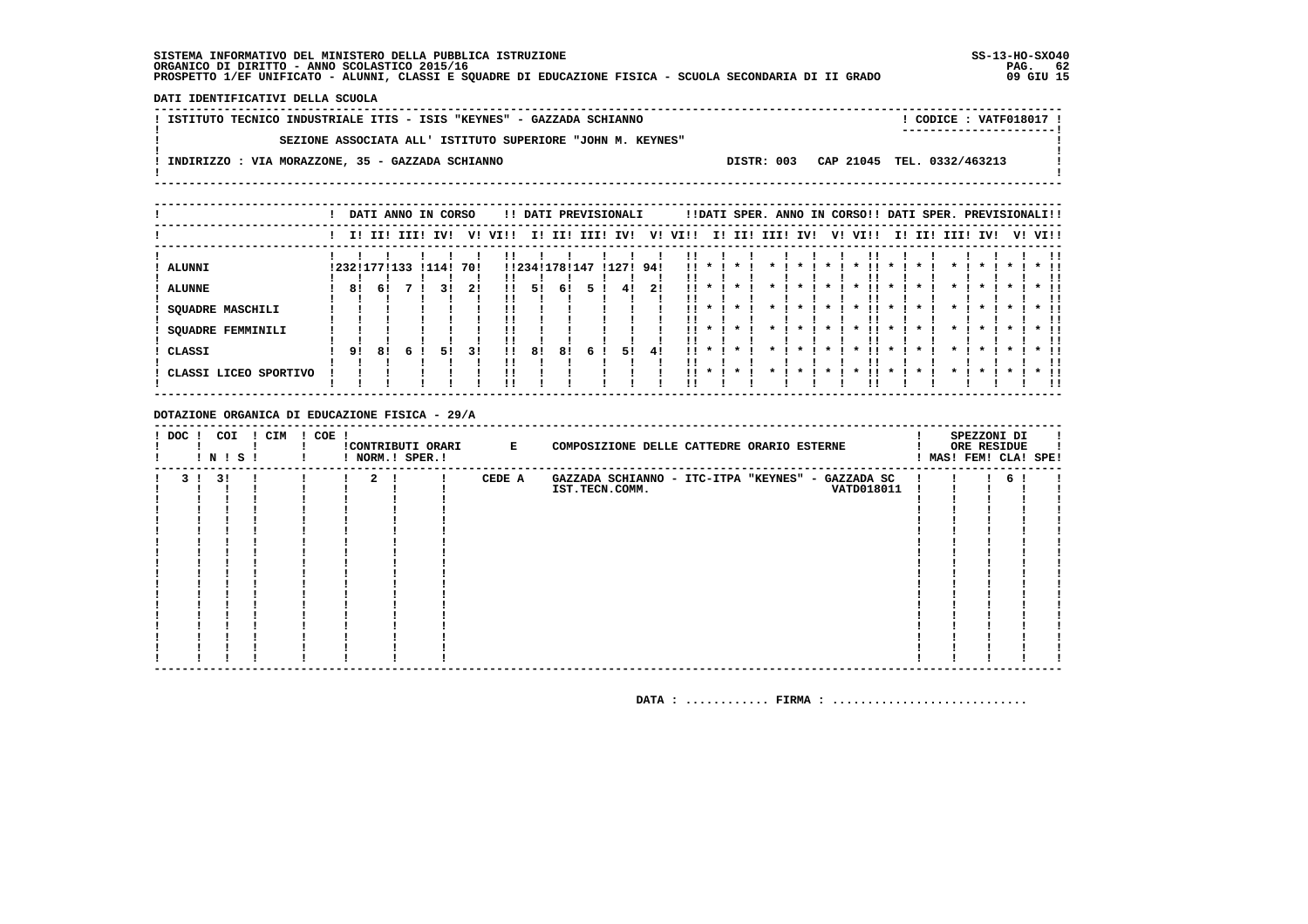DATI IDENTIFICATIVI DELLA SCUOLA

| ISTITUTO TECNICO INDUSTRIALE ITIS - ISIS "KEYNES" - GAZZADA SCHIANNO | ! CODICE : VATF018017 !                  |  |
|----------------------------------------------------------------------|------------------------------------------|--|
|                                                                      | ------------------------                 |  |
| SEZIONE ASSOCIATA ALL' ISTITUTO SUPERIORE "JOHN M. KEYNES"           |                                          |  |
|                                                                      |                                          |  |
| INDIRIZZO : VIA MORAZZONE, 35 - GAZZADA SCHIANNO                     | CAP 21045 TEL. 0332/463213<br>DISTR: 003 |  |
|                                                                      |                                          |  |
|                                                                      |                                          |  |

|                                                                                   |          | DATI ANNO IN CORSO          |  |              |                 |              |          |                           |    | !! DATI PREVISIONALI  |          |                       |                                             | !!DATI SPER. ANNO IN CORSO!! DATI SPER. PREVISIONALI!! |                    |    |                                                                                         |                                              |                 |              |                                                                           |         |                         |
|-----------------------------------------------------------------------------------|----------|-----------------------------|--|--------------|-----------------|--------------|----------|---------------------------|----|-----------------------|----------|-----------------------|---------------------------------------------|--------------------------------------------------------|--------------------|----|-----------------------------------------------------------------------------------------|----------------------------------------------|-----------------|--------------|---------------------------------------------------------------------------|---------|-------------------------|
|                                                                                   |          | I! II! III!                 |  | IV!          | V!              | VI!!         |          |                           |    | I! II! III! IV!       | V!       | VI!!                  |                                             | I! II! III! IV!                                        |                    | V! | VI!!                                                                                    |                                              | I! II! III! IV! |              |                                                                           | V! VI!! |                         |
| <b>ALUNNI</b><br><b>ALUNNE</b><br>SQUADRE MASCHILI<br>SQUADRE FEMMINILI<br>CLASSI | 81<br>91 | ! 232! 177! 133<br>61<br>81 |  | ! 114!<br>51 | 701<br>21<br>31 | !!<br>!!<br> | 51<br>81 | !!234!178!147<br>61<br>81 | 6. | !127! 94!<br>41<br>51 | 21<br>41 | <br>!!<br>. .<br><br> | $\mathbf x$<br>$\mathbf{x}$<br>$\mathbf{x}$ | $\star$<br>$\star$<br>$\cdot$<br>$\star$               | $\boldsymbol{\pi}$ |    | $\boldsymbol{\ast}$<br>$\boldsymbol{\pi}$<br>' '<br>$\mathbf{x}$<br>$\boldsymbol{\ast}$ | $\mathbf{x}$<br>$\mathbf{x}$<br>$\mathbf{x}$ |                 | $\mathbf{x}$ | $\boldsymbol{\pi}$<br>$\cdot$<br>$\boldsymbol{\pi}$<br>$\boldsymbol{\pi}$ |         | $*$ !!<br>$\star$ $\pm$ |
| CLASSI LICEO SPORTIVO                                                             |          |                             |  |              |                 | !!           |          |                           |    |                       |          | $\mathbf{11}$ *       |                                             | $\cdot$                                                |                    |    | $\boldsymbol{\ast}$                                                                     |                                              |                 |              | $\mathbf{x}$                                                              |         | $*$ !!                  |

DOTAZIONE ORGANICA DI EDUCAZIONE FISICA - 29/A

| $!$ DOC $!$ | COI<br>! N ! S ! | ! CIM | $! COE$ ! |              | ! NORM.! SPER.! | !CONTRIBUTI ORARI E | SPEZZONI DI<br>COMPOSIZIONE DELLE CATTEDRE ORARIO ESTERNE<br>ORE RESIDUE<br>MAS! FEM! CLA! SPE! |
|-------------|------------------|-------|-----------|--------------|-----------------|---------------------|-------------------------------------------------------------------------------------------------|
|             | 3!               |       |           | $\mathbf{2}$ |                 | CEDE A              | GAZZADA SCHIANNO - ITC-ITPA "KEYNES" - GAZZADA SC<br>61                                         |
|             |                  |       |           |              |                 |                     | VATD018011<br>IST.TECN.COMM.                                                                    |
|             |                  |       |           |              |                 |                     |                                                                                                 |
|             |                  |       |           |              |                 |                     |                                                                                                 |
|             |                  |       |           |              |                 |                     |                                                                                                 |
|             |                  |       |           |              |                 |                     |                                                                                                 |
|             |                  |       |           |              |                 |                     |                                                                                                 |
|             |                  |       |           |              |                 |                     |                                                                                                 |
|             |                  |       |           |              |                 |                     |                                                                                                 |
|             |                  |       |           |              |                 |                     |                                                                                                 |
|             |                  |       |           |              |                 |                     |                                                                                                 |
|             |                  |       |           |              |                 |                     |                                                                                                 |
|             |                  |       |           |              |                 |                     |                                                                                                 |
|             |                  |       |           |              |                 |                     |                                                                                                 |
|             |                  |       |           |              |                 |                     |                                                                                                 |
|             |                  |       |           |              |                 |                     |                                                                                                 |
|             |                  |       |           |              |                 |                     |                                                                                                 |
|             |                  |       |           |              |                 |                     |                                                                                                 |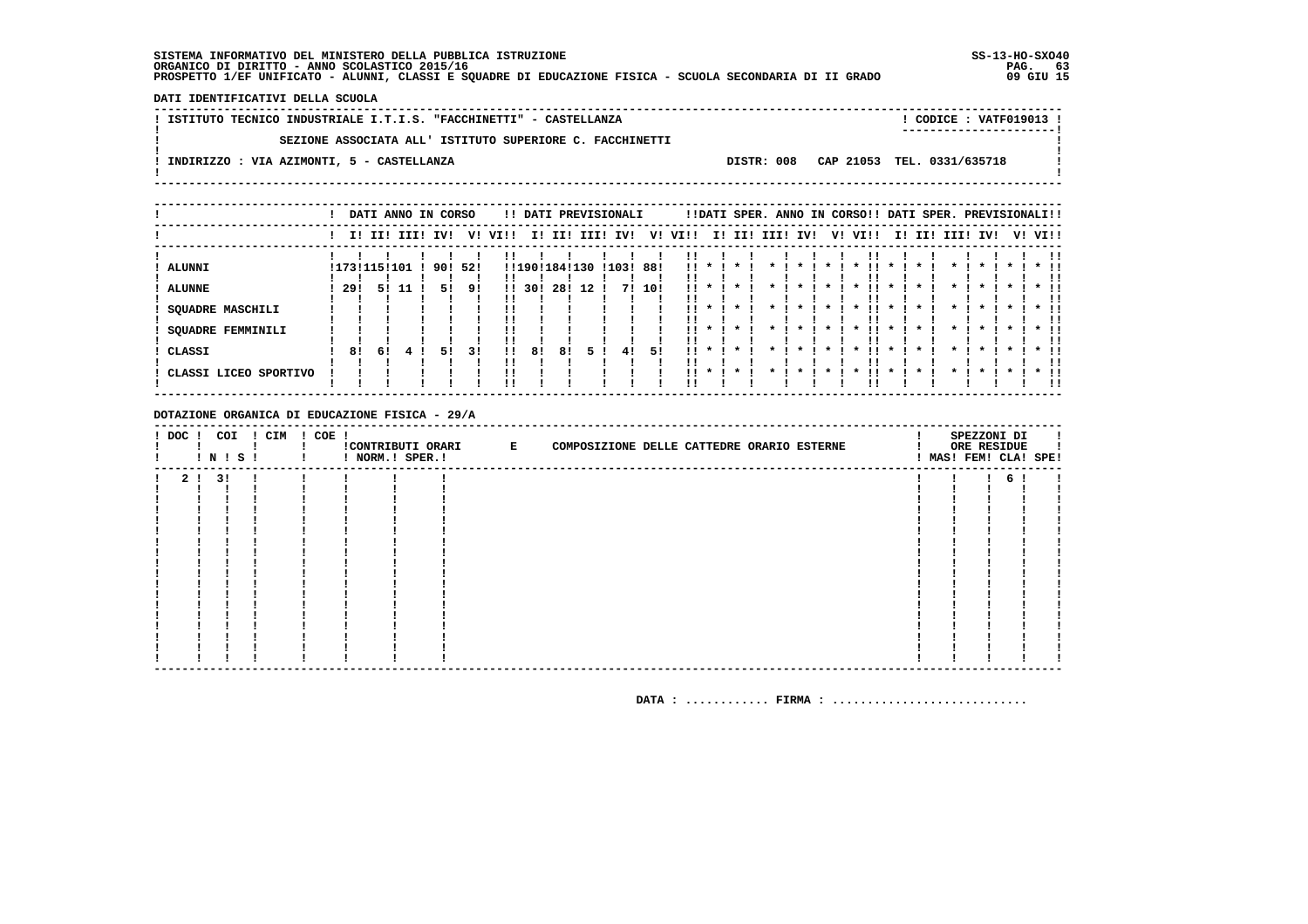DATI IDENTIFICATIVI DELLA SCUOLA

| ! ISTITUTO TECNICO INDUSTRIALE I.T.I.S. "FACCHINETTI" - CASTELLANZA |  | ! CODICE : VATF019013 !               |  |
|---------------------------------------------------------------------|--|---------------------------------------|--|
| SEZIONE ASSOCIATA ALL' ISTITUTO SUPERIORE C. FACCHINETTI            |  | ----------------------                |  |
| ! INDIRIZZO : VIA AZIMONTI, 5 - CASTELLANZA                         |  | DISTR: 008 CAP 21053 TEL. 0331/635718 |  |
|                                                                     |  |                                       |  |

|                                 |       |              | DATI ANNO IN CORSO |     |     |              |     |               |      | !! DATI PREVISIONALI |        |            |                                    | !!DATI SPER. ANNO IN CORSO!! DATI SPER. PREVISIONALI!! |      |     |                     |                    |                     |     |          |              |    |        |              |
|---------------------------------|-------|--------------|--------------------|-----|-----|--------------|-----|---------------|------|----------------------|--------|------------|------------------------------------|--------------------------------------------------------|------|-----|---------------------|--------------------|---------------------|-----|----------|--------------|----|--------|--------------|
|                                 |       |              | I! II! III!        | IV! | v!  | VIII         | ΙI  | II!           | III! | IV!                  | V!     | VI!!       | II.                                | II!                                                    | III! | IV! | V!                  | VI!!               | II.                 | II! | III! IV! |              | V! | VI!!   |              |
| <b>ALUNNI</b>                   |       | !173!115!101 |                    | 90! | 521 |              |     | !!190!184!130 |      | !103! 88!            |        | . .        |                                    |                                                        |      |     |                     |                    |                     |     |          |              |    |        |              |
| <b>ALUNNE</b>                   | -29 ! | 51           | -11                | 51  | 9!  | $\mathbf{H}$ | 301 | 28!           | 12   |                      | 7! 10! | !!         |                                    |                                                        |      |     |                     |                    |                     |     |          |              |    |        |              |
| <b>SQUADRE MASCHILI</b>         |       |              |                    |     |     |              |     |               |      |                      |        | !!         |                                    | $\cdot$                                                |      |     |                     | $\boldsymbol{\pi}$ | $\mathbf{x}$        |     |          | $\mathbf{x}$ |    |        |              |
| SQUADRE FEMMINILI               |       |              |                    |     |     |              |     |               |      |                      |        | . .        |                                    |                                                        |      |     | $\boldsymbol{\ast}$ |                    | $\mathbf{x}$        |     |          |              |    |        | $*$ !!<br>!! |
| CLASSI<br>CLASSI LICEO SPORTIVO | 81    | 61           |                    | 51  | 31  | 11           | 81  | 81            | ъ.   | 41                   | 51     | . .<br>. . | $\boldsymbol{\pi}$<br>$\mathbf{x}$ | $\star$<br>$\cdot$                                     |      |     |                     |                    | $\boldsymbol{\ast}$ |     |          |              |    | $*$ 11 | * !!<br>!!   |
|                                 |       |              |                    |     |     |              |     |               |      |                      |        |            |                                    |                                                        |      |     |                     |                    |                     |     |          |              |    |        | !!           |

DOTAZIONE ORGANICA DI EDUCAZIONE FISICA - 29/A

| ! DOC ! COI | ! N ! S ! | ! CIM | I COE I |  | !CONTRIBUTI ORARI E | COMPOSIZIONE DELLE CATTEDRE ORARIO ESTERNE |  | SPEZZONI DI<br>ORE RESIDUE<br>! MAS! FEM! CLA! SPE! |  |
|-------------|-----------|-------|---------|--|---------------------|--------------------------------------------|--|-----------------------------------------------------|--|
|             | 2 ! 3 !   |       |         |  |                     |                                            |  | 6                                                   |  |
|             |           |       |         |  |                     |                                            |  |                                                     |  |
|             |           |       |         |  |                     |                                            |  |                                                     |  |
|             |           |       |         |  |                     |                                            |  |                                                     |  |
|             |           |       |         |  |                     |                                            |  |                                                     |  |
|             |           |       |         |  |                     |                                            |  |                                                     |  |
|             |           |       |         |  |                     |                                            |  |                                                     |  |
|             |           |       |         |  |                     |                                            |  |                                                     |  |
|             |           |       |         |  |                     |                                            |  |                                                     |  |
|             |           |       |         |  |                     |                                            |  |                                                     |  |
|             |           |       |         |  |                     |                                            |  |                                                     |  |
|             |           |       |         |  |                     |                                            |  |                                                     |  |
|             |           |       |         |  |                     |                                            |  |                                                     |  |
|             |           |       |         |  |                     |                                            |  |                                                     |  |
|             |           |       |         |  |                     |                                            |  |                                                     |  |
|             |           |       |         |  |                     |                                            |  |                                                     |  |
|             |           |       |         |  |                     |                                            |  |                                                     |  |
|             |           |       |         |  |                     |                                            |  |                                                     |  |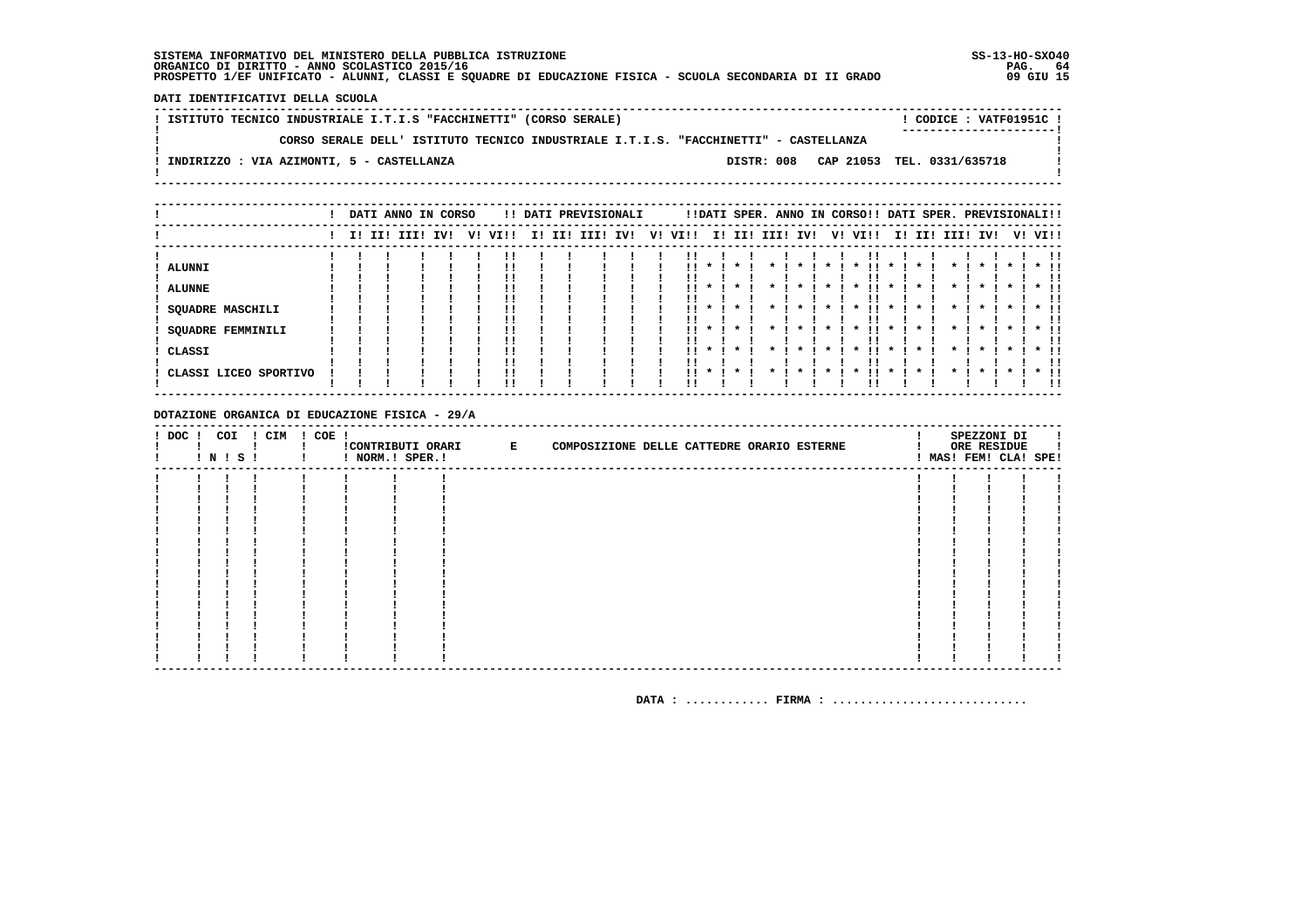DATI IDENTIFICATIVI DELLA SCUOLA

! ISTITUTO TECNICO INDUSTRIALE I.T.I.S "FACCHINETTI" (CORSO SERALE) ! CODICE: VATF01951C !  $\mathbf{I}$ CORSO SERALE DELL' ISTITUTO TECNICO INDUSTRIALE I.T.I.S. "FACCHINETTI" - CASTELLANZA  $\mathbf{I}$  $\blacksquare$  $\mathbf{I}$ -: INDIRIZZO : VIA AZIMONTI, 5 - CASTELLANZA DISTR: 008 CAP 21053 TEL. 0331/635718 **Contract Contract**  $\mathbf{I}$  $\mathbf{I}$ 

|                                                                         |  | DATI ANNO IN CORSO |     |    |                |    |     | !! DATI PREVISIONALI |     |    |         |                         |                    |      |                     |    | !!DATI SPER. ANNO IN CORSO!! DATI SPER. PREVISIONALI!! |                                            |     |          |                                            |  |                                    |
|-------------------------------------------------------------------------|--|--------------------|-----|----|----------------|----|-----|----------------------|-----|----|---------|-------------------------|--------------------|------|---------------------|----|--------------------------------------------------------|--------------------------------------------|-----|----------|--------------------------------------------|--|------------------------------------|
|                                                                         |  | I! II! III!        | IV! | v! | VIII           | I! | II! | III!                 | IV! | V! | VI!!    | I!                      | II!                | III! | IV!                 | V! | VI!!                                                   | II.                                        | II! | III! IV! |                                            |  | V! VI!!                            |
| <b>ALUNNI</b><br><b>ALUNNE</b><br>SQUADRE MASCHILI<br>SQUADRE FEMMINILI |  |                    |     |    |                |    |     |                      |     |    | !!<br>  | $\boldsymbol{\pi}$      | $\star$            |      | $\boldsymbol{\ast}$ |    | $\boldsymbol{\ast}$<br>$\boldsymbol{\ast}$             | $\boldsymbol{\pi}$<br>$\boldsymbol{\pi}$   |     |          | $\boldsymbol{\ast}$<br>$\boldsymbol{\ast}$ |  | $*$ !!                             |
| CLASSI<br>CLASSI LICEO SPORTIVO                                         |  |                    |     |    | !!<br>!!<br>!! |    |     |                      |     |    | <br>11. | $\mathbf{x}$<br>$\cdot$ | $\cdot$<br>$\cdot$ |      |                     |    | $\boldsymbol{\ast}$<br>$\boldsymbol{\ast}$             | $\boldsymbol{\ast}$<br>$\boldsymbol{\ast}$ |     |          | $\boldsymbol{\ast}$                        |  | !!<br>$*$ 11<br>11<br>$*$ 11<br>!! |

DOTAZIONE ORGANICA DI EDUCAZIONE FISICA - 29/A

| $!$ DOC $!$ | ! N ! S ! | COI | ! CIM | $! COE$ ! | ! NORM.! SPER.! | CONTRIBUTI ORARI E<br>COMPOSIZIONE DELLE CATTEDRE ORARIO ESTERNE |  | SPEZZONI DI<br>ORE RESIDUE<br>! MAS! FEM! CLA! SPE! |  |
|-------------|-----------|-----|-------|-----------|-----------------|------------------------------------------------------------------|--|-----------------------------------------------------|--|
|             |           |     |       |           |                 |                                                                  |  |                                                     |  |
|             |           |     |       |           |                 |                                                                  |  |                                                     |  |
|             |           |     |       |           |                 |                                                                  |  |                                                     |  |
|             |           |     |       |           |                 |                                                                  |  |                                                     |  |
|             |           |     |       |           |                 |                                                                  |  |                                                     |  |
|             |           |     |       |           |                 |                                                                  |  |                                                     |  |
|             |           |     |       |           |                 |                                                                  |  |                                                     |  |
|             |           |     |       |           |                 |                                                                  |  |                                                     |  |
|             |           |     |       |           |                 |                                                                  |  |                                                     |  |
|             |           |     |       |           |                 |                                                                  |  |                                                     |  |
|             |           |     |       |           |                 |                                                                  |  |                                                     |  |
|             |           |     |       |           |                 |                                                                  |  |                                                     |  |
|             |           |     |       |           |                 |                                                                  |  |                                                     |  |
|             |           |     |       |           |                 |                                                                  |  |                                                     |  |
|             |           |     |       |           |                 |                                                                  |  |                                                     |  |
|             |           |     |       |           |                 |                                                                  |  |                                                     |  |
|             |           |     |       |           |                 |                                                                  |  |                                                     |  |
|             |           |     |       |           |                 |                                                                  |  |                                                     |  |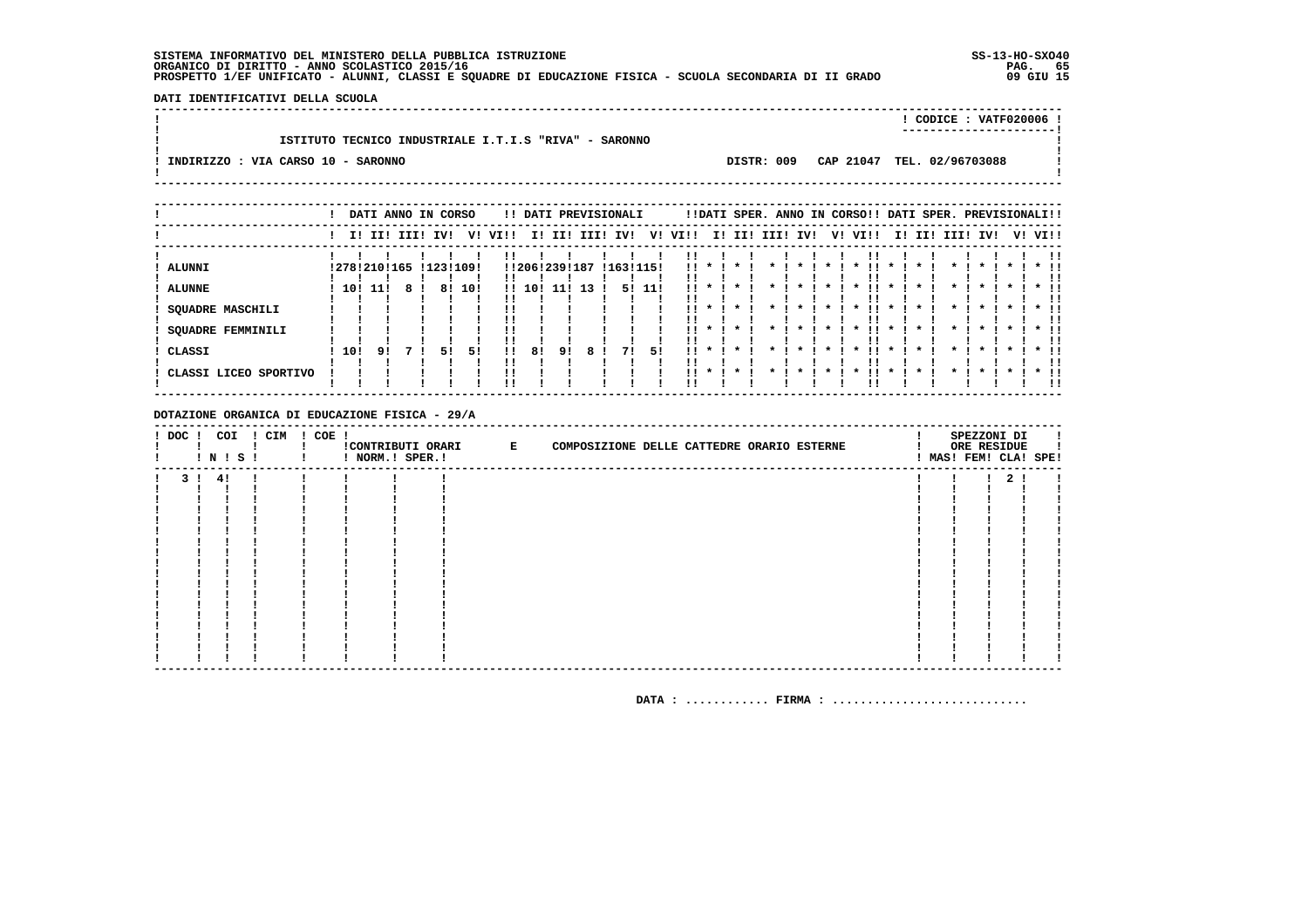DATI IDENTIFICATIVI DELLA SCUOLA 

|                                                       |            | CODICE : $VATF020006$ !    |  |
|-------------------------------------------------------|------------|----------------------------|--|
| ISTITUTO TECNICO INDUSTRIALE I.T.I.S "RIVA" - SARONNO |            |                            |  |
|                                                       |            |                            |  |
| INDIRIZZO : VIA CARSO 10 - SARONNO                    | DISTR: 009 | CAP 21047 TEL. 02/96703088 |  |
|                                                       |            |                            |  |

|                          |     |      | DATI ANNO IN CORSO |     |           |              |     |               |      | !! DATI PREVISIONALI |      |                           |              |              |      | !!DATI SPER. ANNO IN CORSO!! DATI SPER. PREVISIONALI!! |           |                     |      |              |                    |              |                    |         |        |    |
|--------------------------|-----|------|--------------------|-----|-----------|--------------|-----|---------------|------|----------------------|------|---------------------------|--------------|--------------|------|--------------------------------------------------------|-----------|---------------------|------|--------------|--------------------|--------------|--------------------|---------|--------|----|
|                          |     |      | I! II! III!        | IVI | v!        | VI!!         | II. | III           | IIII | IV!                  | V!   | VI!!                      | II.          | II!          | III! | IV!                                                    |           | V!                  | VI!! |              | I! II!             | III! IV!     |                    | V! VI!! |        |    |
| ALUNNI                   |     |      | 127812101165       |     | 112311091 |              |     | !!206!239!187 |      | !163!115!            |      | !!                        |              |              |      |                                                        |           |                     |      |              |                    |              |                    |         |        |    |
| <b>ALUNNE</b>            | 10! | -11! |                    | 81  | 10!       | $\mathbf{H}$ | 10! |               | 13   | 51                   | -11! | . .                       |              |              |      |                                                        |           | $\boldsymbol{\ast}$ |      |              |                    |              |                    |         |        |    |
| <b>SQUADRE MASCHILI</b>  |     |      |                    |     |           |              |     |               |      |                      |      | . .                       |              | $\star$      |      | *                                                      | $\star$ 1 | $\star$             | . .  | $\star$      |                    | $\mathbf{x}$ | $\cdot$            | $\star$ | $*$ !! | !! |
| <b>SQUADRE FEMMINILI</b> |     |      |                    |     |           | !!           |     |               |      |                      |      | $\mathbf{1}$ $\mathbf{1}$ |              | $\mathbf{x}$ |      |                                                        | $\cdot$   | $\cdot$             | . .  | $\cdot$      | $\boldsymbol{\pi}$ | $\mathbf{x}$ | $\boldsymbol{\pi}$ |         | $*$ 11 | ΙI |
| CLASSI                   | 10! | 91   |                    | 51  | 51        | !!           | 81  | 91            |      | 71                   | 51   | . .                       | $\mathbf{x}$ | $\cdot$      |      |                                                        |           | $\boldsymbol{\ast}$ |      | $\mathbf{x}$ |                    | $\star$      | $\cdot$            |         | $*$ !! | !! |
| CLASSI LICEO SPORTIVO    |     |      |                    |     |           |              |     |               |      |                      |      | . .                       |              | $\mathbf{x}$ |      |                                                        |           |                     |      | *            |                    |              | $\cdot$            |         | $*$ !! |    |

DOTAZIONE ORGANICA DI EDUCAZIONE FISICA - 29/A

| $!$ DOC $!$ | COI<br>$'$ N $'$ S $'$ | ! CIM | $! COE$ ! | ! NORM.! SPER.! | !CONTRIBUTI ORARI E | COMPOSIZIONE DELLE CATTEDRE ORARIO ESTERNE |  | SPEZZONI DI<br>ORE RESIDUE | ! MAS! FEM! CLA! SPE! |
|-------------|------------------------|-------|-----------|-----------------|---------------------|--------------------------------------------|--|----------------------------|-----------------------|
|             | 3! 4!                  |       |           |                 |                     |                                            |  | 2 <sub>1</sub>             |                       |
|             |                        |       |           |                 |                     |                                            |  |                            |                       |
|             |                        |       |           |                 |                     |                                            |  |                            |                       |
|             |                        |       |           |                 |                     |                                            |  |                            |                       |
|             |                        |       |           |                 |                     |                                            |  |                            |                       |
|             |                        |       |           |                 |                     |                                            |  |                            |                       |
|             |                        |       |           |                 |                     |                                            |  |                            |                       |
|             |                        |       |           |                 |                     |                                            |  |                            |                       |
|             |                        |       |           |                 |                     |                                            |  |                            |                       |
|             |                        |       |           |                 |                     |                                            |  |                            |                       |
|             |                        |       |           |                 |                     |                                            |  |                            |                       |
|             |                        |       |           |                 |                     |                                            |  |                            |                       |
|             |                        |       |           |                 |                     |                                            |  |                            |                       |
|             |                        |       |           |                 |                     |                                            |  |                            |                       |
|             |                        |       |           |                 |                     |                                            |  |                            |                       |
|             |                        |       |           |                 |                     |                                            |  |                            |                       |
|             |                        |       |           |                 |                     |                                            |  |                            |                       |
|             |                        |       |           |                 |                     |                                            |  |                            |                       |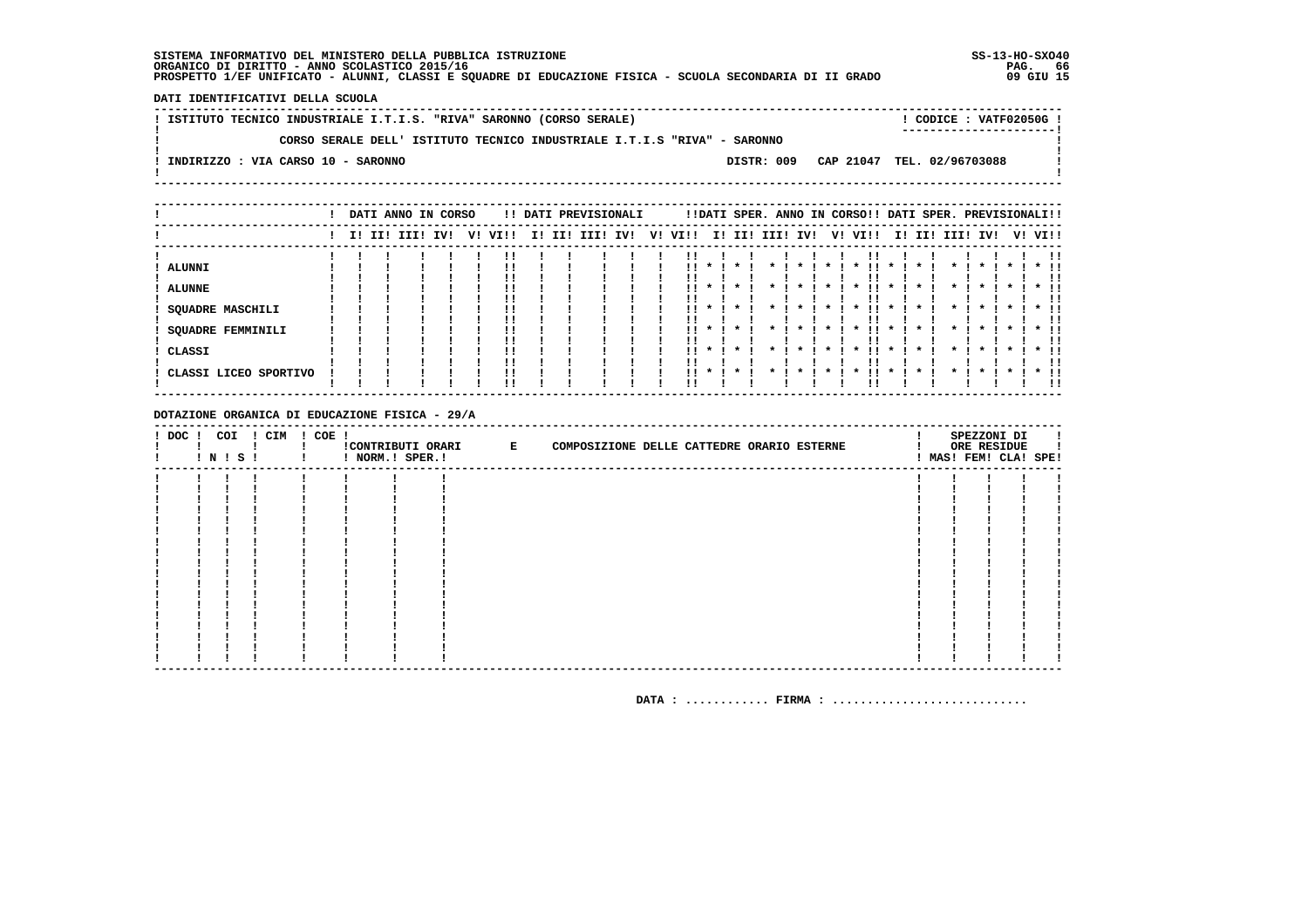DATI IDENTIFICATIVI DELLA SCUOLA

| ! ISTITUTO TECNICO INDUSTRIALE I.T.I.S. "RIVA" SARONNO (CORSO SERALE) |                                                                          |  |  |  |  | $!$ CODICE : VATF02050G $!$           |  |
|-----------------------------------------------------------------------|--------------------------------------------------------------------------|--|--|--|--|---------------------------------------|--|
|                                                                       |                                                                          |  |  |  |  |                                       |  |
|                                                                       | CORSO SERALE DELL' ISTITUTO TECNICO INDUSTRIALE I.T.I.S "RIVA" - SARONNO |  |  |  |  |                                       |  |
|                                                                       |                                                                          |  |  |  |  |                                       |  |
| INDIRIZZO : VIA CARSO 10 - SARONNO                                    |                                                                          |  |  |  |  | DISTR: 009 CAP 21047 TEL. 02/96703088 |  |
|                                                                       |                                                                          |  |  |  |  |                                       |  |
|                                                                       |                                                                          |  |  |  |  |                                       |  |

|                                                                                                 |  | DATI ANNO IN CORSO |     |    |      |     |     | !! DATI PREVISIONALI |     |    |                 |                         |         |      |     |    | !!DATI SPER. ANNO IN CORSO!! DATI SPER. PREVISIONALI!! |              |     |                    |              |              |         |                                |
|-------------------------------------------------------------------------------------------------|--|--------------------|-----|----|------|-----|-----|----------------------|-----|----|-----------------|-------------------------|---------|------|-----|----|--------------------------------------------------------|--------------|-----|--------------------|--------------|--------------|---------|--------------------------------|
|                                                                                                 |  | I! II! III!        | IV! | V! | VI!! | II. | II! | III!                 | IV! | V! | VI!!            |                         | I! II!  | III! | IV! | V! | VI!!                                                   | II.          | II! | III!               | IV!          |              | V! VI!! |                                |
| <b>ALUNNI</b><br><b>ALUNNE</b><br><b>SQUADRE MASCHILI</b><br><b>SQUADRE FEMMINILI</b><br>CLASSI |  |                    |     |    |      |     |     |                      |     |    | !!<br>. .<br>   | $\mathbf{x}$<br>$\cdot$ |         |      |     |    | !!<br>$\boldsymbol{\pi}$                               | $\mathbf{x}$ |     | $\boldsymbol{\pi}$ | $\mathbf{r}$ | $\mathbf{x}$ |         | $*$ 11<br>. .<br>$*$ 11<br>. . |
| CLASSI LICEO SPORTIVO                                                                           |  |                    |     |    |      |     |     |                      |     |    | $\mathbf{11}$ * |                         | $\star$ |      |     |    |                                                        | $\star$      |     |                    |              |              |         | $*$ 11<br>-11                  |

DOTAZIONE ORGANICA DI EDUCAZIONE FISICA - 29/A

| $!$ DOC $!$ | COI | ! N ! S ! | ! CIM | ! COE ! | ! NORM.! SPER.! | CONTRIBUTI ORARI E | COMPOSIZIONE DELLE CATTEDRE ORARIO ESTERNE |  |  |  | SPEZZONI DI<br>ORE RESIDUE<br>! MAS! FEM! CLA! SPE! |  |
|-------------|-----|-----------|-------|---------|-----------------|--------------------|--------------------------------------------|--|--|--|-----------------------------------------------------|--|
|             |     |           |       |         |                 |                    |                                            |  |  |  |                                                     |  |
|             |     |           |       |         |                 |                    |                                            |  |  |  |                                                     |  |
|             |     |           |       |         |                 |                    |                                            |  |  |  |                                                     |  |
|             |     |           |       |         |                 |                    |                                            |  |  |  |                                                     |  |
|             |     |           |       |         |                 |                    |                                            |  |  |  |                                                     |  |
|             |     |           |       |         |                 |                    |                                            |  |  |  |                                                     |  |
|             |     |           |       |         |                 |                    |                                            |  |  |  |                                                     |  |
|             |     |           |       |         |                 |                    |                                            |  |  |  |                                                     |  |
|             |     |           |       |         |                 |                    |                                            |  |  |  |                                                     |  |
|             |     |           |       |         |                 |                    |                                            |  |  |  |                                                     |  |
|             |     |           |       |         |                 |                    |                                            |  |  |  |                                                     |  |
|             |     |           |       |         |                 |                    |                                            |  |  |  |                                                     |  |
|             |     |           |       |         |                 |                    |                                            |  |  |  |                                                     |  |
|             |     |           |       |         |                 |                    |                                            |  |  |  |                                                     |  |
|             |     |           |       |         |                 |                    |                                            |  |  |  |                                                     |  |
|             |     |           |       |         |                 |                    |                                            |  |  |  |                                                     |  |
|             |     |           |       |         |                 |                    |                                            |  |  |  |                                                     |  |
|             |     |           |       |         |                 |                    |                                            |  |  |  |                                                     |  |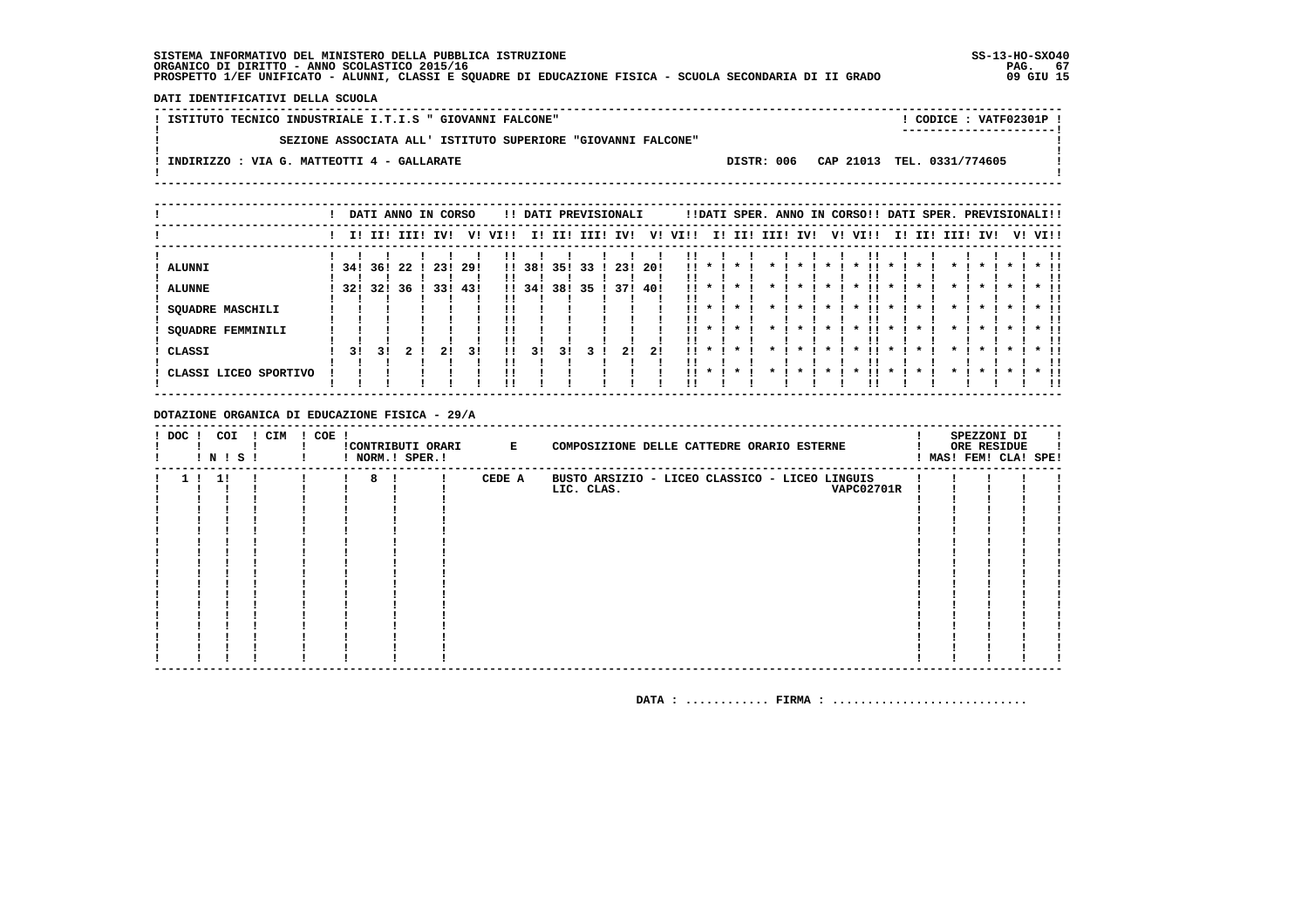DATI IDENTIFICATIVI DELLA SCUOLA

| SEZIONE ASSOCIATA ALL' ISTITUTO SUPERIORE "GIOVANNI FALCONE"<br>DISTR: 006 CAP 21013 TEL. 0331/774605<br>INDIRIZZO : VIA G. MATTEOTTI 4 - GALLARATE | ! ISTITUTO TECNICO INDUSTRIALE I.T.I.S " GIOVANNI FALCONE" |  | CODICE: VATF02301P !<br>------------------- |  |
|-----------------------------------------------------------------------------------------------------------------------------------------------------|------------------------------------------------------------|--|---------------------------------------------|--|
|                                                                                                                                                     |                                                            |  |                                             |  |
|                                                                                                                                                     |                                                            |  |                                             |  |

|                                 |     |                |          | DATI ANNO IN CORSO |            |                              |            |            | !! DATI PREVISIONALI |            |            |            |                    |         |         |                    |         | !!DATI SPER. ANNO IN CORSO!! DATI SPER. PREVISIONALI!! |                    |              |              |              |         |                        |
|---------------------------------|-----|----------------|----------|--------------------|------------|------------------------------|------------|------------|----------------------|------------|------------|------------|--------------------|---------|---------|--------------------|---------|--------------------------------------------------------|--------------------|--------------|--------------|--------------|---------|------------------------|
|                                 |     |                |          | I! II! III! IV!    |            | V! VI!!                      |            |            | I! II! III! IV!      |            | V!         | VI!!       |                    |         |         | I! II! III! IV!    |         | V! VI!!                                                |                    | I! II! III!  | IV!          |              | V! VI!! |                        |
| <b>ALUNNI</b><br><b>ALUNNE</b>  | 321 | 34! 36!<br>321 | 22<br>36 | 23!<br>33!         | 29!<br>43! | $\mathbf{1}$<br>$\mathbf{1}$ | 38!<br>34! | 35!<br>38! | 33<br>35             | 23!<br>371 | 20!<br>40! | . .        | $\mathbf{r}$       | $\cdot$ | $\star$ | $\star$            | $\star$ | . .<br>$\cdot$                                         | $\cdot$            | $\star$      | $\star$      | $\cdot$      |         | $*$ !!                 |
| SQUADRE MASCHILI                |     |                |          |                    |            | !!                           |            |            |                      |            |            |            |                    |         |         |                    |         |                                                        |                    |              |              |              |         |                        |
| SQUADRE FEMMINILI               |     |                |          |                    |            |                              |            |            |                      |            |            | . .        |                    | $\cdot$ |         | $\boldsymbol{\pi}$ | $\star$ | <br>$\cdot$                                            | $\cdot$            | $\star$      | $\star$      | $\mathbf x$  |         | $*$ !!                 |
| CLASSI<br>CLASSI LICEO SPORTIVO | 31  | 3 I            |          | 21                 | 31         | 11<br>!!                     | 31         | 31         |                      | 21         | 21         | . .<br>. . | $\boldsymbol{\pi}$ |         |         |                    |         | . .<br>$\boldsymbol{\ast}$                             | $\boldsymbol{\pi}$ | $\mathbf{r}$ | $\mathbf{x}$ | $\mathbf{x}$ |         | $*$ !!<br>$*$ 11<br>!! |
|                                 |     |                |          |                    |            |                              |            |            |                      |            |            |            |                    |         |         |                    |         |                                                        |                    |              |              |              |         |                        |

### DOTAZIONE ORGANICA DI EDUCAZIONE FISICA - 29/A

| $!$ DOC $!$ | COI<br>! N ! S ! | ! CIM | $! COE$ ! |                    | ! NORM.! SPER.! | !CONTRIBUTI ORARI E | COMPOSIZIONE DELLE CATTEDRE ORARIO ESTERNE     |  | SPEZZONI DI<br>ORE RESIDUE<br>MAS! FEM! CLA! SPE! |  |
|-------------|------------------|-------|-----------|--------------------|-----------------|---------------------|------------------------------------------------|--|---------------------------------------------------|--|
|             | -11              |       |           | 8!<br>$\mathbf{I}$ |                 | CEDE A              | BUSTO ARSIZIO - LICEO CLASSICO - LICEO LINGUIS |  |                                                   |  |
|             |                  |       |           |                    |                 |                     | LIC. CLAS.<br><b>VAPC02701R</b>                |  |                                                   |  |
|             |                  |       |           |                    |                 |                     |                                                |  |                                                   |  |
|             |                  |       |           |                    |                 |                     |                                                |  |                                                   |  |
|             |                  |       |           |                    |                 |                     |                                                |  |                                                   |  |
|             |                  |       |           |                    |                 |                     |                                                |  |                                                   |  |
|             |                  |       |           |                    |                 |                     |                                                |  |                                                   |  |
|             |                  |       |           |                    |                 |                     |                                                |  |                                                   |  |
|             |                  |       |           |                    |                 |                     |                                                |  |                                                   |  |
|             |                  |       |           |                    |                 |                     |                                                |  |                                                   |  |
|             |                  |       |           |                    |                 |                     |                                                |  |                                                   |  |
|             |                  |       |           |                    |                 |                     |                                                |  |                                                   |  |
|             |                  |       |           |                    |                 |                     |                                                |  |                                                   |  |
|             |                  |       |           |                    |                 |                     |                                                |  |                                                   |  |
|             |                  |       |           |                    |                 |                     |                                                |  |                                                   |  |
|             |                  |       |           |                    |                 |                     |                                                |  |                                                   |  |
|             |                  |       |           |                    |                 |                     |                                                |  |                                                   |  |
|             |                  |       |           |                    |                 |                     |                                                |  |                                                   |  |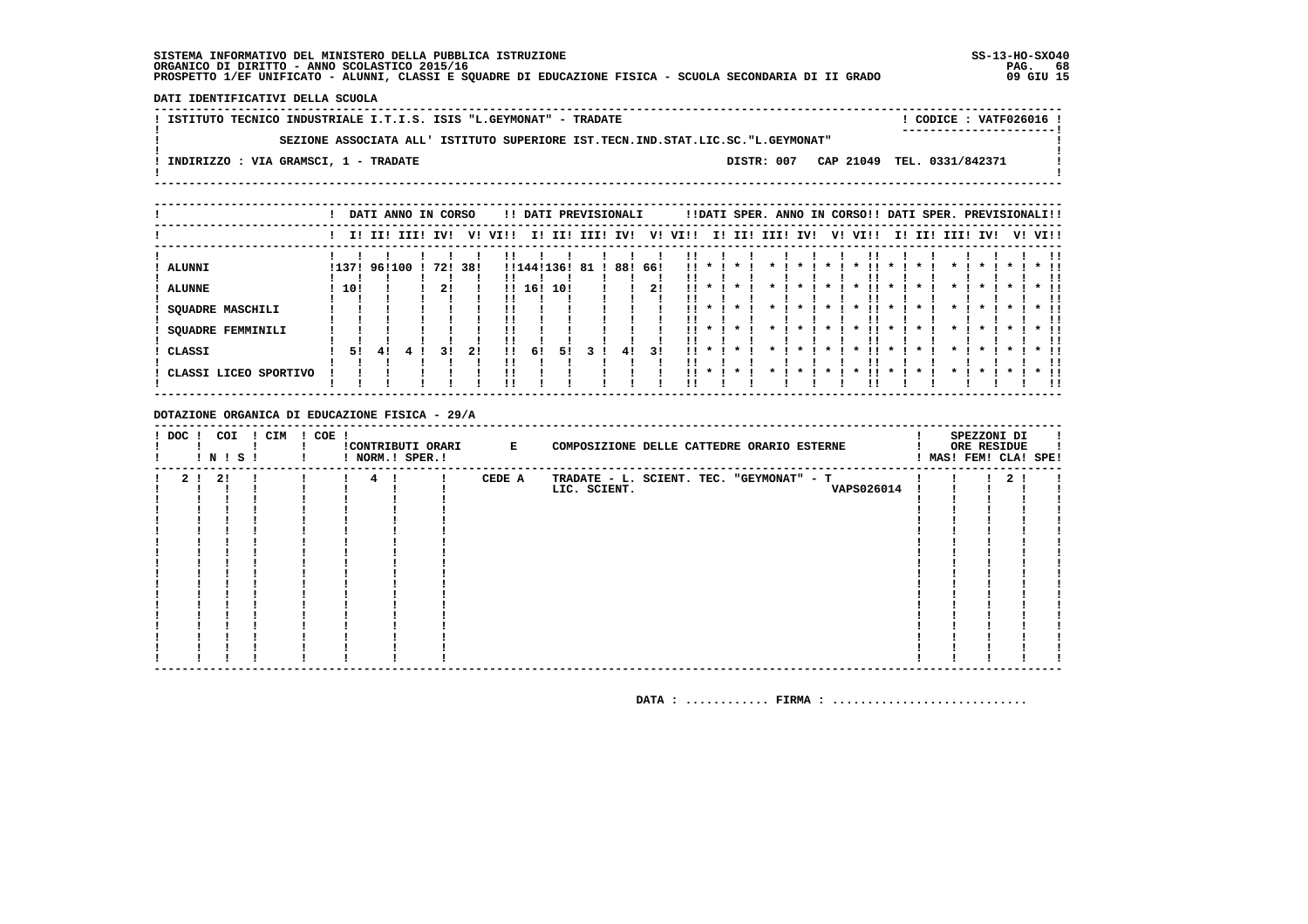DATI IDENTIFICATIVI DELLA SCUOLA

! ISTITUTO TECNICO INDUSTRIALE I.T.I.S. ISIS "L.GEYMONAT" - TRADATE ! CODICE : VATF026016 !  $\mathbf{I}$ SEZIONE ASSOCIATA ALL' ISTITUTO SUPERIORE IST. TECN. IND. STAT. LIC. SC. "L. GEYMONAT"  $\mathbf{I}$ - 1  $\mathbf{I}$ -: INDIRIZZO : VIA GRAMSCI, 1 - TRADATE DISTR: 007 CAP 21049 TEL. 0331/842371  $\sim$  1.  $\mathbf{I}$  $\mathbf{I}$ 

|                       |       | DATI ANNO IN CORSO |     |     |      |            |     | !! DATI PREVISIONALI |     |      |                 |              |     |      |     |                    | !!DATI SPER. ANNO IN CORSO!! DATI SPER. PREVISIONALI!! |         |     |      |              |         |         |               |
|-----------------------|-------|--------------------|-----|-----|------|------------|-----|----------------------|-----|------|-----------------|--------------|-----|------|-----|--------------------|--------------------------------------------------------|---------|-----|------|--------------|---------|---------|---------------|
|                       |       | I! II! III!        | IV! | V!  | VI!! | I!         | II! | III!                 | IV! | V!   | VI!!            | II.          | II! | III! | IV! | V!                 | VI!!                                                   | II.     | II! | III! | IV!          |         | V! VI!! |               |
| <b>ALUNNI</b>         | !137! | 96!100             | 72! | 38! |      | !!144!136! |     | 81                   | 88! | -66! | !! *            |              |     |      |     |                    |                                                        |         |     |      |              |         |         |               |
| <b>ALUNNE</b>         | 10!   |                    | 21  |     |      | 1116!      | 10! |                      |     | 2!   | !!              |              |     |      |     |                    |                                                        |         |     |      |              |         |         |               |
| SQUADRE MASCHILI      |       |                    |     |     |      |            |     |                      |     |      | !!              |              |     |      |     | $\boldsymbol{\pi}$ | $\star$                                                | $\star$ |     |      | $\star$      | $\star$ |         |               |
| SQUADRE FEMMINILI     |       |                    |     |     |      |            |     |                      |     |      | $\mathbf{11}$ * |              |     |      |     | $\star$            | $\star$                                                | $\star$ |     |      |              |         |         | $*$ !!<br>. . |
| CLASSI                | 51    | 41                 | 31  | 21  | 11   | 6!         | 51  |                      | 41  | 31   | . .             | $\mathbf{x}$ |     |      |     | $\boldsymbol{\pi}$ |                                                        | $\star$ |     |      | $\mathbf{r}$ |         |         | $*$ !!        |
| CLASSI LICEO SPORTIVO |       |                    |     |     |      |            |     |                      |     |      | !! *            |              |     |      |     |                    | $\star$                                                | $\star$ |     |      |              |         |         | $*$ 11<br>!!  |

DOTAZIONE ORGANICA DI EDUCAZIONE FISICA - 29/A

| $!$ DOC $!$    | COI<br>! N ! S ! | ! CIM | $! COE$ ! | !CONTRIBUTI ORARI E<br>! NORM.! SPER.! |        | COMPOSIZIONE DELLE CATTEDRE ORARIO ESTERNE |  | SPEZZONI DI<br>ORE RESIDUE | ! MAS! FEM! CLA! SPE! |
|----------------|------------------|-------|-----------|----------------------------------------|--------|--------------------------------------------|--|----------------------------|-----------------------|
| 2 <sub>1</sub> | 21               |       |           | $4 \quad 1$                            | CEDE A | TRADATE - L. SCIENT. TEC. "GEYMONAT" - T   |  | 2 <sub>1</sub>             |                       |
|                |                  |       |           |                                        |        | <b>VAPS026014</b><br>LIC. SCIENT.          |  |                            |                       |
|                |                  |       |           |                                        |        |                                            |  |                            |                       |
|                |                  |       |           |                                        |        |                                            |  |                            |                       |
|                |                  |       |           |                                        |        |                                            |  |                            |                       |
|                |                  |       |           |                                        |        |                                            |  |                            |                       |
|                |                  |       |           |                                        |        |                                            |  |                            |                       |
|                |                  |       |           |                                        |        |                                            |  |                            |                       |
|                |                  |       |           |                                        |        |                                            |  |                            |                       |
|                |                  |       |           |                                        |        |                                            |  |                            |                       |
|                |                  |       |           |                                        |        |                                            |  |                            |                       |
|                |                  |       |           |                                        |        |                                            |  |                            |                       |
|                |                  |       |           |                                        |        |                                            |  |                            |                       |
|                |                  |       |           |                                        |        |                                            |  |                            |                       |
|                |                  |       |           |                                        |        |                                            |  |                            |                       |
|                |                  |       |           |                                        |        |                                            |  |                            |                       |
|                |                  |       |           |                                        |        |                                            |  |                            |                       |
|                |                  |       |           |                                        |        |                                            |  |                            |                       |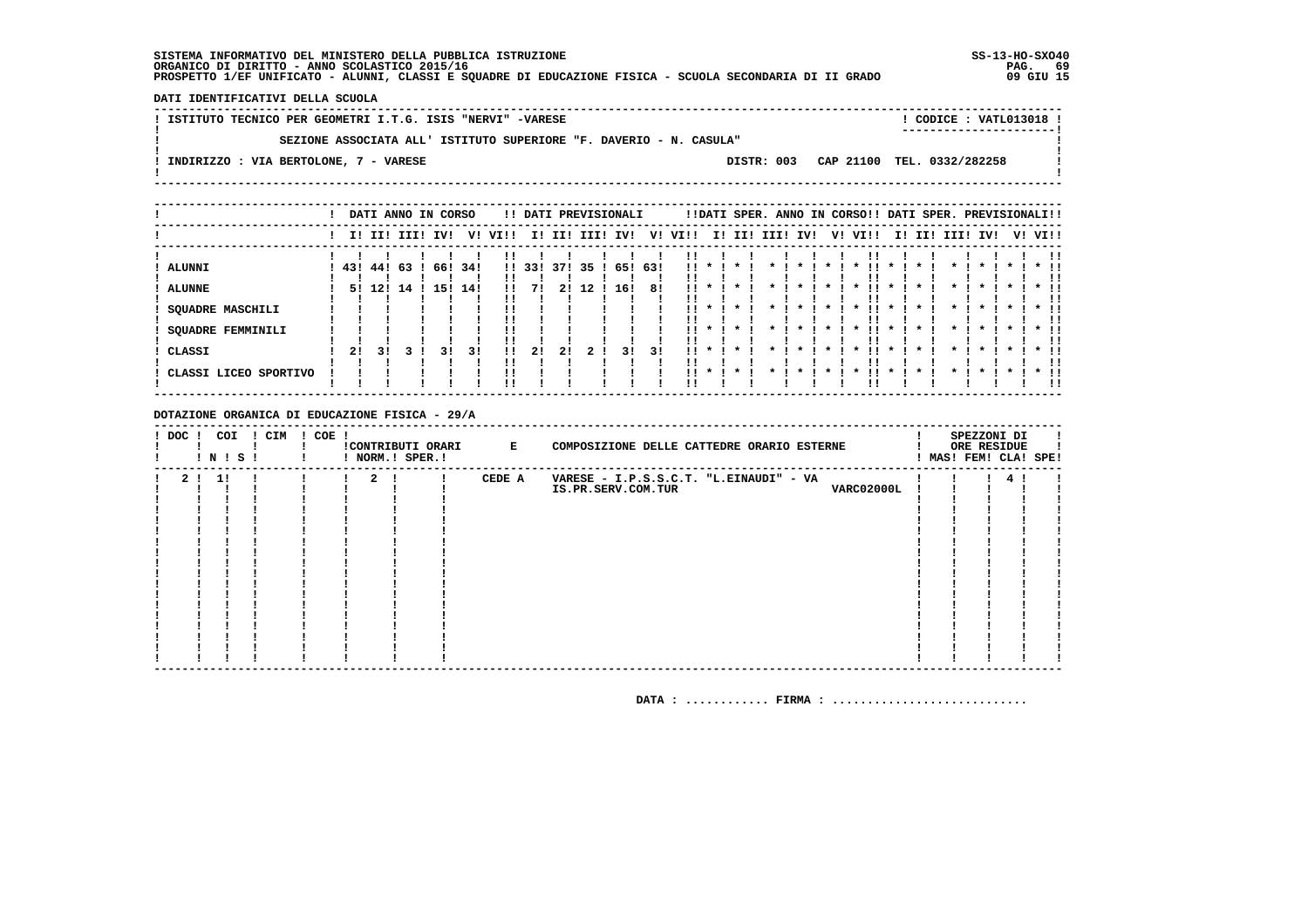DATI IDENTIFICATIVI DELLA SCUOLA

| SEZIONE ASSOCIATA ALL' ISTITUTO SUPERIORE "F. DAVERIO - N. CASULA"<br>DISTR: 003 CAP 21100 TEL. 0332/282258<br>INDIRIZZO : VIA BERTOLONE, 7 - VARESE | ISTITUTO TECNICO PER GEOMETRI I.T.G. ISIS "NERVI" -VARESE |  | CODICE: VATL013018 !<br>----------------------- |  |
|------------------------------------------------------------------------------------------------------------------------------------------------------|-----------------------------------------------------------|--|-------------------------------------------------|--|
|                                                                                                                                                      |                                                           |  |                                                 |  |
|                                                                                                                                                      |                                                           |  |                                                 |  |

|                       |             |     |     | DATI ANNO IN CORSO |     |      |       |     | !! DATI PREVISIONALI |         |     |                 |         |         |      | !!DATI SPER. ANNO IN CORSO!! DATI SPER. PREVISIONALI!! |         |                     |         |     |                    |                    |              |    |               |
|-----------------------|-------------|-----|-----|--------------------|-----|------|-------|-----|----------------------|---------|-----|-----------------|---------|---------|------|--------------------------------------------------------|---------|---------------------|---------|-----|--------------------|--------------------|--------------|----|---------------|
|                       | I! II! III! |     |     | IV!                | V!  | VI!! | II.   | II! | III!                 | IV!     | V!  | VI!!            | II.     | II!     | IIII | IV!                                                    | V!      | VI!!                | II.     | III | IIII               | IV!                |              | V! | VI!!          |
| <b>ALUNNI</b>         | 43!         | 44! | -63 | 66!                | 34! |      | 11331 | 37! | 35                   | 65! 63! |     | !! *            |         |         |      |                                                        |         |                     |         |     |                    |                    |              |    |               |
| <b>ALUNNE</b>         | 51          | 12! | 14  | 15!                | 14! | !!   |       |     | 12                   | 16!     | 81  | !!              |         |         |      |                                                        |         |                     |         |     |                    |                    |              |    |               |
| SQUADRE MASCHILI      |             |     |     |                    |     |      |       |     |                      |         |     | !!              |         |         |      |                                                        |         | $\boldsymbol{\ast}$ |         |     |                    |                    |              |    |               |
| SQUADRE FEMMINILI     |             |     |     |                    |     |      |       |     |                      |         |     | . .             | $\cdot$ | $\star$ |      | $\boldsymbol{\pi}$                                     | $\star$ | $\star$             | $\star$ |     | $\boldsymbol{\pi}$ | $\mathbf{r}$       | $\mathbf{x}$ |    | $*$ !!        |
| CLASSI                | 2!          | 3 I |     | 31                 | 31  |      | 21    | 21  | 2!                   | 31      | 3 I | $\mathbf{11}$ * |         |         |      |                                                        |         | $\boldsymbol{\pi}$  |         |     |                    | $\boldsymbol{\pi}$ | $\mathbf{x}$ |    | $*$ !!<br>. . |
| CLASSI LICEO SPORTIVO |             |     |     |                    |     |      |       |     |                      |         |     | $11 *$          |         |         |      |                                                        |         |                     |         |     |                    |                    |              |    | $*$ !!<br>-11 |

DOTAZIONE ORGANICA DI EDUCAZIONE FISICA - 29/A

| $!$ DOC $!$    | COI<br>! N ! S ! | ! CIM | $! COE$ ! | ! NORM.! SPER.! | !CONTRIBUTI ORARI E |        | COMPOSIZIONE DELLE CATTEDRE ORARIO ESTERNE                                        |  | SPEZZONI DI<br>ORE RESIDUE<br>! MAS! FEM! CLA! SPE! |  |
|----------------|------------------|-------|-----------|-----------------|---------------------|--------|-----------------------------------------------------------------------------------|--|-----------------------------------------------------|--|
| 2 <sub>1</sub> | 11               |       |           | 2 <sub>1</sub>  |                     | CEDE A | VARESE - I.P.S.S.C.T. "L.EINAUDI" - VA<br><b>VARC02000L</b><br>IS.PR.SERV.COM.TUR |  |                                                     |  |
|                |                  |       |           |                 |                     |        |                                                                                   |  |                                                     |  |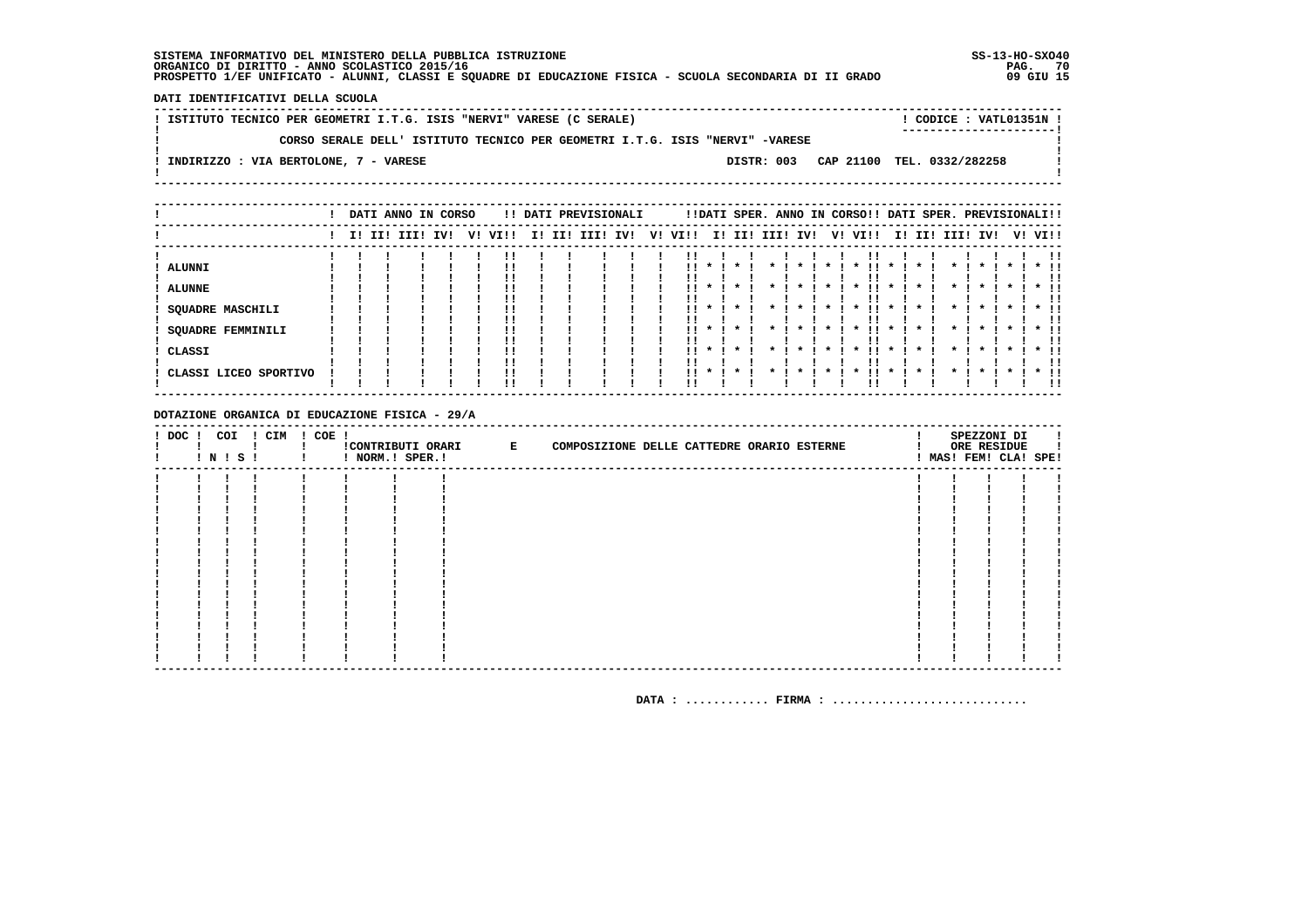DATI IDENTIFICATIVI DELLA SCUOLA

! ISTITUTO TECNICO PER GEOMETRI I.T.G. ISIS "NERVI" VARESE (C SERALE) ! CODICE : VATL01351N !  $\mathbf{I}$ CORSO SERALE DELL' ISTITUTO TECNICO PER GEOMETRI I.T.G. ISIS "NERVI" -VARESE  $\mathbf{I}$ - 1  $\mathbf{I}$ -: INDIRIZZO : VIA BERTOLONE, 7 - VARESE DISTR: 003 CAP 21100 TEL. 0332/282258  $\sim$  1.  $\mathbf{I}$  $\mathbf{I}$ 

|                                                                         |  | DATI ANNO IN CORSO |     |    |          |     |     | !! DATI PREVISIONALI |     |    |                        |                    |                    |      |                     |    | !!DATI SPER. ANNO IN CORSO!! DATI SPER. PREVISIONALI!!           |                                           |     |                                                      |         |                              |
|-------------------------------------------------------------------------|--|--------------------|-----|----|----------|-----|-----|----------------------|-----|----|------------------------|--------------------|--------------------|------|---------------------|----|------------------------------------------------------------------|-------------------------------------------|-----|------------------------------------------------------|---------|------------------------------|
|                                                                         |  | I! II! III!        | IV! | v! | VI!!     | II. | II! | III!                 | IV! | V! | VI!!                   | ΙI                 | II!                | III! | IV!                 | V! | VI!!                                                             | II.                                       | II! | III! IV!                                             | V! VI!! |                              |
| <b>ALUNNI</b><br><b>ALUNNE</b><br>SQUADRE MASCHILI<br>SQUADRE FEMMINILI |  |                    |     |    | !!<br>!! |     |     |                      |     |    | !!<br>!!<br>. .        | $\boldsymbol{\pi}$ | $\cdot$            |      | $\boldsymbol{\ast}$ |    | $\boldsymbol{\ast}$<br>$\boldsymbol{\pi}$<br>$\boldsymbol{\ast}$ | $\boldsymbol{\pi}$<br>$\boldsymbol{\pi}$  |     | $\cdot$<br>$\boldsymbol{\pi}$<br>$\boldsymbol{\ast}$ |         | $*$ !!<br>!!                 |
| CLASSI<br>CLASSI LICEO SPORTIVO                                         |  |                    |     |    | !!<br>!! |     |     |                      |     |    | . .<br>$\mathbf{11}$ * | $\mathbf{x}$       | $\cdot$<br>$\cdot$ |      |                     |    | $\boldsymbol{\ast}$<br>$\mathbf x$                               | $\boldsymbol{\pi}$<br>$\boldsymbol{\ast}$ |     | $\boldsymbol{\ast}$<br>$\mathbf x$                   |         | $*$ !!<br>!!<br>$*$ 11<br>ΙI |

DOTAZIONE ORGANICA DI EDUCAZIONE FISICA - 29/A

| $!$ DOC $!$ | COI | ! N ! S ! | ! CIM | ! COE ! | ! NORM.! SPER.! | CONTRIBUTI ORARI E | COMPOSIZIONE DELLE CATTEDRE ORARIO ESTERNE |  |  |  | SPEZZONI DI<br>ORE RESIDUE<br>! MAS! FEM! CLA! SPE! |  |
|-------------|-----|-----------|-------|---------|-----------------|--------------------|--------------------------------------------|--|--|--|-----------------------------------------------------|--|
|             |     |           |       |         |                 |                    |                                            |  |  |  |                                                     |  |
|             |     |           |       |         |                 |                    |                                            |  |  |  |                                                     |  |
|             |     |           |       |         |                 |                    |                                            |  |  |  |                                                     |  |
|             |     |           |       |         |                 |                    |                                            |  |  |  |                                                     |  |
|             |     |           |       |         |                 |                    |                                            |  |  |  |                                                     |  |
|             |     |           |       |         |                 |                    |                                            |  |  |  |                                                     |  |
|             |     |           |       |         |                 |                    |                                            |  |  |  |                                                     |  |
|             |     |           |       |         |                 |                    |                                            |  |  |  |                                                     |  |
|             |     |           |       |         |                 |                    |                                            |  |  |  |                                                     |  |
|             |     |           |       |         |                 |                    |                                            |  |  |  |                                                     |  |
|             |     |           |       |         |                 |                    |                                            |  |  |  |                                                     |  |
|             |     |           |       |         |                 |                    |                                            |  |  |  |                                                     |  |
|             |     |           |       |         |                 |                    |                                            |  |  |  |                                                     |  |
|             |     |           |       |         |                 |                    |                                            |  |  |  |                                                     |  |
|             |     |           |       |         |                 |                    |                                            |  |  |  |                                                     |  |
|             |     |           |       |         |                 |                    |                                            |  |  |  |                                                     |  |
|             |     |           |       |         |                 |                    |                                            |  |  |  |                                                     |  |
|             |     |           |       |         |                 |                    |                                            |  |  |  |                                                     |  |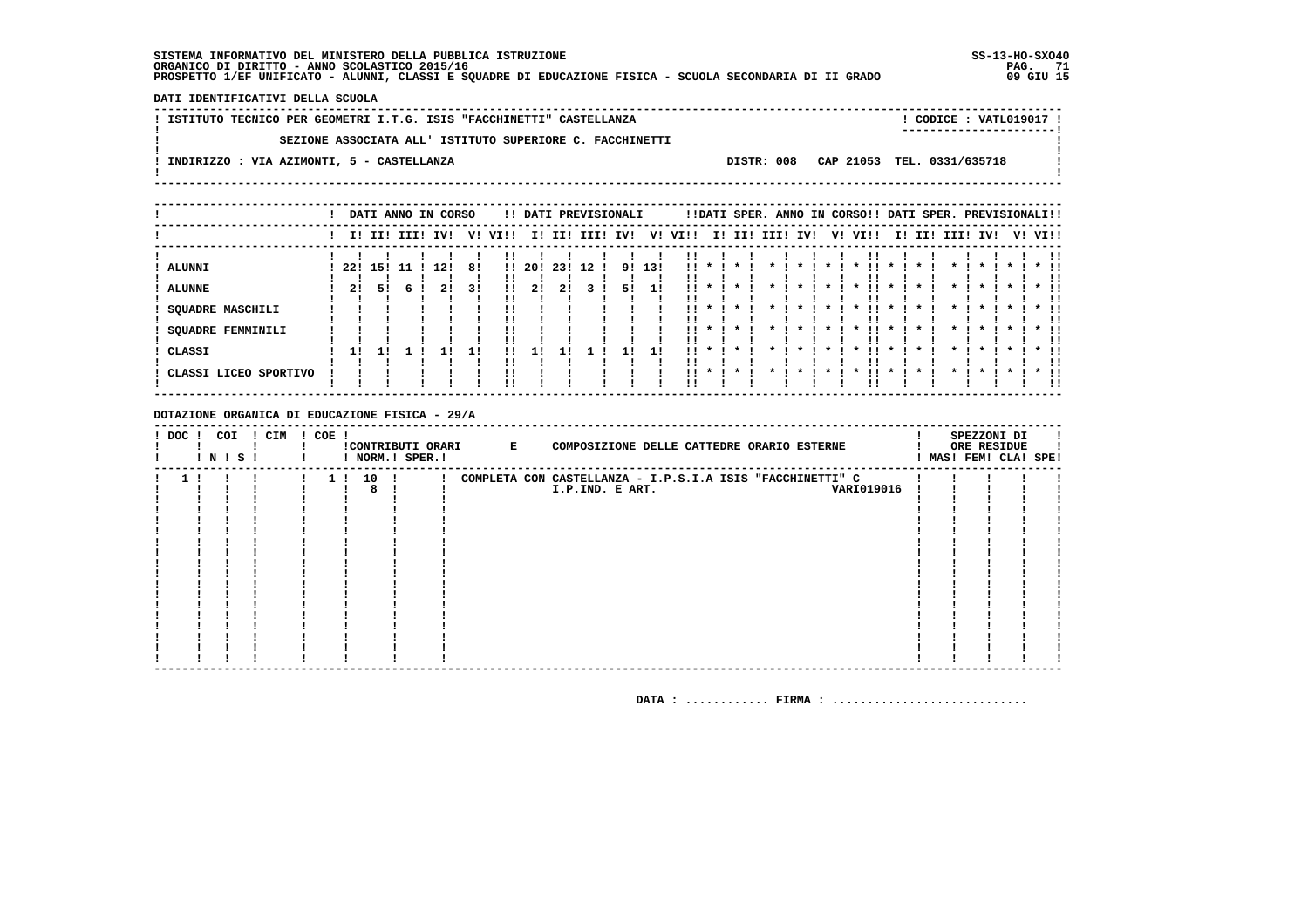DATI IDENTIFICATIVI DELLA SCUOLA

| ! ISTITUTO TECNICO PER GEOMETRI I.T.G. ISIS "FACCHINETTI" CASTELLANZA<br>CODICE: VATL019017 !<br>------------------------ |  |
|---------------------------------------------------------------------------------------------------------------------------|--|
| SEZIONE ASSOCIATA ALL' ISTITUTO SUPERIORE C. FACCHINETTI                                                                  |  |
| DISTR: 008 CAP 21053 TEL. 0331/635718<br>INDIRIZZO : VIA AZIMONTI, 5 - CASTELLANZA                                        |  |
|                                                                                                                           |  |

|                       |     |     |             | DATI ANNO IN CORSO |    |      |        |     |      | !! DATI PREVISIONALI |     |      |                    |         |      | !!DATI SPER. ANNO IN CORSO!! DATI SPER. PREVISIONALI!! |    |                     |      |                     |     |          |                     |         |        |    |
|-----------------------|-----|-----|-------------|--------------------|----|------|--------|-----|------|----------------------|-----|------|--------------------|---------|------|--------------------------------------------------------|----|---------------------|------|---------------------|-----|----------|---------------------|---------|--------|----|
|                       |     |     | I! II! III! | IV!                | v! | VIII | I!     | II! | III! | IV!                  | V!  | VI!! | I!                 | II!     | III! | IV!                                                    | V! |                     | VI!! | II.                 | II! | III! IV! |                     | V! VI!! |        |    |
| <b>ALUNNI</b>         | 22! | 151 | 11          | 12!                | 8! |      | !! 20! | 23! | 12   | 9!                   | 13! | !!   |                    |         |      |                                                        |    |                     |      |                     |     |          |                     |         |        |    |
| <b>ALUNNE</b>         | 21  | 51  |             |                    | 31 | !!   | 21     |     |      | 51                   |     |      |                    |         |      |                                                        |    |                     |      |                     |     |          |                     |         |        |    |
| SQUADRE MASCHILI      |     |     |             |                    |    |      |        |     |      |                      |     | !!   |                    |         |      |                                                        |    | $\boldsymbol{\ast}$ |      |                     |     |          |                     |         |        |    |
| SQUADRE FEMMINILI     |     |     |             |                    |    | !!   |        |     |      |                      |     |      | $\boldsymbol{\pi}$ | $\cdot$ |      |                                                        |    | $\boldsymbol{\ast}$ |      | $\boldsymbol{\ast}$ |     |          | $\boldsymbol{\ast}$ |         | $*$ !! | !! |
| CLASSI                | 11  |     |             |                    | 1! | !!   |        |     |      |                      |     | . .  |                    | $\star$ |      |                                                        |    |                     |      |                     |     |          |                     |         | $*$ 11 | !! |
| CLASSI LICEO SPORTIVO |     |     |             |                    |    | !!   |        |     |      |                      |     | 11.  | $\mathbf{x}$       | $\cdot$ |      |                                                        |    |                     |      |                     |     |          |                     |         | $*$ 11 | !! |

DOTAZIONE ORGANICA DI EDUCAZIONE FISICA - 29/A

| $!$ DOC $!$ | COI<br>! N ! S ! | ! CIM | $! COE$ ! |          | ! NORM.! SPER.! | !CONTRIBUTI ORARI E | COMPOSIZIONE DELLE CATTEDRE ORARIO ESTERNE                |  | SPEZZONI DI<br>ORE RESIDUE<br>! MAS! FEM! CLA! SPE! |  |
|-------------|------------------|-------|-----------|----------|-----------------|---------------------|-----------------------------------------------------------|--|-----------------------------------------------------|--|
|             |                  |       |           | 1 ! 10 ! |                 |                     | COMPLETA CON CASTELLANZA - I.P.S.I.A ISIS "FACCHINETTI" C |  |                                                     |  |
|             |                  |       |           | 8        |                 |                     | <b>VARI019016</b><br>I.P.IND. E ART.                      |  |                                                     |  |
|             |                  |       |           |          |                 |                     |                                                           |  |                                                     |  |
|             |                  |       |           |          |                 |                     |                                                           |  |                                                     |  |
|             |                  |       |           |          |                 |                     |                                                           |  |                                                     |  |
|             |                  |       |           |          |                 |                     |                                                           |  |                                                     |  |
|             |                  |       |           |          |                 |                     |                                                           |  |                                                     |  |
|             |                  |       |           |          |                 |                     |                                                           |  |                                                     |  |
|             |                  |       |           |          |                 |                     |                                                           |  |                                                     |  |
|             |                  |       |           |          |                 |                     |                                                           |  |                                                     |  |
|             |                  |       |           |          |                 |                     |                                                           |  |                                                     |  |
|             |                  |       |           |          |                 |                     |                                                           |  |                                                     |  |
|             |                  |       |           |          |                 |                     |                                                           |  |                                                     |  |
|             |                  |       |           |          |                 |                     |                                                           |  |                                                     |  |
|             |                  |       |           |          |                 |                     |                                                           |  |                                                     |  |
|             |                  |       |           |          |                 |                     |                                                           |  |                                                     |  |
|             |                  |       |           |          |                 |                     |                                                           |  |                                                     |  |
|             |                  |       |           |          |                 |                     |                                                           |  |                                                     |  |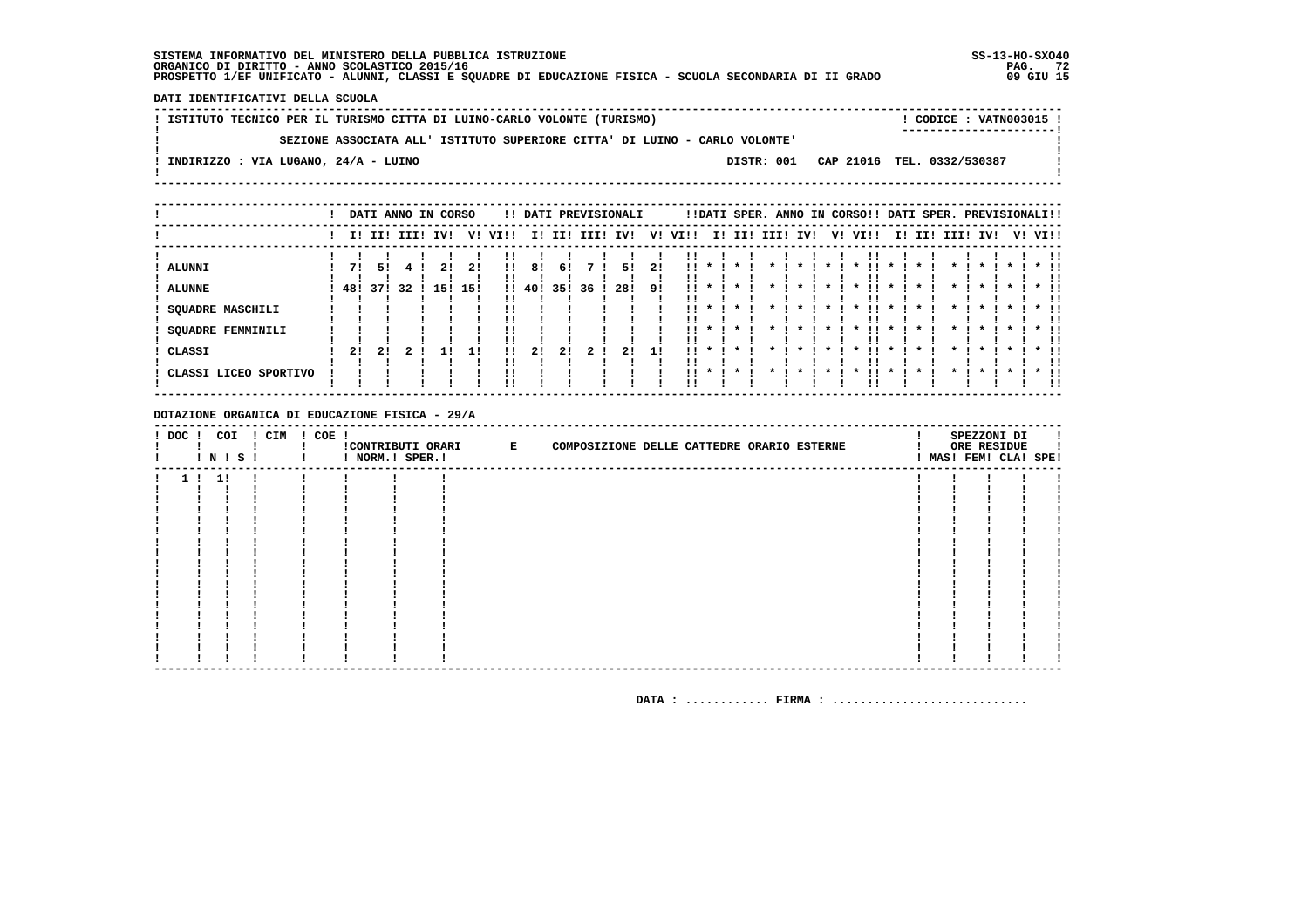DATI IDENTIFICATIVI DELLA SCUOLA

| ! ISTITUTO TECNICO PER IL TURISMO CITTA DI LUINO-CARLO VOLONTE (TURISMO) |  |  |  |                                                                            | CODICE: VATN003015 !                  |  |
|--------------------------------------------------------------------------|--|--|--|----------------------------------------------------------------------------|---------------------------------------|--|
|                                                                          |  |  |  |                                                                            | ----------------------                |  |
|                                                                          |  |  |  | SEZIONE ASSOCIATA ALL' ISTITUTO SUPERIORE CITTA' DI LUINO - CARLO VOLONTE' |                                       |  |
| ! INDIRIZZO : VIA LUGANO, 24/A - LUINO                                   |  |  |  |                                                                            | DISTR: 001 CAP 21016 TEL. 0332/530387 |  |
|                                                                          |  |  |  |                                                                            |                                       |  |
|                                                                          |  |  |  |                                                                            |                                       |  |

|                          |           |             |     | DATI ANNO IN CORSO |           |      |              |           |      | !! DATI PREVISIONALI |          |      |                    |         |      |                    |         | !!DATI SPER. ANNO IN CORSO!! DATI SPER. PREVISIONALI!! |              |     |              |              |              |         |               |
|--------------------------|-----------|-------------|-----|--------------------|-----------|------|--------------|-----------|------|----------------------|----------|------|--------------------|---------|------|--------------------|---------|--------------------------------------------------------|--------------|-----|--------------|--------------|--------------|---------|---------------|
|                          |           | I! II! III! |     | IVI                | V!        | VI!! |              | I! II!    | III! | IV!                  | V!       | VI!! |                    | I! II!  | III! | IV!                |         | V! VI!!                                                | II.          | II! | III!         | IV!          |              | V! VI!! |               |
| ALUNNI<br>! ALUNNE       | 71<br>48! | 51<br>37!   | -32 | 15!                | 21<br>15! | !!   | 8!<br>!! 40! | 61<br>35! | 36   | 51<br>28!            | 21<br>9! |      |                    |         |      |                    |         |                                                        |              |     |              |              |              |         |               |
| <b>SQUADRE MASCHILI</b>  |           |             |     |                    |           |      |              |           |      |                      |          |      |                    |         |      |                    |         |                                                        |              |     |              |              |              |         |               |
| <b>SQUADRE FEMMINILI</b> |           |             |     |                    |           |      |              |           |      |                      |          | . .  | $\mathbf{x}$       | $\star$ |      | $\boldsymbol{\pi}$ | $\star$ | . .<br>$\cdot$                                         | $\mathbf{x}$ |     | $\mathbf{r}$ | $\mathbf{x}$ | $\mathbf{x}$ |         | $*$ !!        |
| ! CLASSI                 | 2!        | 21          |     |                    |           | !!   | 21           | 21        |      | 21                   | 11       |      |                    |         |      |                    |         |                                                        |              |     |              |              |              |         | $*$ !!<br>-11 |
| ! CLASSI LICEO SPORTIVO  |           |             |     |                    |           | !!   |              |           |      |                      |          | 11.  | $\boldsymbol{\pi}$ | $\star$ |      |                    |         |                                                        |              |     |              |              |              |         | $*$ 11<br>-11 |

DOTAZIONE ORGANICA DI EDUCAZIONE FISICA - 29/A

|  |      | ! DOC ! COI ! CIM ! COE !<br><b>INISI</b> | ! ! NORM.! SPER.! | !CONTRIBUTI ORARI E | COMPOSIZIONE DELLE CATTEDRE ORARIO ESTERNE |  | SPEZZONI DI<br>ORE RESIDUE<br>! MAS! FEM! CLA! SPE! |  |
|--|------|-------------------------------------------|-------------------|---------------------|--------------------------------------------|--|-----------------------------------------------------|--|
|  | 1!1! |                                           |                   |                     |                                            |  |                                                     |  |
|  |      |                                           |                   |                     |                                            |  |                                                     |  |
|  |      |                                           |                   |                     |                                            |  |                                                     |  |
|  |      |                                           |                   |                     |                                            |  |                                                     |  |
|  |      |                                           |                   |                     |                                            |  |                                                     |  |
|  |      |                                           |                   |                     |                                            |  |                                                     |  |
|  |      |                                           |                   |                     |                                            |  |                                                     |  |
|  |      |                                           |                   |                     |                                            |  |                                                     |  |
|  |      |                                           |                   |                     |                                            |  |                                                     |  |
|  |      |                                           |                   |                     |                                            |  |                                                     |  |
|  |      |                                           |                   |                     |                                            |  |                                                     |  |
|  |      |                                           |                   |                     |                                            |  |                                                     |  |
|  |      |                                           |                   |                     |                                            |  |                                                     |  |
|  |      |                                           |                   |                     |                                            |  |                                                     |  |
|  |      |                                           |                   |                     |                                            |  |                                                     |  |
|  |      |                                           |                   |                     |                                            |  |                                                     |  |
|  |      |                                           |                   |                     |                                            |  |                                                     |  |
|  |      |                                           |                   |                     |                                            |  |                                                     |  |